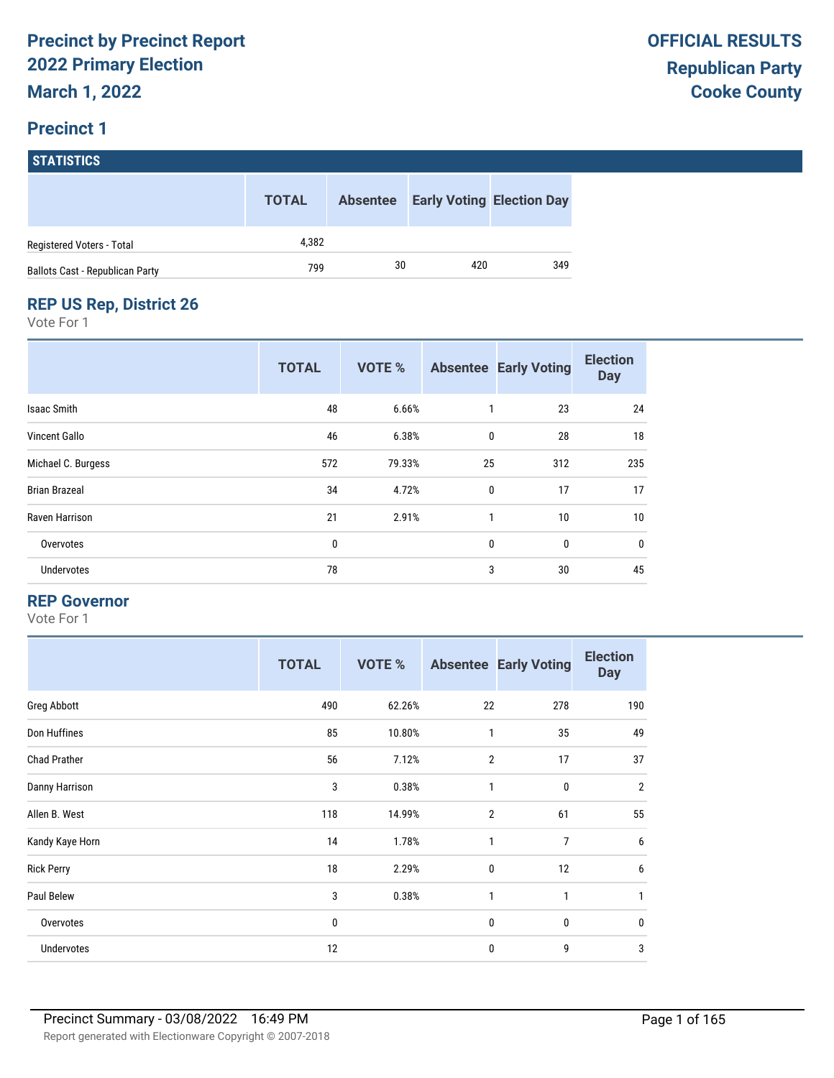#### **Precinct 1**

| <b>STATISTICS</b>                      |              |                 |     |                                  |
|----------------------------------------|--------------|-----------------|-----|----------------------------------|
|                                        | <b>TOTAL</b> | <b>Absentee</b> |     | <b>Early Voting Election Day</b> |
| Registered Voters - Total              | 4.382        |                 |     |                                  |
| <b>Ballots Cast - Republican Party</b> | 799          | 30              | 420 | 349                              |

#### **REP US Rep, District 26**

Vote For 1

|                      | <b>TOTAL</b> | <b>VOTE %</b> |              | <b>Absentee Early Voting</b> | <b>Election</b><br><b>Day</b> |
|----------------------|--------------|---------------|--------------|------------------------------|-------------------------------|
| <b>Isaac Smith</b>   | 48           | 6.66%         | 1            | 23                           | 24                            |
| Vincent Gallo        | 46           | 6.38%         | 0            | 28                           | 18                            |
| Michael C. Burgess   | 572          | 79.33%        | 25           | 312                          | 235                           |
| <b>Brian Brazeal</b> | 34           | 4.72%         | $\mathbf 0$  | 17                           | 17                            |
| Raven Harrison       | 21           | 2.91%         | $\mathbf{1}$ | 10                           | 10                            |
| Overvotes            | 0            |               | $\mathbf{0}$ | $\mathbf{0}$                 | 0                             |
| Undervotes           | 78           |               | 3            | 30                           | 45                            |

#### **REP Governor**

|                     | <b>TOTAL</b> | <b>VOTE %</b> |                | <b>Absentee Early Voting</b> | <b>Election</b><br><b>Day</b> |
|---------------------|--------------|---------------|----------------|------------------------------|-------------------------------|
| Greg Abbott         | 490          | 62.26%        | 22             | 278                          | 190                           |
| Don Huffines        | 85           | 10.80%        | 1              | 35                           | 49                            |
| <b>Chad Prather</b> | 56           | 7.12%         | $\overline{2}$ | 17                           | 37                            |
| Danny Harrison      | 3            | 0.38%         | 1              | $\pmb{0}$                    | $\overline{2}$                |
| Allen B. West       | 118          | 14.99%        | $\overline{2}$ | 61                           | 55                            |
| Kandy Kaye Horn     | 14           | 1.78%         | 1              | $\overline{7}$               | 6                             |
| <b>Rick Perry</b>   | 18           | 2.29%         | $\mathbf 0$    | 12                           | 6                             |
| Paul Belew          | 3            | 0.38%         | 1              | 1                            | 1                             |
| Overvotes           | 0            |               | $\mathbf 0$    | $\bf{0}$                     | 0                             |
| Undervotes          | 12           |               | $\mathbf 0$    | 9                            | 3                             |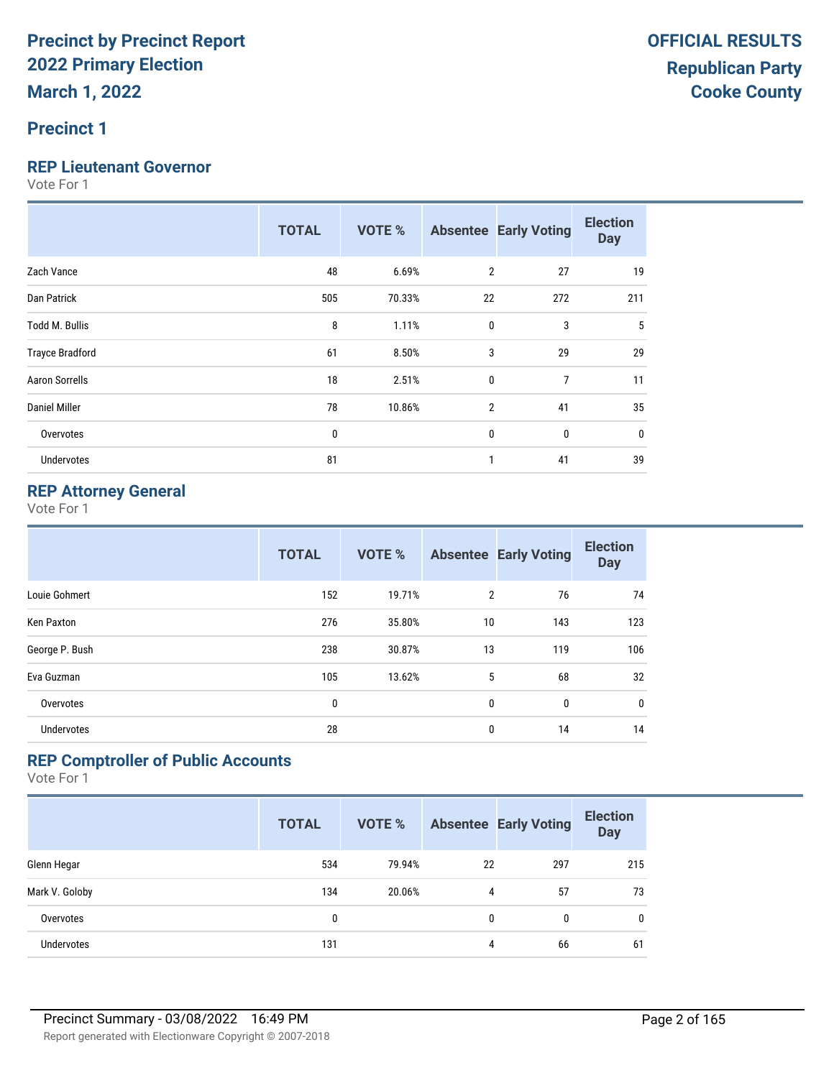#### **Precinct 1**

#### **REP Lieutenant Governor**

Vote For 1

|                        | <b>TOTAL</b> | <b>VOTE %</b> |                | <b>Absentee Early Voting</b> | <b>Election</b><br><b>Day</b> |
|------------------------|--------------|---------------|----------------|------------------------------|-------------------------------|
| Zach Vance             | 48           | 6.69%         | $\overline{2}$ | 27                           | 19                            |
| Dan Patrick            | 505          | 70.33%        | 22             | 272                          | 211                           |
| <b>Todd M. Bullis</b>  | 8            | 1.11%         | 0              | 3                            | 5                             |
| <b>Trayce Bradford</b> | 61           | 8.50%         | 3              | 29                           | 29                            |
| <b>Aaron Sorrells</b>  | 18           | 2.51%         | 0              | 7                            | 11                            |
| <b>Daniel Miller</b>   | 78           | 10.86%        | $\overline{2}$ | 41                           | 35                            |
| Overvotes              | 0            |               | 0              | 0                            | $\mathbf 0$                   |
| <b>Undervotes</b>      | 81           |               | $\mathbf{1}$   | 41                           | 39                            |

#### **REP Attorney General**

Vote For 1

|                   | <b>TOTAL</b> | <b>VOTE %</b> |                | <b>Absentee Early Voting</b> | <b>Election</b><br><b>Day</b> |
|-------------------|--------------|---------------|----------------|------------------------------|-------------------------------|
| Louie Gohmert     | 152          | 19.71%        | $\overline{2}$ | 76                           | 74                            |
| Ken Paxton        | 276          | 35.80%        | 10             | 143                          | 123                           |
| George P. Bush    | 238          | 30.87%        | 13             | 119                          | 106                           |
| Eva Guzman        | 105          | 13.62%        | 5              | 68                           | 32                            |
| Overvotes         | 0            |               | 0              | 0                            | 0                             |
| <b>Undervotes</b> | 28           |               | 0              | 14                           | 14                            |

#### **REP Comptroller of Public Accounts**

|                   | <b>TOTAL</b> | <b>VOTE %</b> |    | <b>Absentee Early Voting</b> | <b>Election</b><br><b>Day</b> |
|-------------------|--------------|---------------|----|------------------------------|-------------------------------|
| Glenn Hegar       | 534          | 79.94%        | 22 | 297                          | 215                           |
| Mark V. Goloby    | 134          | 20.06%        | 4  | 57                           | 73                            |
| Overvotes         | 0            |               | 0  | 0                            | $\mathbf{0}$                  |
| <b>Undervotes</b> | 131          |               | 4  | 66                           | 61                            |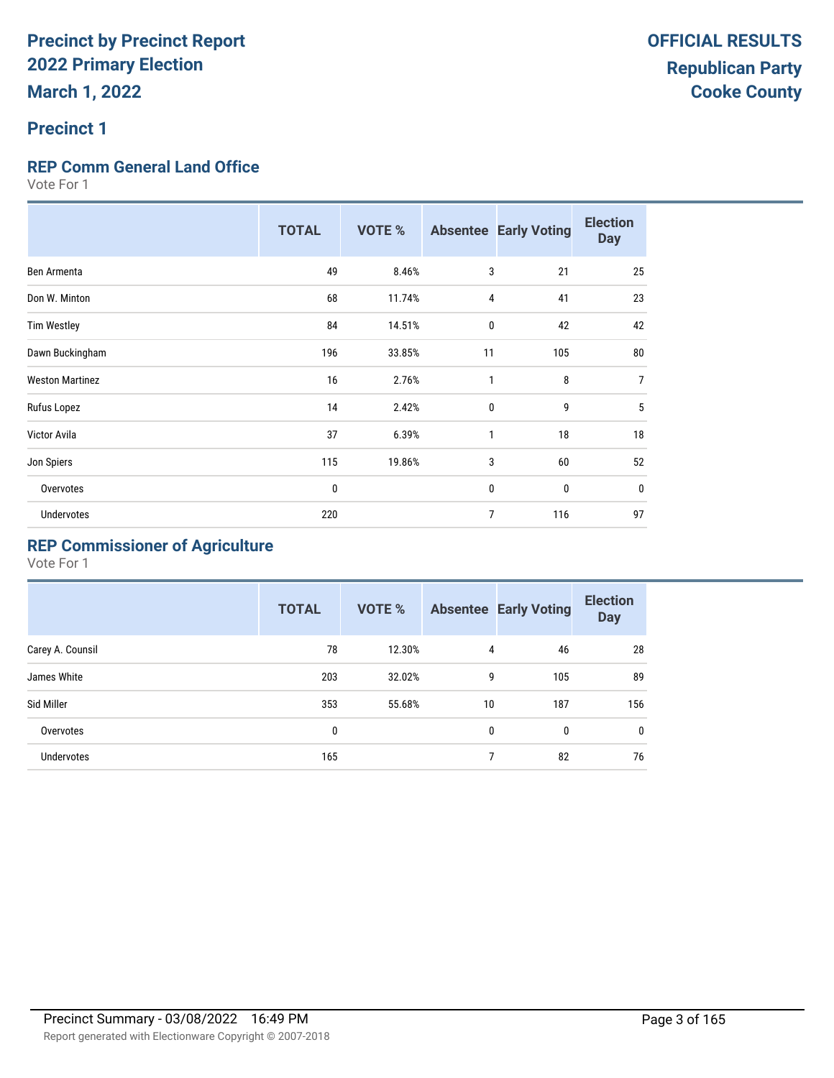#### **Precinct 1**

#### **REP Comm General Land Office**

Vote For 1

|                        | <b>TOTAL</b> | <b>VOTE %</b> |              | <b>Absentee Early Voting</b> | <b>Election</b><br><b>Day</b> |
|------------------------|--------------|---------------|--------------|------------------------------|-------------------------------|
| Ben Armenta            | 49           | 8.46%         | 3            | 21                           | 25                            |
| Don W. Minton          | 68           | 11.74%        | 4            | 41                           | 23                            |
| <b>Tim Westley</b>     | 84           | 14.51%        | 0            | 42                           | 42                            |
| Dawn Buckingham        | 196          | 33.85%        | 11           | 105                          | 80                            |
| <b>Weston Martinez</b> | 16           | 2.76%         | 1            | 8                            | $\overline{7}$                |
| Rufus Lopez            | 14           | 2.42%         | $\mathbf{0}$ | 9                            | 5                             |
| Victor Avila           | 37           | 6.39%         | 1            | 18                           | 18                            |
| Jon Spiers             | 115          | 19.86%        | 3            | 60                           | 52                            |
| Overvotes              | 0            |               | $\mathbf 0$  | $\mathbf{0}$                 | $\bf{0}$                      |
| Undervotes             | 220          |               | 7            | 116                          | 97                            |

### **REP Commissioner of Agriculture**

|                   | <b>TOTAL</b> | <b>VOTE %</b> |    | <b>Absentee Early Voting</b> | <b>Election</b><br><b>Day</b> |
|-------------------|--------------|---------------|----|------------------------------|-------------------------------|
| Carey A. Counsil  | 78           | 12.30%        | 4  | 46                           | 28                            |
| James White       | 203          | 32.02%        | 9  | 105                          | 89                            |
| Sid Miller        | 353          | 55.68%        | 10 | 187                          | 156                           |
| Overvotes         | 0            |               | 0  | 0                            | $\mathbf{0}$                  |
| <b>Undervotes</b> | 165          |               | 7  | 82                           | 76                            |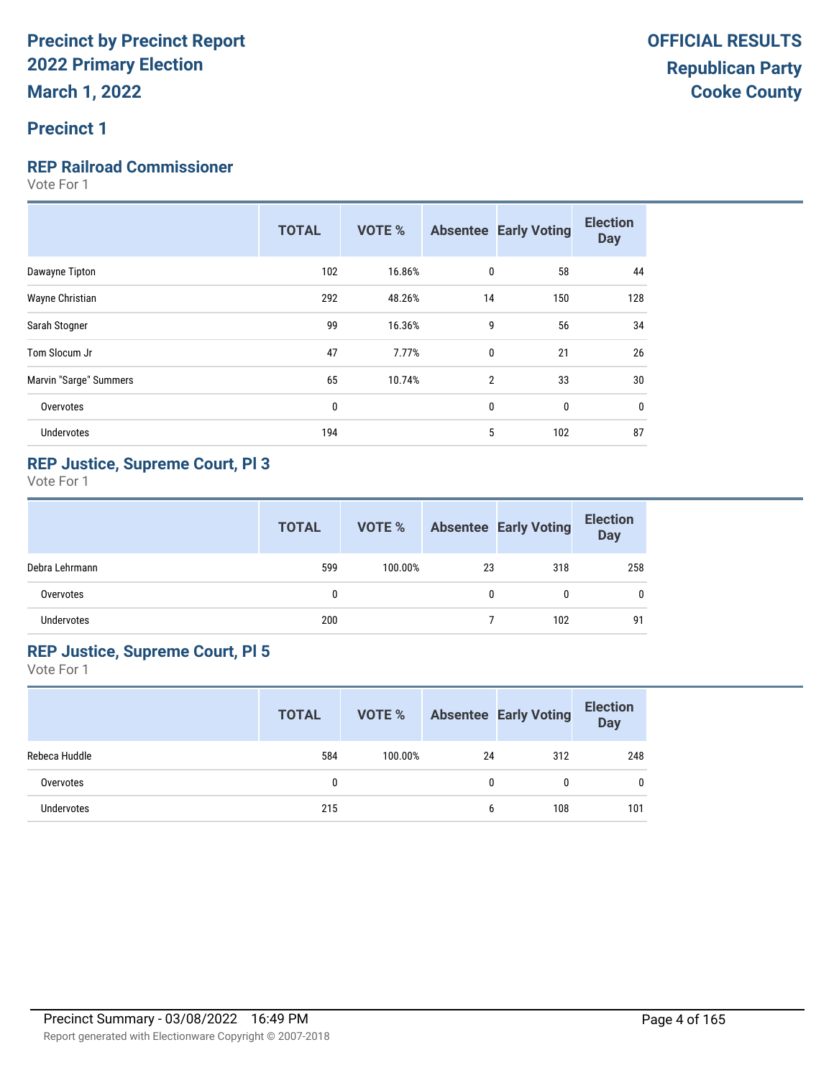#### **Precinct 1**

#### **REP Railroad Commissioner**

Vote For 1

| 102<br>0<br>16.86%<br>Dawayne Tipton                     | 58<br>44   |
|----------------------------------------------------------|------------|
| 292<br>48.26%<br>14<br>Wayne Christian                   | 128<br>150 |
| 99<br>9<br>16.36%<br>Sarah Stogner                       | 34<br>56   |
| 47<br>Tom Slocum Jr<br>7.77%<br>0                        | 26<br>21   |
| Marvin "Sarge" Summers<br>65<br>10.74%<br>$\overline{2}$ | 30<br>33   |
| 0<br>0<br>Overvotes                                      | 0<br>0     |
| 5<br><b>Undervotes</b><br>194                            | 87<br>102  |

#### **REP Justice, Supreme Court, Pl 3**

Vote For 1

|                   | <b>TOTAL</b> | VOTE %  |    | <b>Absentee Early Voting</b> | <b>Election</b><br><b>Day</b> |
|-------------------|--------------|---------|----|------------------------------|-------------------------------|
| Debra Lehrmann    | 599          | 100.00% | 23 | 318                          | 258                           |
| Overvotes         | 0            |         | 0  |                              | 0                             |
| <b>Undervotes</b> | 200          |         |    | 102                          | 91                            |

#### **REP Justice, Supreme Court, Pl 5**

|                   | <b>TOTAL</b> | VOTE %  |    | <b>Absentee Early Voting</b> | <b>Election</b><br><b>Day</b> |
|-------------------|--------------|---------|----|------------------------------|-------------------------------|
| Rebeca Huddle     | 584          | 100.00% | 24 | 312                          | 248                           |
| Overvotes         | 0            |         | 0  | 0                            | 0                             |
| <b>Undervotes</b> | 215          |         | 6  | 108                          | 101                           |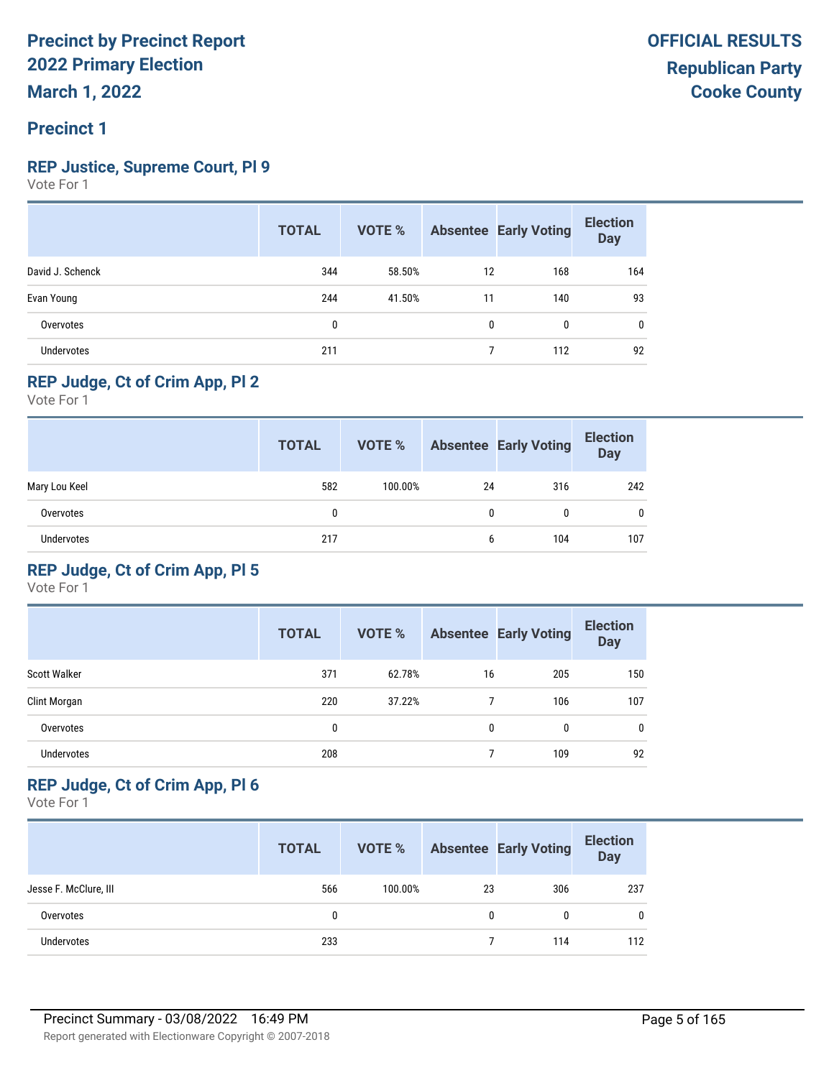### **REP Justice, Supreme Court, Pl 9**

Vote For 1

|                   | <b>TOTAL</b> | VOTE % |          | <b>Absentee Early Voting</b> | <b>Election</b><br><b>Day</b> |
|-------------------|--------------|--------|----------|------------------------------|-------------------------------|
| David J. Schenck  | 344          | 58.50% | 12       | 168                          | 164                           |
| Evan Young        | 244          | 41.50% | 11       | 140                          | 93                            |
| Overvotes         | 0            |        | $\Omega$ | $\mathbf{0}$                 | 0                             |
| <b>Undervotes</b> | 211          |        |          | 112                          | 92                            |

#### **REP Judge, Ct of Crim App, Pl 2**

Vote For 1

|                   | <b>TOTAL</b> | VOTE %  |    | <b>Absentee Early Voting</b> | <b>Election</b><br><b>Day</b> |
|-------------------|--------------|---------|----|------------------------------|-------------------------------|
| Mary Lou Keel     | 582          | 100.00% | 24 | 316                          | 242                           |
| Overvotes         | 0            |         | 0  | 0                            | $\mathbf{0}$                  |
| <b>Undervotes</b> | 217          |         | 6  | 104                          | 107                           |

#### **REP Judge, Ct of Crim App, Pl 5**

Vote For 1

|                     | <b>TOTAL</b> | <b>VOTE %</b> |    | <b>Absentee Early Voting</b> | <b>Election</b><br><b>Day</b> |
|---------------------|--------------|---------------|----|------------------------------|-------------------------------|
| <b>Scott Walker</b> | 371          | 62.78%        | 16 | 205                          | 150                           |
| Clint Morgan        | 220          | 37.22%        |    | 106                          | 107                           |
| Overvotes           | 0            |               | 0  | 0                            | 0                             |
| <b>Undervotes</b>   | 208          |               |    | 109                          | 92                            |

#### **REP Judge, Ct of Crim App, Pl 6**

|                       | <b>TOTAL</b> | VOTE %  |    | <b>Absentee Early Voting</b> | <b>Election</b><br><b>Day</b> |
|-----------------------|--------------|---------|----|------------------------------|-------------------------------|
| Jesse F. McClure, III | 566          | 100.00% | 23 | 306                          | 237                           |
| Overvotes             | 0            |         | 0  | 0                            | $\mathbf{0}$                  |
| <b>Undervotes</b>     | 233          |         |    | 114                          | 112                           |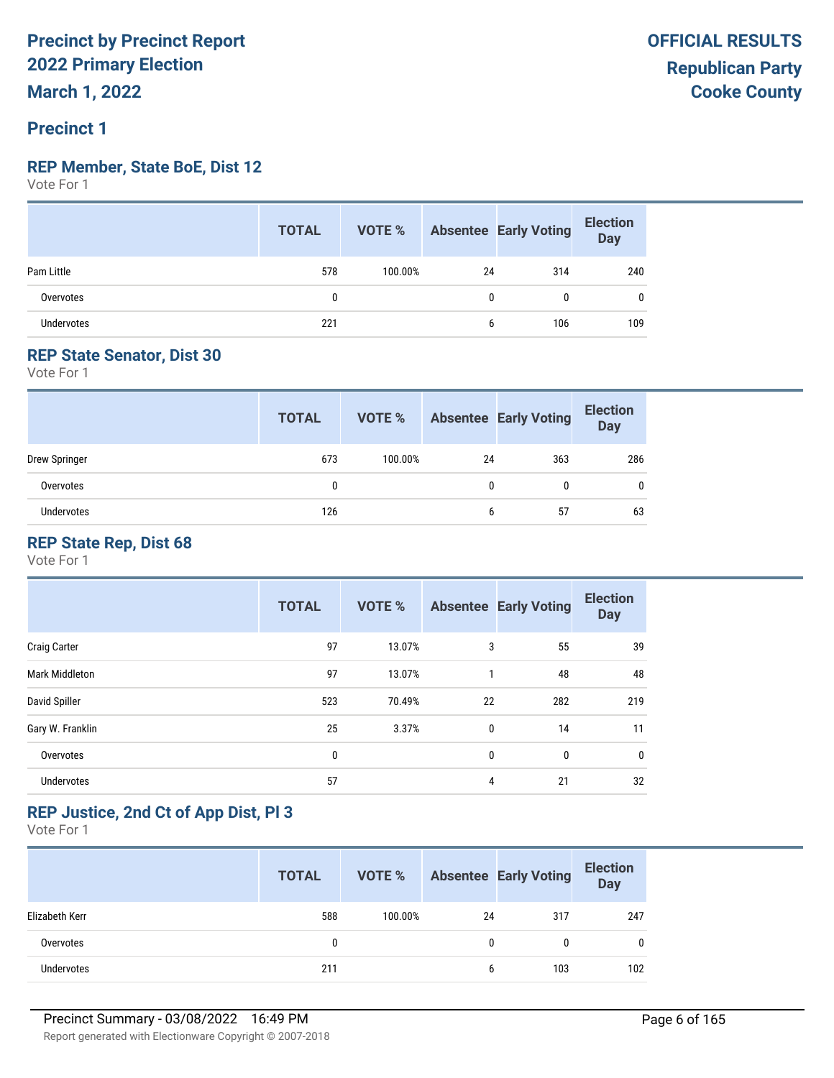#### **REP Member, State BoE, Dist 12**

Vote For 1

|                   | <b>TOTAL</b> |         |    | <b>VOTE %</b> Absentee Early Voting | <b>Election</b><br>Day |
|-------------------|--------------|---------|----|-------------------------------------|------------------------|
| Pam Little        | 578          | 100.00% | 24 | 314                                 | 240                    |
| Overvotes         | 0            |         | 0  | 0                                   | 0                      |
| <b>Undervotes</b> | 221          |         | b  | 106                                 | 109                    |

#### **REP State Senator, Dist 30**

Vote For 1

|               | <b>TOTAL</b> | VOTE %  |    | <b>Absentee Early Voting</b> | <b>Election</b><br><b>Day</b> |
|---------------|--------------|---------|----|------------------------------|-------------------------------|
| Drew Springer | 673          | 100.00% | 24 | 363                          | 286                           |
| Overvotes     |              |         | 0  |                              | $\mathbf{0}$                  |
| Undervotes    | 126          |         | b  | 57                           | 63                            |

### **REP State Rep, Dist 68**

Vote For 1

|                     | <b>TOTAL</b> | <b>VOTE %</b> |    | <b>Absentee Early Voting</b> | <b>Election</b><br><b>Day</b> |
|---------------------|--------------|---------------|----|------------------------------|-------------------------------|
| <b>Craig Carter</b> | 97           | 13.07%        | 3  | 55                           | 39                            |
| Mark Middleton      | 97           | 13.07%        | 1  | 48                           | 48                            |
| David Spiller       | 523          | 70.49%        | 22 | 282                          | 219                           |
| Gary W. Franklin    | 25           | 3.37%         | 0  | 14                           | 11                            |
| Overvotes           | 0            |               | 0  | 0                            | 0                             |
| <b>Undervotes</b>   | 57           |               | 4  | 21                           | 32                            |

#### **REP Justice, 2nd Ct of App Dist, Pl 3**

|                | <b>TOTAL</b> | VOTE %  |    | <b>Absentee Early Voting</b> | <b>Election</b><br>Day |
|----------------|--------------|---------|----|------------------------------|------------------------|
| Elizabeth Kerr | 588          | 100.00% | 24 | 317                          | 247                    |
| Overvotes      | 0            |         |    | 0                            | 0                      |
| Undervotes     | 211          |         | 6  | 103                          | 102                    |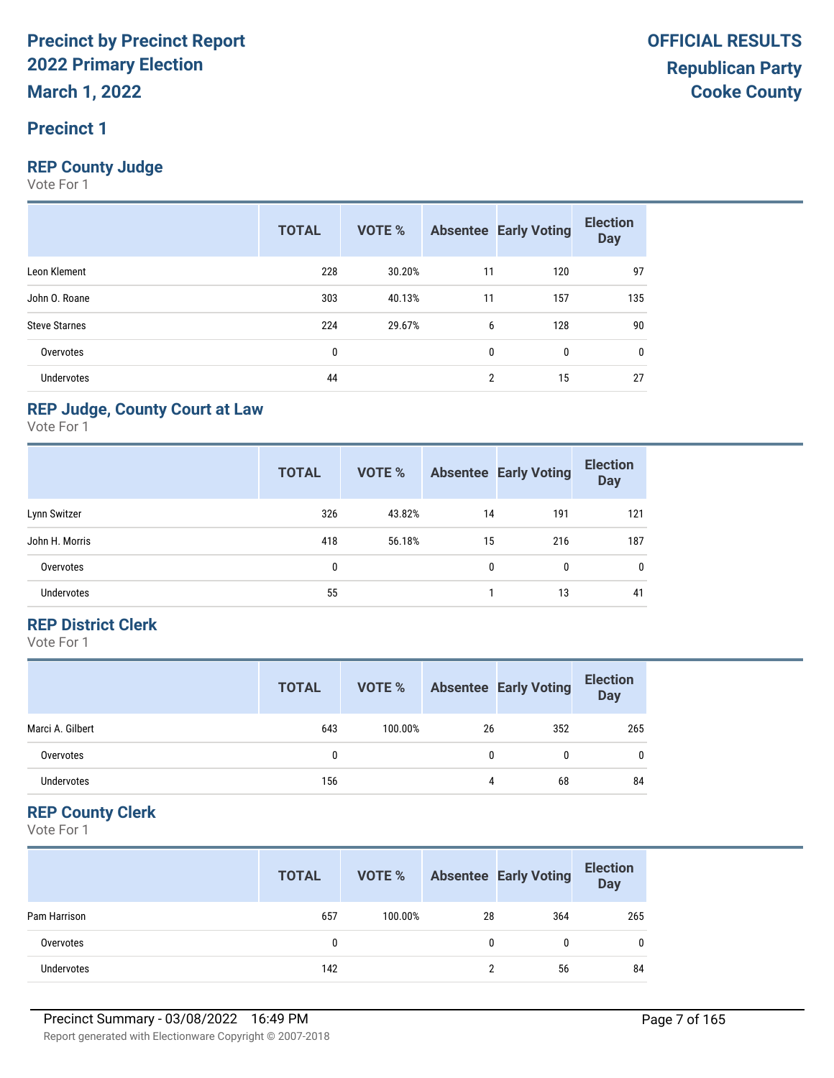#### **Precinct 1**

#### **REP County Judge**

Vote For 1

|                      | <b>TOTAL</b> | <b>VOTE %</b> |                | <b>Absentee Early Voting</b> | <b>Election</b><br><b>Day</b> |
|----------------------|--------------|---------------|----------------|------------------------------|-------------------------------|
| Leon Klement         | 228          | 30.20%        | 11             | 120                          | 97                            |
| John O. Roane        | 303          | 40.13%        | 11             | 157                          | 135                           |
| <b>Steve Starnes</b> | 224          | 29.67%        | 6              | 128                          | 90                            |
| Overvotes            | 0            |               | $\mathbf{0}$   | $\mathbf{0}$                 | 0                             |
| <b>Undervotes</b>    | 44           |               | $\overline{2}$ | 15                           | 27                            |

#### **REP Judge, County Court at Law**

Vote For 1

|                   | <b>TOTAL</b> | <b>VOTE %</b> |    | <b>Absentee Early Voting</b> | <b>Election</b><br><b>Day</b> |
|-------------------|--------------|---------------|----|------------------------------|-------------------------------|
| Lynn Switzer      | 326          | 43.82%        | 14 | 191                          | 121                           |
| John H. Morris    | 418          | 56.18%        | 15 | 216                          | 187                           |
| Overvotes         | 0            |               | 0  | 0                            | 0                             |
| <b>Undervotes</b> | 55           |               |    | 13                           | 41                            |

#### **REP District Clerk**

Vote For 1

|                   | <b>TOTAL</b> | VOTE %  |    | <b>Absentee Early Voting</b> | <b>Election</b><br><b>Day</b> |
|-------------------|--------------|---------|----|------------------------------|-------------------------------|
| Marci A. Gilbert  | 643          | 100.00% | 26 | 352                          | 265                           |
| Overvotes         |              |         | 0  | 0                            | $\mathbf{0}$                  |
| <b>Undervotes</b> | 156          |         | 4  | 68                           | 84                            |

#### **REP County Clerk**

|                   | <b>TOTAL</b> | VOTE %  |    | <b>Absentee Early Voting</b> | <b>Election</b><br><b>Day</b> |
|-------------------|--------------|---------|----|------------------------------|-------------------------------|
| Pam Harrison      | 657          | 100.00% | 28 | 364                          | 265                           |
| Overvotes         | 0            |         | 0  |                              | 0                             |
| <b>Undervotes</b> | 142          |         |    | 56                           | 84                            |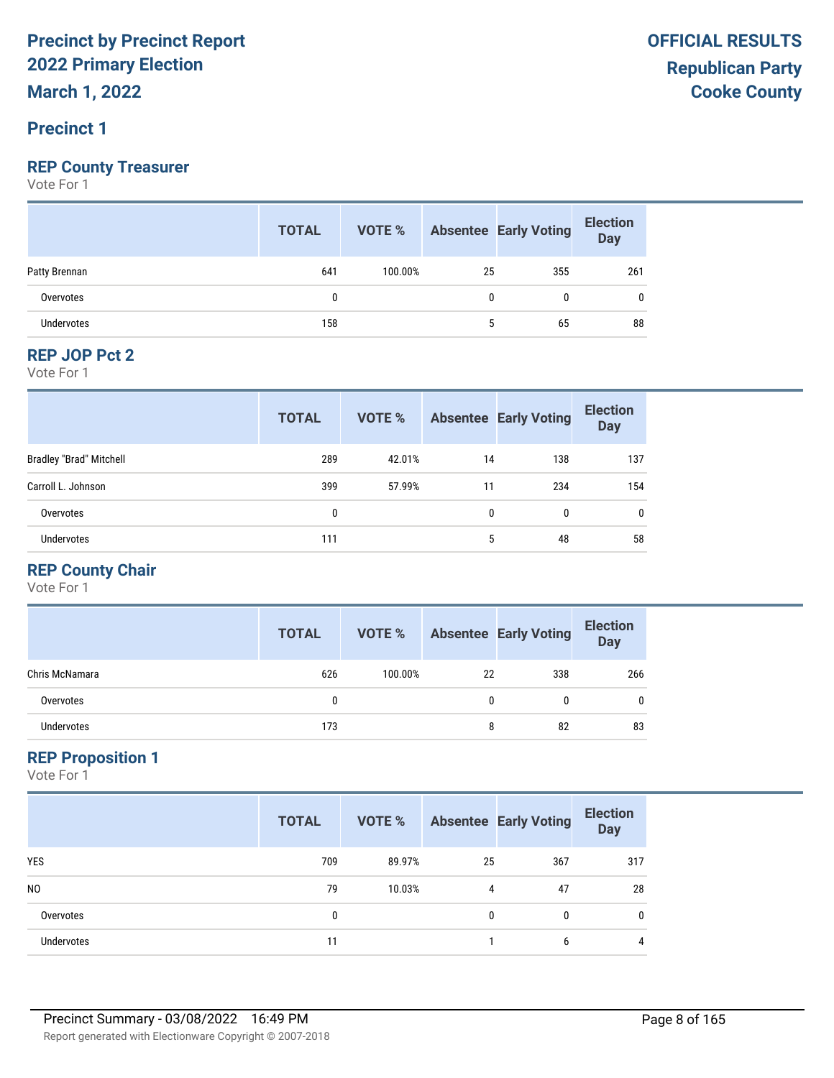#### **Precinct 1**

#### **REP County Treasurer**

Vote For 1

|                   | <b>TOTAL</b> |         |    | <b>VOTE %</b> Absentee Early Voting | <b>Election</b><br>Day |
|-------------------|--------------|---------|----|-------------------------------------|------------------------|
| Patty Brennan     | 641          | 100.00% | 25 | 355                                 | 261                    |
| Overvotes         |              |         |    | 0                                   | 0                      |
| <b>Undervotes</b> | 158          |         |    | 65                                  | 88                     |

#### **REP JOP Pct 2**

Vote For 1

|                                | <b>TOTAL</b> | <b>VOTE %</b> |    | <b>Absentee Early Voting</b> | <b>Election</b><br><b>Day</b> |
|--------------------------------|--------------|---------------|----|------------------------------|-------------------------------|
| <b>Bradley "Brad" Mitchell</b> | 289          | 42.01%        | 14 | 138                          | 137                           |
| Carroll L. Johnson             | 399          | 57.99%        | 11 | 234                          | 154                           |
| Overvotes                      | 0            |               | 0  | 0                            | $\mathbf{0}$                  |
| Undervotes                     | 111          |               | 5  | 48                           | 58                            |

#### **REP County Chair**

Vote For 1

|                   | <b>TOTAL</b> | VOTE %  |    | <b>Absentee Early Voting</b> | <b>Election</b><br>Day |
|-------------------|--------------|---------|----|------------------------------|------------------------|
| Chris McNamara    | 626          | 100.00% | 22 | 338                          | 266                    |
| Overvotes         | 0            |         | 0  | 0                            | 0                      |
| <b>Undervotes</b> | 173          |         | 8  | 82                           | 83                     |

#### **REP Proposition 1**

|                   | <b>TOTAL</b> | VOTE % |    | <b>Absentee Early Voting</b> | <b>Election</b><br><b>Day</b> |
|-------------------|--------------|--------|----|------------------------------|-------------------------------|
| <b>YES</b>        | 709          | 89.97% | 25 | 367                          | 317                           |
| N <sub>0</sub>    | 79           | 10.03% | 4  | 47                           | 28                            |
| Overvotes         | 0            |        | 0  | 0                            | $\mathbf{0}$                  |
| <b>Undervotes</b> | 11           |        |    | 6                            | $\overline{4}$                |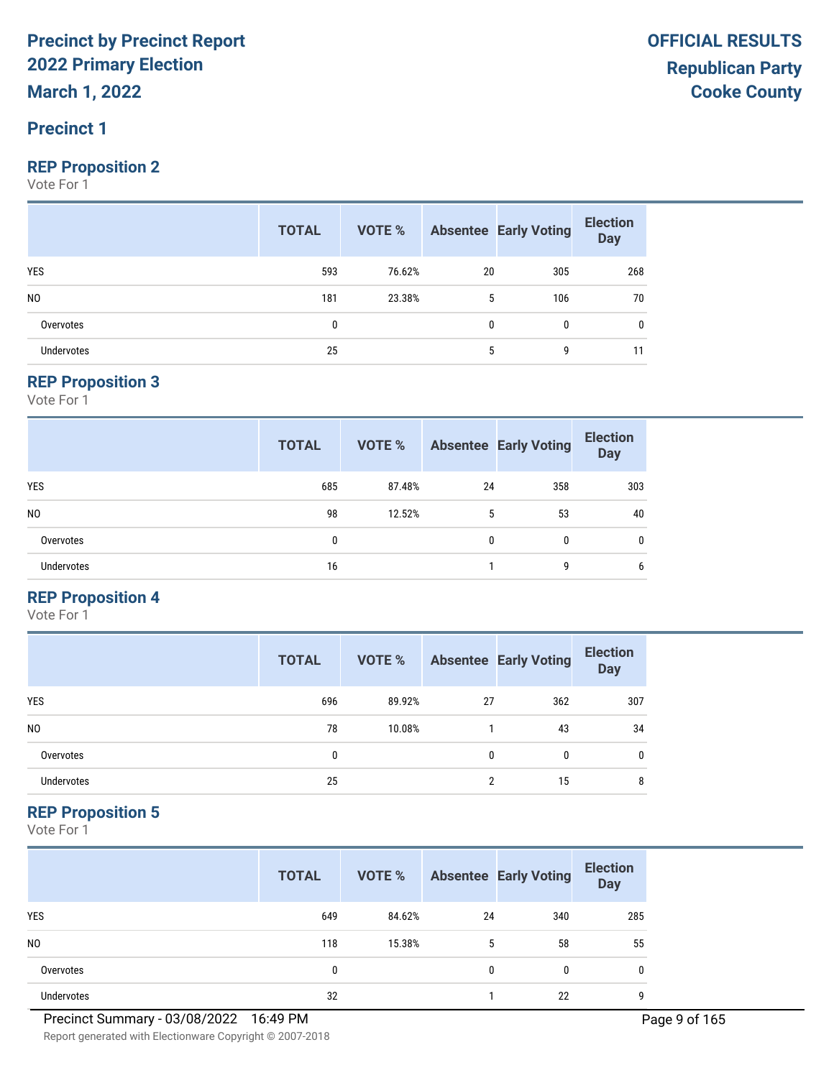### **Precinct 1**

#### **REP Proposition 2**

Vote For 1

|                   | <b>TOTAL</b> |        |    | <b>VOTE %</b> Absentee Early Voting | <b>Election</b><br>Day |
|-------------------|--------------|--------|----|-------------------------------------|------------------------|
| <b>YES</b>        | 593          | 76.62% | 20 | 305                                 | 268                    |
| N <sub>0</sub>    | 181          | 23.38% | 5  | 106                                 | 70                     |
| Overvotes         | 0            |        | 0  | 0                                   | 0                      |
| <b>Undervotes</b> | 25           |        | 5  | 9                                   | 11                     |

#### **REP Proposition 3**

Vote For 1

|                   | <b>TOTAL</b> | VOTE % |    | <b>Absentee Early Voting</b> | <b>Election</b><br><b>Day</b> |
|-------------------|--------------|--------|----|------------------------------|-------------------------------|
| <b>YES</b>        | 685          | 87.48% | 24 | 358                          | 303                           |
| N <sub>0</sub>    | 98           | 12.52% | 5  | 53                           | 40                            |
| Overvotes         | 0            |        | 0  | 0                            | $\mathbf{0}$                  |
| <b>Undervotes</b> | 16           |        |    | g                            | 6                             |

#### **REP Proposition 4**

Vote For 1

|                | <b>TOTAL</b> | VOTE % |    | <b>Absentee Early Voting</b> | <b>Election</b><br><b>Day</b> |
|----------------|--------------|--------|----|------------------------------|-------------------------------|
| <b>YES</b>     | 696          | 89.92% | 27 | 362                          | 307                           |
| N <sub>0</sub> | 78           | 10.08% |    | 43                           | 34                            |
| Overvotes      | 0            |        | 0  | $\mathbf{0}$                 | 0                             |
| Undervotes     | 25           |        |    | 15                           | 8                             |

#### **REP Proposition 5**

|                | <b>TOTAL</b> | VOTE % |              | <b>Absentee Early Voting</b> | <b>Election</b><br><b>Day</b> |
|----------------|--------------|--------|--------------|------------------------------|-------------------------------|
| <b>YES</b>     | 649          | 84.62% | 24           | 340                          | 285                           |
| N <sub>0</sub> | 118          | 15.38% | 5            | 58                           | 55                            |
| Overvotes      | 0            |        | $\mathbf{0}$ | 0                            | 0                             |
| Undervotes     | 32           |        |              | 22                           | g                             |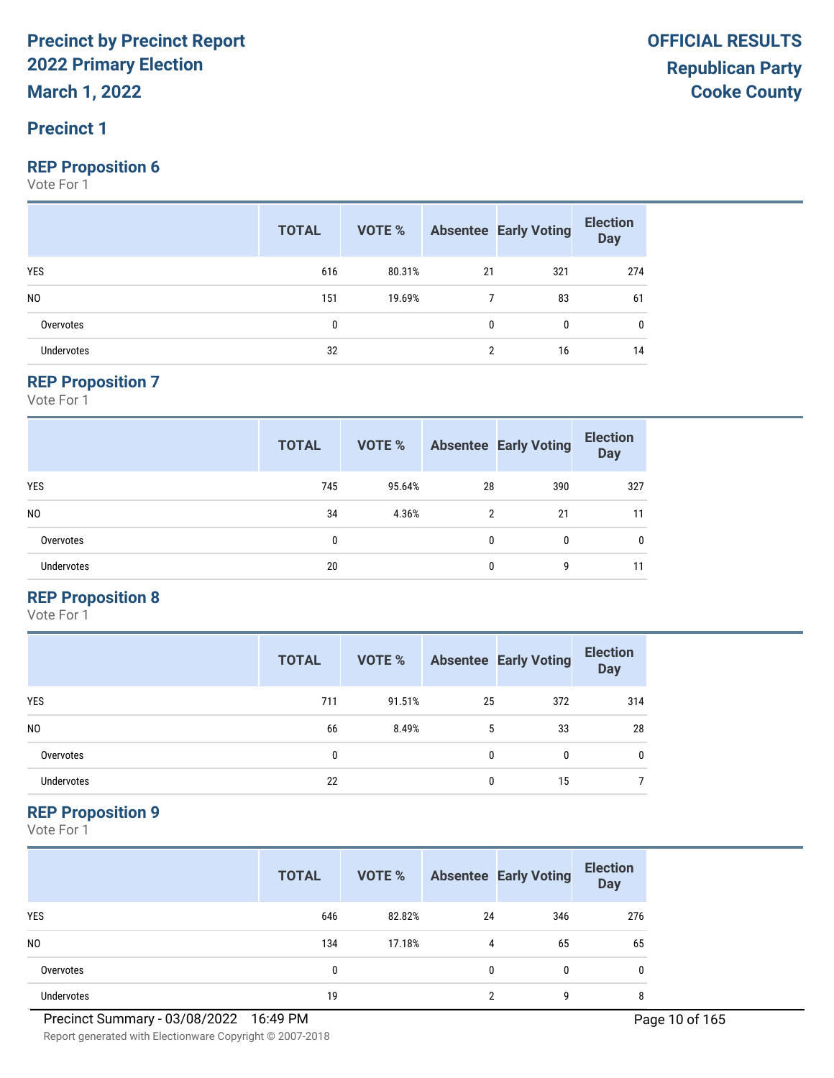#### **Precinct 1**

#### **REP Proposition 6**

Vote For 1

|                   | <b>TOTAL</b> |        |              | <b>VOTE %</b> Absentee Early Voting | <b>Election</b><br>Day |
|-------------------|--------------|--------|--------------|-------------------------------------|------------------------|
| <b>YES</b>        | 616          | 80.31% | 21           | 321                                 | 274                    |
| N <sub>0</sub>    | 151          | 19.69% |              | 83                                  | 61                     |
| Overvotes         | 0            |        | $\mathbf{0}$ | 0                                   | 0                      |
| <b>Undervotes</b> | 32           |        | <sup>2</sup> | 16                                  | 14                     |

#### **REP Proposition 7**

Vote For 1

|                   | <b>TOTAL</b> | <b>VOTE %</b> |    | <b>Absentee Early Voting</b> | <b>Election</b><br><b>Day</b> |
|-------------------|--------------|---------------|----|------------------------------|-------------------------------|
| <b>YES</b>        | 745          | 95.64%        | 28 | 390                          | 327                           |
| N <sub>0</sub>    | 34           | 4.36%         | 2  | 21                           | 11                            |
| Overvotes         | 0            |               | 0  | 0                            | 0                             |
| <b>Undervotes</b> | 20           |               | 0  | 9                            | 11                            |

#### **REP Proposition 8**

Vote For 1

|                | <b>TOTAL</b> | VOTE % |    | <b>Absentee Early Voting</b> | <b>Election</b><br><b>Day</b> |
|----------------|--------------|--------|----|------------------------------|-------------------------------|
| <b>YES</b>     | 711          | 91.51% | 25 | 372                          | 314                           |
| N <sub>0</sub> | 66           | 8.49%  | 5  | 33                           | 28                            |
| Overvotes      | 0            |        | 0  | 0                            | $\mathbf{0}$                  |
| Undervotes     | 22           |        | 0  | 15                           |                               |

#### **REP Proposition 9**

Vote For 1

|                | <b>TOTAL</b> | VOTE % |              | <b>Absentee Early Voting</b> | <b>Election</b><br><b>Day</b> |
|----------------|--------------|--------|--------------|------------------------------|-------------------------------|
| <b>YES</b>     | 646          | 82.82% | 24           | 346                          | 276                           |
| N <sub>0</sub> | 134          | 17.18% | 4            | 65                           | 65                            |
| Overvotes      | 0            |        | $\mathbf{0}$ | 0                            | 0                             |
| Undervotes     | 19           |        | ∩            | g                            | 8                             |

**OFFICIAL RESULTS**

Report generated with Electionware Copyright © 2007-2018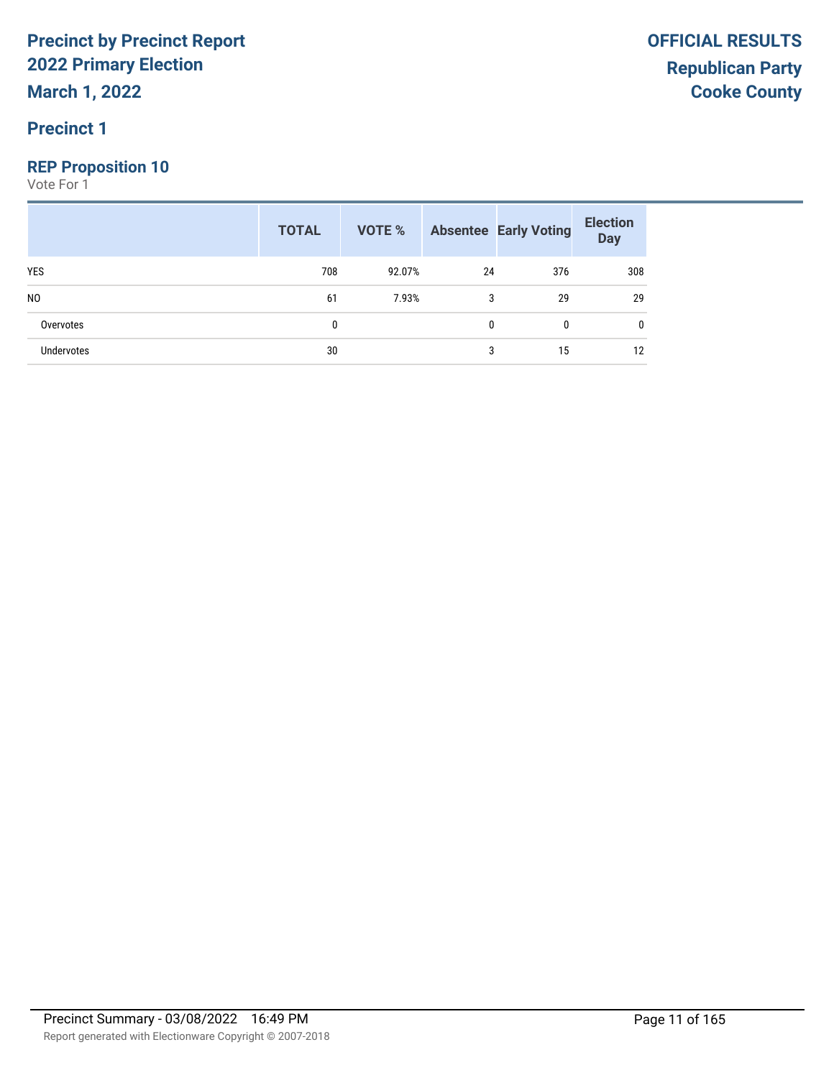#### **Precinct 1**

#### **REP Proposition 10**

|                   | <b>TOTAL</b> |        |    | <b>VOTE %</b> Absentee Early Voting | <b>Election</b><br>Day |
|-------------------|--------------|--------|----|-------------------------------------|------------------------|
| <b>YES</b>        | 708          | 92.07% | 24 | 376                                 | 308                    |
| N <sub>0</sub>    | 61           | 7.93%  | 3  | 29                                  | 29                     |
| Overvotes         |              |        | 0  | 0                                   | 0                      |
| <b>Undervotes</b> | 30           |        | 3  | 15                                  | 12                     |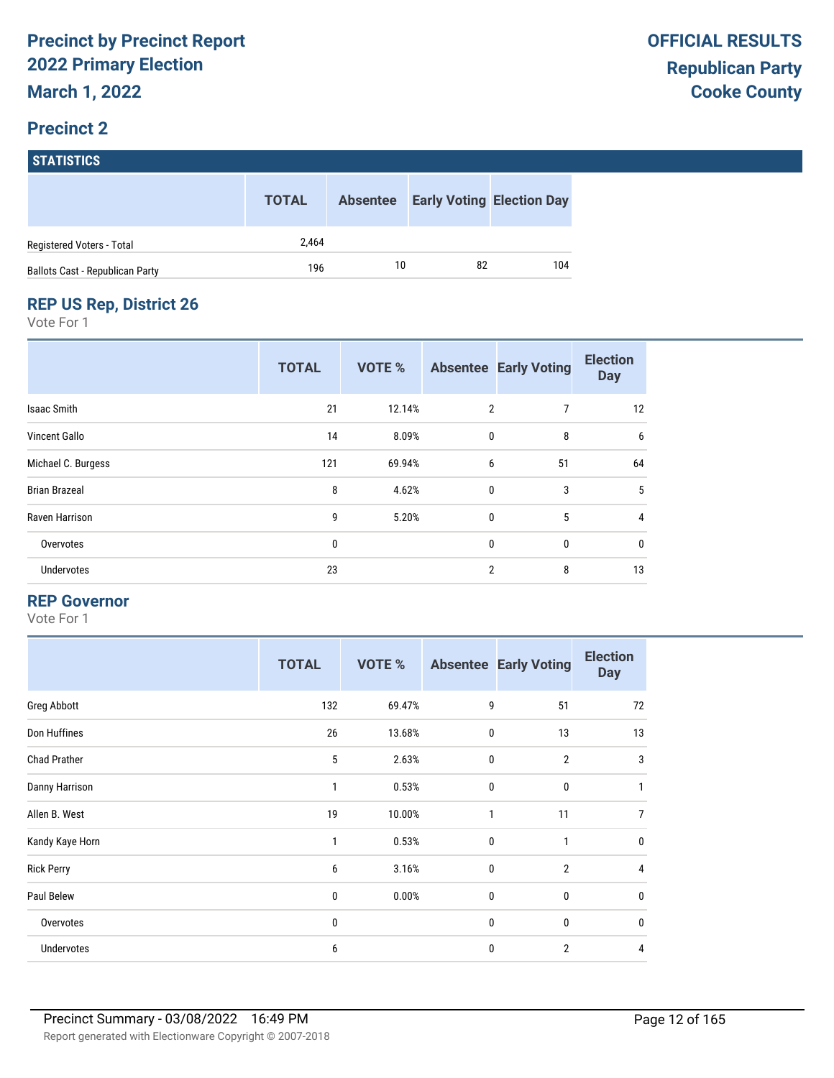# **STATISTICS**

|                                        | <b>TOTAL</b> |    | <b>Absentee Early Voting Election Day</b> |     |
|----------------------------------------|--------------|----|-------------------------------------------|-----|
| Registered Voters - Total              | 2.464        |    |                                           |     |
| <b>Ballots Cast - Republican Party</b> | 196          | 10 | 82                                        | 104 |

#### **REP US Rep, District 26**

Vote For 1

|                      | <b>TOTAL</b> | <b>VOTE %</b> |                | <b>Absentee Early Voting</b> | <b>Election</b><br><b>Day</b> |
|----------------------|--------------|---------------|----------------|------------------------------|-------------------------------|
| <b>Isaac Smith</b>   | 21           | 12.14%        | $\overline{2}$ | 7                            | 12                            |
| Vincent Gallo        | 14           | 8.09%         | $\mathbf{0}$   | 8                            | 6                             |
| Michael C. Burgess   | 121          | 69.94%        | 6              | 51                           | 64                            |
| <b>Brian Brazeal</b> | 8            | 4.62%         | $\mathbf{0}$   | 3                            | 5                             |
| Raven Harrison       | 9            | 5.20%         | $\mathbf{0}$   | 5                            | $\overline{4}$                |
| Overvotes            | 0            |               | $\mathbf{0}$   | 0                            | 0                             |
| Undervotes           | 23           |               | 2              | 8                            | 13                            |

#### **REP Governor**

|                     | <b>TOTAL</b> | <b>VOTE %</b> |              | <b>Absentee Early Voting</b> | <b>Election</b><br><b>Day</b> |
|---------------------|--------------|---------------|--------------|------------------------------|-------------------------------|
| Greg Abbott         | 132          | 69.47%        | 9            | 51                           | 72                            |
| Don Huffines        | 26           | 13.68%        | $\mathbf 0$  | 13                           | 13                            |
| <b>Chad Prather</b> | 5            | 2.63%         | $\mathbf 0$  | $\overline{2}$               | 3                             |
| Danny Harrison      | 1            | 0.53%         | $\mathbf 0$  | $\bf{0}$                     | 1                             |
| Allen B. West       | 19           | 10.00%        | $\mathbf{1}$ | 11                           | 7                             |
| Kandy Kaye Horn     | 1            | 0.53%         | $\mathbf 0$  | $\mathbf{1}$                 | $\mathbf 0$                   |
| <b>Rick Perry</b>   | 6            | 3.16%         | $\mathbf 0$  | $\overline{2}$               | 4                             |
| Paul Belew          | 0            | 0.00%         | $\mathbf 0$  | 0                            | $\mathbf 0$                   |
| Overvotes           | 0            |               | $\mathbf 0$  | 0                            | $\mathbf 0$                   |
| Undervotes          | 6            |               | 0            | $\overline{2}$               | 4                             |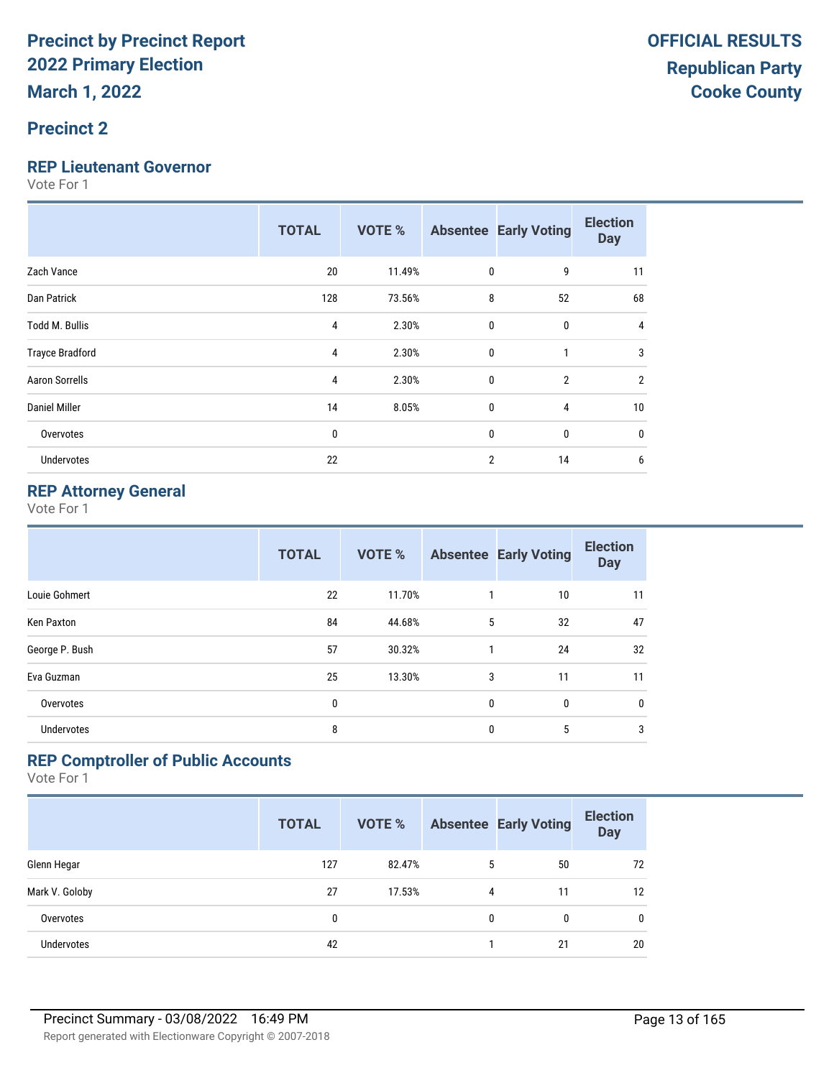#### **Precinct 2**

#### **REP Lieutenant Governor**

Vote For 1

|                        | <b>TOTAL</b> | VOTE % |                | <b>Absentee Early Voting</b> | <b>Election</b><br><b>Day</b> |
|------------------------|--------------|--------|----------------|------------------------------|-------------------------------|
| Zach Vance             | 20           | 11.49% | $\bf{0}$       | 9                            | 11                            |
| Dan Patrick            | 128          | 73.56% | 8              | 52                           | 68                            |
| <b>Todd M. Bullis</b>  | 4            | 2.30%  | $\bf{0}$       | $\mathbf{0}$                 | 4                             |
| <b>Trayce Bradford</b> | 4            | 2.30%  | $\mathbf{0}$   |                              | 3                             |
| <b>Aaron Sorrells</b>  | 4            | 2.30%  | $\mathbf{0}$   | $\overline{2}$               | $\overline{2}$                |
| <b>Daniel Miller</b>   | 14           | 8.05%  | $\bf{0}$       | 4                            | 10                            |
| Overvotes              | 0            |        | $\mathbf{0}$   | $\mathbf{0}$                 | 0                             |
| Undervotes             | 22           |        | $\overline{2}$ | 14                           | 6                             |

#### **REP Attorney General**

Vote For 1

|                   | <b>TOTAL</b> | <b>VOTE %</b> |              | <b>Absentee Early Voting</b> | <b>Election</b><br><b>Day</b> |
|-------------------|--------------|---------------|--------------|------------------------------|-------------------------------|
| Louie Gohmert     | 22           | 11.70%        | 1            | 10                           | 11                            |
| Ken Paxton        | 84           | 44.68%        | 5            | 32                           | 47                            |
| George P. Bush    | 57           | 30.32%        | 1            | 24                           | 32                            |
| Eva Guzman        | 25           | 13.30%        | 3            | 11                           | 11                            |
| Overvotes         | 0            |               | $\mathbf{0}$ | $\mathbf{0}$                 | 0                             |
| <b>Undervotes</b> | 8            |               | $\mathbf{0}$ | 5                            | 3                             |

#### **REP Comptroller of Public Accounts**

|                   | <b>TOTAL</b> | <b>VOTE %</b> |   | <b>Absentee Early Voting</b> | <b>Election</b><br><b>Day</b> |
|-------------------|--------------|---------------|---|------------------------------|-------------------------------|
| Glenn Hegar       | 127          | 82.47%        | 5 | 50                           | 72                            |
| Mark V. Goloby    | 27           | 17.53%        | 4 | 11                           | 12                            |
| Overvotes         | 0            |               | 0 | 0                            | 0                             |
| <b>Undervotes</b> | 42           |               |   | 21                           | 20                            |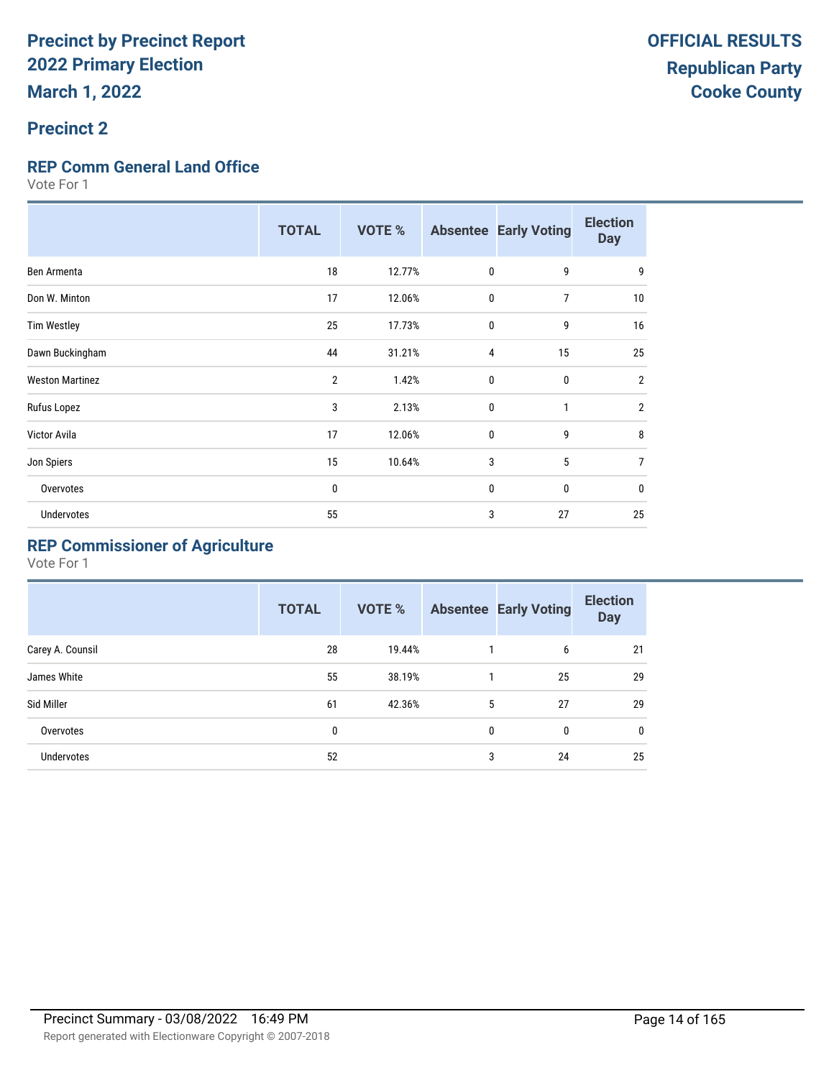#### **Precinct 2**

#### **REP Comm General Land Office**

Vote For 1

|                        | <b>TOTAL</b>   | <b>VOTE %</b> |              | <b>Absentee Early Voting</b> | <b>Election</b><br><b>Day</b> |
|------------------------|----------------|---------------|--------------|------------------------------|-------------------------------|
| Ben Armenta            | 18             | 12.77%        | $\mathbf 0$  | 9                            | 9                             |
| Don W. Minton          | 17             | 12.06%        | 0            | $\overline{7}$               | 10                            |
| <b>Tim Westley</b>     | 25             | 17.73%        | $\mathbf{0}$ | 9                            | 16                            |
| Dawn Buckingham        | 44             | 31.21%        | 4            | 15                           | 25                            |
| <b>Weston Martinez</b> | $\overline{2}$ | 1.42%         | $\mathbf{0}$ | 0                            | $\overline{2}$                |
| Rufus Lopez            | 3              | 2.13%         | $\mathbf{0}$ | $\mathbf{1}$                 | $\overline{2}$                |
| Victor Avila           | 17             | 12.06%        | $\mathbf{0}$ | 9                            | 8                             |
| Jon Spiers             | 15             | 10.64%        | 3            | 5                            | 7                             |
| Overvotes              | 0              |               | 0            | 0                            | $\mathbf{0}$                  |
| <b>Undervotes</b>      | 55             |               | 3            | 27                           | 25                            |

### **REP Commissioner of Agriculture**

|                  | <b>TOTAL</b> | VOTE % |              | <b>Absentee Early Voting</b> | <b>Election</b><br><b>Day</b> |
|------------------|--------------|--------|--------------|------------------------------|-------------------------------|
| Carey A. Counsil | 28           | 19.44% |              | 6                            | 21                            |
| James White      | 55           | 38.19% |              | 25                           | 29                            |
| Sid Miller       | 61           | 42.36% | 5            | 27                           | 29                            |
| Overvotes        | 0            |        | $\mathbf{0}$ | 0                            | $\mathbf 0$                   |
| Undervotes       | 52           |        | 3            | 24                           | 25                            |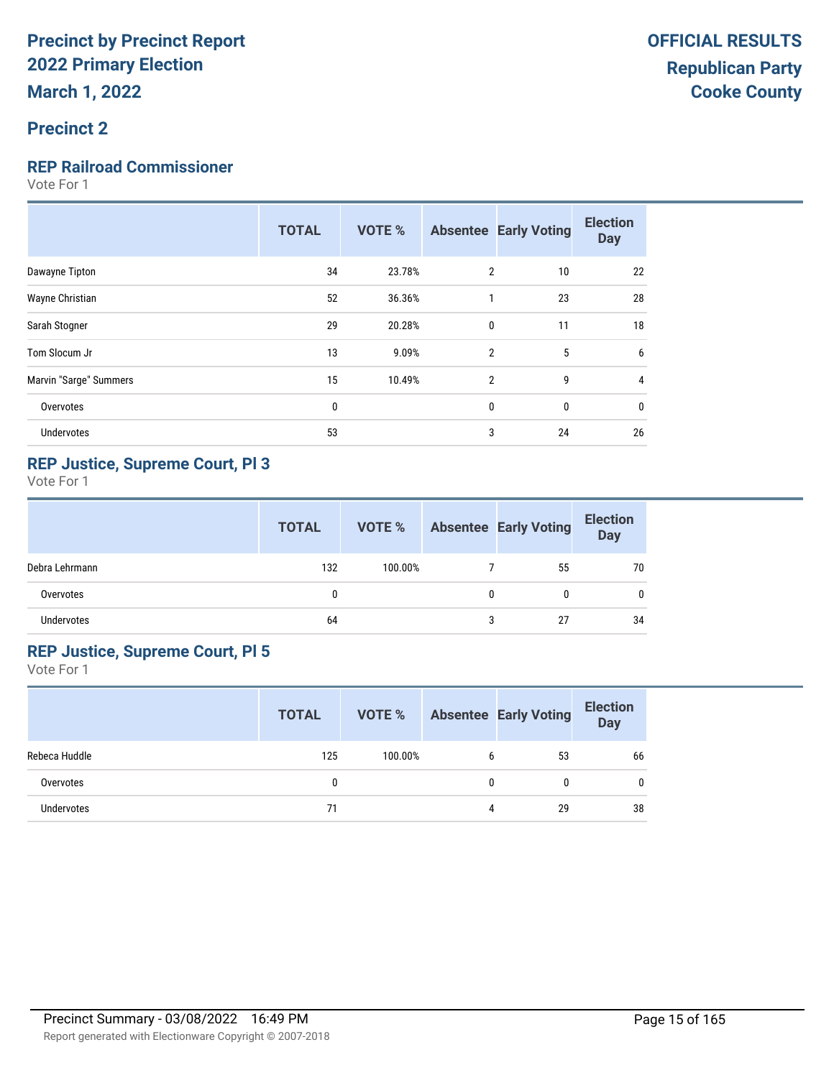#### **Precinct 2**

#### **REP Railroad Commissioner**

Vote For 1

|                        | <b>TOTAL</b> | <b>VOTE %</b> |                | <b>Absentee Early Voting</b> | <b>Election</b><br><b>Day</b> |
|------------------------|--------------|---------------|----------------|------------------------------|-------------------------------|
| Dawayne Tipton         | 34           | 23.78%        | 2              | 10                           | 22                            |
| Wayne Christian        | 52           | 36.36%        | 1              | 23                           | 28                            |
| Sarah Stogner          | 29           | 20.28%        | 0              | 11                           | 18                            |
| Tom Slocum Jr          | 13           | 9.09%         | $\mathfrak{p}$ | 5                            | 6                             |
| Marvin "Sarge" Summers | 15           | 10.49%        | $\overline{2}$ | 9                            | 4                             |
| Overvotes              | $\bf{0}$     |               | 0              | 0                            | 0                             |
| Undervotes             | 53           |               | 3              | 24                           | 26                            |
|                        |              |               |                |                              |                               |

#### **REP Justice, Supreme Court, Pl 3**

Vote For 1

|                | <b>TOTAL</b> | VOTE %  |   | <b>Absentee Early Voting</b> | <b>Election</b><br><b>Day</b> |
|----------------|--------------|---------|---|------------------------------|-------------------------------|
| Debra Lehrmann | 132          | 100.00% |   | 55                           | 70                            |
| Overvotes      | 0            |         | 0 | 0                            | 0                             |
| Undervotes     | 64           |         | 3 | 27                           | 34                            |

#### **REP Justice, Supreme Court, Pl 5**

|               | <b>TOTAL</b> | VOTE %  |   | <b>Absentee Early Voting</b> | <b>Election</b><br><b>Day</b> |
|---------------|--------------|---------|---|------------------------------|-------------------------------|
| Rebeca Huddle | 125          | 100.00% | b | 53                           | 66                            |
| Overvotes     |              |         | 0 |                              | $\mathbf{0}$                  |
| Undervotes    | 71           |         | 4 | 29                           | 38                            |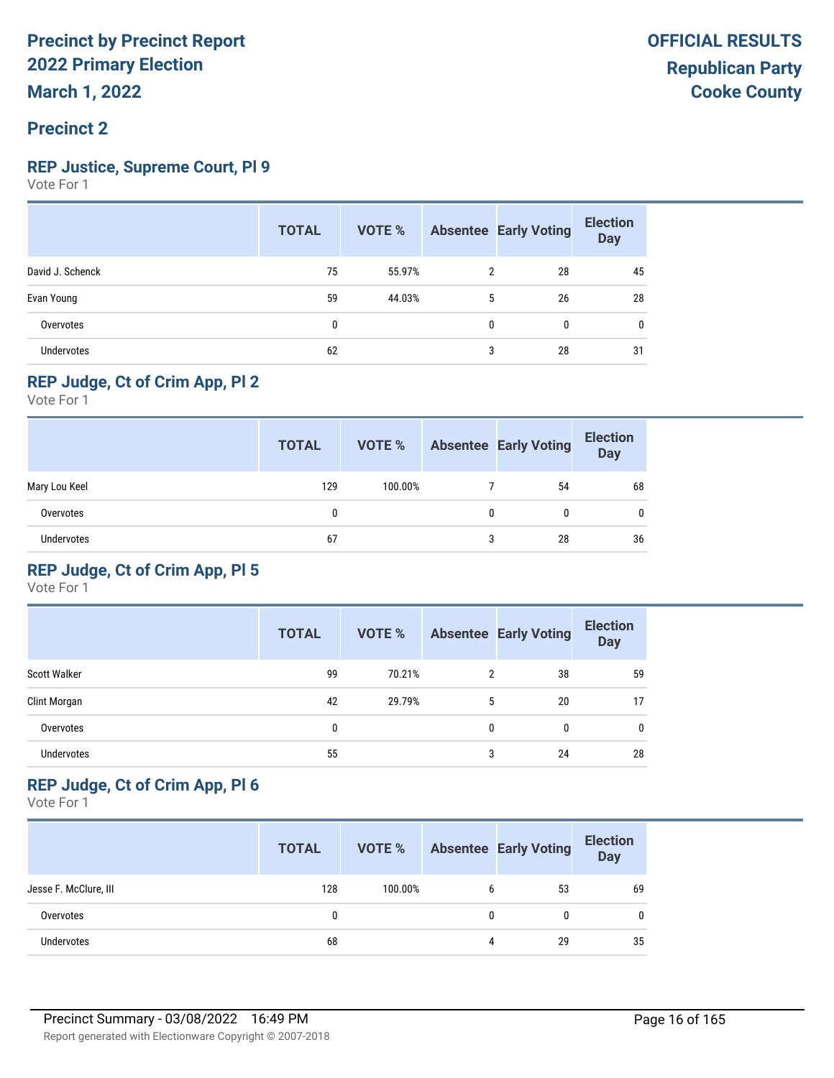### **REP Justice, Supreme Court, Pl 9**

Vote For 1

|                   | <b>TOTAL</b> | VOTE % |                | <b>Absentee Early Voting</b> | <b>Election</b><br><b>Day</b> |
|-------------------|--------------|--------|----------------|------------------------------|-------------------------------|
| David J. Schenck  | 75           | 55.97% | $\overline{2}$ | 28                           | 45                            |
| Evan Young        | 59           | 44.03% | 5              | 26                           | 28                            |
| Overvotes         | 0            |        | 0              | 0                            | 0                             |
| <b>Undervotes</b> | 62           |        | 3              | 28                           | 31                            |

#### **REP Judge, Ct of Crim App, Pl 2**

Vote For 1

|               | <b>TOTAL</b> | VOTE %  |   | <b>Absentee Early Voting</b> | <b>Election</b><br>Day |
|---------------|--------------|---------|---|------------------------------|------------------------|
| Mary Lou Keel | 129          | 100.00% |   | 54                           | 68                     |
| Overvotes     | 0            |         |   |                              | 0                      |
| Undervotes    | 67           |         | 3 | 28                           | 36                     |

#### **REP Judge, Ct of Crim App, Pl 5**

Vote For 1

|                     | <b>TOTAL</b> | <b>VOTE %</b> |   | <b>Absentee Early Voting</b> | <b>Election</b><br><b>Day</b> |
|---------------------|--------------|---------------|---|------------------------------|-------------------------------|
| <b>Scott Walker</b> | 99           | 70.21%        | 2 | 38                           | 59                            |
| Clint Morgan        | 42           | 29.79%        | 5 | 20                           | 17                            |
| Overvotes           | 0            |               | 0 | 0                            | 0                             |
| <b>Undervotes</b>   | 55           |               | 3 | 24                           | 28                            |

#### **REP Judge, Ct of Crim App, Pl 6**

|                       | <b>TOTAL</b> | VOTE %  |   | <b>Absentee Early Voting</b> | <b>Election</b><br>Day |
|-----------------------|--------------|---------|---|------------------------------|------------------------|
| Jesse F. McClure, III | 128          | 100.00% |   | 53                           | 69                     |
| Overvotes             |              |         | 0 |                              | $\mathbf{0}$           |
| Undervotes            | 68           |         | 4 | 29                           | 35                     |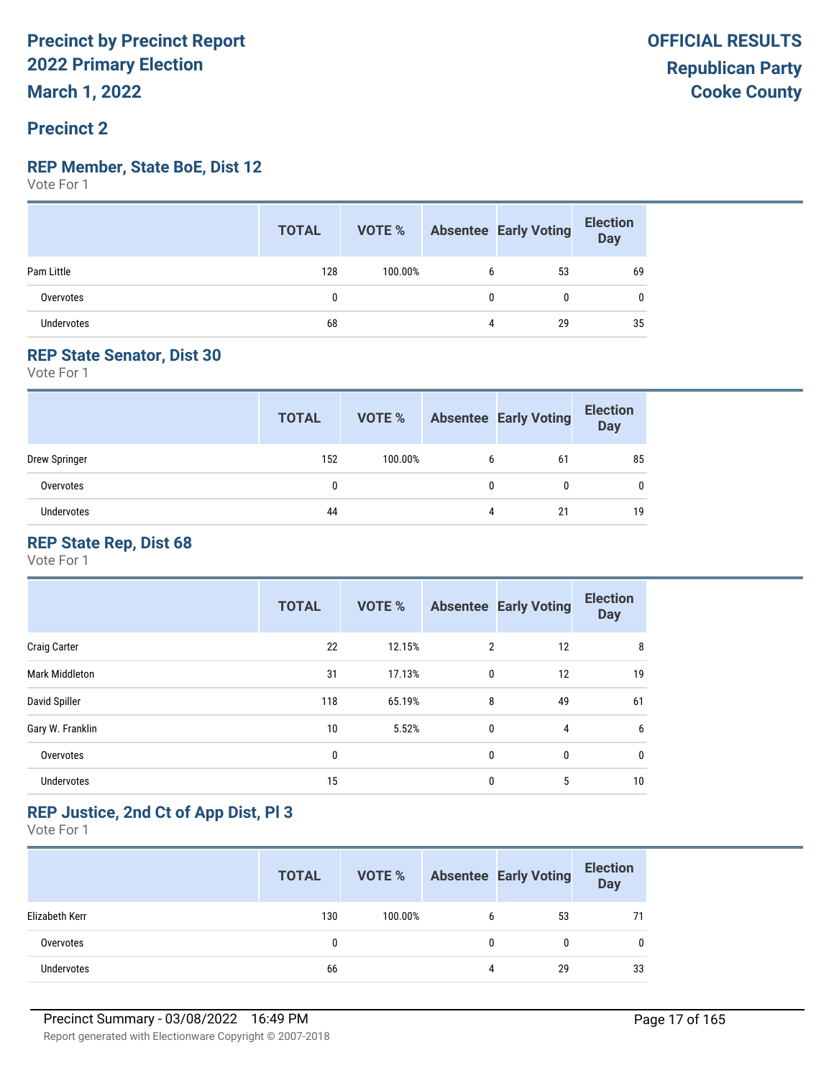#### **Precinct 2**

#### **REP Member, State BoE, Dist 12**

Vote For 1

|                   | <b>TOTAL</b> | VOTE %  |   | Absentee Early Voting | <b>Election</b><br>Day |
|-------------------|--------------|---------|---|-----------------------|------------------------|
| Pam Little        | 128          | 100.00% | b | 53                    | 69                     |
| Overvotes         |              |         | 0 | 0                     | 0                      |
| <b>Undervotes</b> | 68           |         | 4 | 29                    | 35                     |

#### **REP State Senator, Dist 30**

Vote For 1

|               | <b>TOTAL</b> | VOTE %  |   | <b>Absentee Early Voting</b> | <b>Election</b><br><b>Day</b> |
|---------------|--------------|---------|---|------------------------------|-------------------------------|
| Drew Springer | 152          | 100.00% | b | 61                           | 85                            |
| Overvotes     | 0            |         |   | 0                            | 0                             |
| Undervotes    | 44           |         | 4 | 21                           | 19                            |

#### **REP State Rep, Dist 68**

Vote For 1

|                       | <b>TOTAL</b> | <b>VOTE %</b> |                | <b>Absentee Early Voting</b> | <b>Election</b><br><b>Day</b> |
|-----------------------|--------------|---------------|----------------|------------------------------|-------------------------------|
| <b>Craig Carter</b>   | 22           | 12.15%        | $\overline{2}$ | 12                           | 8                             |
| <b>Mark Middleton</b> | 31           | 17.13%        | 0              | 12                           | 19                            |
| David Spiller         | 118          | 65.19%        | 8              | 49                           | 61                            |
| Gary W. Franklin      | 10           | 5.52%         | 0              | 4                            | 6                             |
| Overvotes             | 0            |               | 0              | 0                            | 0                             |
| <b>Undervotes</b>     | 15           |               | 0              | 5                            | 10                            |

#### **REP Justice, 2nd Ct of App Dist, Pl 3**

|                   | <b>TOTAL</b> | VOTE %  |              | <b>Absentee Early Voting</b> | <b>Election</b><br>Day |
|-------------------|--------------|---------|--------------|------------------------------|------------------------|
| Elizabeth Kerr    | 130          | 100.00% | b            | 53                           |                        |
| Overvotes         | 0            |         | $\mathbf{0}$ |                              |                        |
| <b>Undervotes</b> | 66           |         | 4            | 29                           | 33                     |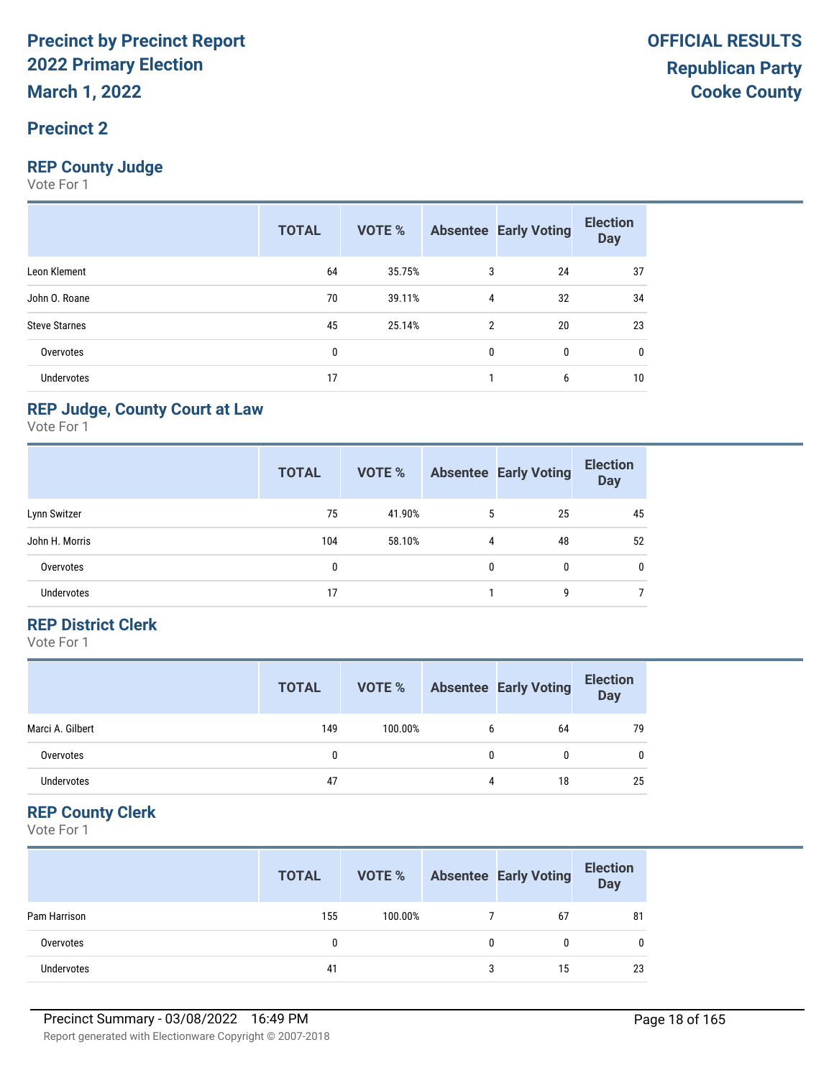#### **Precinct 2**

#### **REP County Judge**

Vote For 1

|                      | <b>TOTAL</b> | <b>VOTE %</b> |                | <b>Absentee Early Voting</b> | <b>Election</b><br><b>Day</b> |
|----------------------|--------------|---------------|----------------|------------------------------|-------------------------------|
| Leon Klement         | 64           | 35.75%        | 3              | 24                           | 37                            |
| John O. Roane        | 70           | 39.11%        | 4              | 32                           | 34                            |
| <b>Steve Starnes</b> | 45           | 25.14%        | $\overline{2}$ | 20                           | 23                            |
| Overvotes            | 0            |               | 0              | 0                            | 0                             |
| <b>Undervotes</b>    | 17           |               |                | 6                            | 10                            |

#### **REP Judge, County Court at Law**

Vote For 1

|                   | <b>TOTAL</b> | <b>VOTE %</b> |   | <b>Absentee Early Voting</b> | <b>Election</b><br><b>Day</b> |
|-------------------|--------------|---------------|---|------------------------------|-------------------------------|
| Lynn Switzer      | 75           | 41.90%        | 5 | 25                           | 45                            |
| John H. Morris    | 104          | 58.10%        | 4 | 48                           | 52                            |
| Overvotes         | 0            |               | 0 | 0                            | 0                             |
| <b>Undervotes</b> | 17           |               |   | g                            |                               |

#### **REP District Clerk**

Vote For 1

|                  | <b>TOTAL</b> | VOTE %  |   | <b>Absentee Early Voting</b> | <b>Election</b><br><b>Day</b> |
|------------------|--------------|---------|---|------------------------------|-------------------------------|
| Marci A. Gilbert | 149          | 100.00% | b | 64                           | 79                            |
| Overvotes        |              |         | 0 |                              | $\mathbf{0}$                  |
| Undervotes       | 47           |         | 4 | 18                           | 25                            |

#### **REP County Clerk**

|              | <b>TOTAL</b> | VOTE %  |   | <b>Absentee Early Voting</b> | <b>Election</b><br><b>Day</b> |
|--------------|--------------|---------|---|------------------------------|-------------------------------|
| Pam Harrison | 155          | 100.00% |   | 67                           | 81                            |
| Overvotes    | 0            |         | 0 |                              |                               |
| Undervotes   | 41           |         | 3 | 15                           | 23                            |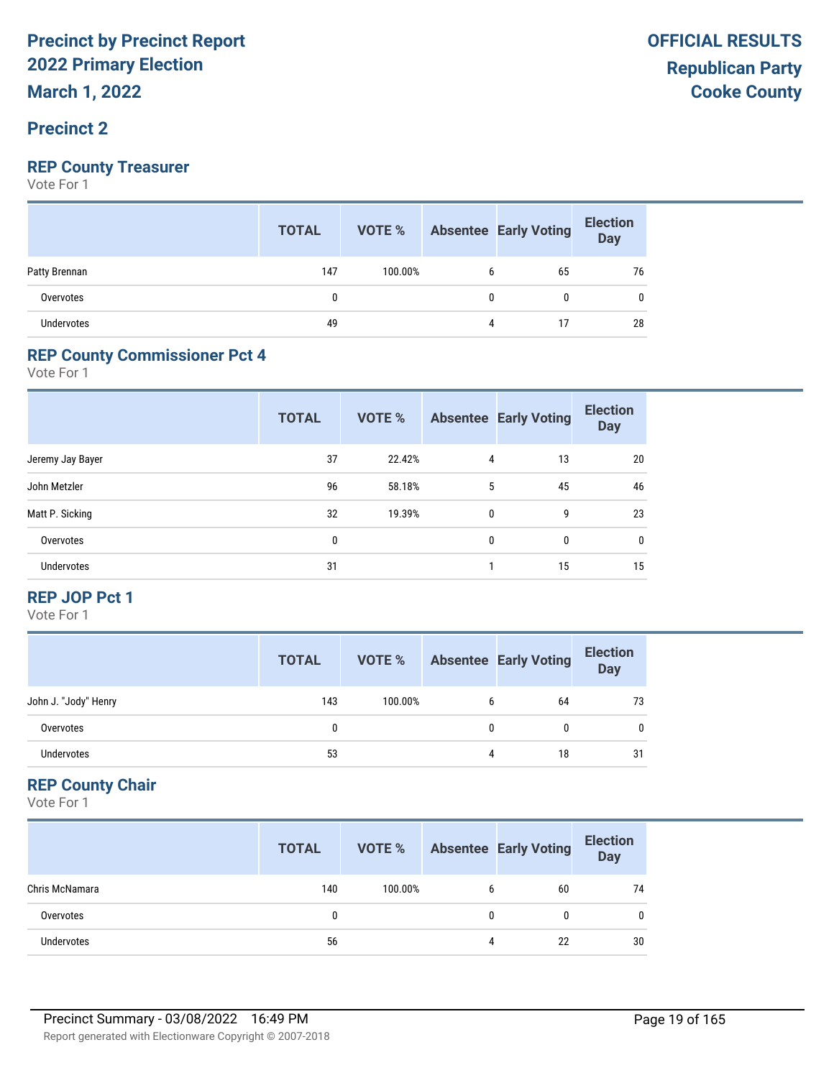#### **Precinct 2**

### **REP County Treasurer**

Vote For 1

|                   | <b>TOTAL</b> | VOTE %  |   | <b>Absentee Early Voting</b> | <b>Election</b><br>Day |
|-------------------|--------------|---------|---|------------------------------|------------------------|
| Patty Brennan     | 147          | 100.00% | b | 65                           | 76                     |
| Overvotes         | 0            |         |   | 0                            | 0                      |
| <b>Undervotes</b> | 49           |         | 4 | 17                           | 28                     |

#### **REP County Commissioner Pct 4**

Vote For 1

|                  | <b>TOTAL</b> | <b>VOTE %</b> |              | <b>Absentee Early Voting</b> | <b>Election</b><br><b>Day</b> |
|------------------|--------------|---------------|--------------|------------------------------|-------------------------------|
| Jeremy Jay Bayer | 37           | 22.42%        | 4            | 13                           | 20                            |
| John Metzler     | 96           | 58.18%        | 5            | 45                           | 46                            |
| Matt P. Sicking  | 32           | 19.39%        | $\mathbf{0}$ | 9                            | 23                            |
| Overvotes        | 0            |               | $\Omega$     | $\mathbf{0}$                 | 0                             |
| Undervotes       | 31           |               |              | 15                           | 15                            |

#### **REP JOP Pct 1**

Vote For 1

|                      | <b>TOTAL</b> | VOTE %  |   | <b>Absentee Early Voting</b> | <b>Election</b><br><b>Day</b> |
|----------------------|--------------|---------|---|------------------------------|-------------------------------|
| John J. "Jody" Henry | 143          | 100.00% | h | 64                           | 73                            |
| Overvotes            | 0            |         | 0 |                              | 0                             |
| Undervotes           | 53           |         | 4 | 18                           | 31                            |

#### **REP County Chair**

|                   | <b>TOTAL</b> | VOTE %  |   | <b>Absentee Early Voting</b> | <b>Election</b><br><b>Day</b> |
|-------------------|--------------|---------|---|------------------------------|-------------------------------|
| Chris McNamara    | 140          | 100.00% | 6 | 60                           | 74                            |
| Overvotes         |              |         | 0 |                              | 0                             |
| <b>Undervotes</b> | 56           |         |   | 22                           | 30                            |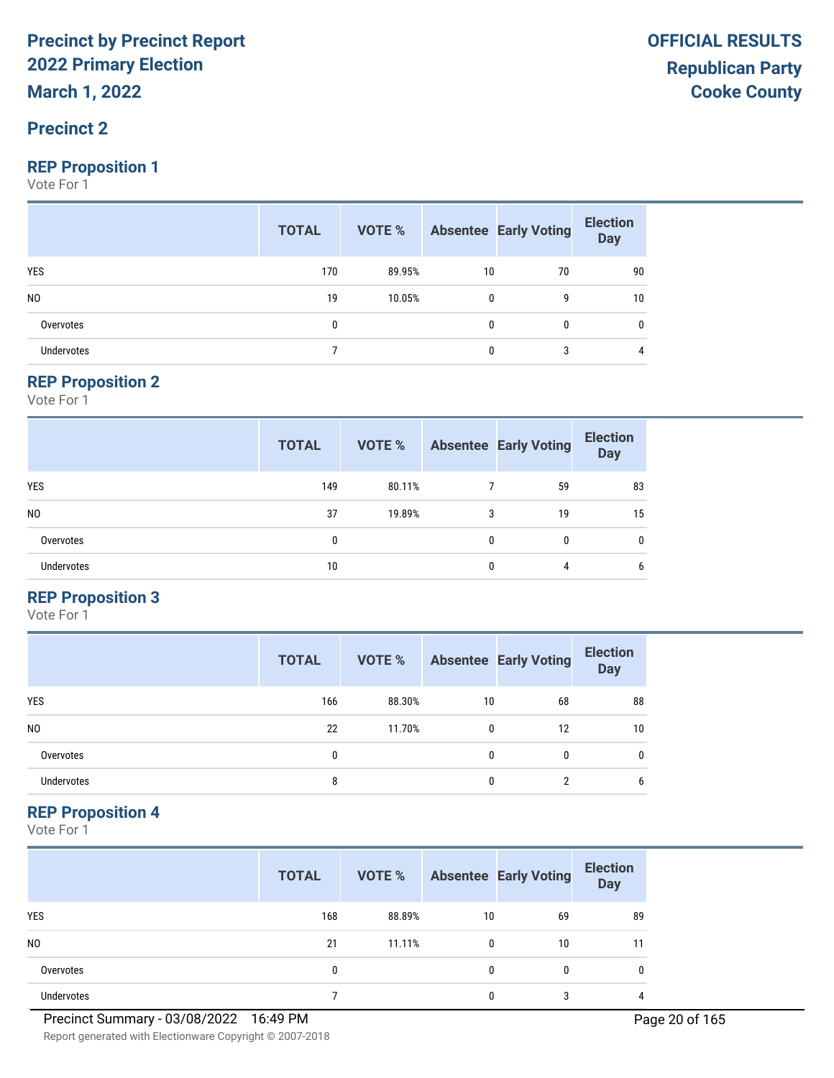#### **Precinct 2**

#### **REP Proposition 1**

Vote For 1

|                   | <b>TOTAL</b> |        |              | VOTE % Absentee Early Voting | <b>Election</b><br>Day |
|-------------------|--------------|--------|--------------|------------------------------|------------------------|
| <b>YES</b>        | 170          | 89.95% | 10           | 70                           | 90                     |
| N <sub>0</sub>    | 19           | 10.05% | $\mathbf{0}$ | g                            | 10                     |
| Overvotes         | 0            |        | 0            | $\mathbf{0}$                 | 0                      |
| <b>Undervotes</b> |              |        | 0            | 3                            | 4                      |

#### **REP Proposition 2**

Vote For 1

|                   | <b>TOTAL</b> | <b>VOTE %</b> |   | <b>Absentee Early Voting</b> | <b>Election</b><br><b>Day</b> |
|-------------------|--------------|---------------|---|------------------------------|-------------------------------|
| <b>YES</b>        | 149          | 80.11%        |   | 59                           | 83                            |
| N <sub>0</sub>    | 37           | 19.89%        | 3 | 19                           | 15                            |
| Overvotes         | 0            |               | 0 | 0                            | $\mathbf{0}$                  |
| <b>Undervotes</b> | 10           |               | 0 | 4                            | 6                             |

#### **REP Proposition 3**

Vote For 1

|                | <b>TOTAL</b> | VOTE % |    | <b>Absentee Early Voting</b> | <b>Election</b><br><b>Day</b> |
|----------------|--------------|--------|----|------------------------------|-------------------------------|
| <b>YES</b>     | 166          | 88.30% | 10 | 68                           | 88                            |
| N <sub>0</sub> | 22           | 11.70% | 0  | 12                           | 10                            |
| Overvotes      | 0            |        | 0  | 0                            | 0                             |
| Undervotes     | 8            |        | 0  | ∩                            | 6                             |

#### **REP Proposition 4**

Vote For 1

|                | <b>TOTAL</b> | VOTE % |              | <b>Absentee Early Voting</b> | <b>Election</b><br><b>Day</b> |
|----------------|--------------|--------|--------------|------------------------------|-------------------------------|
| <b>YES</b>     | 168          | 88.89% | 10           | 69                           | 89                            |
| N <sub>0</sub> | 21           | 11.11% | $\mathbf{0}$ | 10                           | 11                            |
| Overvotes      | 0            |        | $\mathbf{0}$ | 0                            | 0                             |
| Undervotes     |              |        | 0            | ാ                            | 4                             |

Report generated with Electionware Copyright © 2007-2018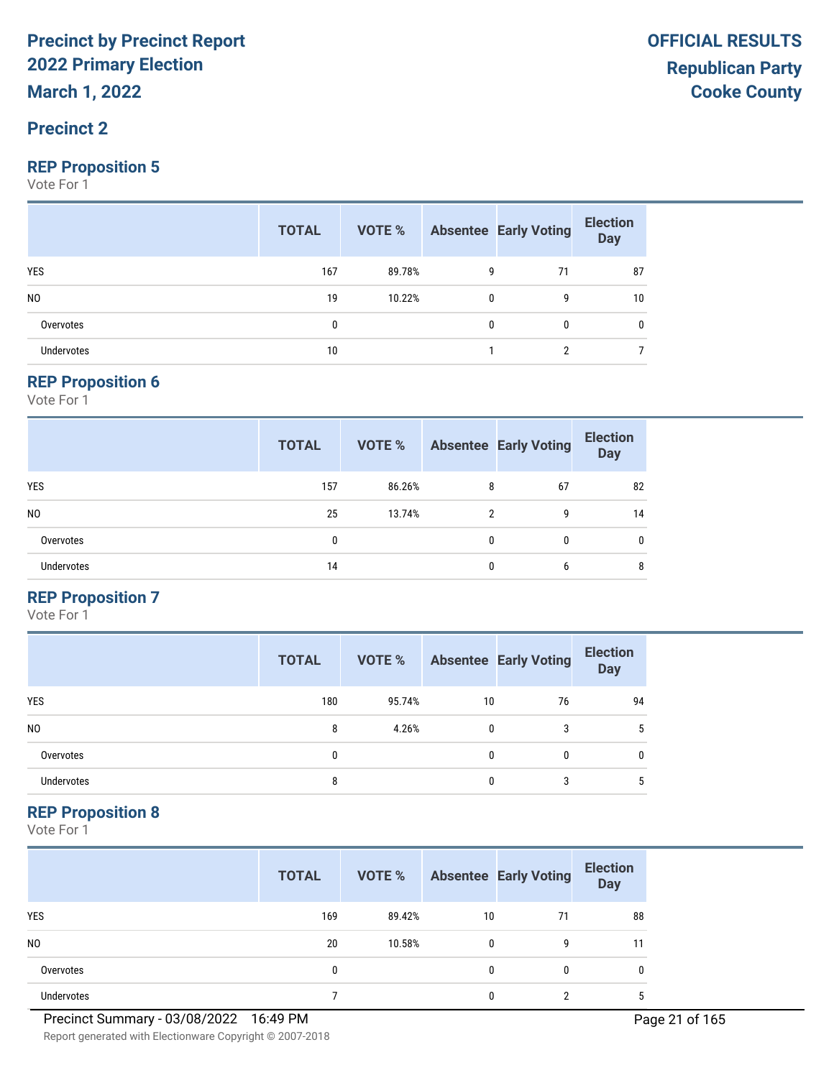**March 1, 2022**

#### **Precinct 2**

#### **REP Proposition 5**

Vote For 1

|                   | <b>TOTAL</b> |        |   | <b>VOTE %</b> Absentee Early Voting | <b>Election</b><br><b>Day</b> |
|-------------------|--------------|--------|---|-------------------------------------|-------------------------------|
| <b>YES</b>        | 167          | 89.78% | 9 | 71                                  | 87                            |
| N <sub>0</sub>    | 19           | 10.22% | 0 | 9                                   | 10                            |
| Overvotes         | 0            |        | 0 | $\mathbf{0}$                        | 0                             |
| <b>Undervotes</b> | 10           |        |   | ົ                                   |                               |

#### **REP Proposition 6**

Vote For 1

|                   | <b>TOTAL</b> | VOTE % |   | <b>Absentee Early Voting</b> | <b>Election</b><br><b>Day</b> |
|-------------------|--------------|--------|---|------------------------------|-------------------------------|
| <b>YES</b>        | 157          | 86.26% | 8 | 67                           | 82                            |
| N <sub>0</sub>    | 25           | 13.74% | 2 | 9                            | 14                            |
| Overvotes         | 0            |        | 0 | 0                            | $\mathbf{0}$                  |
| <b>Undervotes</b> | 14           |        | 0 | 6                            | 8                             |

#### **REP Proposition 7**

Vote For 1

|                | <b>TOTAL</b> | VOTE % |    | <b>Absentee Early Voting</b> | <b>Election</b><br><b>Day</b> |
|----------------|--------------|--------|----|------------------------------|-------------------------------|
| <b>YES</b>     | 180          | 95.74% | 10 | 76                           | 94                            |
| N <sub>0</sub> | 8            | 4.26%  | 0  | 3                            | 5                             |
| Overvotes      | $\mathbf{0}$ |        | 0  |                              | 0                             |
| Undervotes     | 8            |        | 0  | 3                            | 5                             |

#### **REP Proposition 8**

Vote For 1

|                | <b>TOTAL</b> | VOTE % |              | <b>Absentee Early Voting</b> | <b>Election</b><br><b>Day</b> |
|----------------|--------------|--------|--------------|------------------------------|-------------------------------|
| <b>YES</b>     | 169          | 89.42% | 10           | 71                           | 88                            |
| N <sub>0</sub> | 20           | 10.58% | $\mathbf{0}$ | 9                            | 11                            |
| Overvotes      | 0            |        | $\mathbf{0}$ | 0                            | 0                             |
| Undervotes     |              |        | 0            | ∩                            | b                             |

Report generated with Electionware Copyright © 2007-2018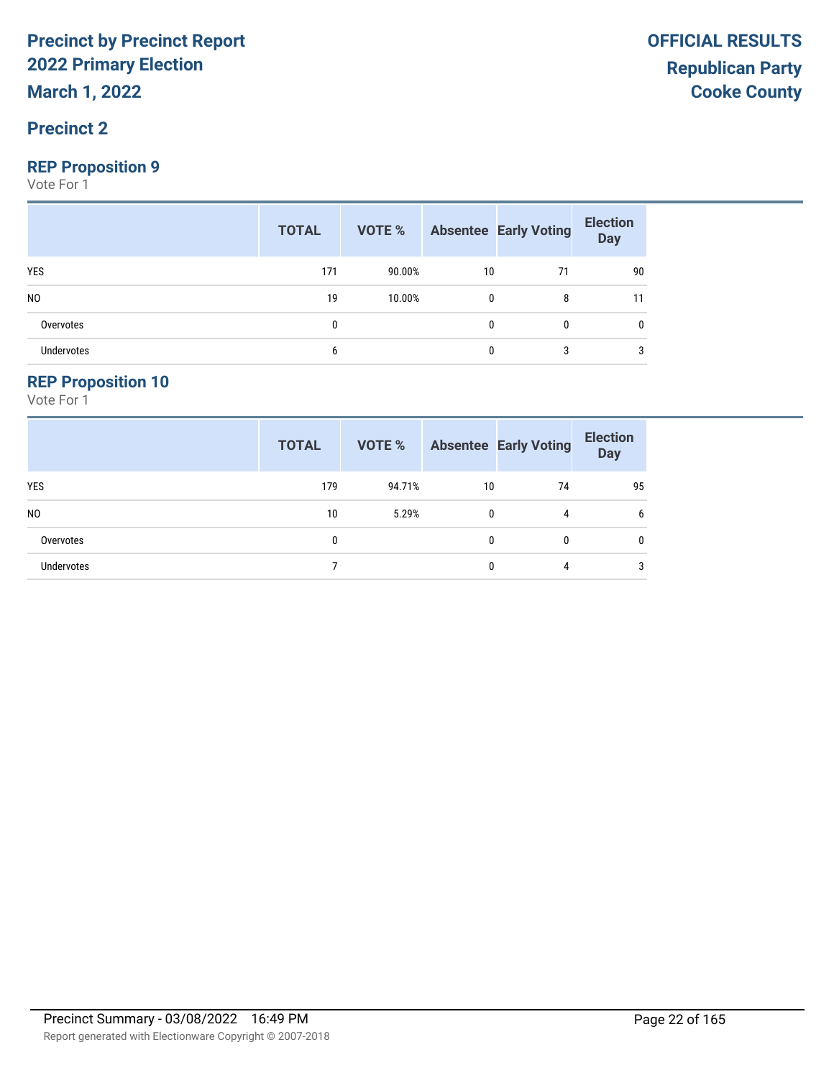**March 1, 2022**

#### **Precinct 2**

#### **REP Proposition 9**

Vote For 1

|                   | <b>TOTAL</b> |        |              | <b>VOTE %</b> Absentee Early Voting | <b>Election</b><br><b>Day</b> |
|-------------------|--------------|--------|--------------|-------------------------------------|-------------------------------|
| <b>YES</b>        | 171          | 90.00% | 10           | 71                                  | 90                            |
| N <sub>0</sub>    | 19           | 10.00% | $\mathbf{0}$ | 8                                   | 11                            |
| Overvotes         | 0            |        | $\mathbf{0}$ | $\mathbf{0}$                        | 0                             |
| <b>Undervotes</b> | 6            |        | $\mathbf{0}$ | 3                                   | 3                             |

#### **REP Proposition 10**

|                   | <b>TOTAL</b> | VOTE % |              | <b>Absentee Early Voting</b> | <b>Election</b><br><b>Day</b> |
|-------------------|--------------|--------|--------------|------------------------------|-------------------------------|
| <b>YES</b>        | 179          | 94.71% | 10           | 74                           | 95                            |
| N <sub>0</sub>    | 10           | 5.29%  | $\mathbf{0}$ | 4                            | 6                             |
| Overvotes         | 0            |        | 0            | 0                            | $\mathbf{0}$                  |
| <b>Undervotes</b> |              |        | 0            | 4                            | 3                             |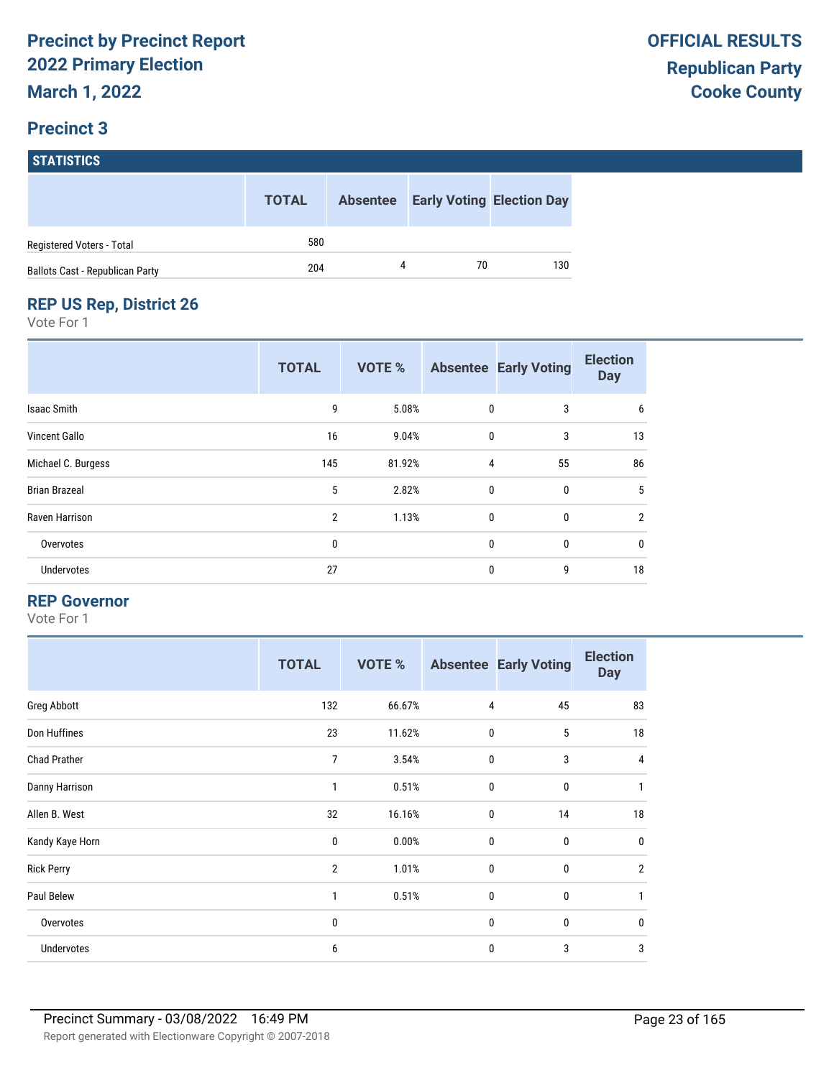# **STATISTICS**

|                                        | <b>TOTAL</b> |   | <b>Absentee Early Voting Election Day</b> |     |
|----------------------------------------|--------------|---|-------------------------------------------|-----|
| Registered Voters - Total              | 580          |   |                                           |     |
| <b>Ballots Cast - Republican Party</b> | 204          | 4 | 70                                        | 130 |

#### **REP US Rep, District 26**

Vote For 1

|                      | <b>TOTAL</b>   | <b>VOTE %</b> |              | <b>Absentee Early Voting</b> | <b>Election</b><br><b>Day</b> |
|----------------------|----------------|---------------|--------------|------------------------------|-------------------------------|
| <b>Isaac Smith</b>   | 9              | 5.08%         | $\mathbf 0$  | 3                            | 6                             |
| <b>Vincent Gallo</b> | 16             | 9.04%         | 0            | 3                            | 13                            |
| Michael C. Burgess   | 145            | 81.92%        | 4            | 55                           | 86                            |
| <b>Brian Brazeal</b> | 5              | 2.82%         | $\mathbf 0$  | $\mathbf 0$                  | 5                             |
| Raven Harrison       | $\overline{2}$ | 1.13%         | 0            | $\mathbf 0$                  | $\overline{2}$                |
| Overvotes            | 0              |               | $\mathbf{0}$ | $\mathbf{0}$                 | 0                             |
| <b>Undervotes</b>    | 27             |               | 0            | 9                            | 18                            |

#### **REP Governor**

|                     | <b>TOTAL</b>   | <b>VOTE %</b> |             | <b>Absentee Early Voting</b> | <b>Election</b><br><b>Day</b> |
|---------------------|----------------|---------------|-------------|------------------------------|-------------------------------|
| Greg Abbott         | 132            | 66.67%        | 4           | 45                           | 83                            |
| Don Huffines        | 23             | 11.62%        | $\mathbf 0$ | 5                            | 18                            |
| <b>Chad Prather</b> | 7              | 3.54%         | $\mathbf 0$ | 3                            | 4                             |
| Danny Harrison      | 1              | 0.51%         | $\mathbf 0$ | 0                            | 1                             |
| Allen B. West       | 32             | 16.16%        | 0           | 14                           | 18                            |
| Kandy Kaye Horn     | 0              | 0.00%         | $\mathbf 0$ | 0                            | $\mathbf 0$                   |
| <b>Rick Perry</b>   | $\overline{2}$ | 1.01%         | $\mathbf 0$ | 0                            | $\overline{2}$                |
| Paul Belew          | 1              | 0.51%         | $\mathbf 0$ | 0                            | 1                             |
| Overvotes           | 0              |               | $\mathbf 0$ | 0                            | $\mathbf 0$                   |
| Undervotes          | 6              |               | $\mathbf 0$ | 3                            | 3                             |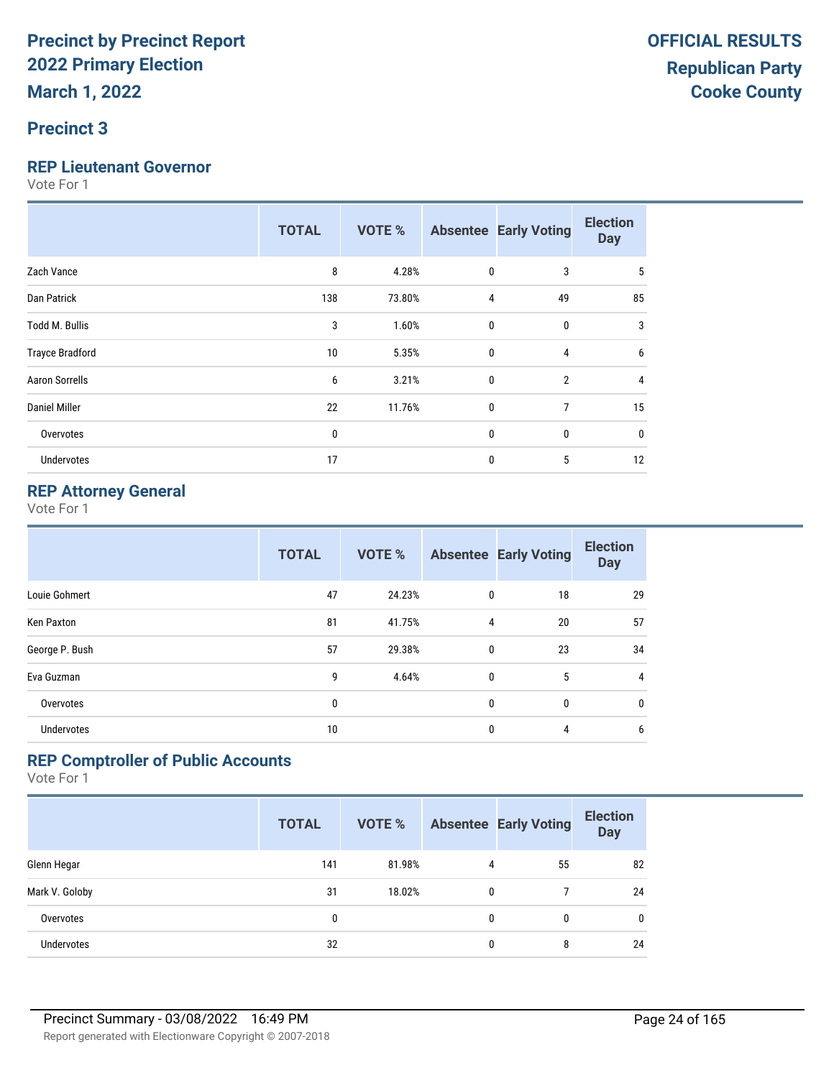#### **Precinct 3**

#### **REP Lieutenant Governor**

Vote For 1

|                        | <b>TOTAL</b> | <b>VOTE %</b> |              | <b>Absentee Early Voting</b> | <b>Election</b><br><b>Day</b> |
|------------------------|--------------|---------------|--------------|------------------------------|-------------------------------|
| Zach Vance             | 8            | 4.28%         | $\mathbf 0$  | 3                            | 5                             |
| Dan Patrick            | 138          | 73.80%        | 4            | 49                           | 85                            |
| Todd M. Bullis         | 3            | 1.60%         | $\mathbf 0$  | 0                            | 3                             |
| <b>Trayce Bradford</b> | 10           | 5.35%         | $\mathbf{0}$ | 4                            | 6                             |
| <b>Aaron Sorrells</b>  | 6            | 3.21%         | $\mathbf 0$  | $\overline{2}$               | 4                             |
| <b>Daniel Miller</b>   | 22           | 11.76%        | $\mathbf 0$  | $\overline{7}$               | 15                            |
| Overvotes              | $\mathbf{0}$ |               | $\mathbf 0$  | $\bf{0}$                     | 0                             |
| Undervotes             | 17           |               | 0            | 5                            | 12                            |

#### **REP Attorney General**

Vote For 1

|                   | <b>TOTAL</b> | <b>VOTE %</b> |              | <b>Absentee Early Voting</b> | <b>Election</b><br><b>Day</b> |
|-------------------|--------------|---------------|--------------|------------------------------|-------------------------------|
| Louie Gohmert     | 47           | 24.23%        | 0            | 18                           | 29                            |
| <b>Ken Paxton</b> | 81           | 41.75%        | 4            | 20                           | 57                            |
| George P. Bush    | 57           | 29.38%        | 0            | 23                           | 34                            |
| Eva Guzman        | 9            | 4.64%         | $\mathbf{0}$ | 5                            | $\overline{4}$                |
| Overvotes         | 0            |               | 0            | 0                            | 0                             |
| <b>Undervotes</b> | 10           |               | 0            | 4                            | 6                             |

#### **REP Comptroller of Public Accounts**

|                   | <b>TOTAL</b> | <b>VOTE %</b> |   | <b>Absentee Early Voting</b> | <b>Election</b><br><b>Day</b> |
|-------------------|--------------|---------------|---|------------------------------|-------------------------------|
| Glenn Hegar       | 141          | 81.98%        | 4 | 55                           | 82                            |
| Mark V. Goloby    | 31           | 18.02%        | 0 |                              | 24                            |
| Overvotes         | 0            |               | 0 | 0                            | $\mathbf{0}$                  |
| <b>Undervotes</b> | 32           |               | 0 | 8                            | 24                            |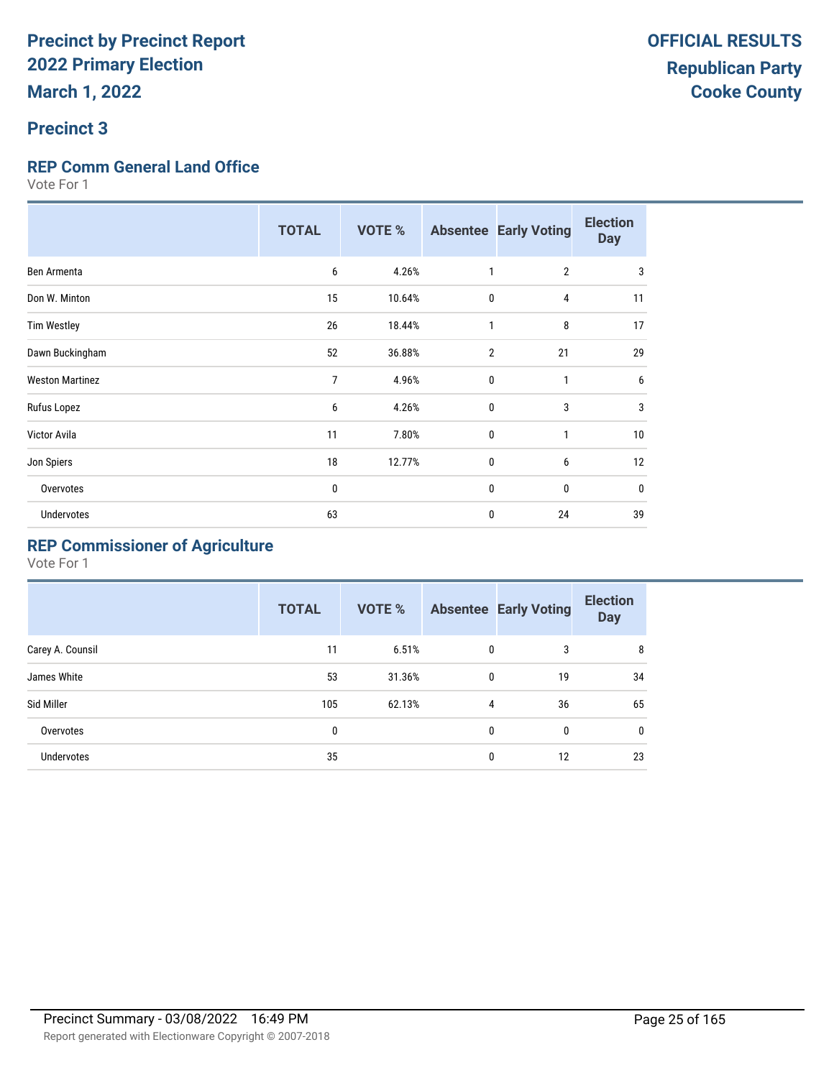#### **Precinct 3**

#### **REP Comm General Land Office**

Vote For 1

|                        | <b>TOTAL</b> | <b>VOTE %</b> | <b>Absentee</b> | <b>Early Voting</b> | <b>Election</b><br><b>Day</b> |
|------------------------|--------------|---------------|-----------------|---------------------|-------------------------------|
| Ben Armenta            | 6            | 4.26%         |                 | $\overline{2}$      | 3                             |
| Don W. Minton          | 15           | 10.64%        | $\mathbf 0$     | 4                   | 11                            |
| <b>Tim Westley</b>     | 26           | 18.44%        | 1               | 8                   | 17                            |
| Dawn Buckingham        | 52           | 36.88%        | $\overline{2}$  | 21                  | 29                            |
| <b>Weston Martinez</b> | 7            | 4.96%         | $\mathbf 0$     | $\mathbf{1}$        | 6                             |
| Rufus Lopez            | 6            | 4.26%         | $\mathbf{0}$    | 3                   | 3                             |
| Victor Avila           | 11           | 7.80%         | $\mathbf 0$     | $\mathbf{1}$        | 10                            |
| Jon Spiers             | 18           | 12.77%        | 0               | 6                   | 12                            |
| Overvotes              | 0            |               | $\mathbf{0}$    | 0                   | $\mathbf 0$                   |
| Undervotes             | 63           |               | 0               | 24                  | 39                            |

### **REP Commissioner of Agriculture**

|                  | <b>TOTAL</b> | VOTE % |              | <b>Absentee Early Voting</b> | <b>Election</b><br><b>Day</b> |
|------------------|--------------|--------|--------------|------------------------------|-------------------------------|
| Carey A. Counsil | 11           | 6.51%  | 0            | 3                            | 8                             |
| James White      | 53           | 31.36% | $\mathbf{0}$ | 19                           | 34                            |
| Sid Miller       | 105          | 62.13% | 4            | 36                           | 65                            |
| Overvotes        | 0            |        | $\mathbf{0}$ | 0                            | $\mathbf{0}$                  |
| Undervotes       | 35           |        | $\mathbf{0}$ | 12                           | 23                            |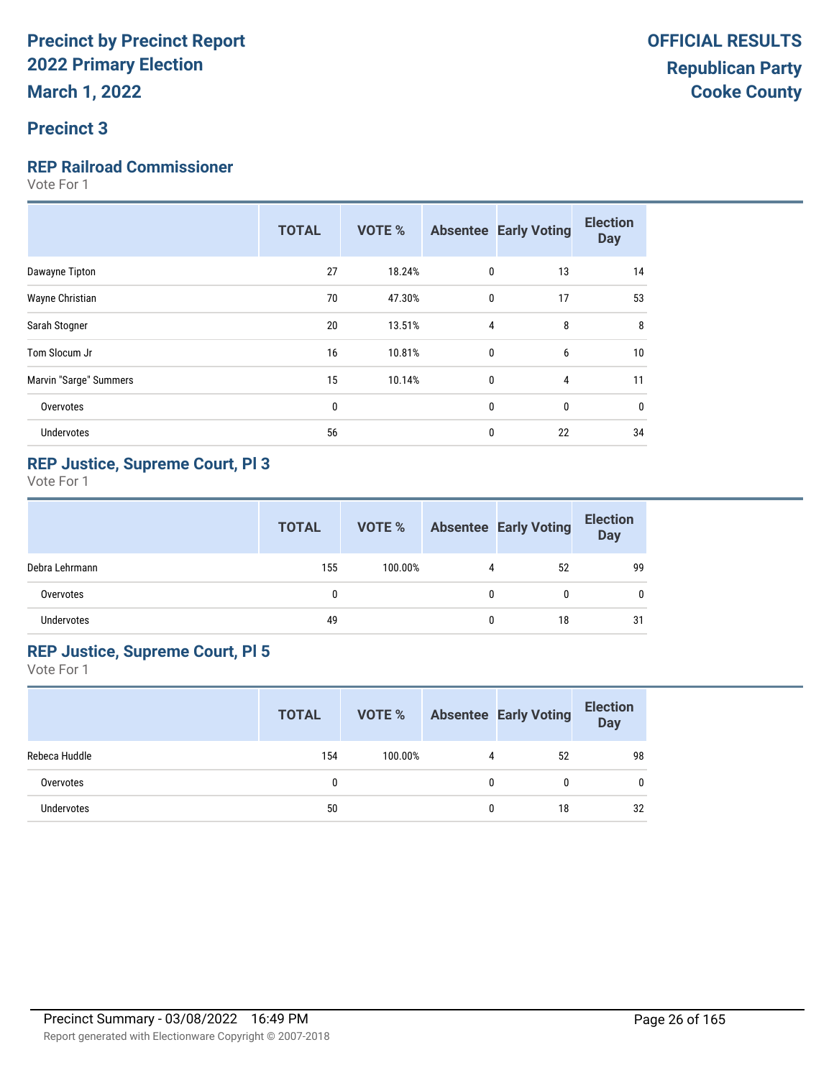#### **Precinct 3**

#### **REP Railroad Commissioner**

Vote For 1

|                        | <b>TOTAL</b> | <b>VOTE %</b> |              | <b>Absentee Early Voting</b> | <b>Election</b><br><b>Day</b> |
|------------------------|--------------|---------------|--------------|------------------------------|-------------------------------|
| Dawayne Tipton         | 27           | 18.24%        | 0            | 13                           | 14                            |
| Wayne Christian        | 70           | 47.30%        | $\mathbf{0}$ | 17                           | 53                            |
| Sarah Stogner          | 20           | 13.51%        | 4            | 8                            | 8                             |
| Tom Slocum Jr          | 16           | 10.81%        | $\mathbf{0}$ | 6                            | 10                            |
| Marvin "Sarge" Summers | 15           | 10.14%        | $\mathbf{0}$ | 4                            | 11                            |
| Overvotes              | 0            |               | $\mathbf{0}$ | $\mathbf 0$                  | $\bf{0}$                      |
| <b>Undervotes</b>      | 56           |               | 0            | 22                           | 34                            |
|                        |              |               |              |                              |                               |

#### **REP Justice, Supreme Court, Pl 3**

Vote For 1

|                | <b>TOTAL</b> | VOTE %  |   | <b>Absentee Early Voting</b> | <b>Election</b><br><b>Day</b> |
|----------------|--------------|---------|---|------------------------------|-------------------------------|
| Debra Lehrmann | 155          | 100.00% | 4 | 52                           | 99                            |
| Overvotes      | 0            |         | 0 |                              |                               |
| Undervotes     | 49           |         | 0 | 18                           | 31                            |

#### **REP Justice, Supreme Court, Pl 5**

|               | <b>TOTAL</b> | VOTE %  |   | <b>Absentee Early Voting</b> | <b>Election</b><br><b>Day</b> |
|---------------|--------------|---------|---|------------------------------|-------------------------------|
| Rebeca Huddle | 154          | 100.00% | 4 | 52                           | 98                            |
| Overvotes     |              |         | 0 | 0                            | 0                             |
| Undervotes    | 50           |         | 0 | 18                           | 32                            |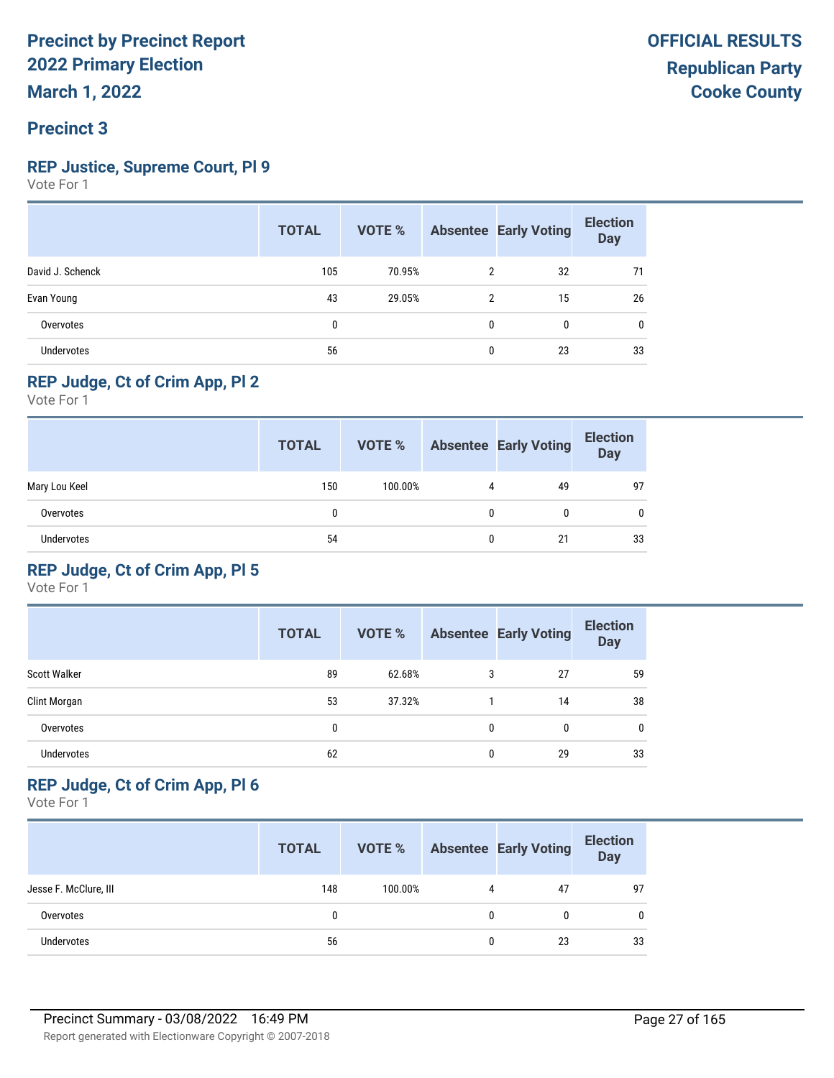#### **REP Justice, Supreme Court, Pl 9**

Vote For 1

|                   | <b>TOTAL</b> | VOTE % |              | <b>Absentee Early Voting</b> | <b>Election</b><br><b>Day</b> |
|-------------------|--------------|--------|--------------|------------------------------|-------------------------------|
| David J. Schenck  | 105          | 70.95% | 2            | 32                           | 71                            |
| Evan Young        | 43           | 29.05% | 2            | 15                           | 26                            |
| Overvotes         | $\mathbf{0}$ |        | $\mathbf{0}$ | $\mathbf{0}$                 | 0                             |
| <b>Undervotes</b> | 56           |        | $\mathbf{0}$ | 23                           | 33                            |

#### **REP Judge, Ct of Crim App, Pl 2**

Vote For 1

|               | <b>TOTAL</b> | VOTE %  |   | <b>Absentee Early Voting</b> | <b>Election</b><br><b>Day</b> |
|---------------|--------------|---------|---|------------------------------|-------------------------------|
| Mary Lou Keel | 150          | 100.00% | 4 | 49                           | 97                            |
| Overvotes     | 0            |         |   |                              | 0                             |
| Undervotes    | 54           |         | 0 | 21                           | 33                            |

#### **REP Judge, Ct of Crim App, Pl 5**

Vote For 1

|                     | <b>TOTAL</b> | <b>VOTE %</b> |   | <b>Absentee Early Voting</b> | <b>Election</b><br><b>Day</b> |
|---------------------|--------------|---------------|---|------------------------------|-------------------------------|
| <b>Scott Walker</b> | 89           | 62.68%        | 3 | 27                           | 59                            |
| Clint Morgan        | 53           | 37.32%        |   | 14                           | 38                            |
| Overvotes           | 0            |               | 0 | 0                            | 0                             |
| <b>Undervotes</b>   | 62           |               | 0 | 29                           | 33                            |

#### **REP Judge, Ct of Crim App, Pl 6**

|                       | <b>TOTAL</b> | VOTE %  |   | <b>Absentee Early Voting</b> | <b>Election</b><br>Day |
|-----------------------|--------------|---------|---|------------------------------|------------------------|
| Jesse F. McClure, III | 148          | 100.00% | 4 | 47                           | 97                     |
| Overvotes             |              |         | 0 |                              | 0                      |
| Undervotes            | 56           |         | 0 | 23                           | 33                     |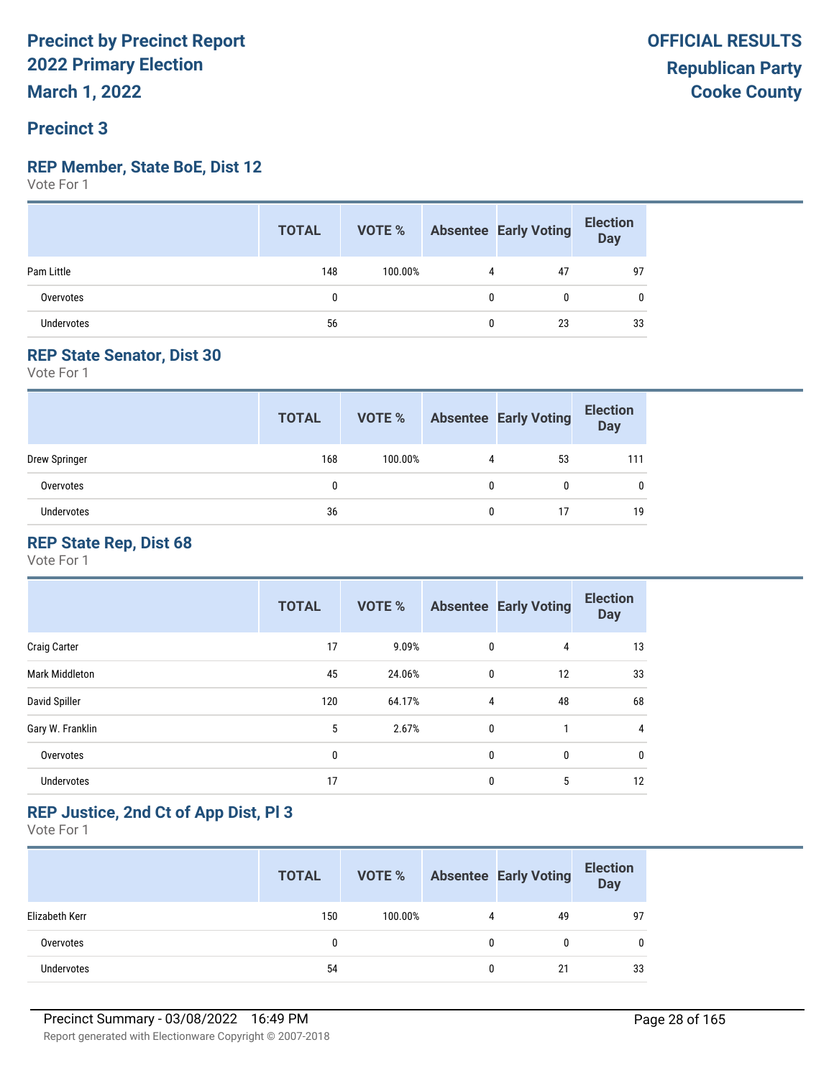#### **Precinct 3**

#### **REP Member, State BoE, Dist 12**

Vote For 1

|                   | <b>TOTAL</b> |         |   | <b>VOTE %</b> Absentee Early Voting | <b>Election</b><br>Day |
|-------------------|--------------|---------|---|-------------------------------------|------------------------|
| Pam Little        | 148          | 100.00% | 4 | 47                                  | 97                     |
| Overvotes         | 0            |         | 0 |                                     | 0                      |
| <b>Undervotes</b> | 56           |         | 0 | 23                                  | 33                     |

#### **REP State Senator, Dist 30**

Vote For 1

|               | <b>TOTAL</b> | VOTE %  |              | <b>Absentee Early Voting</b> | <b>Election</b><br><b>Day</b> |
|---------------|--------------|---------|--------------|------------------------------|-------------------------------|
| Drew Springer | 168          | 100.00% | 4            | 53                           | 111                           |
| Overvotes     | 0            |         | $\mathbf{0}$ | 0                            | 0                             |
| Undervotes    | 36           |         | 0            | 17                           | 19                            |

#### **REP State Rep, Dist 68**

Vote For 1

|                       | <b>TOTAL</b> | <b>VOTE %</b> |              | <b>Absentee Early Voting</b> | <b>Election</b><br><b>Day</b> |
|-----------------------|--------------|---------------|--------------|------------------------------|-------------------------------|
| <b>Craig Carter</b>   | 17           | 9.09%         | 0            | 4                            | 13                            |
| <b>Mark Middleton</b> | 45           | 24.06%        | $\mathbf{0}$ | 12                           | 33                            |
| David Spiller         | 120          | 64.17%        | 4            | 48                           | 68                            |
| Gary W. Franklin      | 5            | 2.67%         | $\mathbf{0}$ | 1                            | 4                             |
| Overvotes             | 0            |               | 0            | 0                            | 0                             |
| <b>Undervotes</b>     | 17           |               | 0            | 5                            | 12                            |

#### **REP Justice, 2nd Ct of App Dist, Pl 3**

|                   | <b>TOTAL</b> | VOTE %  |   | <b>Absentee Early Voting</b> | <b>Election</b><br>Day |
|-------------------|--------------|---------|---|------------------------------|------------------------|
| Elizabeth Kerr    | 150          | 100.00% | 4 | 49                           | 97                     |
| Overvotes         | 0            |         | 0 |                              |                        |
| <b>Undervotes</b> | 54           |         | 0 | 21                           | 33                     |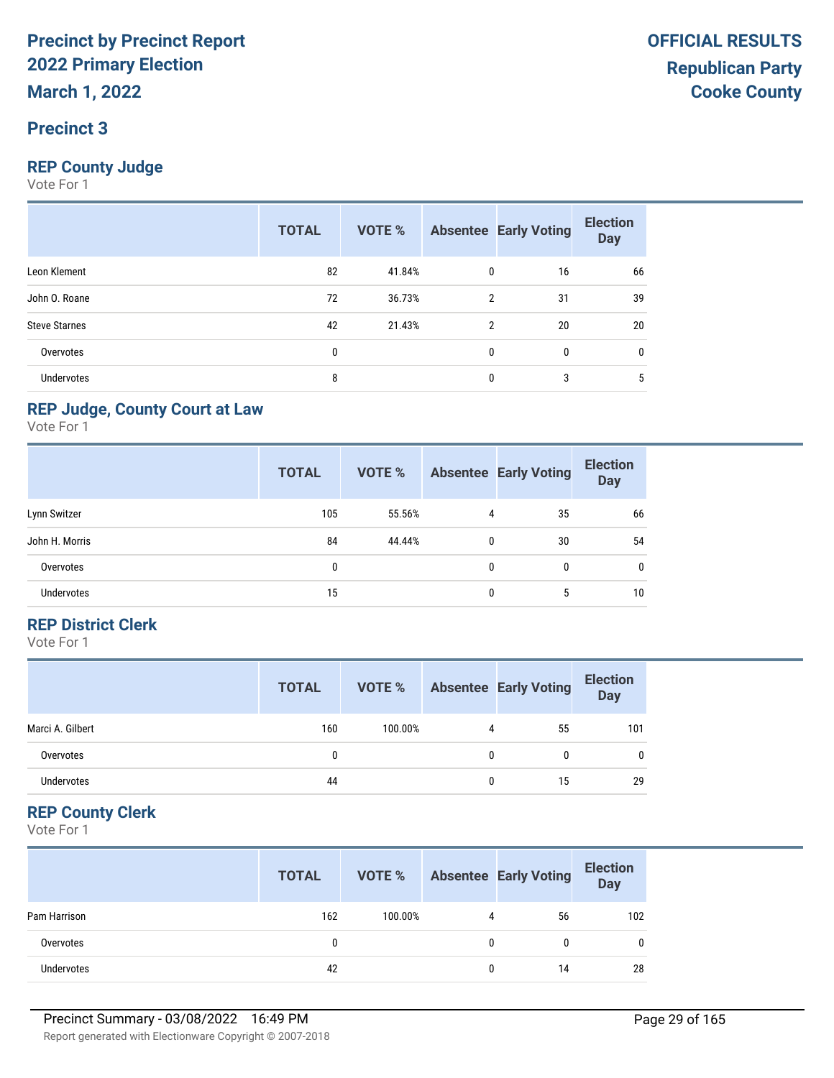#### **Precinct 3**

#### **REP County Judge**

Vote For 1

|                      | <b>TOTAL</b> | VOTE % |              | <b>Absentee Early Voting</b> | <b>Election</b><br><b>Day</b> |
|----------------------|--------------|--------|--------------|------------------------------|-------------------------------|
| Leon Klement         | 82           | 41.84% | 0            | 16                           | 66                            |
| John O. Roane        | 72           | 36.73% | 2            | 31                           | 39                            |
| <b>Steve Starnes</b> | 42           | 21.43% | 2            | 20                           | 20                            |
| Overvotes            | 0            |        | $\mathbf{0}$ | 0                            | 0                             |
| <b>Undervotes</b>    | 8            |        | 0            | 3                            | 5                             |

#### **REP Judge, County Court at Law**

Vote For 1

|                | <b>TOTAL</b> | <b>VOTE %</b> |              | <b>Absentee Early Voting</b> | <b>Election</b><br><b>Day</b> |
|----------------|--------------|---------------|--------------|------------------------------|-------------------------------|
| Lynn Switzer   | 105          | 55.56%        | 4            | 35                           | 66                            |
| John H. Morris | 84           | 44.44%        | $\mathbf{0}$ | 30                           | 54                            |
| Overvotes      | 0            |               | 0            | 0                            | 0                             |
| Undervotes     | 15           |               | 0            | 5                            | 10                            |

#### **REP District Clerk**

Vote For 1

|                  | <b>TOTAL</b> | VOTE %  |   | <b>Absentee Early Voting</b> | <b>Election</b><br>Day |
|------------------|--------------|---------|---|------------------------------|------------------------|
| Marci A. Gilbert | 160          | 100.00% | 4 | 55                           | 101                    |
| Overvotes        |              |         | 0 | 0                            | 0                      |
| Undervotes       | 44           |         |   | 15                           | 29                     |

#### **REP County Clerk**

|                   | <b>TOTAL</b> | VOTE %  |              | <b>Absentee Early Voting</b> | <b>Election</b><br>Day |
|-------------------|--------------|---------|--------------|------------------------------|------------------------|
| Pam Harrison      | 162          | 100.00% | 4            | 56                           | 102                    |
| Overvotes         | 0            |         | $\mathbf{0}$ |                              |                        |
| <b>Undervotes</b> | 42           |         | 0            | 14                           | 28                     |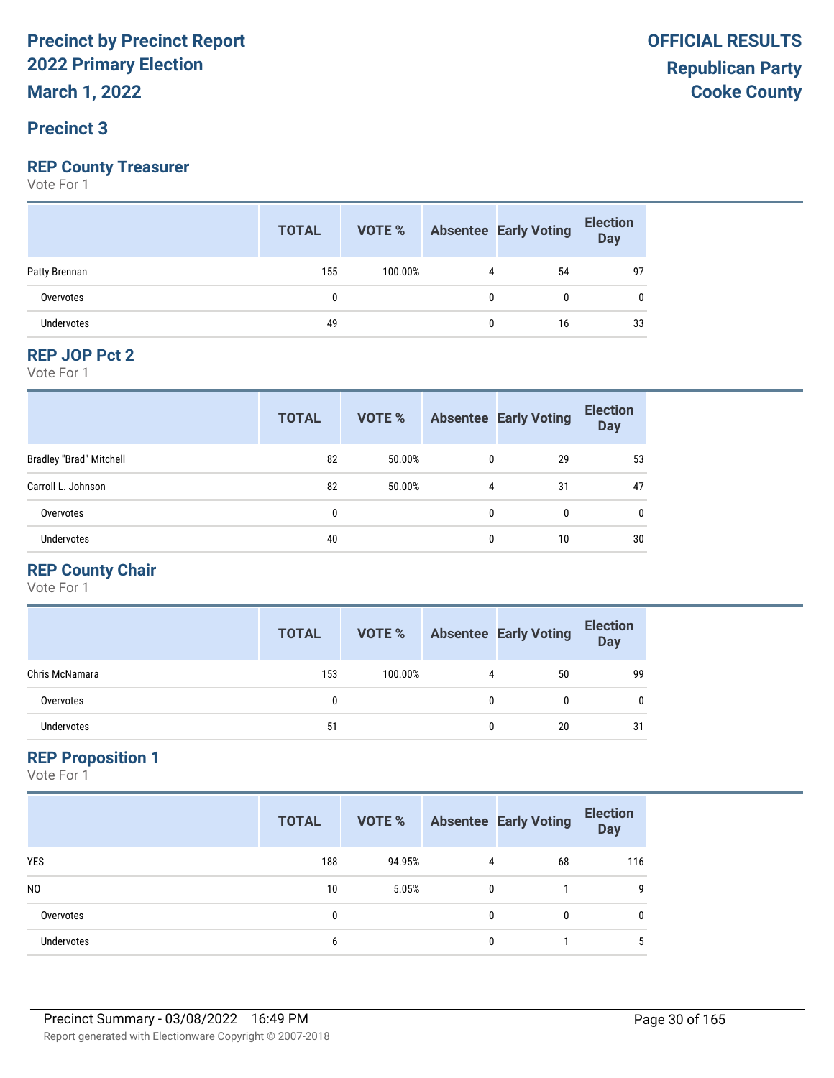**March 1, 2022**

#### **Precinct 3**

#### **REP County Treasurer**

Vote For 1

|                   | <b>TOTAL</b> |         |   | <b>VOTE %</b> Absentee Early Voting | <b>Election</b><br>Day |
|-------------------|--------------|---------|---|-------------------------------------|------------------------|
| Patty Brennan     | 155          | 100.00% |   | 54                                  | 97                     |
| Overvotes         |              |         | 0 |                                     |                        |
| <b>Undervotes</b> | 49           |         | 0 | 16                                  | 33                     |

#### **REP JOP Pct 2**

Vote For 1

|                                | <b>TOTAL</b> | VOTE % |   | <b>Absentee Early Voting</b> | <b>Election</b><br><b>Day</b> |
|--------------------------------|--------------|--------|---|------------------------------|-------------------------------|
| <b>Bradley "Brad" Mitchell</b> | 82           | 50.00% | 0 | 29                           | 53                            |
| Carroll L. Johnson             | 82           | 50.00% | 4 | 31                           | 47                            |
| Overvotes                      | 0            |        | 0 | 0                            | $\mathbf{0}$                  |
| <b>Undervotes</b>              | 40           |        | 0 | 10                           | 30                            |

#### **REP County Chair**

Vote For 1

|                   | <b>TOTAL</b> | VOTE %  |   | <b>Absentee Early Voting</b> | <b>Election</b><br>Day |
|-------------------|--------------|---------|---|------------------------------|------------------------|
| Chris McNamara    | 153          | 100.00% | 4 | 50                           | 99                     |
| Overvotes         |              |         | 0 | 0                            | 0                      |
| <b>Undervotes</b> | 51           |         | 0 | 20                           | 31                     |

#### **REP Proposition 1**

|                   | <b>TOTAL</b> | VOTE % |   | <b>Absentee Early Voting</b> | <b>Election</b><br><b>Day</b> |
|-------------------|--------------|--------|---|------------------------------|-------------------------------|
| <b>YES</b>        | 188          | 94.95% | 4 | 68                           | 116                           |
| N <sub>0</sub>    | 10           | 5.05%  | 0 |                              | -9                            |
| Overvotes         | 0            |        | 0 | 0                            | $\mathbf{0}$                  |
| <b>Undervotes</b> | 6            |        | 0 |                              | 5                             |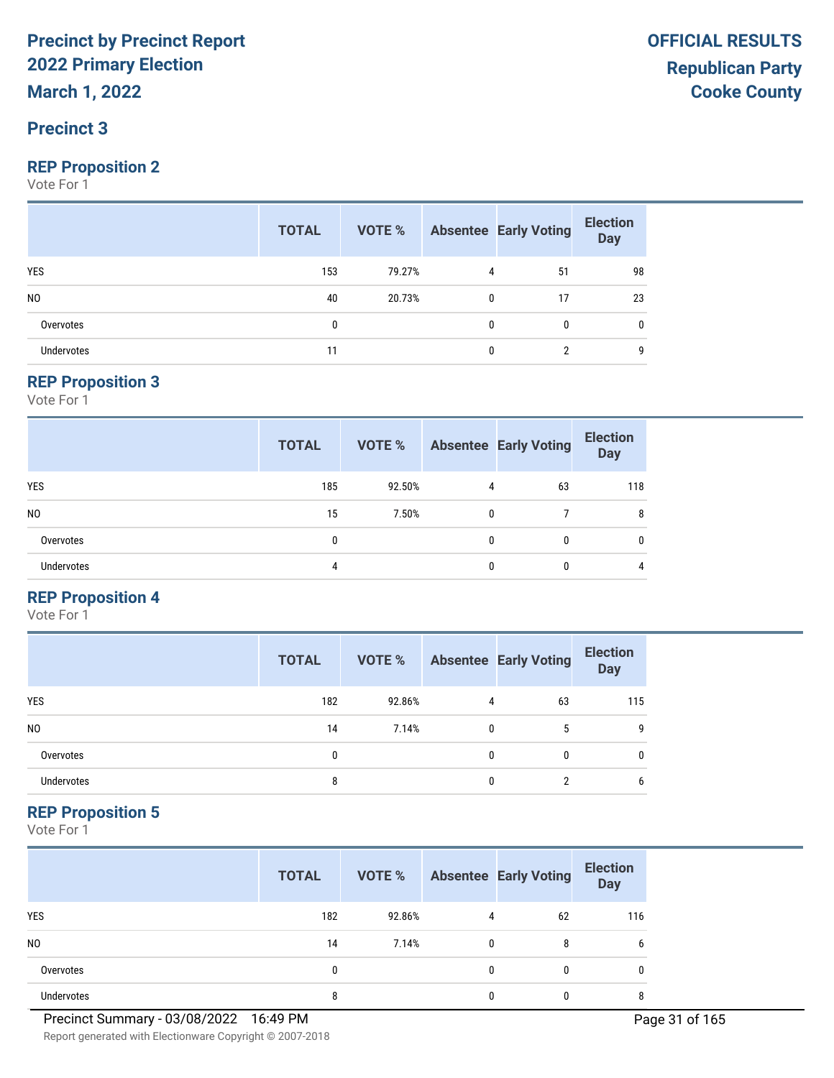#### **Precinct 3**

#### **REP Proposition 2**

Vote For 1

|                   | <b>TOTAL</b> |        |   | <b>VOTE %</b> Absentee Early Voting | <b>Election</b><br>Day |
|-------------------|--------------|--------|---|-------------------------------------|------------------------|
| <b>YES</b>        | 153          | 79.27% | 4 | 51                                  | 98                     |
| N <sub>0</sub>    | 40           | 20.73% | 0 | 17                                  | 23                     |
| Overvotes         |              |        | 0 | $\mathbf{0}$                        | 0                      |
| <b>Undervotes</b> |              |        | 0 |                                     | q                      |

#### **REP Proposition 3**

Vote For 1

|                   | <b>TOTAL</b> | VOTE % |          | <b>Absentee Early Voting</b> | <b>Election</b><br><b>Day</b> |
|-------------------|--------------|--------|----------|------------------------------|-------------------------------|
| <b>YES</b>        | 185          | 92.50% | 4        | 63                           | 118                           |
| N <sub>0</sub>    | 15           | 7.50%  | 0        |                              | 8                             |
| Overvotes         | 0            |        | 0        | 0                            | $\mathbf{0}$                  |
| <b>Undervotes</b> | 4            |        | $\theta$ | 0                            | 4                             |

#### **REP Proposition 4**

Vote For 1

|                | <b>TOTAL</b> | VOTE % |              | <b>Absentee Early Voting</b> | <b>Election</b><br>Day |
|----------------|--------------|--------|--------------|------------------------------|------------------------|
| <b>YES</b>     | 182          | 92.86% | 4            | 63                           | 115                    |
| N <sub>0</sub> | 14           | 7.14%  | 0            | 5                            | q                      |
| Overvotes      |              |        | 0            | 0                            | 0                      |
| Undervotes     | 8            |        | <sup>0</sup> |                              | 6                      |

#### **REP Proposition 5**

Vote For 1

|                | <b>TOTAL</b> | VOTE % |   | <b>Absentee Early Voting</b> | <b>Election</b><br><b>Day</b> |
|----------------|--------------|--------|---|------------------------------|-------------------------------|
| <b>YES</b>     | 182          | 92.86% | 4 | 62                           | 116                           |
| N <sub>0</sub> | 14           | 7.14%  |   | 8                            | 6                             |
| Overvotes      | 0            |        |   | 0                            | 0                             |
| Undervotes     | 8            |        |   | 0                            | 8                             |

Report generated with Electionware Copyright © 2007-2018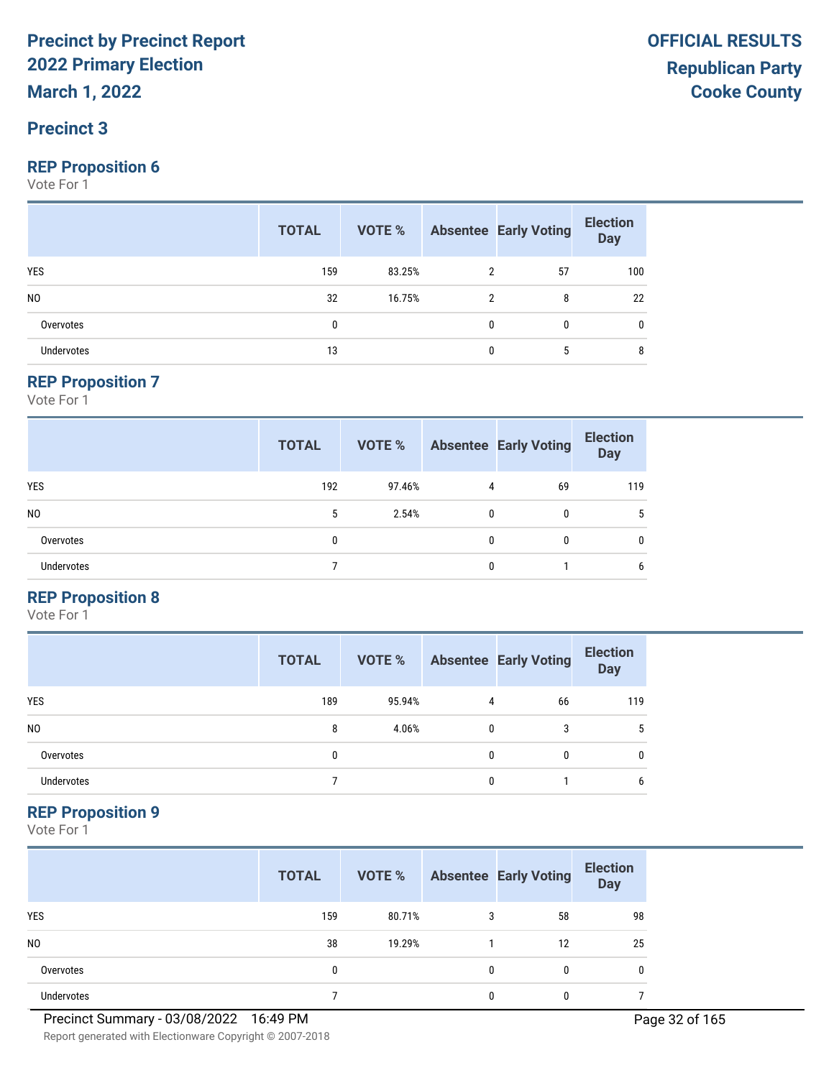#### **Precinct 3**

#### **REP Proposition 6**

Vote For 1

|                   | <b>TOTAL</b> |        |              | <b>VOTE %</b> Absentee Early Voting | <b>Election</b><br><b>Day</b> |
|-------------------|--------------|--------|--------------|-------------------------------------|-------------------------------|
| <b>YES</b>        | 159          | 83.25% | 2            | 57                                  | 100                           |
| N <sub>0</sub>    | 32           | 16.75% | 2            | 8                                   | 22                            |
| Overvotes         | 0            |        | $\mathbf{0}$ | $\mathbf{0}$                        | 0                             |
| <b>Undervotes</b> | 13           |        | 0            | 5                                   | 8                             |

#### **REP Proposition 7**

Vote For 1

|                   | <b>TOTAL</b> | VOTE % |   | <b>Absentee Early Voting</b> | <b>Election</b><br><b>Day</b> |
|-------------------|--------------|--------|---|------------------------------|-------------------------------|
| <b>YES</b>        | 192          | 97.46% | 4 | 69                           | 119                           |
| N <sub>0</sub>    | 5            | 2.54%  | 0 | 0                            | 5                             |
| Overvotes         | 0            |        | 0 | 0                            | 0                             |
| <b>Undervotes</b> |              |        | 0 |                              | 6                             |

#### **REP Proposition 8**

Vote For 1

|                | <b>TOTAL</b> | VOTE % |   | <b>Absentee Early Voting</b> | <b>Election</b><br><b>Day</b> |
|----------------|--------------|--------|---|------------------------------|-------------------------------|
| <b>YES</b>     | 189          | 95.94% | 4 | 66                           | 119                           |
| N <sub>0</sub> | 8            | 4.06%  | 0 | 3                            | 5                             |
| Overvotes      | 0            |        | 0 | 0                            | 0                             |
| Undervotes     |              |        | O |                              | 6                             |

#### **REP Proposition 9**

|                | <b>TOTAL</b> | VOTE % |   | <b>Absentee Early Voting</b> | <b>Election</b><br><b>Day</b> |
|----------------|--------------|--------|---|------------------------------|-------------------------------|
| <b>YES</b>     | 159          | 80.71% | 3 | 58                           | 98                            |
| N <sub>0</sub> | 38           | 19.29% |   | 12                           | 25                            |
| Overvotes      | 0            |        | 0 | 0                            | 0                             |
| Undervotes     |              |        |   | O                            |                               |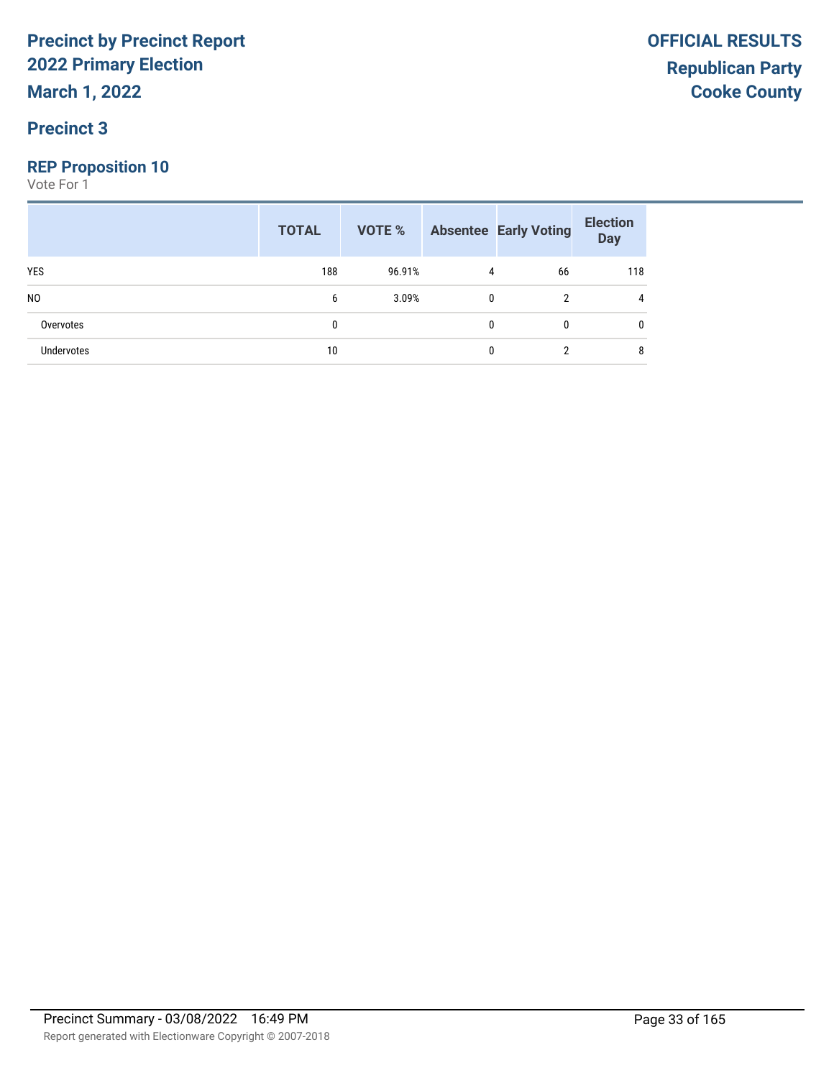**March 1, 2022**

#### **Precinct 3**

#### **REP Proposition 10**

|                | <b>TOTAL</b> |        |              | <b>VOTE %</b> Absentee Early Voting | <b>Election</b><br><b>Day</b> |
|----------------|--------------|--------|--------------|-------------------------------------|-------------------------------|
| <b>YES</b>     | 188          | 96.91% | 4            | 66                                  | 118                           |
| N <sub>0</sub> | 6            | 3.09%  | $\mathbf{0}$ | 2                                   | 4                             |
| Overvotes      | 0            |        | 0            | $\mathbf{0}$                        | 0                             |
| Undervotes     | 10           |        | 0            | 2                                   | 8                             |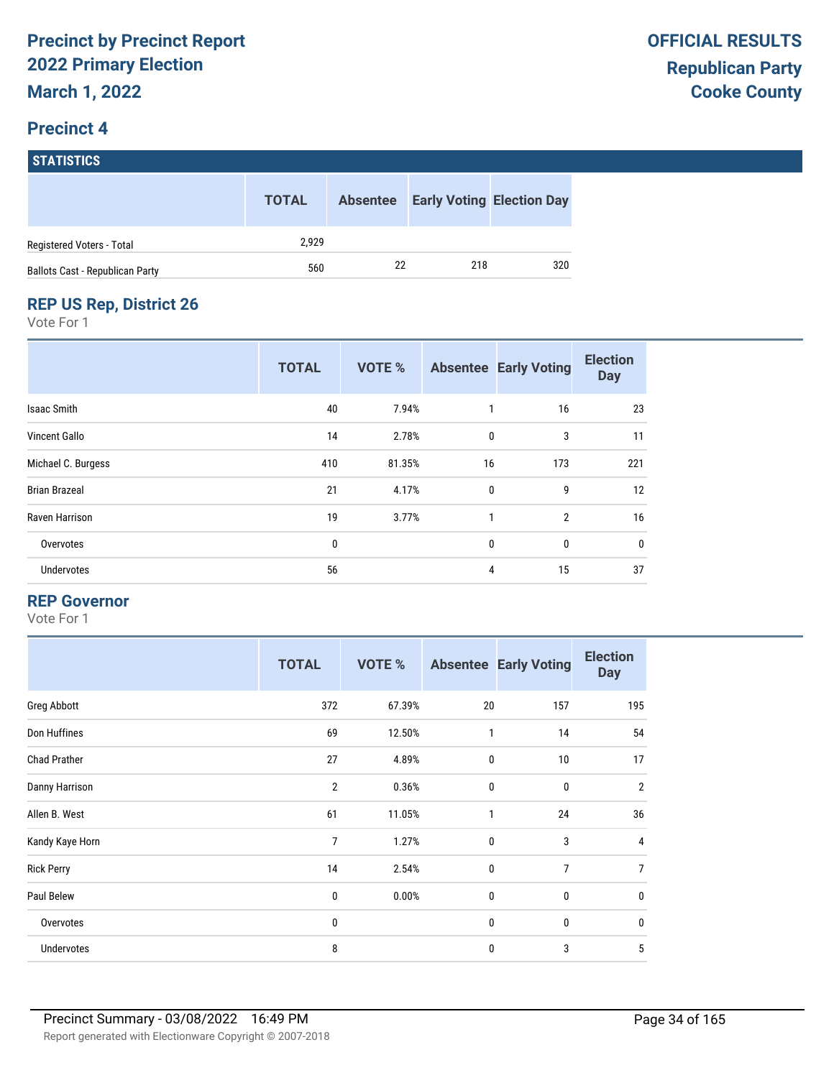# **STATISTICS**

|                                        | <b>TOTAL</b> | <b>Absentee</b> |     | <b>Early Voting Election Day</b> |
|----------------------------------------|--------------|-----------------|-----|----------------------------------|
| Registered Voters - Total              | 2.929        |                 |     |                                  |
| <b>Ballots Cast - Republican Party</b> | 560          | 22              | 218 | 320                              |

#### **REP US Rep, District 26**

Vote For 1

|                      | <b>TOTAL</b> | <b>VOTE %</b> |              | <b>Absentee Early Voting</b> | <b>Election</b><br><b>Day</b> |
|----------------------|--------------|---------------|--------------|------------------------------|-------------------------------|
| <b>Isaac Smith</b>   | 40           | 7.94%         | 1            | 16                           | 23                            |
| Vincent Gallo        | 14           | 2.78%         | $\mathbf 0$  | 3                            | 11                            |
| Michael C. Burgess   | 410          | 81.35%        | 16           | 173                          | 221                           |
| <b>Brian Brazeal</b> | 21           | 4.17%         | $\mathbf 0$  | 9                            | 12                            |
| Raven Harrison       | 19           | 3.77%         | $\mathbf{1}$ | $\overline{2}$               | 16                            |
| Overvotes            | 0            |               | 0            | 0                            | 0                             |
| Undervotes           | 56           |               | 4            | 15                           | 37                            |

#### **REP Governor**

|                     | <b>TOTAL</b>   | <b>VOTE %</b> |              | <b>Absentee Early Voting</b> | <b>Election</b><br><b>Day</b> |
|---------------------|----------------|---------------|--------------|------------------------------|-------------------------------|
| Greg Abbott         | 372            | 67.39%        | 20           | 157                          | 195                           |
| Don Huffines        | 69             | 12.50%        | $\mathbf{1}$ | 14                           | 54                            |
| <b>Chad Prather</b> | 27             | 4.89%         | $\mathbf 0$  | 10                           | 17                            |
| Danny Harrison      | $\overline{2}$ | 0.36%         | $\mathbf 0$  | $\bf{0}$                     | $\overline{2}$                |
| Allen B. West       | 61             | 11.05%        | $\mathbf{1}$ | 24                           | 36                            |
| Kandy Kaye Horn     | 7              | 1.27%         | $\mathbf 0$  | 3                            | 4                             |
| <b>Rick Perry</b>   | 14             | 2.54%         | $\mathbf 0$  | $\overline{7}$               | 7                             |
| Paul Belew          | 0              | 0.00%         | $\mathbf 0$  | 0                            | $\mathbf 0$                   |
| Overvotes           | 0              |               | $\mathbf 0$  | 0                            | $\mathbf 0$                   |
| Undervotes          | 8              |               | 0            | 3                            | 5                             |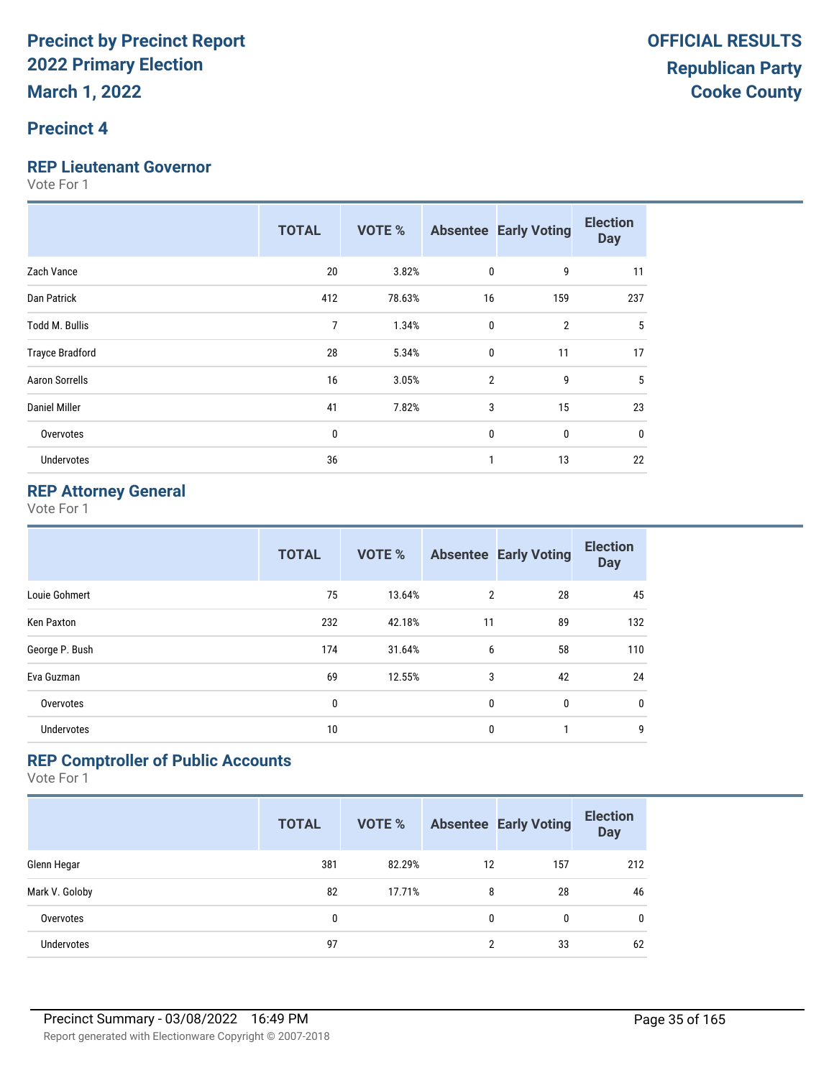#### **Precinct 4**

#### **REP Lieutenant Governor**

Vote For 1

|                        | <b>TOTAL</b> | <b>VOTE %</b> |                | <b>Absentee Early Voting</b> | <b>Election</b><br><b>Day</b> |
|------------------------|--------------|---------------|----------------|------------------------------|-------------------------------|
| Zach Vance             | 20           | 3.82%         | 0              | 9                            | 11                            |
| Dan Patrick            | 412          | 78.63%        | 16             | 159                          | 237                           |
| <b>Todd M. Bullis</b>  | 7            | 1.34%         | 0              | $\overline{2}$               | 5                             |
| <b>Trayce Bradford</b> | 28           | 5.34%         | $\mathbf{0}$   | 11                           | 17                            |
| <b>Aaron Sorrells</b>  | 16           | 3.05%         | $\overline{2}$ | 9                            | 5                             |
| Daniel Miller          | 41           | 7.82%         | 3              | 15                           | 23                            |
| Overvotes              | 0            |               | $\mathbf{0}$   | 0                            | 0                             |
| Undervotes             | 36           |               |                | 13                           | 22                            |

#### **REP Attorney General**

Vote For 1

|                   | <b>TOTAL</b> | <b>VOTE %</b> |                | <b>Absentee Early Voting</b> | <b>Election</b><br><b>Day</b> |
|-------------------|--------------|---------------|----------------|------------------------------|-------------------------------|
| Louie Gohmert     | 75           | 13.64%        | $\overline{2}$ | 28                           | 45                            |
| Ken Paxton        | 232          | 42.18%        | 11             | 89                           | 132                           |
| George P. Bush    | 174          | 31.64%        | 6              | 58                           | 110                           |
| Eva Guzman        | 69           | 12.55%        | 3              | 42                           | 24                            |
| Overvotes         | 0            |               | 0              | 0                            | $\mathbf 0$                   |
| <b>Undervotes</b> | 10           |               | 0              | 1                            | 9                             |

#### **REP Comptroller of Public Accounts**

|                   | <b>TOTAL</b> | <b>VOTE %</b> |    | <b>Absentee Early Voting</b> | <b>Election</b><br><b>Day</b> |
|-------------------|--------------|---------------|----|------------------------------|-------------------------------|
| Glenn Hegar       | 381          | 82.29%        | 12 | 157                          | 212                           |
| Mark V. Goloby    | 82           | 17.71%        | 8  | 28                           | 46                            |
| Overvotes         | 0            |               | 0  | $\bf{0}$                     | 0                             |
| <b>Undervotes</b> | 97           |               | 2  | 33                           | 62                            |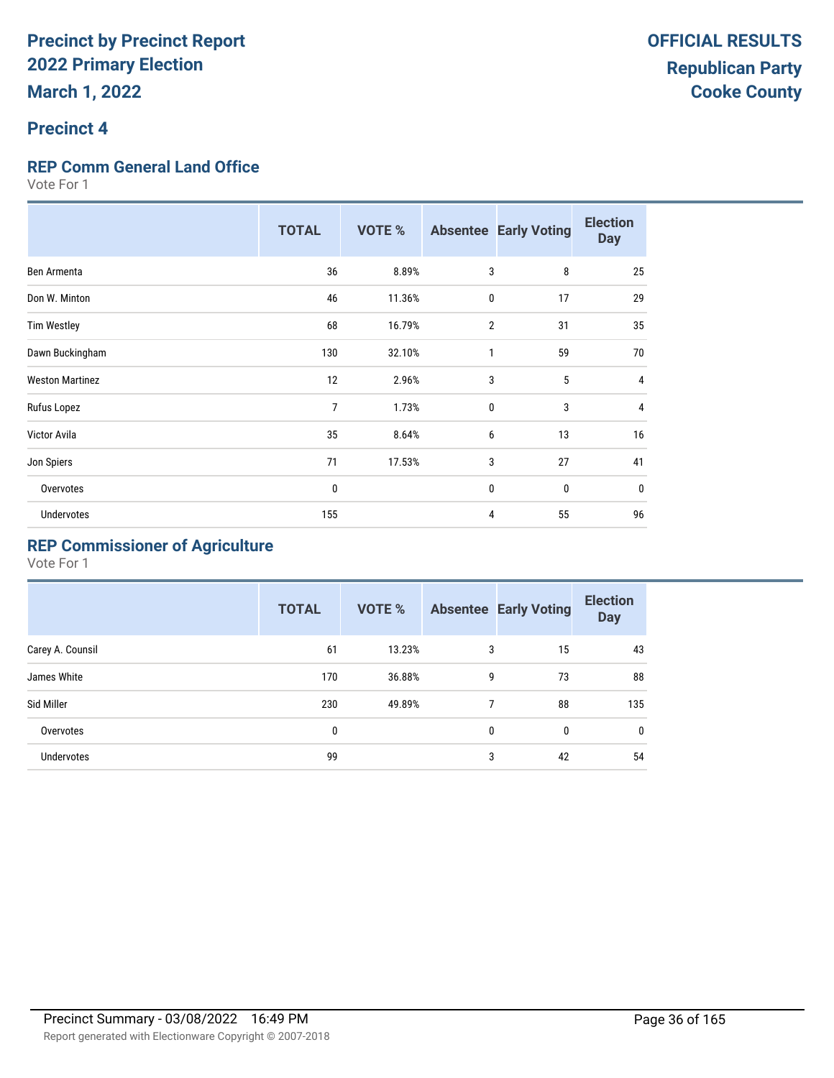#### **Precinct 4**

#### **REP Comm General Land Office**

Vote For 1

|                        | <b>TOTAL</b> | <b>VOTE %</b> |              | <b>Absentee Early Voting</b> | <b>Election</b><br><b>Day</b> |
|------------------------|--------------|---------------|--------------|------------------------------|-------------------------------|
| Ben Armenta            | 36           | 8.89%         | 3            | 8                            | 25                            |
| Don W. Minton          | 46           | 11.36%        | 0            | 17                           | 29                            |
| <b>Tim Westley</b>     | 68           | 16.79%        | 2            | 31                           | 35                            |
| Dawn Buckingham        | 130          | 32.10%        | 1            | 59                           | 70                            |
| <b>Weston Martinez</b> | 12           | 2.96%         | 3            | 5                            | $\overline{4}$                |
| Rufus Lopez            | 7            | 1.73%         | $\mathbf{0}$ | 3                            | 4                             |
| Victor Avila           | 35           | 8.64%         | 6            | 13                           | 16                            |
| Jon Spiers             | 71           | 17.53%        | 3            | 27                           | 41                            |
| Overvotes              | 0            |               | $\mathbf 0$  | $\mathbf{0}$                 | $\mathbf{0}$                  |
| <b>Undervotes</b>      | 155          |               | 4            | 55                           | 96                            |

### **REP Commissioner of Agriculture**

|                  | <b>TOTAL</b> | <b>VOTE %</b> |   | <b>Absentee Early Voting</b> | <b>Election</b><br><b>Day</b> |
|------------------|--------------|---------------|---|------------------------------|-------------------------------|
| Carey A. Counsil | 61           | 13.23%        | 3 | 15                           | 43                            |
| James White      | 170          | 36.88%        | 9 | 73                           | 88                            |
| Sid Miller       | 230          | 49.89%        | 7 | 88                           | 135                           |
| Overvotes        | 0            |               | 0 | 0                            | $\mathbf{0}$                  |
| Undervotes       | 99           |               | 3 | 42                           | 54                            |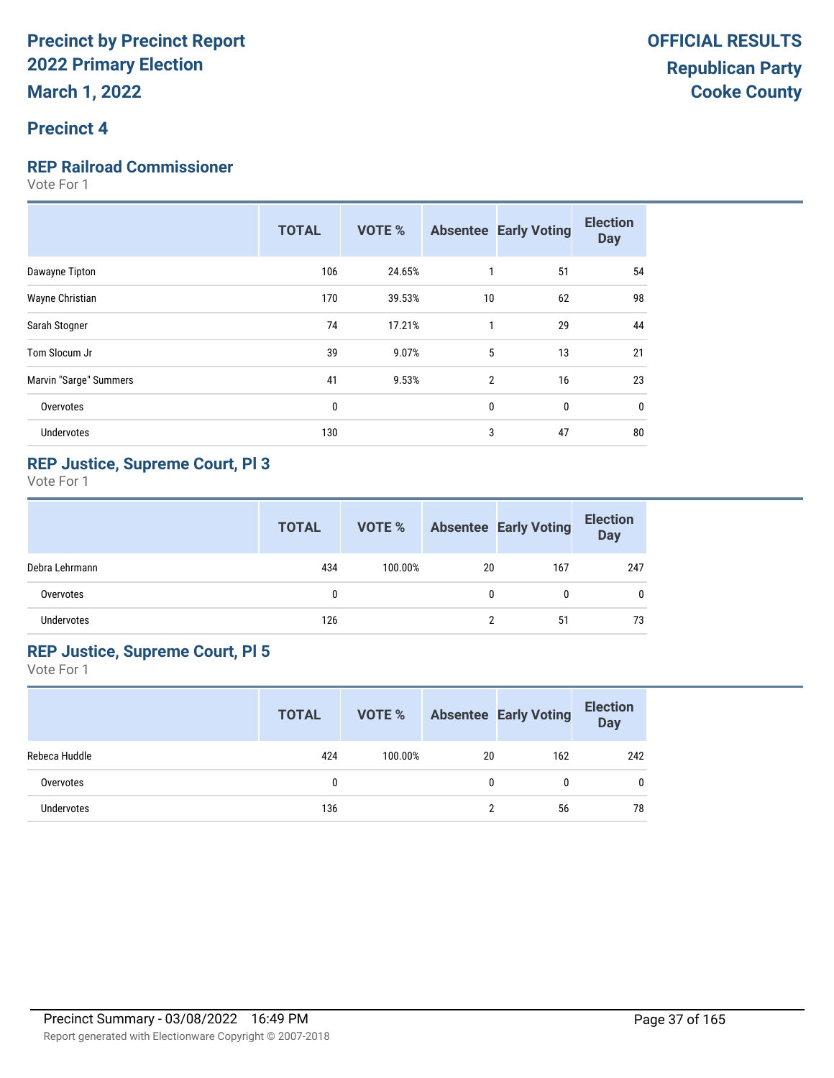## **Precinct 4**

### **REP Railroad Commissioner**

Vote For 1

|                        | <b>TOTAL</b> | <b>VOTE %</b> |                | <b>Absentee Early Voting</b> | <b>Election</b><br><b>Day</b> |
|------------------------|--------------|---------------|----------------|------------------------------|-------------------------------|
| Dawayne Tipton         | 106          | 24.65%        |                | 51                           | 54                            |
| Wayne Christian        | 170          | 39.53%        | 10             | 62                           | 98                            |
| Sarah Stogner          | 74           | 17.21%        | 1              | 29                           | 44                            |
| Tom Slocum Jr          | 39           | 9.07%         | 5              | 13                           | 21                            |
| Marvin "Sarge" Summers | 41           | 9.53%         | $\overline{2}$ | 16                           | 23                            |
| Overvotes              | 0            |               | $\mathbf 0$    | 0                            | 0                             |
| <b>Undervotes</b>      | 130          |               | 3              | 47                           | 80                            |
|                        |              |               |                |                              |                               |

## **REP Justice, Supreme Court, Pl 3**

Vote For 1

|                | <b>TOTAL</b> | VOTE %  |    | <b>Absentee Early Voting</b> | <b>Election</b><br><b>Day</b> |
|----------------|--------------|---------|----|------------------------------|-------------------------------|
| Debra Lehrmann | 434          | 100.00% | 20 | 167                          | 247                           |
| Overvotes      | 0            |         | 0  |                              | 0                             |
| Undervotes     | 126          |         | າ  | 51                           | 73                            |

### **REP Justice, Supreme Court, Pl 5**

|               | <b>TOTAL</b> | VOTE %  |    | <b>Absentee Early Voting</b> | <b>Election</b><br><b>Day</b> |
|---------------|--------------|---------|----|------------------------------|-------------------------------|
| Rebeca Huddle | 424          | 100.00% | 20 | 162                          | 242                           |
| Overvotes     | 0            |         | 0  | N                            | $\mathbf{0}$                  |
| Undervotes    | 136          |         |    | 56                           | 78                            |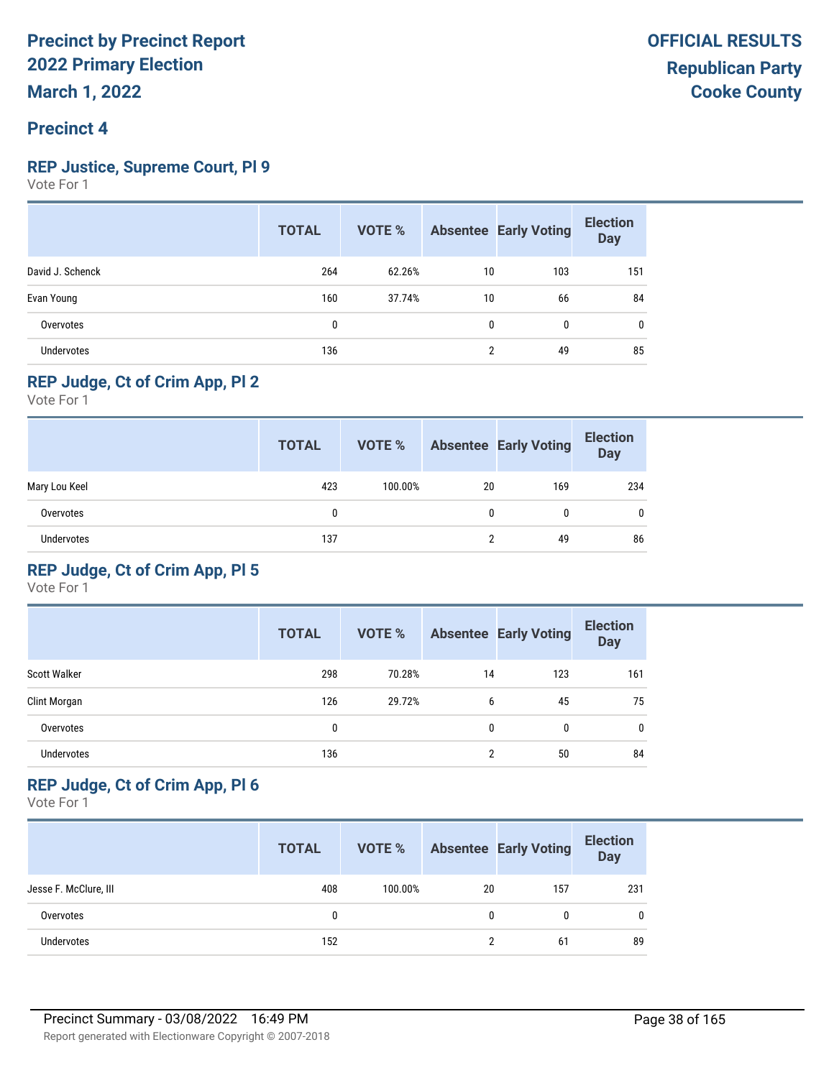## **REP Justice, Supreme Court, Pl 9**

Vote For 1

|                   | <b>TOTAL</b> | VOTE % |                | <b>Absentee Early Voting</b> | <b>Election</b><br><b>Day</b> |
|-------------------|--------------|--------|----------------|------------------------------|-------------------------------|
| David J. Schenck  | 264          | 62.26% | 10             | 103                          | 151                           |
| Evan Young        | 160          | 37.74% | 10             | 66                           | 84                            |
| Overvotes         | 0            |        | 0              | 0                            | $\mathbf{0}$                  |
| <b>Undervotes</b> | 136          |        | $\overline{2}$ | 49                           | 85                            |

## **REP Judge, Ct of Crim App, Pl 2**

Vote For 1

|                   | <b>TOTAL</b> | VOTE %  |    | <b>Absentee Early Voting</b> | <b>Election</b><br>Day |
|-------------------|--------------|---------|----|------------------------------|------------------------|
| Mary Lou Keel     | 423          | 100.00% | 20 | 169                          | 234                    |
| Overvotes         | 0            |         | 0  |                              | 0                      |
| <b>Undervotes</b> | 137          |         | າ  | 49                           | 86                     |

## **REP Judge, Ct of Crim App, Pl 5**

Vote For 1

|                     | <b>TOTAL</b> | <b>VOTE %</b> |    | <b>Absentee Early Voting</b> | <b>Election</b><br><b>Day</b> |
|---------------------|--------------|---------------|----|------------------------------|-------------------------------|
| <b>Scott Walker</b> | 298          | 70.28%        | 14 | 123                          | 161                           |
| Clint Morgan        | 126          | 29.72%        | 6  | 45                           | 75                            |
| Overvotes           | 0            |               | 0  | 0                            | 0                             |
| <b>Undervotes</b>   | 136          |               | 2  | 50                           | 84                            |

## **REP Judge, Ct of Crim App, Pl 6**

|                       | <b>TOTAL</b> | VOTE %  |    | <b>Absentee Early Voting</b> | <b>Election</b><br><b>Day</b> |
|-----------------------|--------------|---------|----|------------------------------|-------------------------------|
| Jesse F. McClure, III | 408          | 100.00% | 20 | 157                          | 231                           |
| Overvotes             | 0            |         | 0  |                              | 0                             |
| <b>Undervotes</b>     | 152          |         | າ  | 61                           | 89                            |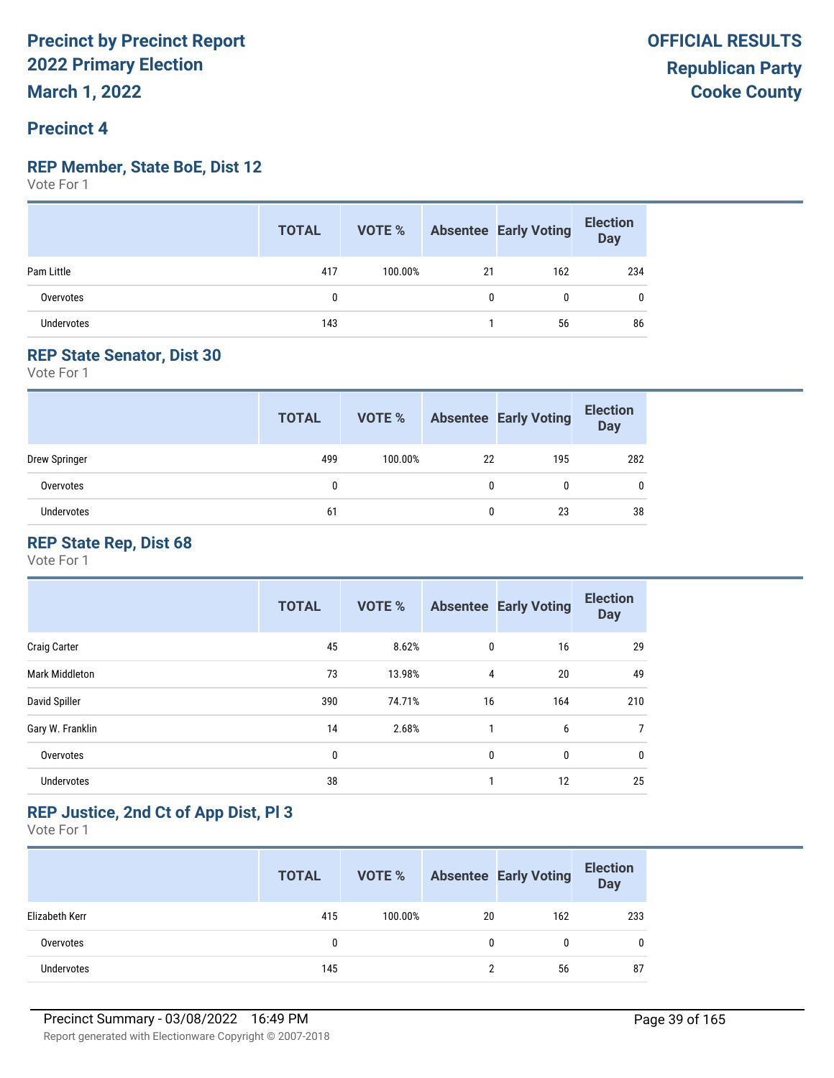#### **REP Member, State BoE, Dist 12**

Vote For 1

|                   | <b>TOTAL</b> |         |    | <b>VOTE %</b> Absentee Early Voting | <b>Election</b><br>Day |
|-------------------|--------------|---------|----|-------------------------------------|------------------------|
| Pam Little        | 417          | 100.00% | 21 | 162                                 | 234                    |
| Overvotes         |              |         |    | 0                                   | 0                      |
| <b>Undervotes</b> | 143          |         |    | 56                                  | 86                     |

## **REP State Senator, Dist 30**

Vote For 1

|               | <b>TOTAL</b> | VOTE %  |    | <b>Absentee Early Voting</b> | <b>Election</b><br><b>Day</b> |
|---------------|--------------|---------|----|------------------------------|-------------------------------|
| Drew Springer | 499          | 100.00% | 22 | 195                          | 282                           |
| Overvotes     | 0            |         | 0  |                              | $\mathbf{0}$                  |
| Undervotes    | 61           |         |    | 23                           | 38                            |

## **REP State Rep, Dist 68**

Vote For 1

|                       | <b>TOTAL</b> | <b>VOTE %</b> |             | <b>Absentee Early Voting</b> | <b>Election</b><br><b>Day</b> |
|-----------------------|--------------|---------------|-------------|------------------------------|-------------------------------|
| <b>Craig Carter</b>   | 45           | 8.62%         | $\mathbf 0$ | 16                           | 29                            |
| <b>Mark Middleton</b> | 73           | 13.98%        | 4           | 20                           | 49                            |
| David Spiller         | 390          | 74.71%        | 16          | 164                          | 210                           |
| Gary W. Franklin      | 14           | 2.68%         | 1           | 6                            | 7                             |
| Overvotes             | 0            |               | 0           | 0                            | 0                             |
| <b>Undervotes</b>     | 38           |               | 1           | 12                           | 25                            |

## **REP Justice, 2nd Ct of App Dist, Pl 3**

|                   | <b>TOTAL</b> | VOTE %  |    | <b>Absentee Early Voting</b> | <b>Election</b><br>Day |
|-------------------|--------------|---------|----|------------------------------|------------------------|
| Elizabeth Kerr    | 415          | 100.00% | 20 | 162                          | 233                    |
| Overvotes         | 0            |         |    | 0                            | 0                      |
| <b>Undervotes</b> | 145          |         |    | 56                           | 87                     |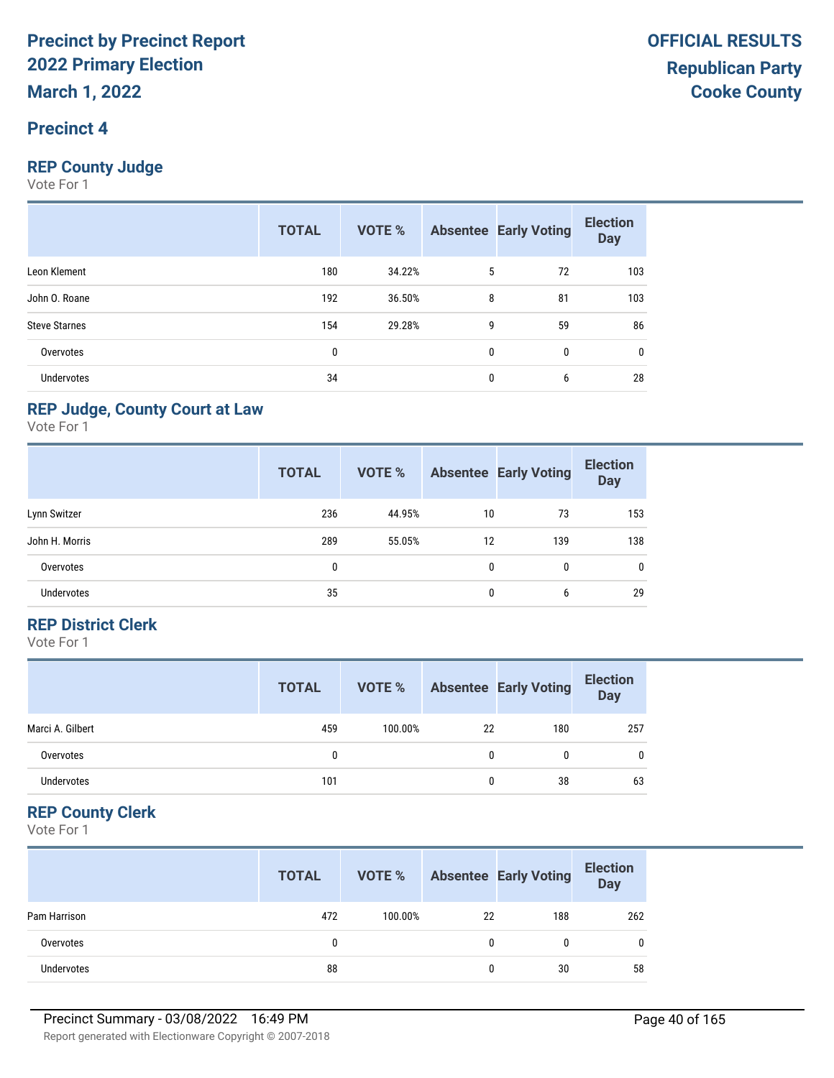## **Precinct 4**

## **REP County Judge**

Vote For 1

|                      | <b>TOTAL</b> | VOTE % |              | <b>Absentee Early Voting</b> | <b>Election</b><br><b>Day</b> |
|----------------------|--------------|--------|--------------|------------------------------|-------------------------------|
| Leon Klement         | 180          | 34.22% | 5            | 72                           | 103                           |
| John O. Roane        | 192          | 36.50% | 8            | 81                           | 103                           |
| <b>Steve Starnes</b> | 154          | 29.28% | 9            | 59                           | 86                            |
| Overvotes            | 0            |        | $\mathbf{0}$ | $\mathbf{0}$                 | 0                             |
| Undervotes           | 34           |        | 0            | 6                            | 28                            |

### **REP Judge, County Court at Law**

Vote For 1

|                | <b>TOTAL</b> | <b>VOTE %</b> |    | <b>Absentee Early Voting</b> | <b>Election</b><br><b>Day</b> |
|----------------|--------------|---------------|----|------------------------------|-------------------------------|
| Lynn Switzer   | 236          | 44.95%        | 10 | 73                           | 153                           |
| John H. Morris | 289          | 55.05%        | 12 | 139                          | 138                           |
| Overvotes      | 0            |               | 0  | 0                            | 0                             |
| Undervotes     | 35           |               | 0  | 6                            | 29                            |

### **REP District Clerk**

Vote For 1

|                   | <b>TOTAL</b> | VOTE %  |    | <b>Absentee Early Voting</b> | <b>Election</b><br><b>Day</b> |
|-------------------|--------------|---------|----|------------------------------|-------------------------------|
| Marci A. Gilbert  | 459          | 100.00% | 22 | 180                          | 257                           |
| Overvotes         | 0            |         | 0  | 0                            | $\mathbf{0}$                  |
| <b>Undervotes</b> | 101          |         | O  | 38                           | 63                            |

## **REP County Clerk**

|              | <b>TOTAL</b> | VOTE %  |              | <b>Absentee Early Voting</b> | <b>Election</b><br>Day |
|--------------|--------------|---------|--------------|------------------------------|------------------------|
| Pam Harrison | 472          | 100.00% | 22           | 188                          | 262                    |
| Overvotes    | 0            |         | $\mathbf{0}$ | 0                            |                        |
| Undervotes   | 88           |         | 0            | 30                           | 58                     |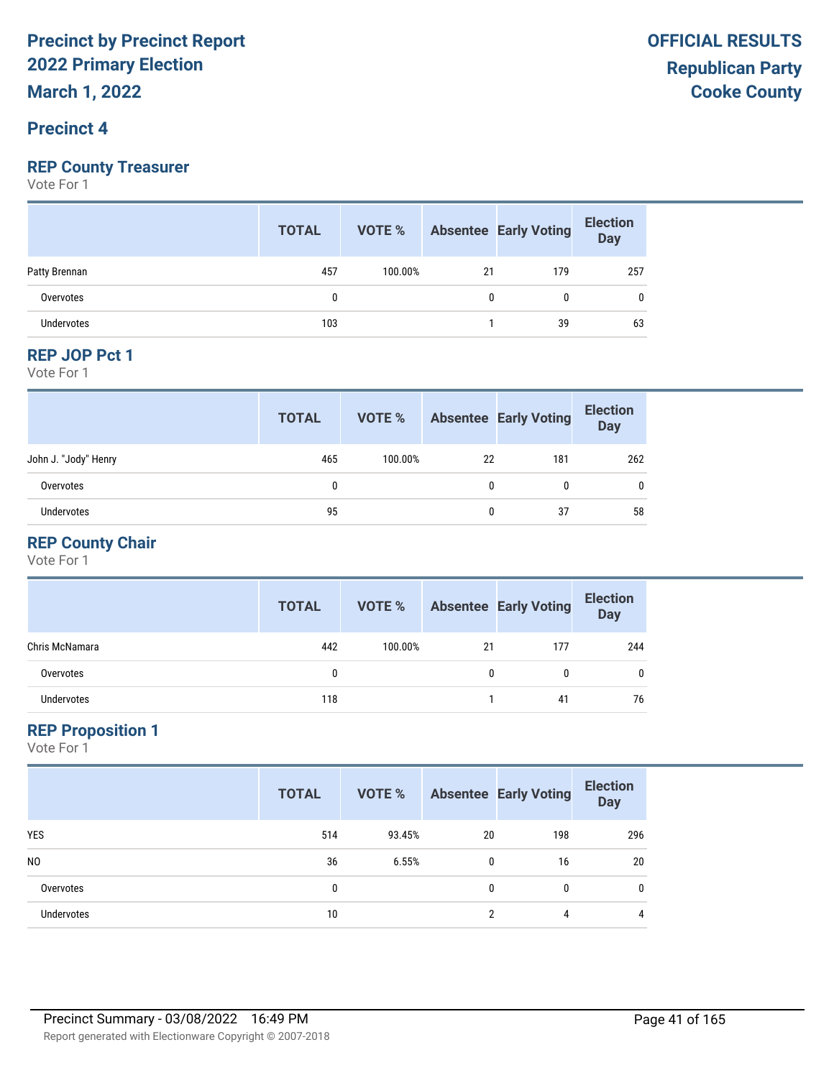**March 1, 2022**

## **Precinct 4**

## **REP County Treasurer**

Vote For 1

|                   | <b>TOTAL</b> | <b>VOTE %</b> |    | <b>Absentee Early Voting</b> | <b>Election</b><br>Day |
|-------------------|--------------|---------------|----|------------------------------|------------------------|
| Patty Brennan     | 457          | 100.00%       | 21 | 179                          | 257                    |
| Overvotes         |              |               |    | 0                            | 0                      |
| <b>Undervotes</b> | 103          |               |    | 39                           | 63                     |

#### **REP JOP Pct 1**

Vote For 1

|                      | <b>TOTAL</b> | VOTE %  |              | <b>Absentee Early Voting</b> | <b>Election</b><br><b>Day</b> |
|----------------------|--------------|---------|--------------|------------------------------|-------------------------------|
| John J. "Jody" Henry | 465          | 100.00% | 22           | 181                          | 262                           |
| Overvotes            | 0            |         | $\mathbf{0}$ | 0                            | 0                             |
| Undervotes           | 95           |         | $\mathbf{0}$ | 37                           | 58                            |

## **REP County Chair**

Vote For 1

|                | <b>TOTAL</b> | VOTE %  |    | <b>Absentee Early Voting</b> | <b>Election</b><br><b>Day</b> |
|----------------|--------------|---------|----|------------------------------|-------------------------------|
| Chris McNamara | 442          | 100.00% | 21 | 177                          | 244                           |
| Overvotes      | 0            |         | 0  |                              |                               |
| Undervotes     | 118          |         |    | 41                           | 76                            |

#### **REP Proposition 1**

|                   | <b>TOTAL</b> | VOTE % |          | <b>Absentee Early Voting</b> | <b>Election</b><br><b>Day</b> |
|-------------------|--------------|--------|----------|------------------------------|-------------------------------|
| <b>YES</b>        | 514          | 93.45% | 20       | 198                          | 296                           |
| N <sub>0</sub>    | 36           | 6.55%  | 0        | 16                           | 20                            |
| Overvotes         | 0            |        | $\Omega$ | $\mathbf{0}$                 | 0                             |
| <b>Undervotes</b> | 10           |        | າ        | 4                            | 4                             |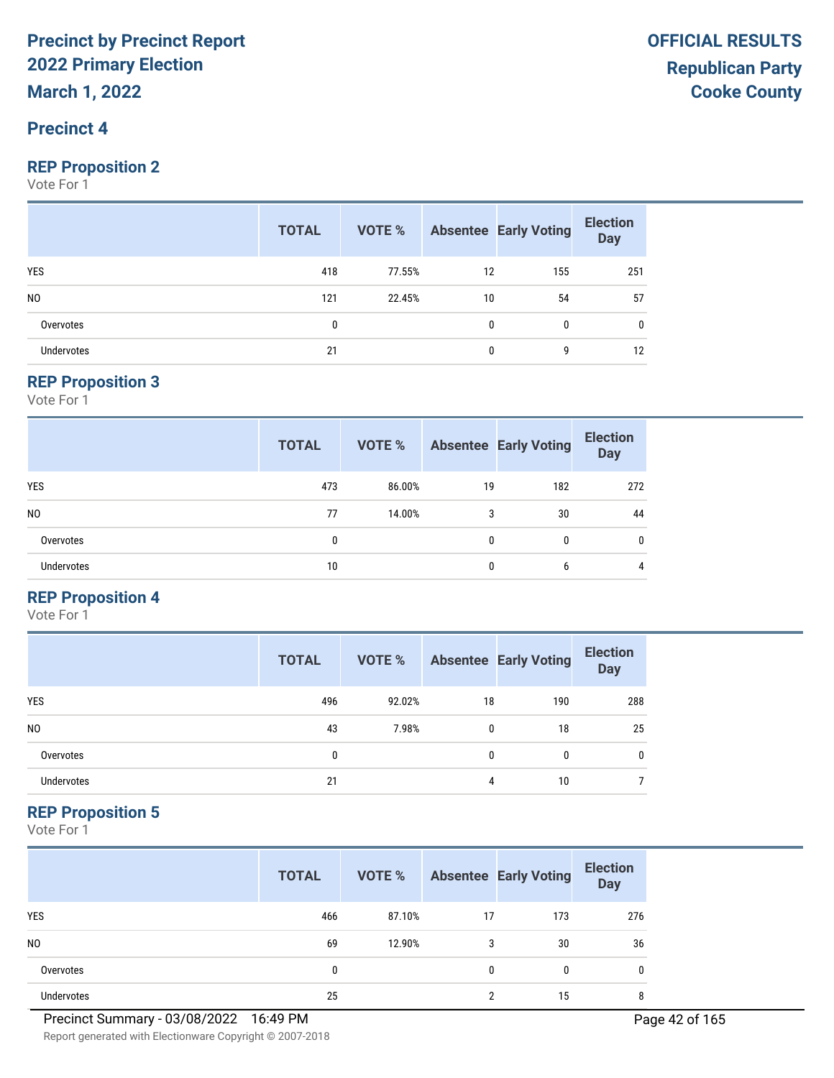**March 1, 2022**

## **Precinct 4**

#### **REP Proposition 2**

Vote For 1

|                   | <b>TOTAL</b> |        |              | <b>VOTE %</b> Absentee Early Voting | <b>Election</b><br>Day |
|-------------------|--------------|--------|--------------|-------------------------------------|------------------------|
| <b>YES</b>        | 418          | 77.55% | 12           | 155                                 | 251                    |
| N <sub>0</sub>    | 121          | 22.45% | 10           | 54                                  | 57                     |
| Overvotes         | 0            |        | $\mathbf{0}$ | $\mathbf{0}$                        | 0                      |
| <b>Undervotes</b> | 21           |        | 0            | g                                   | 12                     |

#### **REP Proposition 3**

Vote For 1

|                   | <b>TOTAL</b> | <b>VOTE %</b> |              | <b>Absentee Early Voting</b> | <b>Election</b><br><b>Day</b> |
|-------------------|--------------|---------------|--------------|------------------------------|-------------------------------|
| <b>YES</b>        | 473          | 86.00%        | 19           | 182                          | 272                           |
| N <sub>0</sub>    | 77           | 14.00%        | 3            | 30                           | 44                            |
| Overvotes         | 0            |               | $\mathbf{0}$ | 0                            | $\mathbf{0}$                  |
| <b>Undervotes</b> | 10           |               | 0            | 6                            | 4                             |

## **REP Proposition 4**

Vote For 1

|                | <b>TOTAL</b> | VOTE % |    | <b>Absentee Early Voting</b> | <b>Election</b><br><b>Day</b> |
|----------------|--------------|--------|----|------------------------------|-------------------------------|
| <b>YES</b>     | 496          | 92.02% | 18 | 190                          | 288                           |
| N <sub>0</sub> | 43           | 7.98%  | 0  | 18                           | 25                            |
| Overvotes      | 0            |        | 0  | 0                            | 0                             |
| Undervotes     | 21           |        | 4  | 10                           |                               |

#### **REP Proposition 5**

|                | <b>TOTAL</b> | VOTE % |              | <b>Absentee Early Voting</b> | <b>Election</b><br><b>Day</b> |
|----------------|--------------|--------|--------------|------------------------------|-------------------------------|
| <b>YES</b>     | 466          | 87.10% | 17           | 173                          | 276                           |
| N <sub>0</sub> | 69           | 12.90% | 3            | 30                           | 36                            |
| Overvotes      | 0            |        | $\mathbf{0}$ | 0                            | 0                             |
| Undervotes     | 25           |        | ∩            | 15                           | 8                             |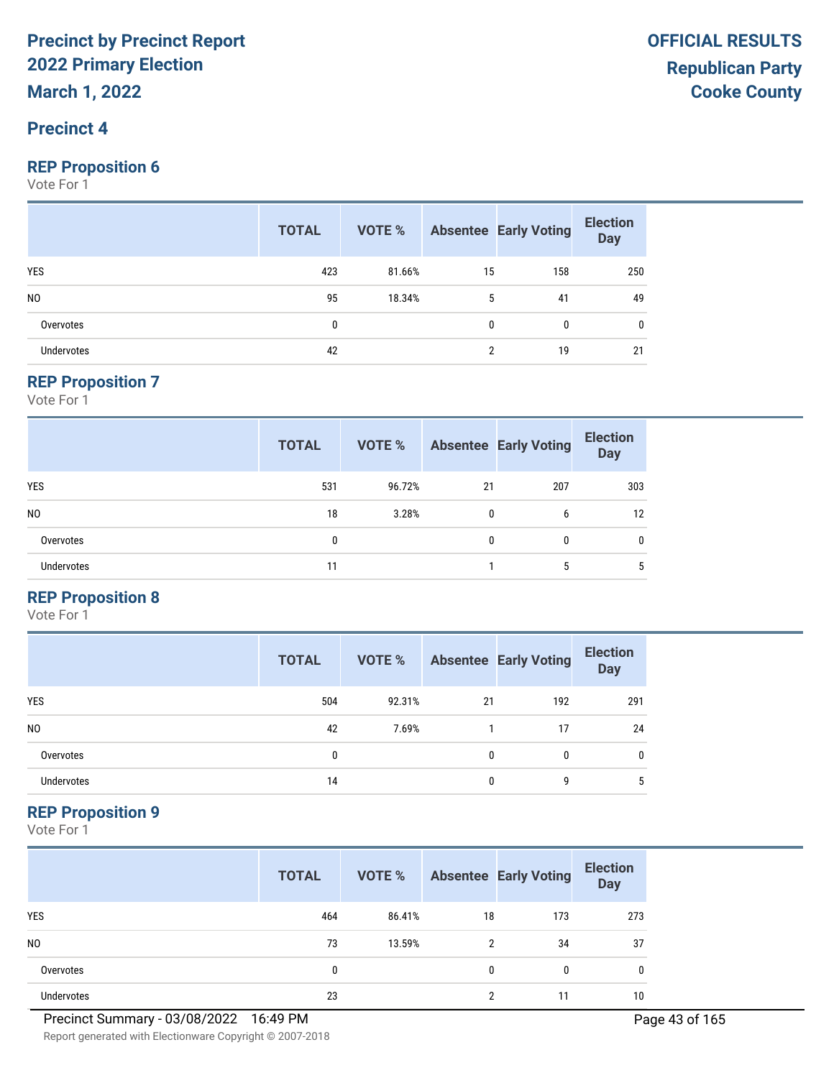## **Precinct 4**

#### **REP Proposition 6**

Vote For 1

|                   | <b>TOTAL</b> | <b>VOTE %</b> Absentee Early Voting |    |     | <b>Election</b><br>Day |
|-------------------|--------------|-------------------------------------|----|-----|------------------------|
| <b>YES</b>        | 423          | 81.66%                              | 15 | 158 | 250                    |
| N <sub>0</sub>    | 95           | 18.34%                              | 5  | 41  | 49                     |
| Overvotes         | 0            |                                     | 0  | 0   | 0                      |
| <b>Undervotes</b> | 42           |                                     | ∩  | 19  | 21                     |

#### **REP Proposition 7**

Vote For 1

|                   | <b>TOTAL</b> | <b>VOTE %</b> |              | <b>Absentee Early Voting</b> | <b>Election</b><br><b>Day</b> |
|-------------------|--------------|---------------|--------------|------------------------------|-------------------------------|
| YES               | 531          | 96.72%        | 21           | 207                          | 303                           |
| N <sub>0</sub>    | 18           | 3.28%         | $\mathbf{0}$ | 6                            | 12                            |
| Overvotes         | 0            |               | $\mathbf{0}$ | 0                            | $\mathbf{0}$                  |
| <b>Undervotes</b> | 11           |               |              | 5                            | 5                             |

## **REP Proposition 8**

Vote For 1

|                | <b>TOTAL</b> | VOTE % |    | <b>Absentee Early Voting</b> | <b>Election</b><br><b>Day</b> |
|----------------|--------------|--------|----|------------------------------|-------------------------------|
| <b>YES</b>     | 504          | 92.31% | 21 | 192                          | 291                           |
| N <sub>0</sub> | 42           | 7.69%  |    | 17                           | 24                            |
| Overvotes      | 0            |        | 0  | 0                            | 0                             |
| Undervotes     | 14           |        | 0  | g                            | 5                             |

#### **REP Proposition 9**

|                | <b>TOTAL</b> | VOTE % |          | <b>Absentee Early Voting</b> | <b>Election</b><br><b>Day</b> |
|----------------|--------------|--------|----------|------------------------------|-------------------------------|
| <b>YES</b>     | 464          | 86.41% | 18       | 173                          | 273                           |
| N <sub>0</sub> | 73           | 13.59% | 2        | 34                           | 37                            |
| Overvotes      | 0            |        | $\Omega$ | 0                            | 0                             |
| Undervotes     | 23           |        | c        | 11                           | 10                            |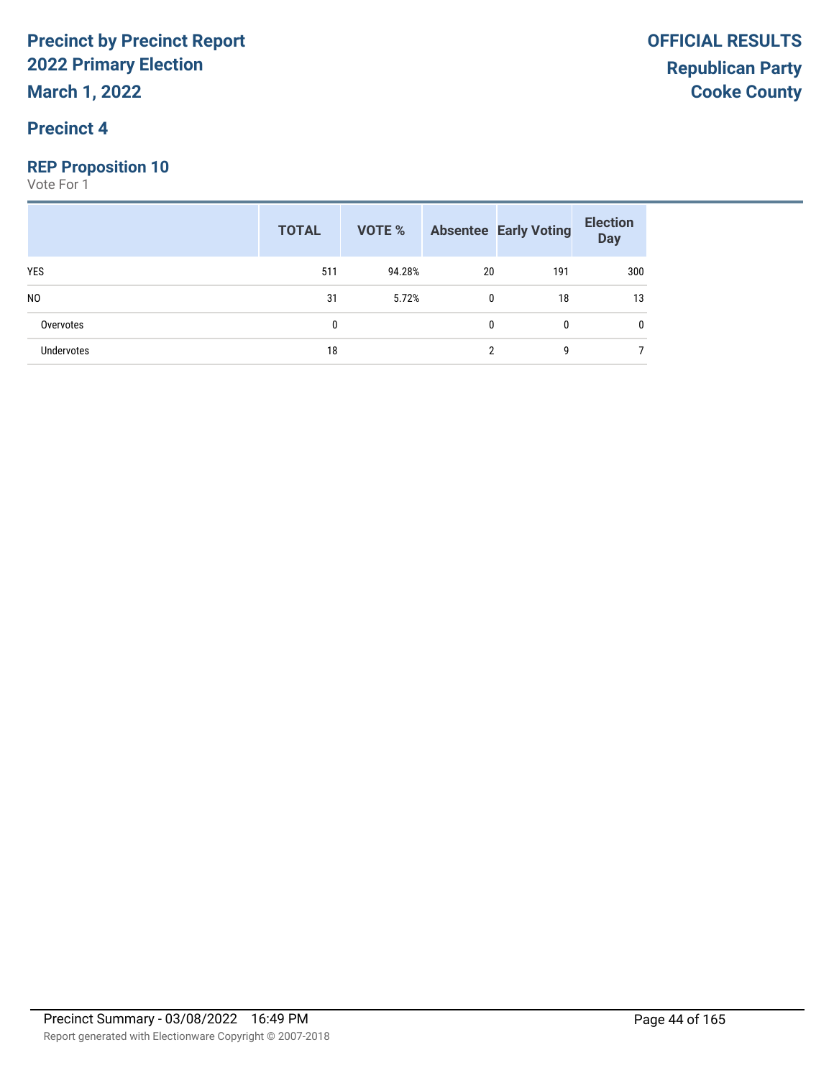## **Precinct 4**

## **REP Proposition 10**

|                | <b>TOTAL</b> |        |    | <b>VOTE % Absentee Early Voting</b> | <b>Election</b><br>Day |
|----------------|--------------|--------|----|-------------------------------------|------------------------|
| <b>YES</b>     | 511          | 94.28% | 20 | 191                                 | 300                    |
| N <sub>0</sub> | 31           | 5.72%  | 0  | 18                                  | 13                     |
| Overvotes      | 0            |        | 0  | $\mathbf{0}$                        |                        |
| Undervotes     | 18           |        | າ  | g                                   |                        |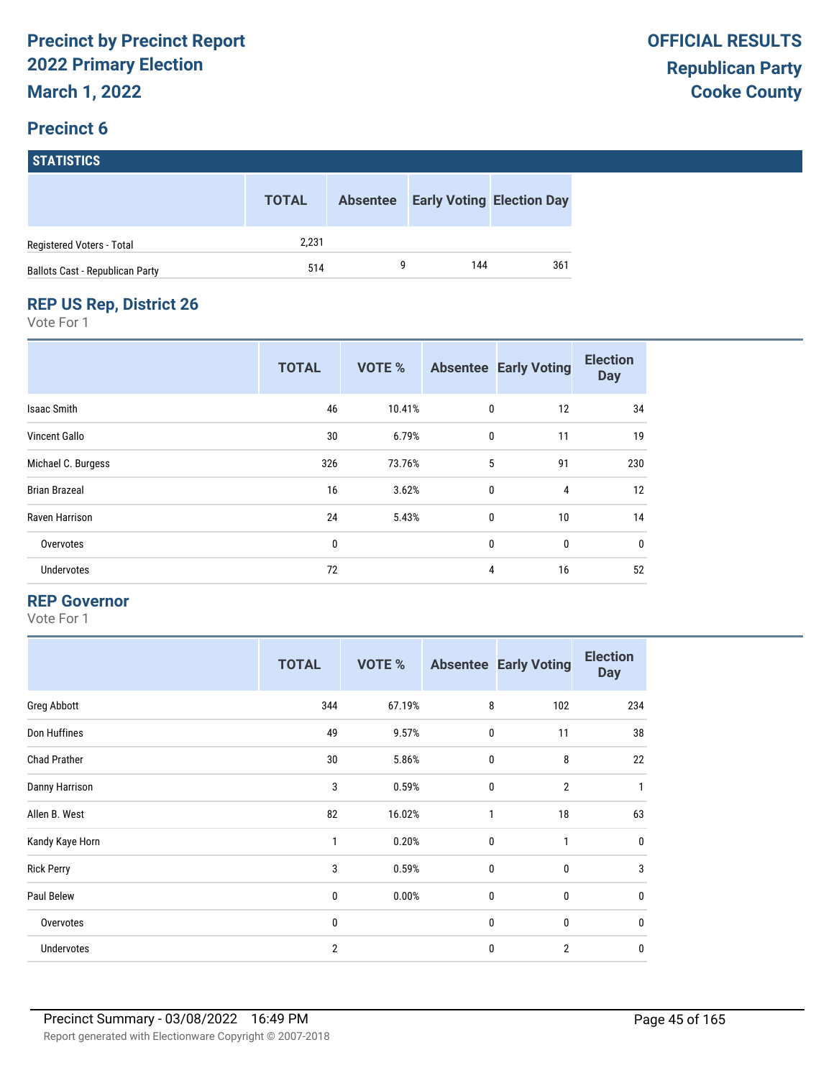# **STATISTICS**

|                                        | <b>TOTAL</b> | <b>Absentee</b> |     | <b>Early Voting Election Day</b> |
|----------------------------------------|--------------|-----------------|-----|----------------------------------|
| Registered Voters - Total              | 2,231        |                 |     |                                  |
| <b>Ballots Cast - Republican Party</b> | 514          |                 | 144 | 361                              |

## **REP US Rep, District 26**

Vote For 1

|                      | <b>TOTAL</b> | <b>VOTE %</b> |             | <b>Absentee Early Voting</b> | <b>Election</b><br><b>Day</b> |
|----------------------|--------------|---------------|-------------|------------------------------|-------------------------------|
| <b>Isaac Smith</b>   | 46           | 10.41%        | 0           | 12                           | 34                            |
| <b>Vincent Gallo</b> | 30           | 6.79%         | $\mathbf 0$ | 11                           | 19                            |
| Michael C. Burgess   | 326          | 73.76%        | 5           | 91                           | 230                           |
| <b>Brian Brazeal</b> | 16           | 3.62%         | $\mathbf 0$ | 4                            | 12                            |
| Raven Harrison       | 24           | 5.43%         | $\mathbf 0$ | 10                           | 14                            |
| Overvotes            | 0            |               | $\mathbf 0$ | $\mathbf{0}$                 | $\mathbf 0$                   |
| <b>Undervotes</b>    | 72           |               | 4           | 16                           | 52                            |

#### **REP Governor**

|                     | <b>TOTAL</b>   | <b>VOTE %</b> |              | <b>Absentee Early Voting</b> | <b>Election</b><br><b>Day</b> |
|---------------------|----------------|---------------|--------------|------------------------------|-------------------------------|
| Greg Abbott         | 344            | 67.19%        | 8            | 102                          | 234                           |
| Don Huffines        | 49             | 9.57%         | $\mathbf 0$  | 11                           | 38                            |
| <b>Chad Prather</b> | 30             | 5.86%         | $\mathbf 0$  | 8                            | 22                            |
| Danny Harrison      | 3              | 0.59%         | $\mathbf 0$  | $\overline{2}$               | $\mathbf{1}$                  |
| Allen B. West       | 82             | 16.02%        | 1            | 18                           | 63                            |
| Kandy Kaye Horn     | 1              | 0.20%         | $\mathbf 0$  | 1                            | $\mathbf 0$                   |
| <b>Rick Perry</b>   | 3              | 0.59%         | $\mathbf 0$  | $\mathbf 0$                  | 3                             |
| Paul Belew          | 0              | 0.00%         | $\mathbf{0}$ | 0                            | $\mathbf 0$                   |
| Overvotes           | 0              |               | $\mathbf 0$  | $\mathbf 0$                  | $\mathbf 0$                   |
| Undervotes          | $\overline{2}$ |               | 0            | $\overline{2}$               | $\mathbf 0$                   |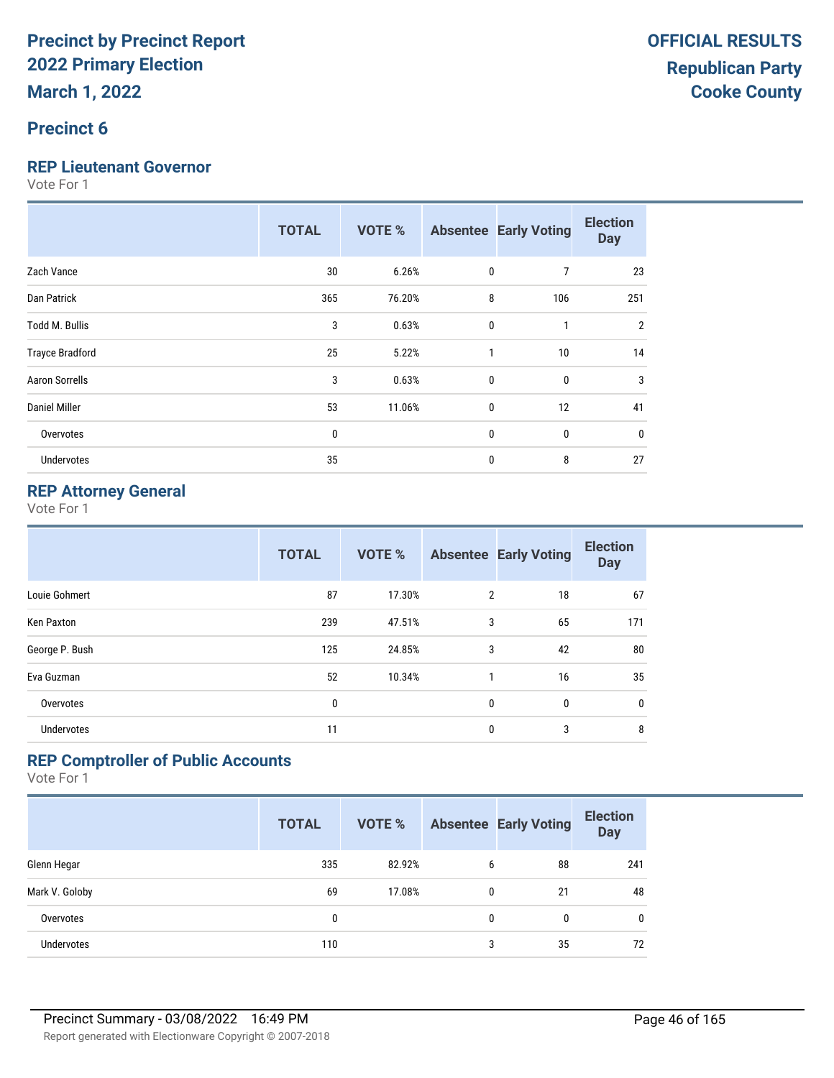## **Precinct 6**

#### **REP Lieutenant Governor**

Vote For 1

|                        | <b>TOTAL</b> | <b>VOTE %</b> |             | <b>Absentee Early Voting</b> | <b>Election</b><br><b>Day</b> |
|------------------------|--------------|---------------|-------------|------------------------------|-------------------------------|
| Zach Vance             | 30           | 6.26%         | $\mathbf 0$ | 7                            | 23                            |
| Dan Patrick            | 365          | 76.20%        | 8           | 106                          | 251                           |
| Todd M. Bullis         | 3            | 0.63%         | $\mathbf 0$ | 1                            | $\overline{2}$                |
| <b>Trayce Bradford</b> | 25           | 5.22%         | 1           | 10                           | 14                            |
| <b>Aaron Sorrells</b>  | 3            | 0.63%         | $\mathbf 0$ | 0                            | 3                             |
| Daniel Miller          | 53           | 11.06%        | $\mathbf 0$ | 12                           | 41                            |
| Overvotes              | 0            |               | 0           | 0                            | 0                             |
| Undervotes             | 35           |               | 0           | 8                            | 27                            |

## **REP Attorney General**

Vote For 1

|                   | <b>TOTAL</b> | <b>VOTE %</b> |                | <b>Absentee Early Voting</b> | <b>Election</b><br><b>Day</b> |
|-------------------|--------------|---------------|----------------|------------------------------|-------------------------------|
| Louie Gohmert     | 87           | 17.30%        | $\overline{2}$ | 18                           | 67                            |
| Ken Paxton        | 239          | 47.51%        | 3              | 65                           | 171                           |
| George P. Bush    | 125          | 24.85%        | 3              | 42                           | 80                            |
| Eva Guzman        | 52           | 10.34%        | 1              | 16                           | 35                            |
| Overvotes         | 0            |               | 0              | 0                            | $\mathbf 0$                   |
| <b>Undervotes</b> | 11           |               | 0              | 3                            | 8                             |

## **REP Comptroller of Public Accounts**

|                   | <b>TOTAL</b> | <b>VOTE %</b> |   | <b>Absentee Early Voting</b> | <b>Election</b><br><b>Day</b> |
|-------------------|--------------|---------------|---|------------------------------|-------------------------------|
| Glenn Hegar       | 335          | 82.92%        | 6 | 88                           | 241                           |
| Mark V. Goloby    | 69           | 17.08%        | 0 | 21                           | 48                            |
| Overvotes         | 0            |               | 0 | 0                            | $\mathbf{0}$                  |
| <b>Undervotes</b> | 110          |               | 3 | 35                           | 72                            |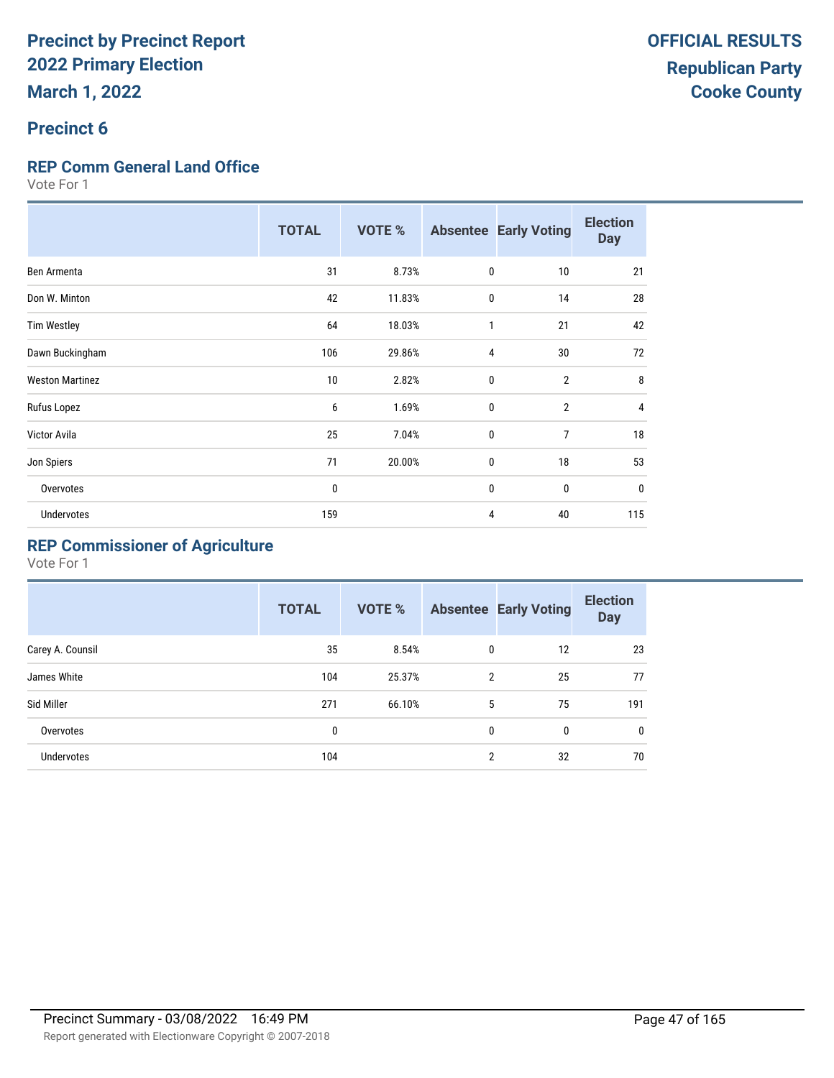## **Precinct 6**

## **REP Comm General Land Office**

Vote For 1

|                        | <b>TOTAL</b> | <b>VOTE %</b> |              | <b>Absentee Early Voting</b> | <b>Election</b><br><b>Day</b> |
|------------------------|--------------|---------------|--------------|------------------------------|-------------------------------|
| Ben Armenta            | 31           | 8.73%         | 0            | 10                           | 21                            |
| Don W. Minton          | 42           | 11.83%        | 0            | 14                           | 28                            |
| <b>Tim Westley</b>     | 64           | 18.03%        | 1            | 21                           | 42                            |
| Dawn Buckingham        | 106          | 29.86%        | 4            | 30                           | 72                            |
| <b>Weston Martinez</b> | 10           | 2.82%         | 0            | $\overline{2}$               | 8                             |
| Rufus Lopez            | 6            | 1.69%         | $\mathbf{0}$ | $\overline{2}$               | 4                             |
| <b>Victor Avila</b>    | 25           | 7.04%         | 0            | 7                            | 18                            |
| Jon Spiers             | 71           | 20.00%        | 0            | 18                           | 53                            |
| Overvotes              | 0            |               | 0            | $\mathbf{0}$                 | $\mathbf 0$                   |
| <b>Undervotes</b>      | 159          |               | 4            | 40                           | 115                           |

## **REP Commissioner of Agriculture**

|                  | <b>TOTAL</b> | <b>VOTE %</b> |                | <b>Absentee Early Voting</b> | <b>Election</b><br><b>Day</b> |
|------------------|--------------|---------------|----------------|------------------------------|-------------------------------|
| Carey A. Counsil | 35           | 8.54%         | 0              | 12                           | 23                            |
| James White      | 104          | 25.37%        | $\mathfrak{p}$ | 25                           | 77                            |
| Sid Miller       | 271          | 66.10%        | 5              | 75                           | 191                           |
| Overvotes        | 0            |               | 0              | 0                            | $\mathbf{0}$                  |
| Undervotes       | 104          |               | $\overline{2}$ | 32                           | 70                            |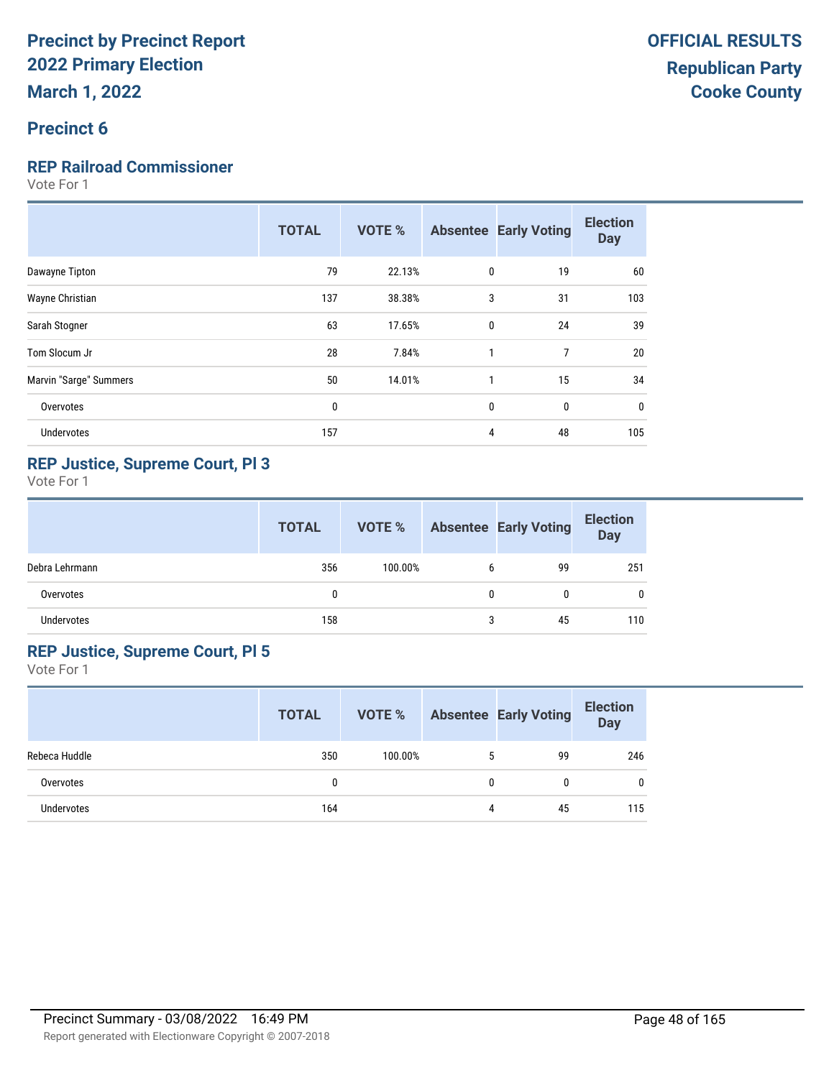## **Precinct 6**

## **REP Railroad Commissioner**

Vote For 1

|                        | <b>TOTAL</b> | <b>VOTE %</b> |              | <b>Absentee Early Voting</b> | <b>Election</b><br><b>Day</b> |
|------------------------|--------------|---------------|--------------|------------------------------|-------------------------------|
| Dawayne Tipton         | 79           | 22.13%        | 0            | 19                           | 60                            |
| Wayne Christian        | 137          | 38.38%        | 3            | 31                           | 103                           |
| Sarah Stogner          | 63           | 17.65%        | $\mathbf{0}$ | 24                           | 39                            |
| Tom Slocum Jr          | 28           | 7.84%         | $\mathbf{1}$ | 7                            | 20                            |
| Marvin "Sarge" Summers | 50           | 14.01%        | 1            | 15                           | 34                            |
| Overvotes              | $\mathbf{0}$ |               | 0            | 0                            | 0                             |
| <b>Undervotes</b>      | 157          |               | 4            | 48                           | 105                           |
|                        |              |               |              |                              |                               |

## **REP Justice, Supreme Court, Pl 3**

Vote For 1

|                | <b>TOTAL</b> | VOTE %  |   | <b>Absentee Early Voting</b> | <b>Election</b><br><b>Day</b> |
|----------------|--------------|---------|---|------------------------------|-------------------------------|
| Debra Lehrmann | 356          | 100.00% | 6 | 99                           | 251                           |
| Overvotes      | $\mathbf{0}$ |         | 0 | 0                            | 0                             |
| Undervotes     | 158          |         | 3 | 45                           | 110                           |

### **REP Justice, Supreme Court, Pl 5**

|               | <b>TOTAL</b> | <b>VOTE %</b> |   | <b>Absentee Early Voting</b> | <b>Election</b><br><b>Day</b> |
|---------------|--------------|---------------|---|------------------------------|-------------------------------|
| Rebeca Huddle | 350          | 100.00%       | 5 | 99                           | 246                           |
| Overvotes     |              |               | 0 | 0                            | 0                             |
| Undervotes    | 164          |               | 4 | 45                           | 115                           |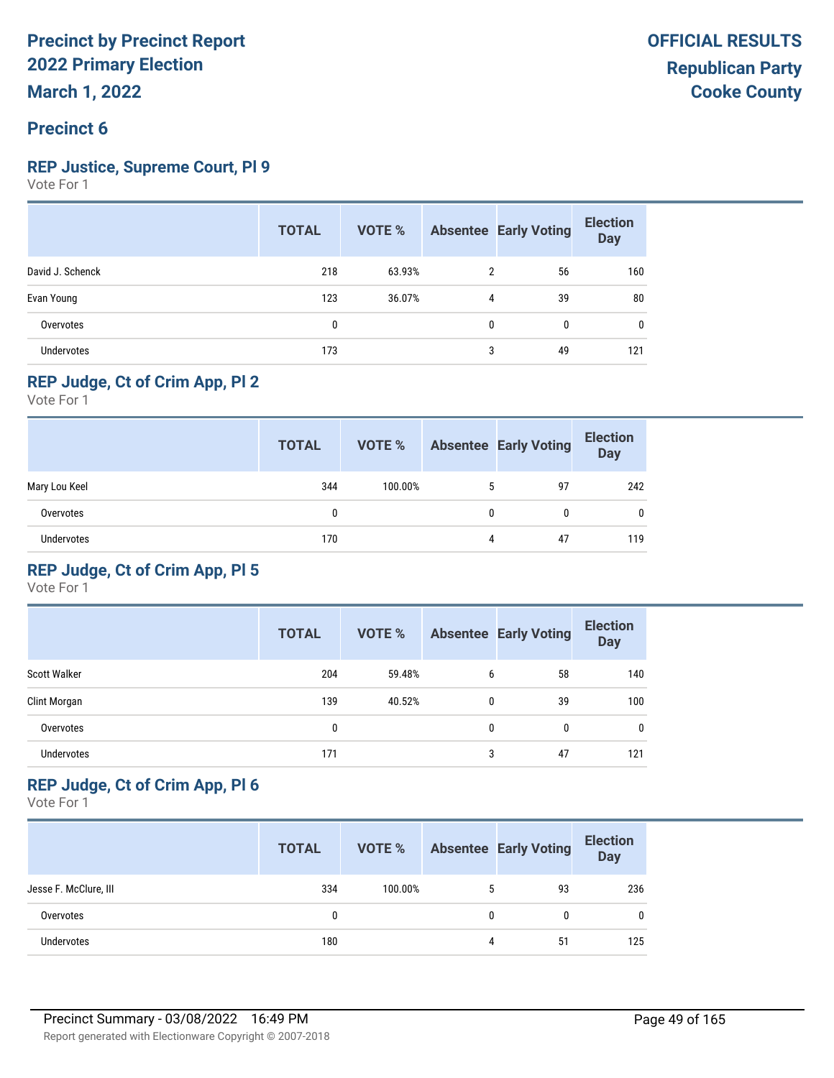## **Precinct 6**

### **REP Justice, Supreme Court, Pl 9**

Vote For 1

|                  | <b>TOTAL</b> | VOTE % |                | <b>Absentee Early Voting</b> | <b>Election</b><br><b>Day</b> |
|------------------|--------------|--------|----------------|------------------------------|-------------------------------|
| David J. Schenck | 218          | 63.93% | $\overline{2}$ | 56                           | 160                           |
| Evan Young       | 123          | 36.07% | 4              | 39                           | 80                            |
| Overvotes        | 0            |        | 0              | 0                            | 0                             |
| Undervotes       | 173          |        | 3              | 49                           | 121                           |

## **REP Judge, Ct of Crim App, Pl 2**

Vote For 1

|                   | <b>TOTAL</b> | VOTE %  |   | <b>Absentee Early Voting</b> | <b>Election</b><br><b>Day</b> |
|-------------------|--------------|---------|---|------------------------------|-------------------------------|
| Mary Lou Keel     | 344          | 100.00% | 5 | 97                           | 242                           |
| Overvotes         | 0            |         | 0 | 0                            | $\mathbf{0}$                  |
| <b>Undervotes</b> | 170          |         | 4 | 47                           | 119                           |

## **REP Judge, Ct of Crim App, Pl 5**

Vote For 1

|                     | <b>TOTAL</b> | <b>VOTE %</b> |   | <b>Absentee Early Voting</b> | <b>Election</b><br><b>Day</b> |
|---------------------|--------------|---------------|---|------------------------------|-------------------------------|
| <b>Scott Walker</b> | 204          | 59.48%        | 6 | 58                           | 140                           |
| Clint Morgan        | 139          | 40.52%        | 0 | 39                           | 100                           |
| Overvotes           | 0            |               | 0 | 0                            | 0                             |
| <b>Undervotes</b>   | 171          |               | 3 | 47                           | 121                           |

## **REP Judge, Ct of Crim App, Pl 6**

|                       | <b>TOTAL</b> | VOTE %  |   | <b>Absentee Early Voting</b> | <b>Election</b><br><b>Day</b> |
|-----------------------|--------------|---------|---|------------------------------|-------------------------------|
| Jesse F. McClure, III | 334          | 100.00% |   | 93                           | 236                           |
| Overvotes             | 0            |         | 0 |                              | $\mathbf{0}$                  |
| <b>Undervotes</b>     | 180          |         | 4 | 51                           | 125                           |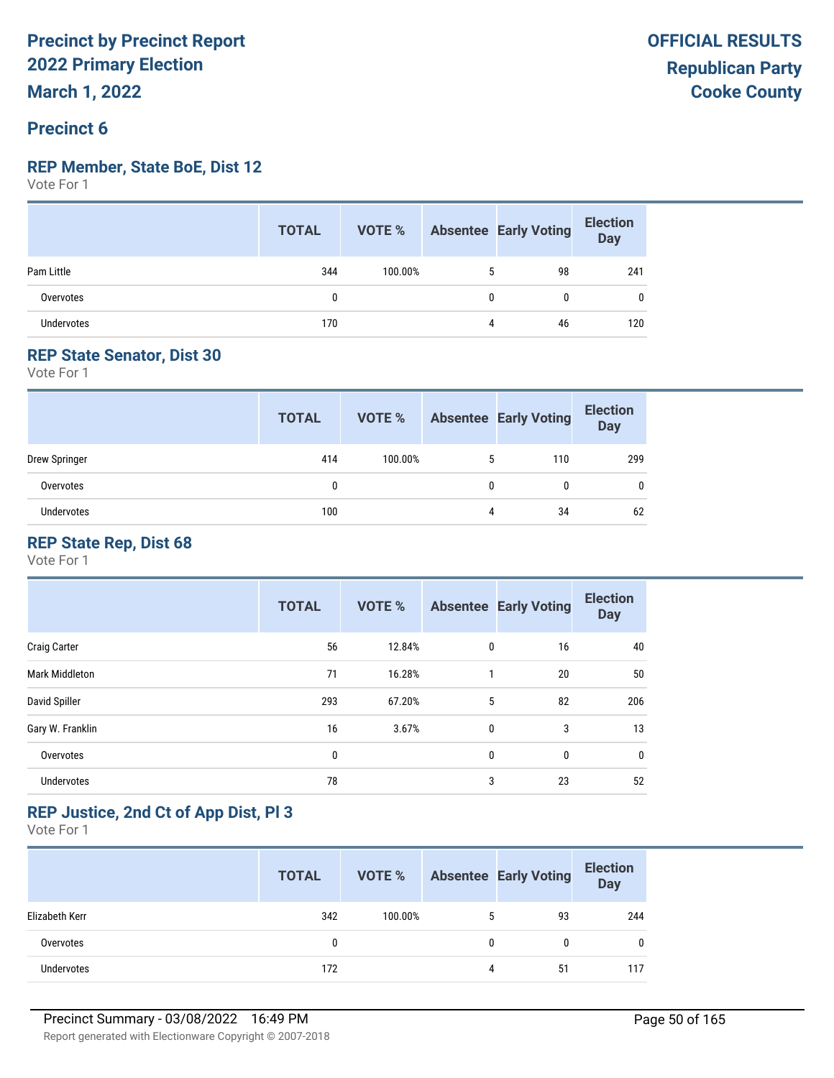## **Precinct 6**

#### **REP Member, State BoE, Dist 12**

Vote For 1

|                   | <b>TOTAL</b> |         |   | <b>VOTE %</b> Absentee Early Voting | <b>Election</b><br>Day |
|-------------------|--------------|---------|---|-------------------------------------|------------------------|
| Pam Little        | 344          | 100.00% |   | 98                                  | 241                    |
| Overvotes         | 0            |         | 0 | 0                                   | 0                      |
| <b>Undervotes</b> | 170          |         | 4 | 46                                  | 120                    |

## **REP State Senator, Dist 30**

Vote For 1

|               | <b>TOTAL</b> | VOTE %  |              | <b>Absentee Early Voting</b> | <b>Election</b><br><b>Day</b> |
|---------------|--------------|---------|--------------|------------------------------|-------------------------------|
| Drew Springer | 414          | 100.00% | 5            | 110                          | 299                           |
| Overvotes     | 0            |         | $\mathbf{0}$ | $\mathbf{0}$                 | 0                             |
| Undervotes    | 100          |         | 4            | 34                           | 62                            |

## **REP State Rep, Dist 68**

Vote For 1

|                       | <b>TOTAL</b> | <b>VOTE %</b> |              | <b>Absentee Early Voting</b> | <b>Election</b><br><b>Day</b> |
|-----------------------|--------------|---------------|--------------|------------------------------|-------------------------------|
| <b>Craig Carter</b>   | 56           | 12.84%        | 0            | 16                           | 40                            |
| <b>Mark Middleton</b> | 71           | 16.28%        | 1            | 20                           | 50                            |
| David Spiller         | 293          | 67.20%        | 5            | 82                           | 206                           |
| Gary W. Franklin      | 16           | 3.67%         | $\mathbf{0}$ | 3                            | 13                            |
| Overvotes             | 0            |               | 0            | 0                            | 0                             |
| <b>Undervotes</b>     | 78           |               | 3            | 23                           | 52                            |

## **REP Justice, 2nd Ct of App Dist, Pl 3**

|                   | <b>TOTAL</b> | VOTE %  |   | <b>Absentee Early Voting</b> | <b>Election</b><br>Day |
|-------------------|--------------|---------|---|------------------------------|------------------------|
| Elizabeth Kerr    | 342          | 100.00% | 5 | 93                           | 244                    |
| Overvotes         | 0            |         |   | 0                            | 0                      |
| <b>Undervotes</b> | 172          |         |   | 51                           | 117                    |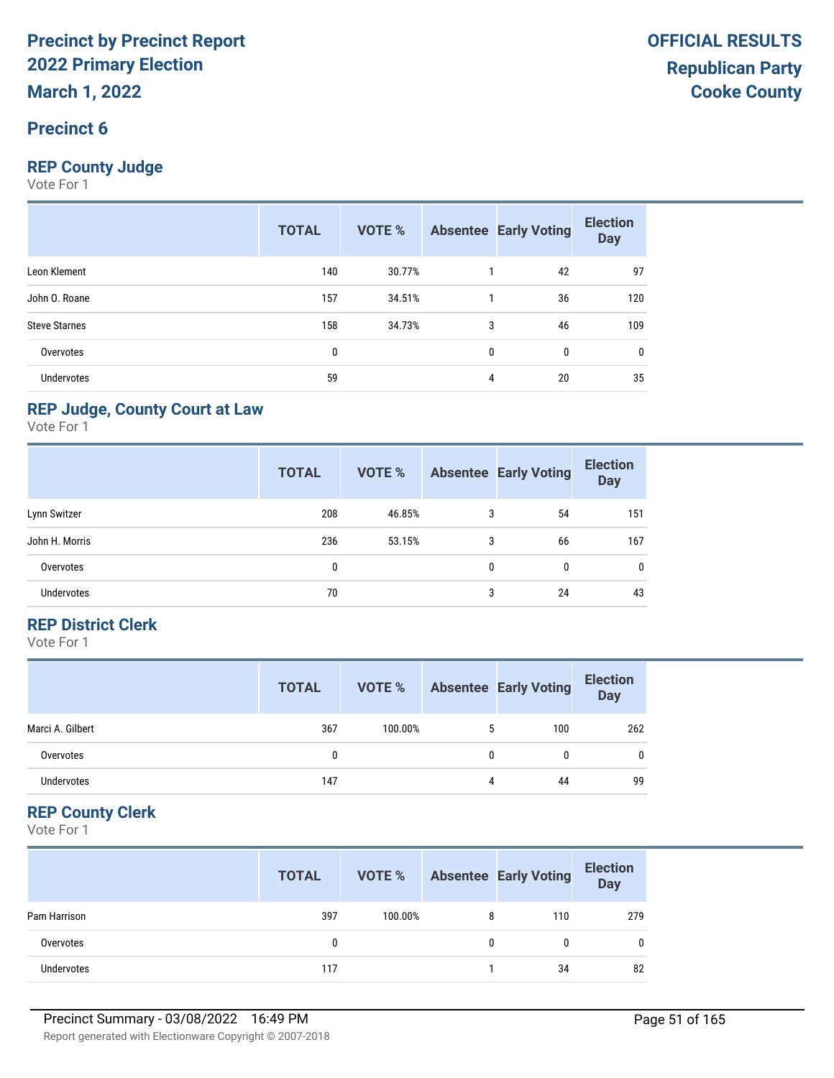## **Precinct 6**

## **REP County Judge**

Vote For 1

|                      | <b>TOTAL</b> | <b>VOTE %</b> |              | <b>Absentee Early Voting</b> | <b>Election</b><br><b>Day</b> |
|----------------------|--------------|---------------|--------------|------------------------------|-------------------------------|
| Leon Klement         | 140          | 30.77%        |              | 42                           | 97                            |
| John O. Roane        | 157          | 34.51%        |              | 36                           | 120                           |
| <b>Steve Starnes</b> | 158          | 34.73%        | 3            | 46                           | 109                           |
| Overvotes            | 0            |               | $\mathbf{0}$ | 0                            | 0                             |
| Undervotes           | 59           |               | 4            | 20                           | 35                            |

### **REP Judge, County Court at Law**

Vote For 1

|                   | <b>TOTAL</b> | <b>VOTE %</b> |   | <b>Absentee Early Voting</b> | <b>Election</b><br><b>Day</b> |
|-------------------|--------------|---------------|---|------------------------------|-------------------------------|
| Lynn Switzer      | 208          | 46.85%        | 3 | 54                           | 151                           |
| John H. Morris    | 236          | 53.15%        | 3 | 66                           | 167                           |
| Overvotes         | 0            |               | 0 | 0                            | 0                             |
| <b>Undervotes</b> | 70           |               | 3 | 24                           | 43                            |

### **REP District Clerk**

Vote For 1

|                   | <b>TOTAL</b> | VOTE %  |   | <b>Absentee Early Voting</b> | <b>Election</b><br>Day |
|-------------------|--------------|---------|---|------------------------------|------------------------|
| Marci A. Gilbert  | 367          | 100.00% | 5 | 100                          | 262                    |
| Overvotes         | 0            |         | 0 | 0                            | $\mathbf{0}$           |
| <b>Undervotes</b> | 147          |         | 4 | 44                           | 99                     |

## **REP County Clerk**

|              | <b>TOTAL</b> | VOTE %  |              | <b>Absentee Early Voting</b> | <b>Election</b><br><b>Day</b> |
|--------------|--------------|---------|--------------|------------------------------|-------------------------------|
| Pam Harrison | 397          | 100.00% | 8            | 110                          | 279                           |
| Overvotes    | 0            |         | $\mathbf{0}$ | 0                            |                               |
| Undervotes   | 117          |         |              | 34                           | 82                            |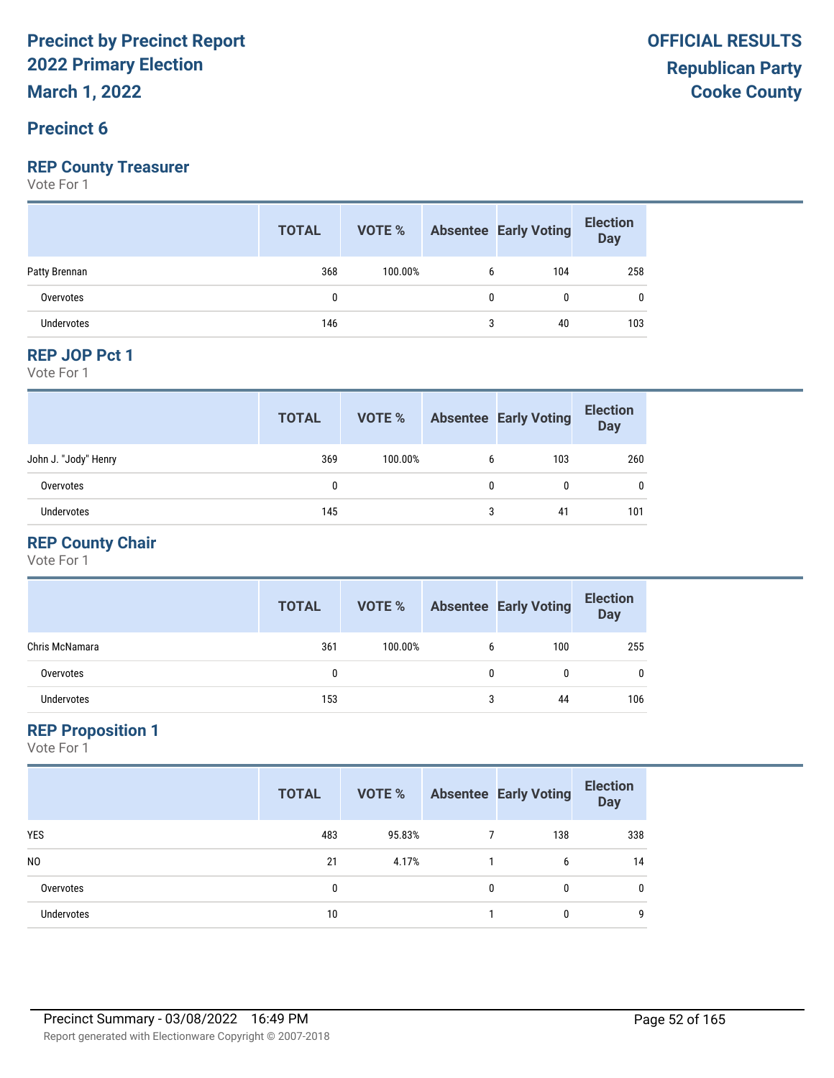## **Precinct 6**

## **REP County Treasurer**

Vote For 1

|               | <b>TOTAL</b> | VOTE %  | <b>Absentee Early Voting</b> | <b>Election</b><br>Day |
|---------------|--------------|---------|------------------------------|------------------------|
| Patty Brennan | 368          | 100.00% | 104                          | 258                    |
| Overvotes     | 0            |         | 0                            | 0                      |
| Undervotes    | 146          |         | 40                           | 103                    |

#### **REP JOP Pct 1**

Vote For 1

|                      | <b>TOTAL</b> | VOTE %  |   | <b>Absentee Early Voting</b> | <b>Election</b><br><b>Day</b> |
|----------------------|--------------|---------|---|------------------------------|-------------------------------|
| John J. "Jody" Henry | 369          | 100.00% | b | 103                          | 260                           |
| Overvotes            | 0            |         | 0 | 0                            | 0                             |
| <b>Undervotes</b>    | 145          |         | 3 | 41                           | 101                           |

## **REP County Chair**

Vote For 1

|                | <b>TOTAL</b> | VOTE %  |              | <b>Absentee Early Voting</b> | <b>Election</b><br><b>Day</b> |
|----------------|--------------|---------|--------------|------------------------------|-------------------------------|
| Chris McNamara | 361          | 100.00% | 6            | 100                          | 255                           |
| Overvotes      | 0            |         | $\mathbf{0}$ | $\mathbf{0}$                 | 0                             |
| Undervotes     | 153          |         | 3            | 44                           | 106                           |

#### **REP Proposition 1**

|                | <b>TOTAL</b> | VOTE % |              | <b>Absentee Early Voting</b> | <b>Election</b><br><b>Day</b> |
|----------------|--------------|--------|--------------|------------------------------|-------------------------------|
| <b>YES</b>     | 483          | 95.83% |              | 138                          | 338                           |
| N <sub>0</sub> | 21           | 4.17%  |              | 6                            | 14                            |
| Overvotes      | 0            |        | $\mathbf{0}$ | 0                            | 0                             |
| Undervotes     | 10           |        |              | 0                            | q                             |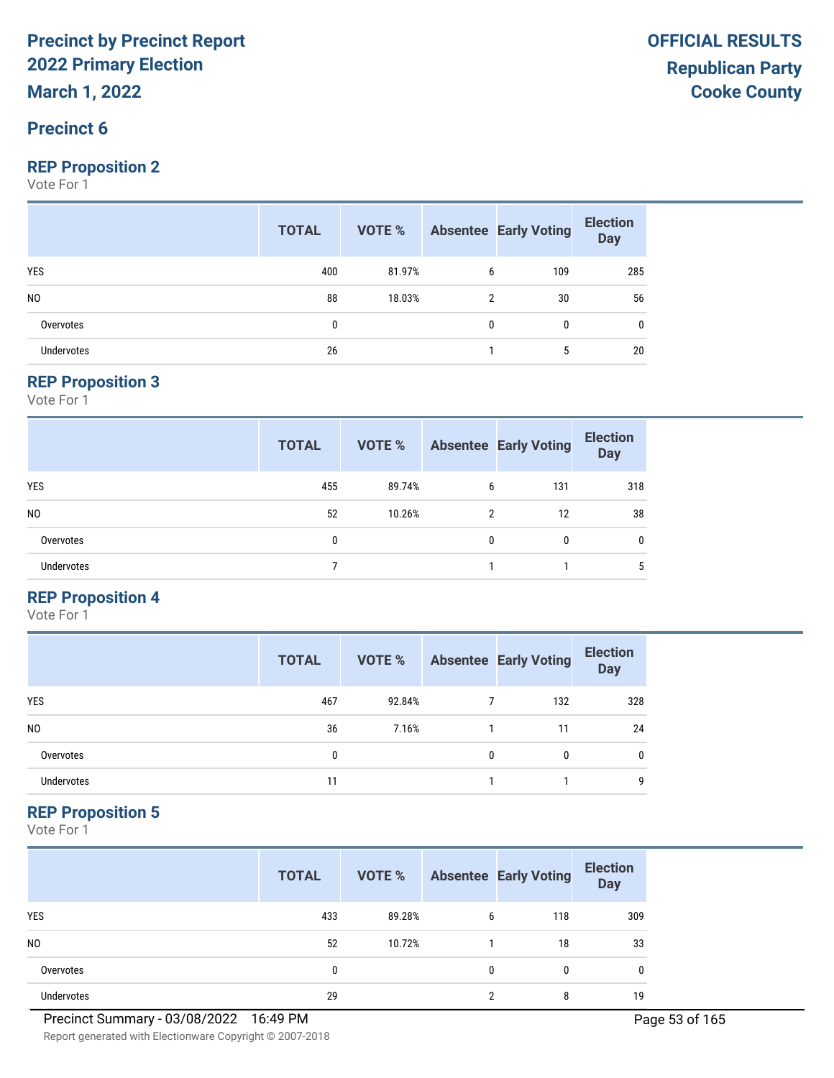## **Precinct 6**

#### **REP Proposition 2**

Vote For 1

|                   | <b>TOTAL</b> |        |   | <b>VOTE %</b> Absentee Early Voting | <b>Election</b><br>Day |
|-------------------|--------------|--------|---|-------------------------------------|------------------------|
| <b>YES</b>        | 400          | 81.97% | 6 | 109                                 | 285                    |
| N <sub>0</sub>    | 88           | 18.03% | 2 | 30                                  | 56                     |
| Overvotes         | 0            |        | 0 | 0                                   | 0                      |
| <b>Undervotes</b> | 26           |        |   | 5                                   | 20                     |

#### **REP Proposition 3**

Vote For 1

|                   | <b>TOTAL</b> | VOTE % |   | <b>Absentee Early Voting</b> | <b>Election</b><br><b>Day</b> |
|-------------------|--------------|--------|---|------------------------------|-------------------------------|
| <b>YES</b>        | 455          | 89.74% | 6 | 131                          | 318                           |
| N <sub>0</sub>    | 52           | 10.26% | 2 | 12                           | 38                            |
| Overvotes         | 0            |        | 0 | 0                            | 0                             |
| <b>Undervotes</b> |              |        |   |                              | 5                             |

## **REP Proposition 4**

Vote For 1

|                | <b>TOTAL</b> | VOTE % |   | <b>Absentee Early Voting</b> | <b>Election</b><br><b>Day</b> |
|----------------|--------------|--------|---|------------------------------|-------------------------------|
| <b>YES</b>     | 467          | 92.84% |   | 132                          | 328                           |
| N <sub>0</sub> | 36           | 7.16%  |   | 11                           | 24                            |
| Overvotes      | 0            |        | 0 | $\mathbf{0}$                 | 0                             |
| Undervotes     | 11           |        |   |                              | g                             |

#### **REP Proposition 5**

Vote For 1

|                   | <b>TOTAL</b> | VOTE % |              | <b>Absentee Early Voting</b> | <b>Election</b><br><b>Day</b> |
|-------------------|--------------|--------|--------------|------------------------------|-------------------------------|
| <b>YES</b>        | 433          | 89.28% | 6            | 118                          | 309                           |
| N <sub>0</sub>    | 52           | 10.72% |              | 18                           | 33                            |
| Overvotes         | 0            |        | $\mathbf{0}$ | 0                            | 0                             |
| <b>Undervotes</b> | 29           |        | ∩            | 8                            | 19                            |

**OFFICIAL RESULTS**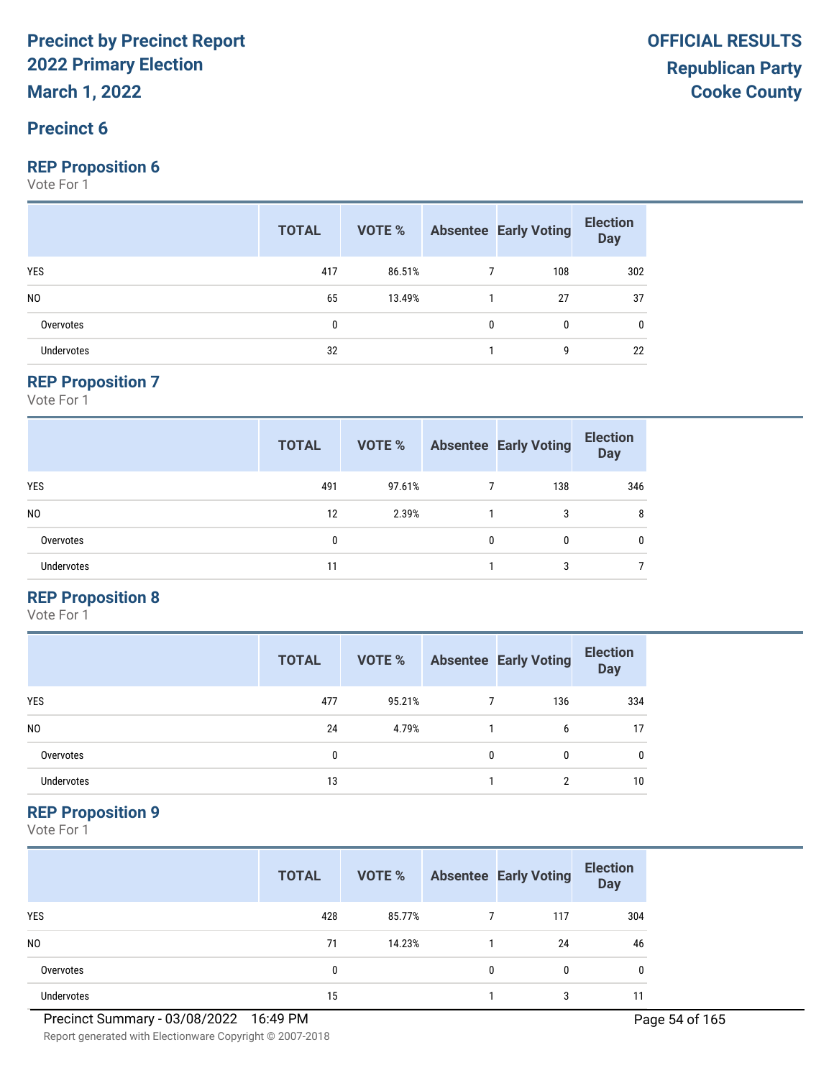### **Precinct 6**

#### **REP Proposition 6**

Vote For 1

|                   | <b>TOTAL</b> |        |              | <b>VOTE %</b> Absentee Early Voting | <b>Election</b><br>Day |
|-------------------|--------------|--------|--------------|-------------------------------------|------------------------|
| <b>YES</b>        | 417          | 86.51% |              | 108                                 | 302                    |
| N <sub>0</sub>    | 65           | 13.49% |              | 27                                  | 37                     |
| Overvotes         | 0            |        | $\mathbf{0}$ | $\mathbf{0}$                        | 0                      |
| <b>Undervotes</b> | 32           |        |              | g                                   | 22                     |

#### **REP Proposition 7**

Vote For 1

|                   | <b>TOTAL</b> | VOTE % |   | <b>Absentee Early Voting</b> | <b>Election</b><br><b>Day</b> |
|-------------------|--------------|--------|---|------------------------------|-------------------------------|
| <b>YES</b>        | 491          | 97.61% |   | 138                          | 346                           |
| N <sub>0</sub>    | 12           | 2.39%  |   | 3                            | 8                             |
| Overvotes         | 0            |        | 0 | 0                            | 0                             |
| <b>Undervotes</b> | 11           |        |   | 3                            |                               |

## **REP Proposition 8**

Vote For 1

|                | <b>TOTAL</b> | VOTE % |   | <b>Absentee Early Voting</b> | <b>Election</b><br><b>Day</b> |
|----------------|--------------|--------|---|------------------------------|-------------------------------|
| <b>YES</b>     | 477          | 95.21% |   | 136                          | 334                           |
| N <sub>0</sub> | 24           | 4.79%  |   | 6                            | 17                            |
| Overvotes      | 0            |        | 0 | 0                            | 0                             |
| Undervotes     | 13           |        |   | ∩                            | 10                            |

## **REP Proposition 9**

Vote For 1

|                   | <b>TOTAL</b> | VOTE % |              | <b>Absentee Early Voting</b> | <b>Election</b><br><b>Day</b> |
|-------------------|--------------|--------|--------------|------------------------------|-------------------------------|
| <b>YES</b>        | 428          | 85.77% |              | 117                          | 304                           |
| N <sub>0</sub>    | 71           | 14.23% |              | 24                           | 46                            |
| Overvotes         | 0            |        | $\mathbf{0}$ | 0                            | 0                             |
| <b>Undervotes</b> | 15           |        |              | 3                            |                               |

Report generated with Electionware Copyright © 2007-2018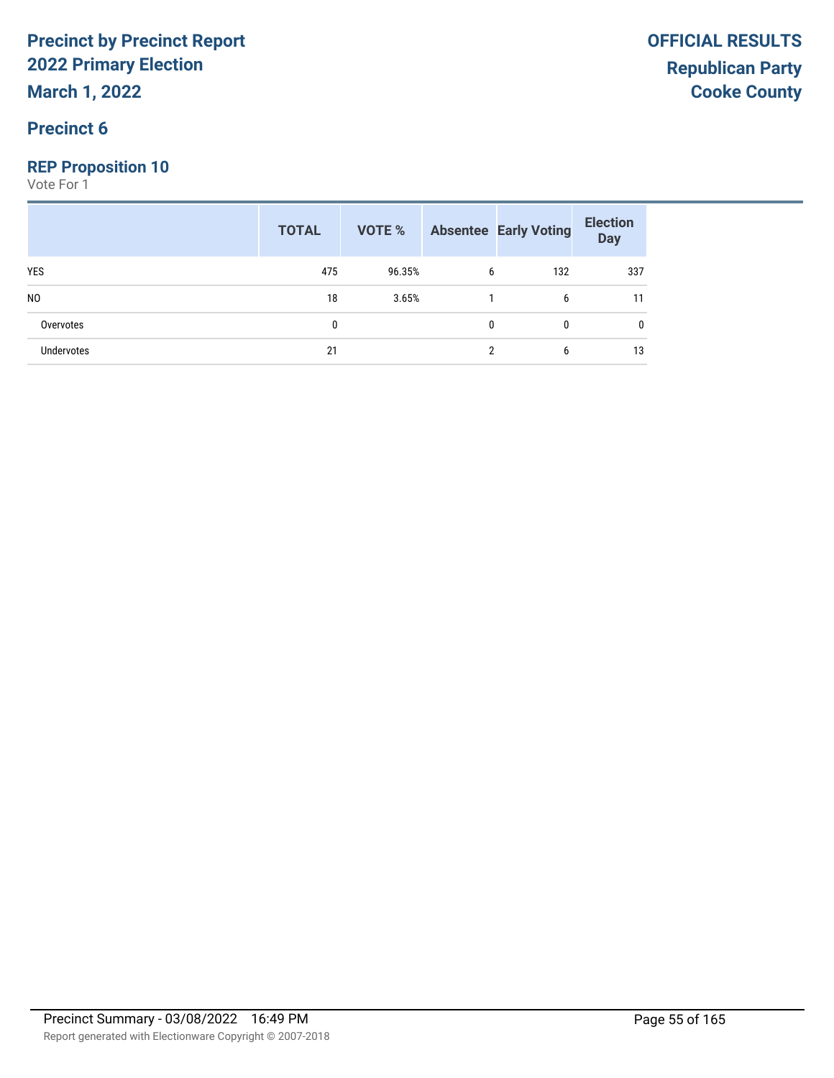**March 1, 2022**

## **Precinct 6**

## **REP Proposition 10**

|                   | <b>TOTAL</b> |        |   | <b>VOTE %</b> Absentee Early Voting | <b>Election</b><br>Day |
|-------------------|--------------|--------|---|-------------------------------------|------------------------|
| <b>YES</b>        | 475          | 96.35% | b | 132                                 | 337                    |
| N <sub>0</sub>    | 18           | 3.65%  |   | b                                   | 11                     |
| Overvotes         | 0            |        | 0 | 0                                   | 0                      |
| <b>Undervotes</b> | 21           |        | ∩ | b                                   | 13                     |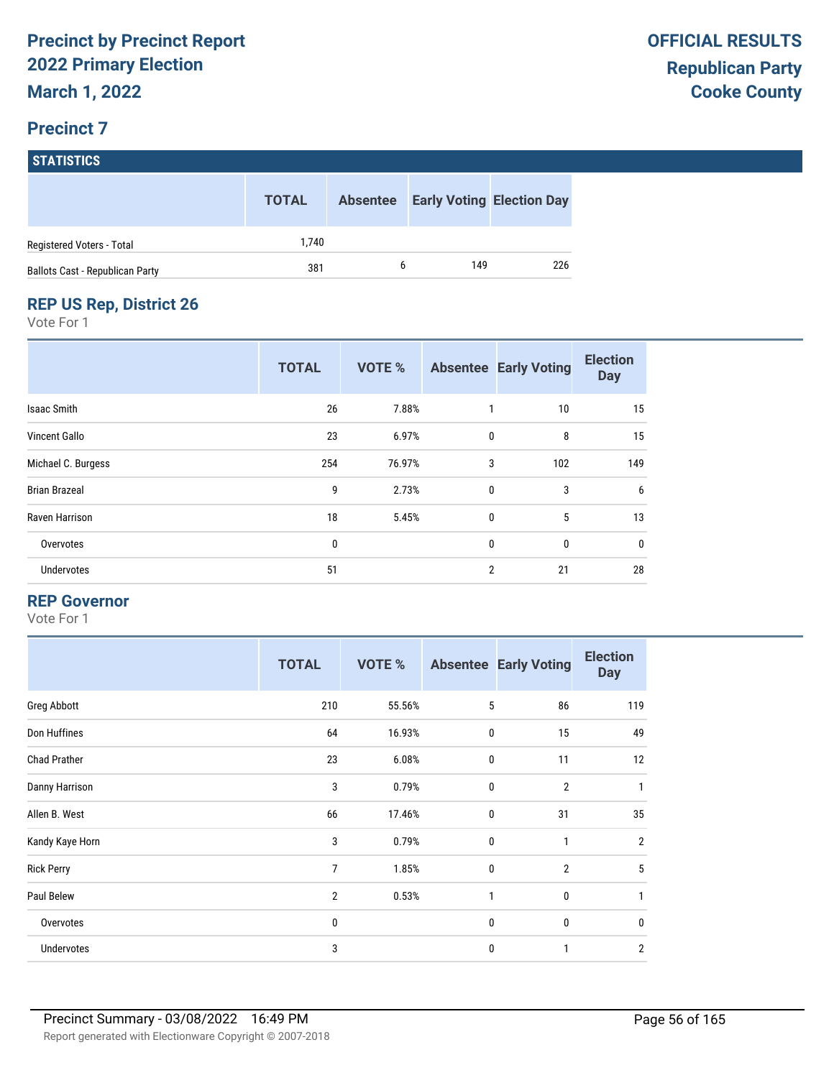## **Precinct 7**

**STATISTICS**

|                                 | <b>TOTAL</b> | <b>Absentee</b> | <b>Early Voting Election Day</b> |     |
|---------------------------------|--------------|-----------------|----------------------------------|-----|
| Registered Voters - Total       | 1.740        |                 |                                  |     |
| Ballots Cast - Republican Party | 381          | h               | 149                              | 226 |

## **REP US Rep, District 26**

Vote For 1

|                      | <b>TOTAL</b> | <b>VOTE %</b> |                | <b>Absentee Early Voting</b> | <b>Election</b><br><b>Day</b> |
|----------------------|--------------|---------------|----------------|------------------------------|-------------------------------|
| Isaac Smith          | 26           | 7.88%         | 1              | 10                           | 15                            |
| Vincent Gallo        | 23           | 6.97%         | $\mathbf 0$    | 8                            | 15                            |
| Michael C. Burgess   | 254          | 76.97%        | 3              | 102                          | 149                           |
| <b>Brian Brazeal</b> | 9            | 2.73%         | $\mathbf 0$    | 3                            | 6                             |
| Raven Harrison       | 18           | 5.45%         | $\mathbf{0}$   | 5                            | 13                            |
| Overvotes            | 0            |               | 0              | 0                            | 0                             |
| Undervotes           | 51           |               | $\overline{2}$ | 21                           | 28                            |

#### **REP Governor**

|                     | <b>TOTAL</b>   | <b>VOTE %</b> |              | <b>Absentee Early Voting</b> | <b>Election</b><br><b>Day</b> |
|---------------------|----------------|---------------|--------------|------------------------------|-------------------------------|
| Greg Abbott         | 210            | 55.56%        | 5            | 86                           | 119                           |
| Don Huffines        | 64             | 16.93%        | $\bf{0}$     | 15                           | 49                            |
| <b>Chad Prather</b> | 23             | 6.08%         | $\mathbf 0$  | 11                           | 12                            |
| Danny Harrison      | 3              | 0.79%         | $\bf{0}$     | $\overline{2}$               | 1                             |
| Allen B. West       | 66             | 17.46%        | $\mathbf{0}$ | 31                           | 35                            |
| Kandy Kaye Horn     | 3              | 0.79%         | $\mathbf 0$  | $\mathbf{1}$                 | $\overline{2}$                |
| <b>Rick Perry</b>   | 7              | 1.85%         | $\mathbf 0$  | $\overline{2}$               | 5                             |
| Paul Belew          | $\overline{2}$ | 0.53%         | 1            | 0                            | 1                             |
| Overvotes           | 0              |               | $\mathbf 0$  | 0                            | $\mathbf{0}$                  |
| Undervotes          | 3              |               | $\mathbf 0$  | $\mathbf{1}$                 | $\overline{2}$                |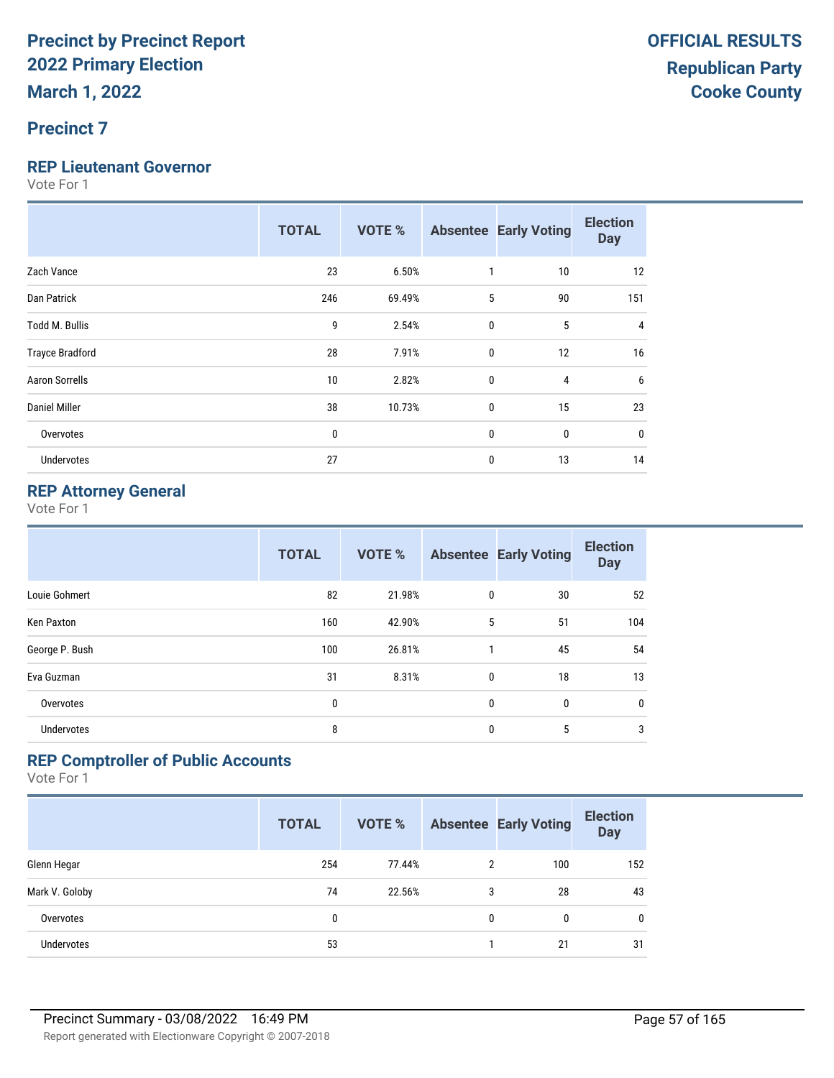## **Precinct 7**

#### **REP Lieutenant Governor**

Vote For 1

|                        | <b>TOTAL</b> | <b>VOTE %</b> |              | <b>Absentee Early Voting</b> | <b>Election</b><br><b>Day</b> |
|------------------------|--------------|---------------|--------------|------------------------------|-------------------------------|
| Zach Vance             | 23           | 6.50%         | 1            | 10                           | 12                            |
| Dan Patrick            | 246          | 69.49%        | 5            | 90                           | 151                           |
| Todd M. Bullis         | 9            | 2.54%         | $\pmb{0}$    | 5                            | 4                             |
| <b>Trayce Bradford</b> | 28           | 7.91%         | $\mathbf{0}$ | 12                           | 16                            |
| <b>Aaron Sorrells</b>  | 10           | 2.82%         | $\mathbf{0}$ | 4                            | 6                             |
| Daniel Miller          | 38           | 10.73%        | $\mathbf{0}$ | 15                           | 23                            |
| Overvotes              | 0            |               | $\mathbf{0}$ | 0                            | 0                             |
| Undervotes             | 27           |               | $\mathbf{0}$ | 13                           | 14                            |

## **REP Attorney General**

Vote For 1

|                   | <b>TOTAL</b> | <b>VOTE %</b> |   | <b>Absentee Early Voting</b> | <b>Election</b><br><b>Day</b> |
|-------------------|--------------|---------------|---|------------------------------|-------------------------------|
| Louie Gohmert     | 82           | 21.98%        | 0 | 30                           | 52                            |
| Ken Paxton        | 160          | 42.90%        | 5 | 51                           | 104                           |
| George P. Bush    | 100          | 26.81%        |   | 45                           | 54                            |
| Eva Guzman        | 31           | 8.31%         | 0 | 18                           | 13                            |
| Overvotes         | 0            |               | 0 | $\mathbf{0}$                 | $\mathbf 0$                   |
| <b>Undervotes</b> | 8            |               | 0 | 5                            | 3                             |

## **REP Comptroller of Public Accounts**

|                   | <b>TOTAL</b> | <b>VOTE %</b> |   | <b>Absentee Early Voting</b> | <b>Election</b><br><b>Day</b> |
|-------------------|--------------|---------------|---|------------------------------|-------------------------------|
| Glenn Hegar       | 254          | 77.44%        | 2 | 100                          | 152                           |
| Mark V. Goloby    | 74           | 22.56%        | 3 | 28                           | 43                            |
| Overvotes         | 0            |               | 0 | 0                            | $\mathbf{0}$                  |
| <b>Undervotes</b> | 53           |               |   | 21                           | 31                            |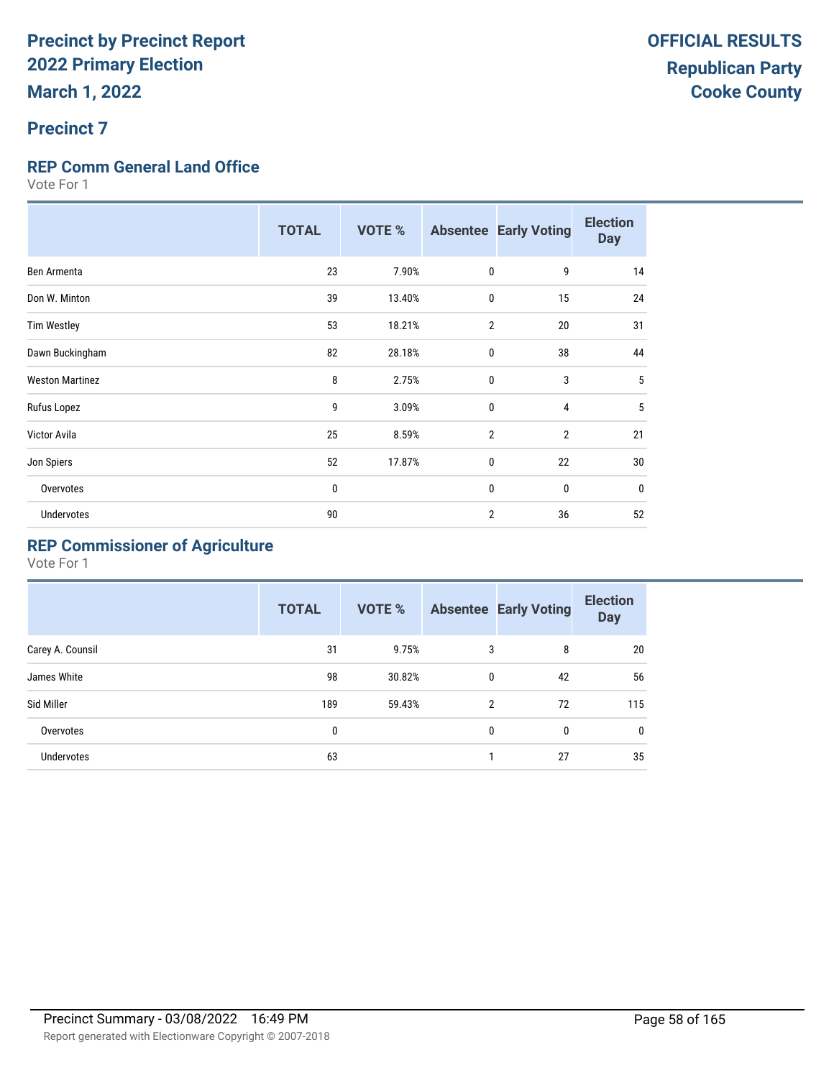## **Precinct 7**

## **REP Comm General Land Office**

Vote For 1

|                        | <b>TOTAL</b> | <b>VOTE %</b> |                | <b>Absentee Early Voting</b> | <b>Election</b><br><b>Day</b> |
|------------------------|--------------|---------------|----------------|------------------------------|-------------------------------|
| Ben Armenta            | 23           | 7.90%         | $\mathbf 0$    | 9                            | 14                            |
| Don W. Minton          | 39           | 13.40%        | $\mathbf 0$    | 15                           | 24                            |
| <b>Tim Westley</b>     | 53           | 18.21%        | $\overline{2}$ | 20                           | 31                            |
| Dawn Buckingham        | 82           | 28.18%        | $\mathbf 0$    | 38                           | 44                            |
| <b>Weston Martinez</b> | 8            | 2.75%         | $\mathbf 0$    | 3                            | 5                             |
| Rufus Lopez            | 9            | 3.09%         | $\mathbf 0$    | 4                            | 5                             |
| Victor Avila           | 25           | 8.59%         | $\overline{2}$ | $\overline{2}$               | 21                            |
| Jon Spiers             | 52           | 17.87%        | $\mathbf 0$    | 22                           | 30                            |
| Overvotes              | 0            |               | $\mathbf{0}$   | $\mathbf{0}$                 | $\mathbf 0$                   |
| <b>Undervotes</b>      | 90           |               | $\overline{2}$ | 36                           | 52                            |

## **REP Commissioner of Agriculture**

|                  | <b>TOTAL</b> | VOTE % |                | <b>Absentee Early Voting</b> | <b>Election</b><br><b>Day</b> |
|------------------|--------------|--------|----------------|------------------------------|-------------------------------|
| Carey A. Counsil | 31           | 9.75%  | 3              | 8                            | 20                            |
| James White      | 98           | 30.82% | 0              | 42                           | 56                            |
| Sid Miller       | 189          | 59.43% | $\mathfrak{p}$ | 72                           | 115                           |
| Overvotes        | 0            |        | 0              | 0                            | $\mathbf{0}$                  |
| Undervotes       | 63           |        |                | 27                           | 35                            |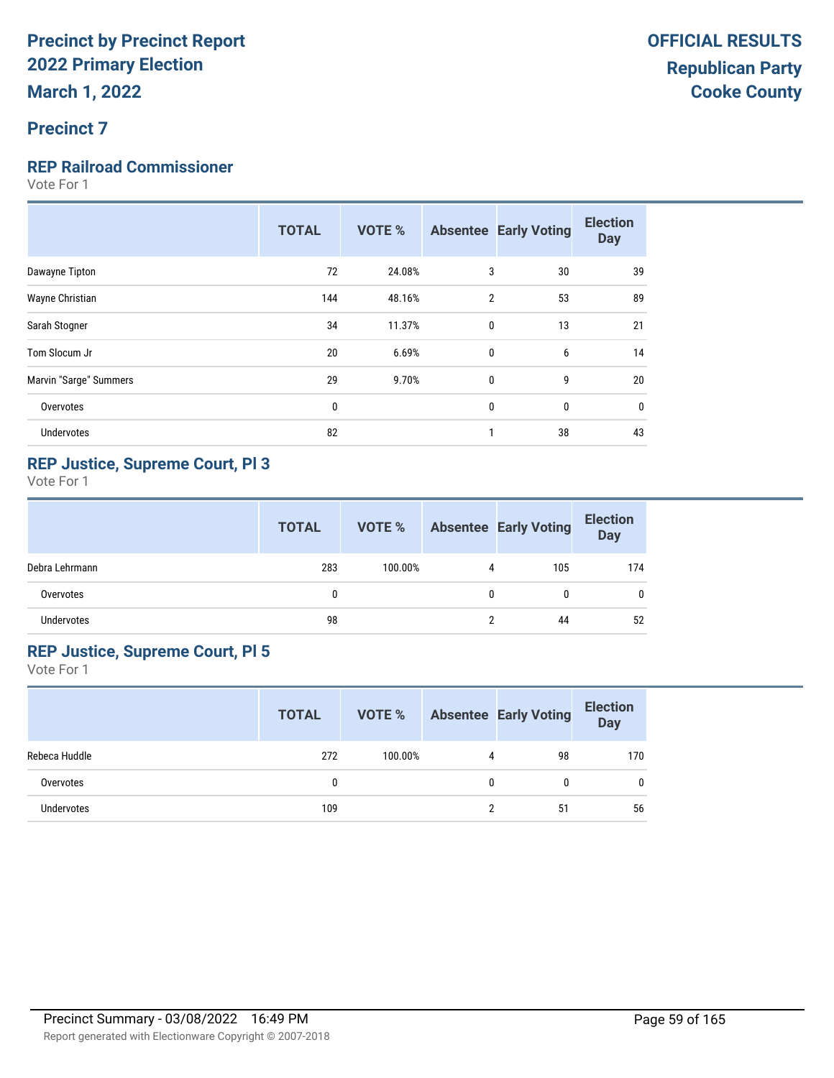## **Precinct 7**

### **REP Railroad Commissioner**

Vote For 1

|                        | <b>TOTAL</b> | <b>VOTE %</b> |                | <b>Absentee Early Voting</b> | <b>Election</b><br><b>Day</b> |
|------------------------|--------------|---------------|----------------|------------------------------|-------------------------------|
| Dawayne Tipton         | 72           | 24.08%        | 3              | 30                           | 39                            |
| Wayne Christian        | 144          | 48.16%        | $\overline{2}$ | 53                           | 89                            |
| Sarah Stogner          | 34           | 11.37%        | $\mathbf{0}$   | 13                           | 21                            |
| Tom Slocum Jr          | 20           | 6.69%         | $\mathbf{0}$   | 6                            | 14                            |
| Marvin "Sarge" Summers | 29           | 9.70%         | $\mathbf{0}$   | 9                            | 20                            |
| Overvotes              | $\mathbf{0}$ |               | 0              | 0                            | 0                             |
| Undervotes             | 82           |               | 1              | 38                           | 43                            |

## **REP Justice, Supreme Court, Pl 3**

Vote For 1

|                | <b>TOTAL</b> | VOTE %  |   | <b>Absentee Early Voting</b> | <b>Election</b><br><b>Day</b> |
|----------------|--------------|---------|---|------------------------------|-------------------------------|
| Debra Lehrmann | 283          | 100.00% | 4 | 105                          | 174                           |
| Overvotes      | 0            |         |   | 0                            | 0                             |
| Undervotes     | 98           |         |   | 44                           | 52                            |

### **REP Justice, Supreme Court, Pl 5**

|               | <b>TOTAL</b> | <b>VOTE %</b> |   | <b>Absentee Early Voting</b> | <b>Election</b><br><b>Day</b> |
|---------------|--------------|---------------|---|------------------------------|-------------------------------|
| Rebeca Huddle | 272          | 100.00%       | 4 | 98                           | 170                           |
| Overvotes     |              |               | 0 | 0                            | 0                             |
| Undervotes    | 109          |               |   | 51                           | 56                            |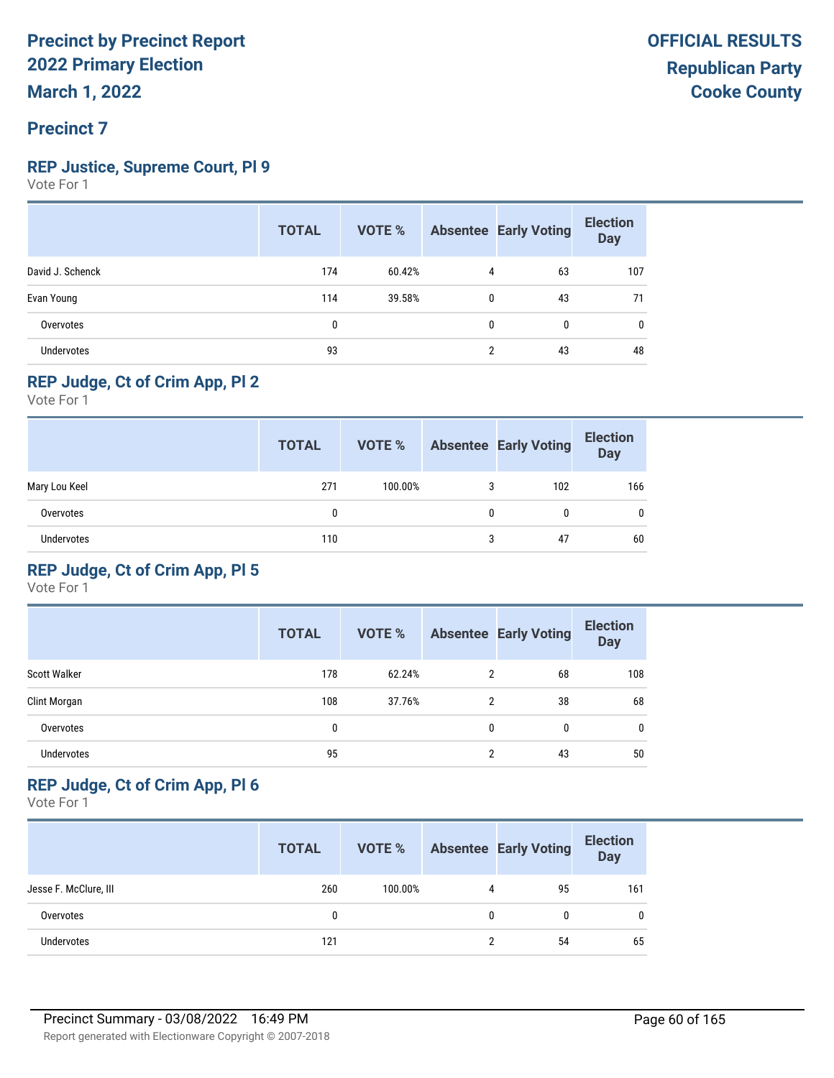## **Precinct 7**

### **REP Justice, Supreme Court, Pl 9**

Vote For 1

|                  | <b>TOTAL</b> | VOTE % |   | <b>Absentee Early Voting</b> | <b>Election</b><br><b>Day</b> |
|------------------|--------------|--------|---|------------------------------|-------------------------------|
| David J. Schenck | 174          | 60.42% | 4 | 63                           | 107                           |
| Evan Young       | 114          | 39.58% | 0 | 43                           | 71                            |
| Overvotes        | 0            |        | 0 | $\mathbf{0}$                 | 0                             |
| Undervotes       | 93           |        | 2 | 43                           | 48                            |

## **REP Judge, Ct of Crim App, Pl 2**

Vote For 1

|                   | <b>TOTAL</b> | VOTE %  |   | <b>Absentee Early Voting</b> | <b>Election</b><br>Day |
|-------------------|--------------|---------|---|------------------------------|------------------------|
| Mary Lou Keel     | 271          | 100.00% | 3 | 102                          | 166                    |
| Overvotes         | 0            |         | 0 |                              | 0                      |
| <b>Undervotes</b> | 110          |         | 3 | 47                           | 60                     |

## **REP Judge, Ct of Crim App, Pl 5**

Vote For 1

|                     | <b>TOTAL</b> | <b>VOTE %</b> |   | <b>Absentee Early Voting</b> | <b>Election</b><br><b>Day</b> |
|---------------------|--------------|---------------|---|------------------------------|-------------------------------|
| <b>Scott Walker</b> | 178          | 62.24%        | 2 | 68                           | 108                           |
| Clint Morgan        | 108          | 37.76%        | 2 | 38                           | 68                            |
| Overvotes           | 0            |               | 0 | 0                            | 0                             |
| <b>Undervotes</b>   | 95           |               | 2 | 43                           | 50                            |

## **REP Judge, Ct of Crim App, Pl 6**

|                       | <b>TOTAL</b> | VOTE %  |   | <b>Absentee Early Voting</b> | <b>Election</b><br><b>Day</b> |
|-----------------------|--------------|---------|---|------------------------------|-------------------------------|
| Jesse F. McClure, III | 260          | 100.00% | 4 | 95                           | 161                           |
| Overvotes             | 0            |         | 0 |                              | $\mathbf{0}$                  |
| <b>Undervotes</b>     | 121          |         | າ | 54                           | 65                            |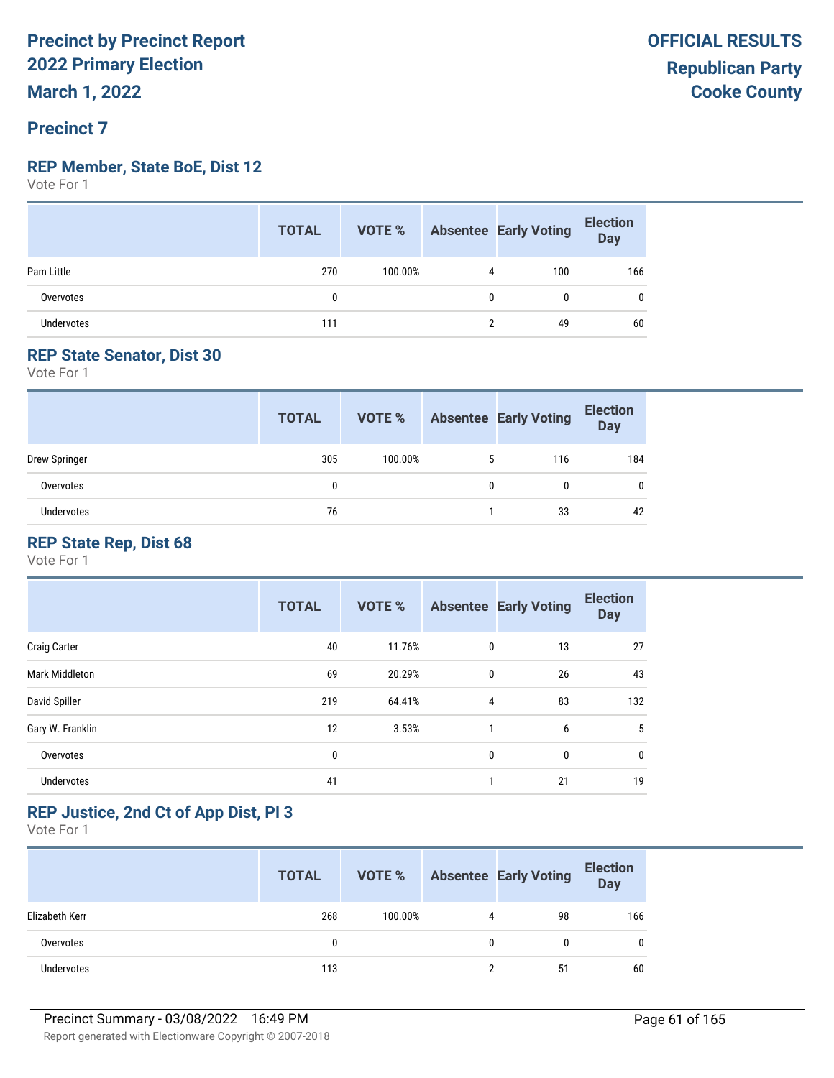## **Precinct 7**

#### **REP Member, State BoE, Dist 12**

Vote For 1

|                   | <b>TOTAL</b> |         |   | <b>VOTE %</b> Absentee Early Voting | <b>Election</b><br>Day |
|-------------------|--------------|---------|---|-------------------------------------|------------------------|
| Pam Little        | 270          | 100.00% | 4 | 100                                 | 166                    |
| Overvotes         |              |         | 0 | 0                                   | 0                      |
| <b>Undervotes</b> | 111          |         |   | 49                                  | 60                     |

## **REP State Senator, Dist 30**

Vote For 1

|               | <b>TOTAL</b> | VOTE %  |   | <b>Absentee Early Voting</b> | <b>Election</b><br><b>Day</b> |
|---------------|--------------|---------|---|------------------------------|-------------------------------|
| Drew Springer | 305          | 100.00% | 5 | 116                          | 184                           |
| Overvotes     | 0            |         |   | 0                            | 0                             |
| Undervotes    | 76           |         |   | 33                           | 42                            |

## **REP State Rep, Dist 68**

Vote For 1

|                       | <b>TOTAL</b> | <b>VOTE %</b> |   | <b>Absentee Early Voting</b> | <b>Election</b><br><b>Day</b> |
|-----------------------|--------------|---------------|---|------------------------------|-------------------------------|
| <b>Craig Carter</b>   | 40           | 11.76%        | 0 | 13                           | 27                            |
| <b>Mark Middleton</b> | 69           | 20.29%        | 0 | 26                           | 43                            |
| David Spiller         | 219          | 64.41%        | 4 | 83                           | 132                           |
| Gary W. Franklin      | 12           | 3.53%         | 1 | 6                            | 5                             |
| Overvotes             | 0            |               | 0 | 0                            | 0                             |
| <b>Undervotes</b>     | 41           |               | 1 | 21                           | 19                            |

## **REP Justice, 2nd Ct of App Dist, Pl 3**

|                   | <b>TOTAL</b> | VOTE %  |   | <b>Absentee Early Voting</b> | <b>Election</b><br>Day |
|-------------------|--------------|---------|---|------------------------------|------------------------|
| Elizabeth Kerr    | 268          | 100.00% | 4 | 98                           | 166                    |
| Overvotes         | 0            |         |   | 0                            | 0                      |
| <b>Undervotes</b> | 113          |         |   | 51                           | 60                     |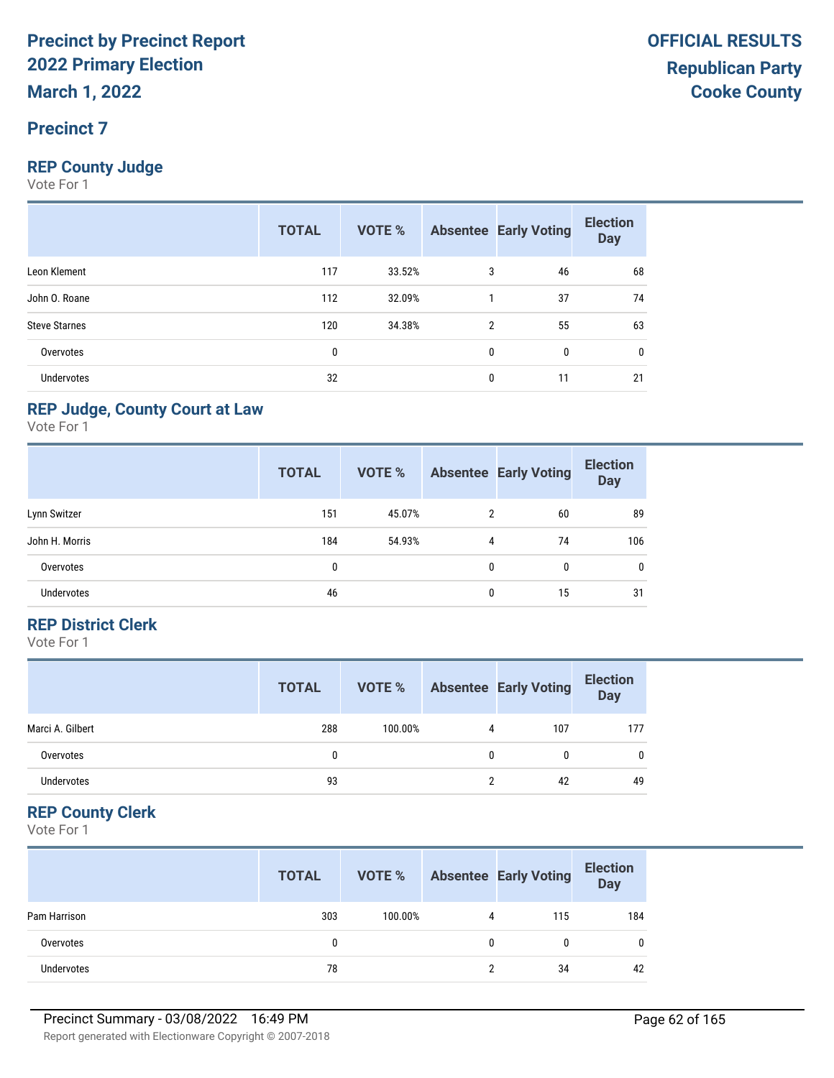## **Precinct 7**

## **REP County Judge**

Vote For 1

|                      | <b>TOTAL</b> | VOTE % |                | <b>Absentee Early Voting</b> | <b>Election</b><br><b>Day</b> |
|----------------------|--------------|--------|----------------|------------------------------|-------------------------------|
| Leon Klement         | 117          | 33.52% | 3              | 46                           | 68                            |
| John O. Roane        | 112          | 32.09% |                | 37                           | 74                            |
| <b>Steve Starnes</b> | 120          | 34.38% | $\overline{2}$ | 55                           | 63                            |
| Overvotes            | 0            |        | $\mathbf{0}$   | $\mathbf{0}$                 | 0                             |
| <b>Undervotes</b>    | 32           |        | 0              | 11                           | 21                            |

## **REP Judge, County Court at Law**

Vote For 1

|                   | <b>TOTAL</b> | VOTE % |   | <b>Absentee Early Voting</b> | <b>Election</b><br><b>Day</b> |
|-------------------|--------------|--------|---|------------------------------|-------------------------------|
| Lynn Switzer      | 151          | 45.07% | 2 | 60                           | 89                            |
| John H. Morris    | 184          | 54.93% | 4 | 74                           | 106                           |
| Overvotes         | 0            |        | 0 | 0                            | 0                             |
| <b>Undervotes</b> | 46           |        | 0 | 15                           | 31                            |

### **REP District Clerk**

Vote For 1

|                   | <b>TOTAL</b> | VOTE %  |   | <b>Absentee Early Voting</b> | <b>Election</b><br><b>Day</b> |
|-------------------|--------------|---------|---|------------------------------|-------------------------------|
| Marci A. Gilbert  | 288          | 100.00% | 4 | 107                          | 177                           |
| Overvotes         | 0            |         | 0 | 0                            | $\mathbf{0}$                  |
| <b>Undervotes</b> | 93           |         |   | 42                           | 49                            |

## **REP County Clerk**

|              | <b>TOTAL</b> | VOTE %  |              | <b>Absentee Early Voting</b> | <b>Election</b><br>Day |
|--------------|--------------|---------|--------------|------------------------------|------------------------|
| Pam Harrison | 303          | 100.00% | 4            | 115                          | 184                    |
| Overvotes    | 0            |         | $\mathbf{0}$ |                              | 0                      |
| Undervotes   | 78           |         |              | 34                           | 42                     |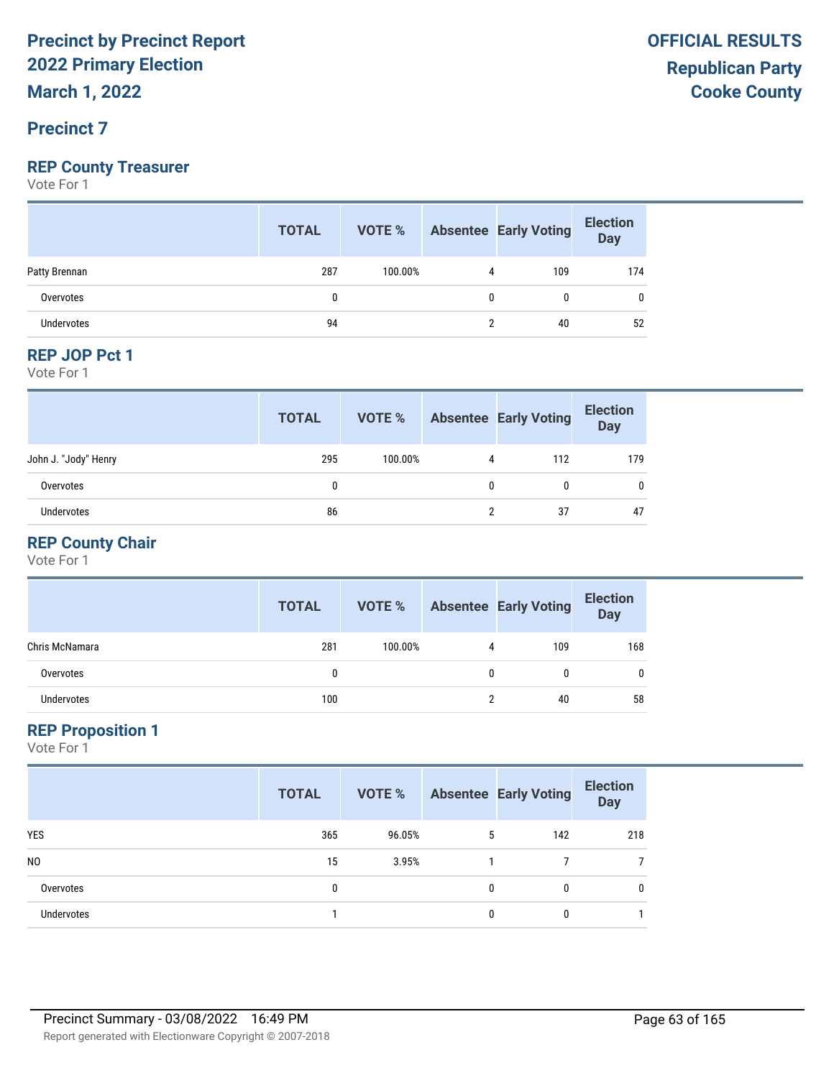## **Precinct 7**

### **REP County Treasurer**

Vote For 1

|                   | <b>TOTAL</b> | <b>VOTE %</b> Absentee Early Voting |   |     | <b>Election</b><br>Day |
|-------------------|--------------|-------------------------------------|---|-----|------------------------|
| Patty Brennan     | 287          | 100.00%                             |   | 109 | 174                    |
| Overvotes         | 0            |                                     | 0 | 0   | 0                      |
| <b>Undervotes</b> | 94           |                                     |   | 40  | 52                     |
|                   |              |                                     |   |     |                        |

#### **REP JOP Pct 1**

Vote For 1

|                      | <b>TOTAL</b> | VOTE %  |   | <b>Absentee Early Voting</b> | <b>Election</b><br><b>Day</b> |
|----------------------|--------------|---------|---|------------------------------|-------------------------------|
| John J. "Jody" Henry | 295          | 100.00% | 4 | 112                          | 179                           |
| Overvotes            | 0            |         | 0 | 0                            | 0                             |
| <b>Undervotes</b>    | 86           |         |   | 37                           | 47                            |

## **REP County Chair**

Vote For 1

|                | <b>TOTAL</b> | VOTE %  |   | <b>Absentee Early Voting</b> | <b>Election</b><br><b>Day</b> |
|----------------|--------------|---------|---|------------------------------|-------------------------------|
| Chris McNamara | 281          | 100.00% | 4 | 109                          | 168                           |
| Overvotes      | 0            |         |   | 0                            | 0                             |
| Undervotes     | 100          |         |   | 40                           | 58                            |

#### **REP Proposition 1**

|                | <b>TOTAL</b> | VOTE % |   | <b>Absentee Early Voting</b> | <b>Election</b><br><b>Day</b> |
|----------------|--------------|--------|---|------------------------------|-------------------------------|
| <b>YES</b>     | 365          | 96.05% | 5 | 142                          | 218                           |
| N <sub>0</sub> | 15           | 3.95%  |   |                              |                               |
| Overvotes      | 0            |        | 0 | 0                            | 0                             |
| Undervotes     |              |        | 0 | 0                            |                               |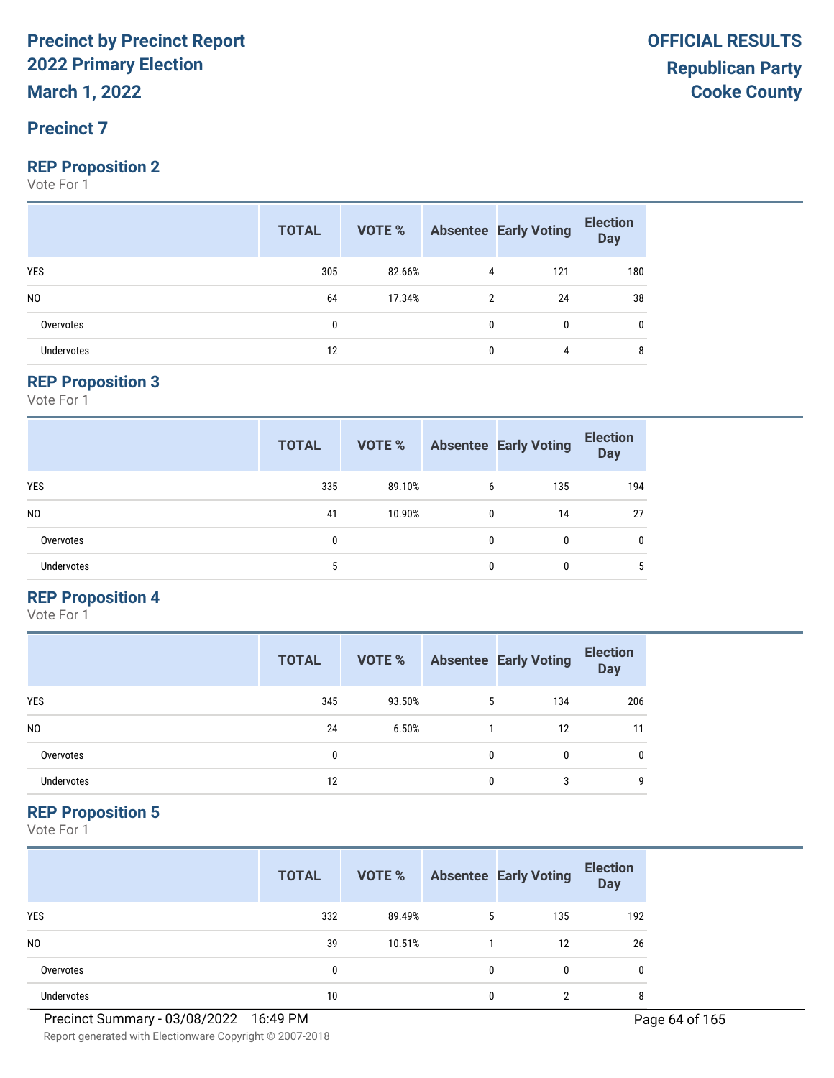## **Precinct 7**

#### **REP Proposition 2**

Vote For 1

|                | <b>TOTAL</b> |        |   | <b>VOTE %</b> Absentee Early Voting | <b>Election</b><br>$\overline{$ Day |
|----------------|--------------|--------|---|-------------------------------------|-------------------------------------|
| <b>YES</b>     | 305          | 82.66% | 4 | 121                                 | 180                                 |
| N <sub>0</sub> | 64           | 17.34% | 2 | 24                                  | 38                                  |
| Overvotes      | 0            |        | 0 | $\mathbf{0}$                        | 0                                   |
| Undervotes     | 12           |        | 0 | 4                                   | 8                                   |

#### **REP Proposition 3**

Vote For 1

|                   | <b>TOTAL</b> | VOTE % |   | <b>Absentee Early Voting</b> | <b>Election</b><br><b>Day</b> |
|-------------------|--------------|--------|---|------------------------------|-------------------------------|
| <b>YES</b>        | 335          | 89.10% | 6 | 135                          | 194                           |
| N <sub>0</sub>    | 41           | 10.90% | 0 | 14                           | 27                            |
| Overvotes         | 0            |        | 0 | 0                            | $\mathbf{0}$                  |
| <b>Undervotes</b> | 5            |        | 0 | 0                            | 5                             |

## **REP Proposition 4**

Vote For 1

|                | <b>TOTAL</b> | VOTE % |              | <b>Absentee Early Voting</b> | <b>Election</b><br><b>Day</b> |
|----------------|--------------|--------|--------------|------------------------------|-------------------------------|
| <b>YES</b>     | 345          | 93.50% | 5            | 134                          | 206                           |
| N <sub>0</sub> | 24           | 6.50%  |              | 12                           | 11                            |
| Overvotes      | 0            |        | $\mathbf{0}$ | 0                            | 0                             |
| Undervotes     | 12           |        | 0            | 3                            | 9                             |

#### **REP Proposition 5**

|                | <b>TOTAL</b> | VOTE % |              | <b>Absentee Early Voting</b> | <b>Election</b><br><b>Day</b> |
|----------------|--------------|--------|--------------|------------------------------|-------------------------------|
| <b>YES</b>     | 332          | 89.49% | 5            | 135                          | 192                           |
| N <sub>0</sub> | 39           | 10.51% |              | 12                           | 26                            |
| Overvotes      | 0            |        | $\mathbf{0}$ | 0                            | 0                             |
| Undervotes     | 10           |        | 0            | ∩                            | 8                             |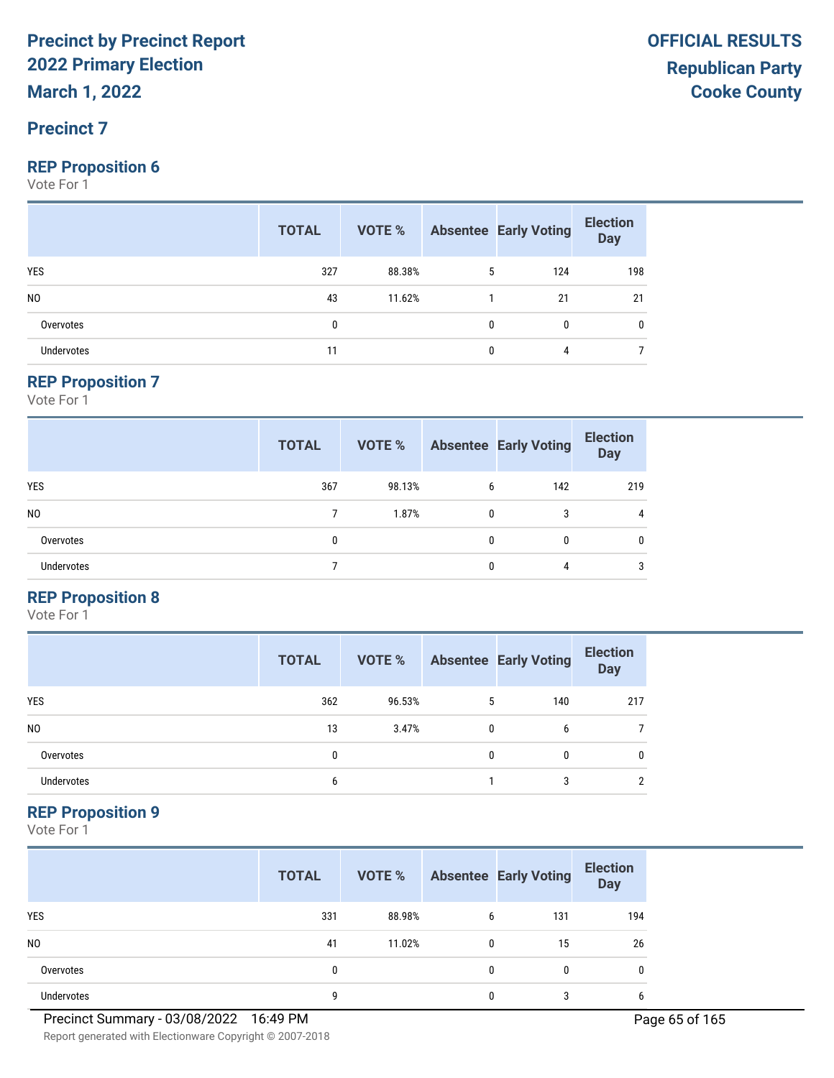### **Precinct 7**

#### **REP Proposition 6**

Vote For 1

|                | <b>TOTAL</b> |        |              | <b>VOTE %</b> Absentee Early Voting | <b>Election</b><br>Day |
|----------------|--------------|--------|--------------|-------------------------------------|------------------------|
| <b>YES</b>     | 327          | 88.38% | 5            | 124                                 | 198                    |
| N <sub>0</sub> | 43           | 11.62% |              | 21                                  | 21                     |
| Overvotes      | 0            |        | $\mathbf{0}$ | 0                                   | 0                      |
| Undervotes     | 11           |        | $\mathbf{0}$ | 4                                   |                        |

#### **REP Proposition 7**

Vote For 1

|                   | <b>TOTAL</b> | VOTE % |   | <b>Absentee Early Voting</b> | <b>Election</b><br><b>Day</b> |
|-------------------|--------------|--------|---|------------------------------|-------------------------------|
| <b>YES</b>        | 367          | 98.13% | 6 | 142                          | 219                           |
| N <sub>0</sub>    |              | 1.87%  | 0 | 3                            | $\overline{4}$                |
| Overvotes         |              |        | 0 | 0                            | $\mathbf{0}$                  |
| <b>Undervotes</b> |              |        | 0 | 4                            | 3                             |

## **REP Proposition 8**

Vote For 1

|                | <b>TOTAL</b> | VOTE % |   | <b>Absentee Early Voting</b> | <b>Election</b><br><b>Day</b> |
|----------------|--------------|--------|---|------------------------------|-------------------------------|
| <b>YES</b>     | 362          | 96.53% | 5 | 140                          | 217                           |
| N <sub>0</sub> | 13           | 3.47%  | 0 | 6                            |                               |
| Overvotes      | $\mathbf{0}$ |        | 0 | 0                            | 0                             |
| Undervotes     | 6            |        |   | 3                            |                               |

## **REP Proposition 9**

Vote For 1

|                   | <b>TOTAL</b> | VOTE % |   | <b>Absentee Early Voting</b> | <b>Election</b><br><b>Day</b> |
|-------------------|--------------|--------|---|------------------------------|-------------------------------|
| <b>YES</b>        | 331          | 88.98% | 6 | 131                          | 194                           |
| N <sub>0</sub>    | 41           | 11.02% |   | 15                           | 26                            |
| Overvotes         | 0            |        |   | 0                            | 0                             |
| <b>Undervotes</b> | g            |        |   | 3                            | 6                             |

Report generated with Electionware Copyright © 2007-2018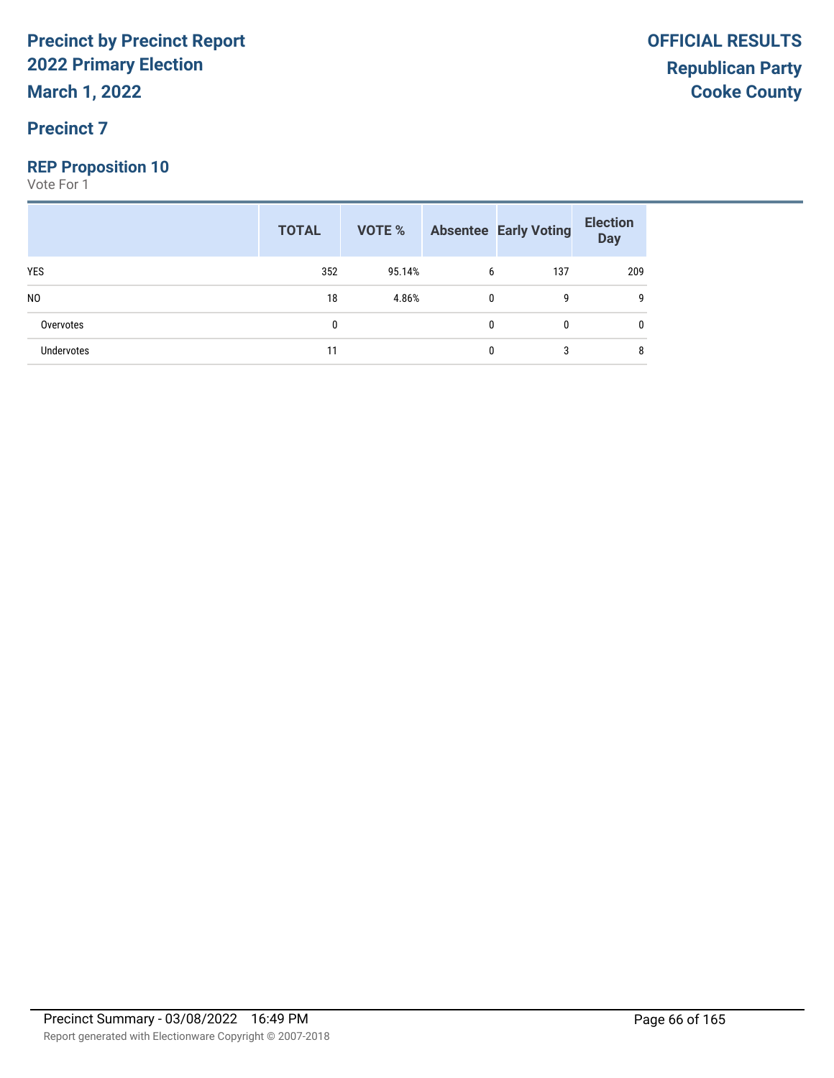**March 1, 2022**

## **Precinct 7**

## **REP Proposition 10**

|                   | <b>TOTAL</b> |        |              | <b>VOTE %</b> Absentee Early Voting | <b>Election</b><br>Day |
|-------------------|--------------|--------|--------------|-------------------------------------|------------------------|
| <b>YES</b>        | 352          | 95.14% | 6            | 137                                 | 209                    |
| N <sub>0</sub>    | 18           | 4.86%  | $\mathbf{0}$ | g                                   | g                      |
| Overvotes         | 0            |        | 0            | $\mathbf{0}$                        | 0                      |
| <b>Undervotes</b> | 11           |        | 0            | 3                                   | 8                      |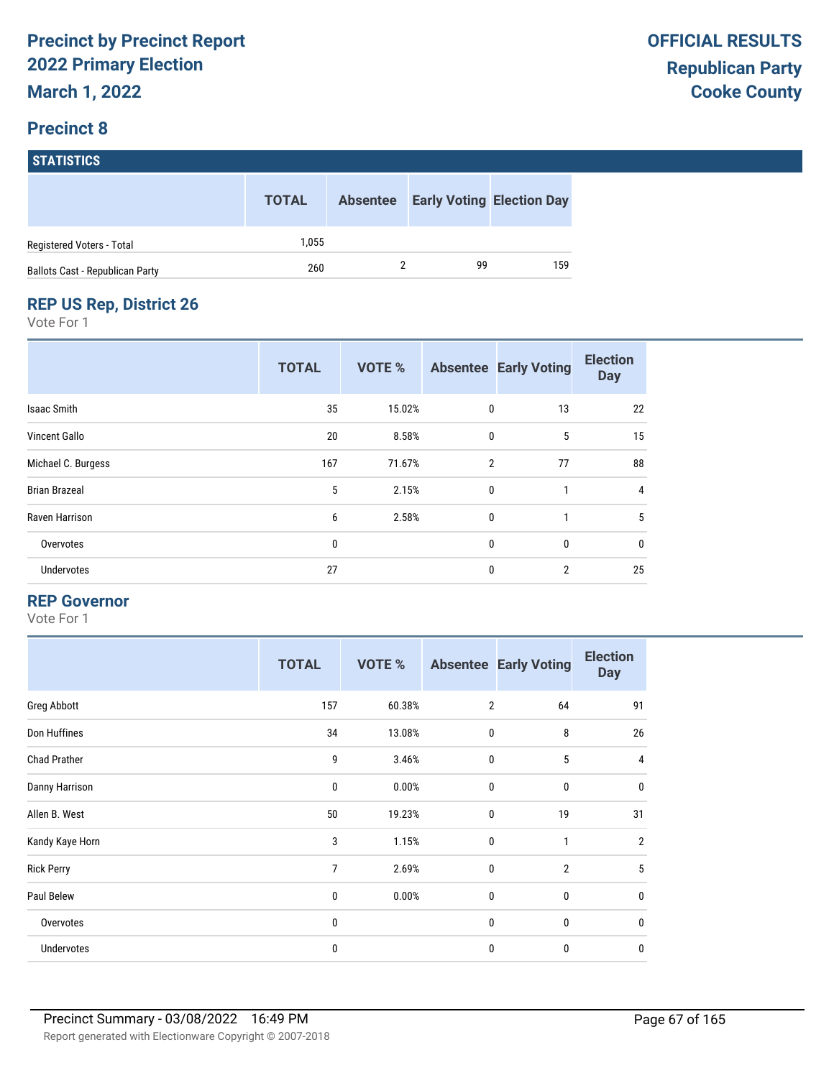# **STATISTICS**

|                                 | <b>TOTAL</b> | <b>Absentee</b> | <b>Early Voting Election Day</b> |     |
|---------------------------------|--------------|-----------------|----------------------------------|-----|
| Registered Voters - Total       | 1.055        |                 |                                  |     |
| Ballots Cast - Republican Party | 260          |                 | 99                               | 159 |

## **REP US Rep, District 26**

Vote For 1

|                      | <b>TOTAL</b> | <b>VOTE %</b> |                | <b>Absentee Early Voting</b> | <b>Election</b><br><b>Day</b> |
|----------------------|--------------|---------------|----------------|------------------------------|-------------------------------|
| Isaac Smith          | 35           | 15.02%        | 0              | 13                           | 22                            |
| <b>Vincent Gallo</b> | 20           | 8.58%         | $\mathbf{0}$   | 5                            | 15                            |
| Michael C. Burgess   | 167          | 71.67%        | $\overline{2}$ | 77                           | 88                            |
| <b>Brian Brazeal</b> | 5            | 2.15%         | $\mathbf{0}$   |                              | $\overline{4}$                |
| Raven Harrison       | 6            | 2.58%         | $\mathbf{0}$   | 1                            | 5                             |
| Overvotes            | 0            |               | $\mathbf{0}$   | 0                            | 0                             |
| Undervotes           | 27           |               | $\mathbf{0}$   | $\overline{2}$               | 25                            |

#### **REP Governor**

|                     | <b>TOTAL</b> | <b>VOTE %</b> |                | <b>Absentee Early Voting</b> | <b>Election</b><br><b>Day</b> |
|---------------------|--------------|---------------|----------------|------------------------------|-------------------------------|
| Greg Abbott         | 157          | 60.38%        | $\overline{2}$ | 64                           | 91                            |
| Don Huffines        | 34           | 13.08%        | $\mathbf 0$    | 8                            | 26                            |
| <b>Chad Prather</b> | 9            | 3.46%         | $\mathbf 0$    | 5                            | 4                             |
| Danny Harrison      | 0            | 0.00%         | $\mathbf{0}$   | $\mathbf 0$                  | $\mathbf{0}$                  |
| Allen B. West       | 50           | 19.23%        | $\bf{0}$       | 19                           | 31                            |
| Kandy Kaye Horn     | 3            | 1.15%         | $\mathbf{0}$   | 1                            | $\overline{2}$                |
| <b>Rick Perry</b>   | 7            | 2.69%         | $\mathbf 0$    | $\overline{2}$               | 5                             |
| Paul Belew          | 0            | 0.00%         | $\mathbf 0$    | 0                            | $\mathbf{0}$                  |
| Overvotes           | 0            |               | $\mathbf 0$    | 0                            | $\mathbf{0}$                  |
| Undervotes          | 0            |               | $\mathbf{0}$   | 0                            | $\mathbf{0}$                  |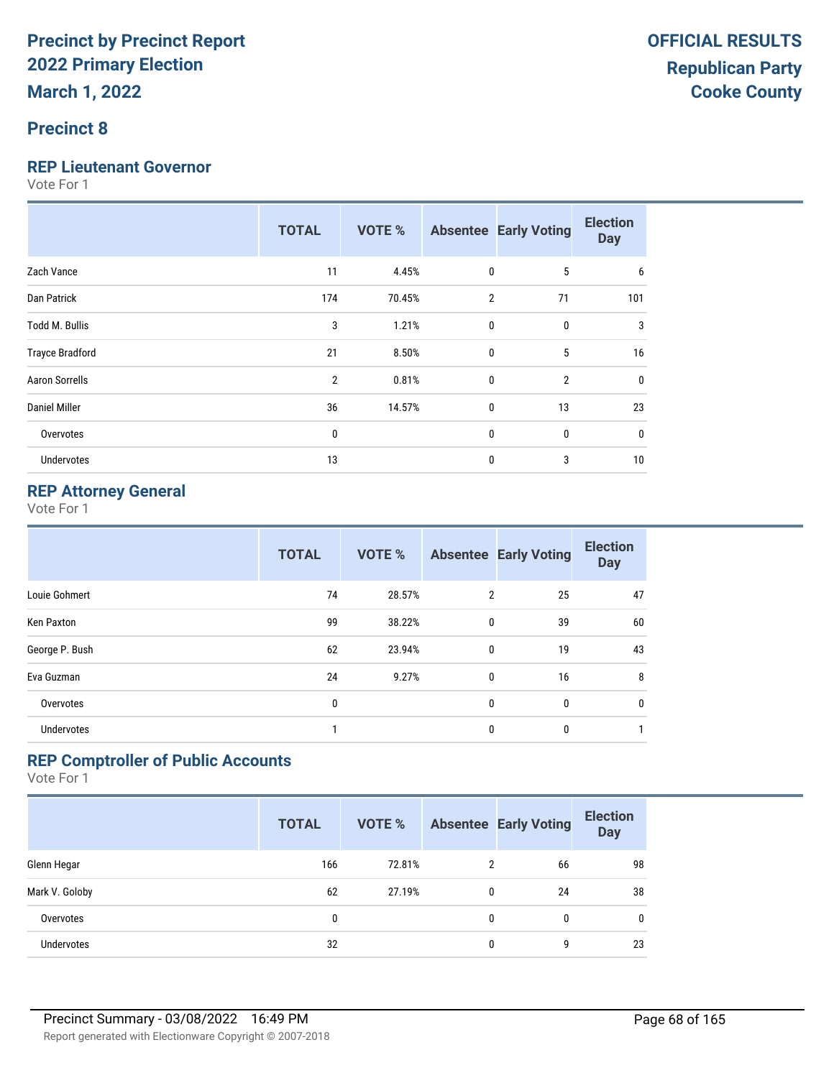## **Precinct 8**

#### **REP Lieutenant Governor**

Vote For 1

|                        | <b>TOTAL</b>   | <b>VOTE %</b> |                | <b>Absentee Early Voting</b> | <b>Election</b><br><b>Day</b> |
|------------------------|----------------|---------------|----------------|------------------------------|-------------------------------|
| Zach Vance             | 11             | 4.45%         | 0              | 5                            | 6                             |
| Dan Patrick            | 174            | 70.45%        | $\overline{2}$ | 71                           | 101                           |
| Todd M. Bullis         | 3              | 1.21%         | $\mathbf{0}$   | 0                            | 3                             |
| <b>Trayce Bradford</b> | 21             | 8.50%         | $\mathbf{0}$   | 5                            | 16                            |
| <b>Aaron Sorrells</b>  | $\overline{2}$ | 0.81%         | $\mathbf{0}$   | $\overline{2}$               | $\mathbf{0}$                  |
| Daniel Miller          | 36             | 14.57%        | $\mathbf 0$    | 13                           | 23                            |
| Overvotes              | 0              |               | $\mathbf 0$    | $\mathbf{0}$                 | 0                             |
| <b>Undervotes</b>      | 13             |               | 0              | 3                            | 10                            |

## **REP Attorney General**

Vote For 1

|                   | <b>TOTAL</b> | <b>VOTE %</b> |                | <b>Absentee Early Voting</b> | <b>Election</b><br><b>Day</b> |
|-------------------|--------------|---------------|----------------|------------------------------|-------------------------------|
| Louie Gohmert     | 74           | 28.57%        | $\overline{2}$ | 25                           | 47                            |
| Ken Paxton        | 99           | 38.22%        | 0              | 39                           | 60                            |
| George P. Bush    | 62           | 23.94%        | 0              | 19                           | 43                            |
| Eva Guzman        | 24           | 9.27%         | 0              | 16                           | 8                             |
| Overvotes         | 0            |               | 0              | $\mathbf{0}$                 | 0                             |
| <b>Undervotes</b> | 1            |               | 0              | 0                            | $\mathbf{1}$                  |

## **REP Comptroller of Public Accounts**

|                   | <b>TOTAL</b> | <b>VOTE %</b> |   | <b>Absentee Early Voting</b> | <b>Election</b><br><b>Day</b> |
|-------------------|--------------|---------------|---|------------------------------|-------------------------------|
| Glenn Hegar       | 166          | 72.81%        | 2 | 66                           | 98                            |
| Mark V. Goloby    | 62           | 27.19%        | 0 | 24                           | 38                            |
| Overvotes         | 0            |               | 0 | 0                            | $\mathbf{0}$                  |
| <b>Undervotes</b> | 32           |               | 0 | 9                            | 23                            |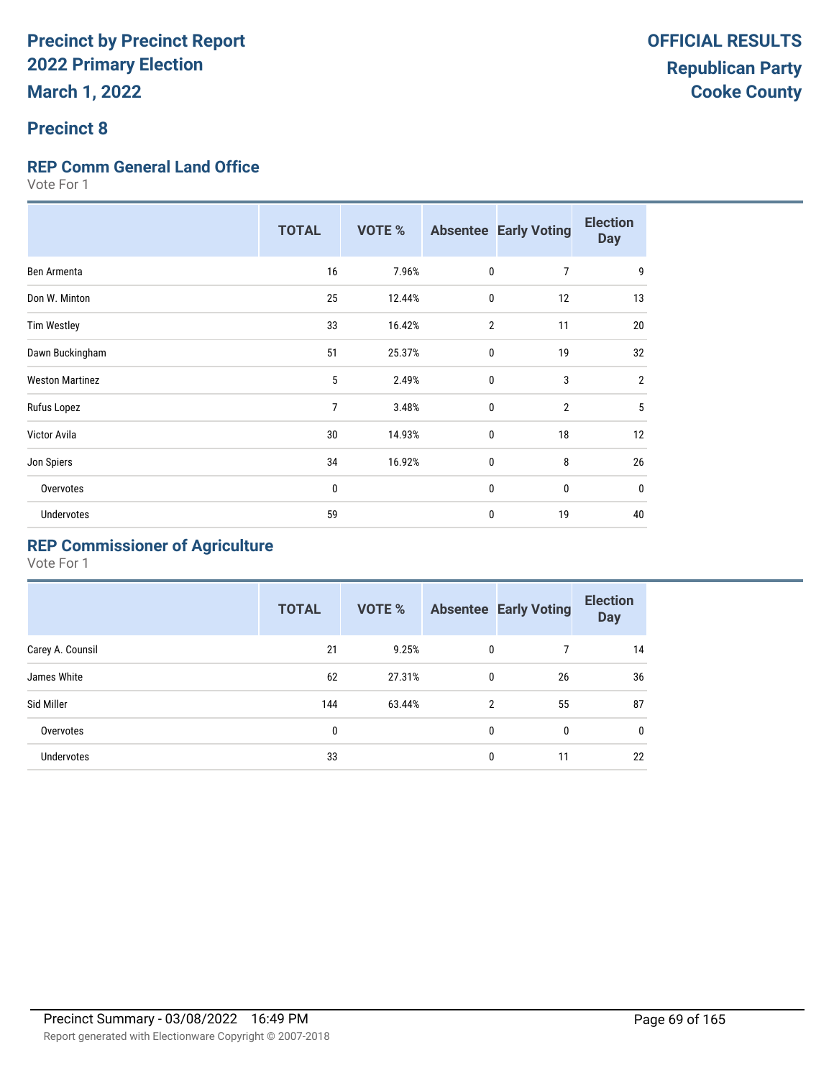## **Precinct 8**

## **REP Comm General Land Office**

Vote For 1

|                        | <b>TOTAL</b>   | <b>VOTE %</b> | <b>Absentee</b> | <b>Early Voting</b> | <b>Election</b><br><b>Day</b> |
|------------------------|----------------|---------------|-----------------|---------------------|-------------------------------|
| Ben Armenta            | 16             | 7.96%         | $\mathbf 0$     | $\overline{7}$      | 9                             |
| Don W. Minton          | 25             | 12.44%        | 0               | 12                  | 13                            |
| <b>Tim Westley</b>     | 33             | 16.42%        | $\overline{2}$  | 11                  | 20                            |
| Dawn Buckingham        | 51             | 25.37%        | 0               | 19                  | 32                            |
| <b>Weston Martinez</b> | 5              | 2.49%         | $\mathbf 0$     | 3                   | $\overline{2}$                |
| Rufus Lopez            | $\overline{7}$ | 3.48%         | $\mathbf{0}$    | $\overline{2}$      | 5                             |
| Victor Avila           | 30             | 14.93%        | $\mathbf 0$     | 18                  | 12                            |
| Jon Spiers             | 34             | 16.92%        | $\mathbf{0}$    | 8                   | 26                            |
| Overvotes              | 0              |               | 0               | 0                   | $\mathbf 0$                   |
| <b>Undervotes</b>      | 59             |               | 0               | 19                  | 40                            |

## **REP Commissioner of Agriculture**

|                  | <b>TOTAL</b> | <b>VOTE %</b> |                | <b>Absentee Early Voting</b> | <b>Election</b><br><b>Day</b> |
|------------------|--------------|---------------|----------------|------------------------------|-------------------------------|
| Carey A. Counsil | 21           | 9.25%         | 0              |                              | 14                            |
| James White      | 62           | 27.31%        | $\mathbf{0}$   | 26                           | 36                            |
| Sid Miller       | 144          | 63.44%        | $\mathfrak{p}$ | 55                           | 87                            |
| Overvotes        | 0            |               | 0              | 0                            | $\mathbf{0}$                  |
| Undervotes       | 33           |               | $\mathbf{0}$   | 11                           | 22                            |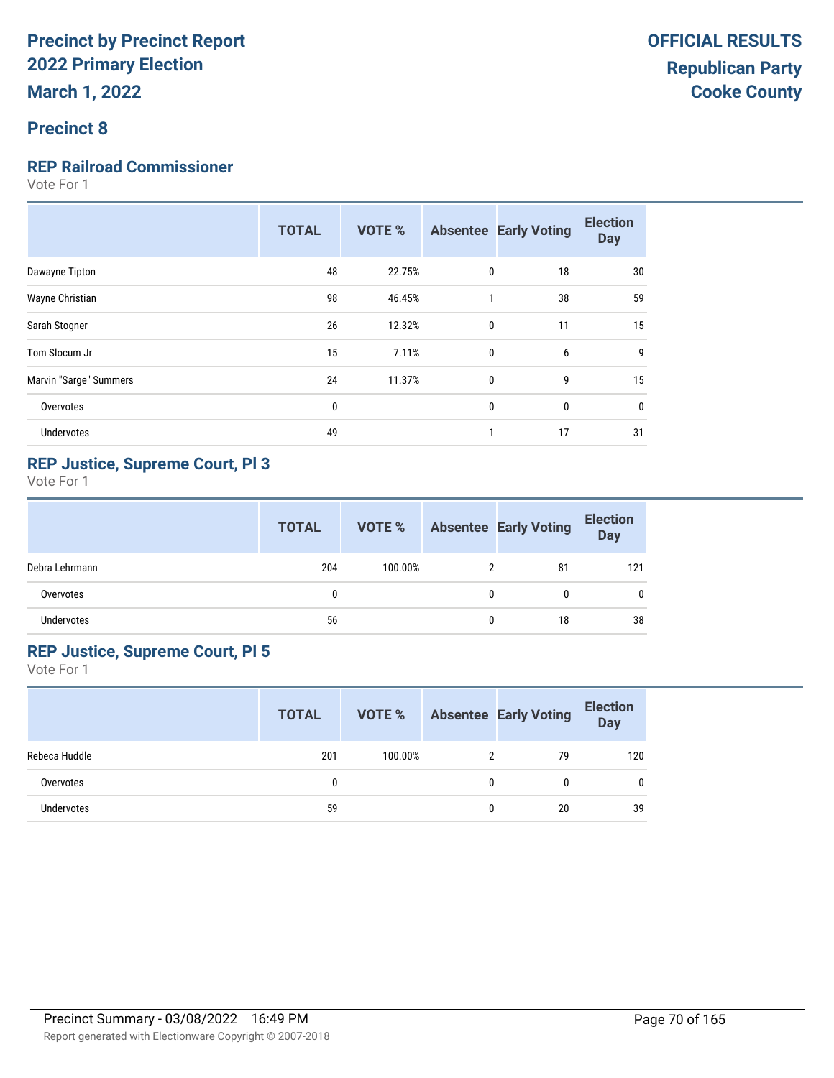## **Precinct 8**

## **REP Railroad Commissioner**

Vote For 1

|                        | <b>TOTAL</b> | <b>VOTE %</b> |              | <b>Absentee Early Voting</b> | <b>Election</b><br><b>Day</b> |
|------------------------|--------------|---------------|--------------|------------------------------|-------------------------------|
| Dawayne Tipton         | 48           | 22.75%        | 0            | 18                           | 30                            |
| Wayne Christian        | 98           | 46.45%        | $\mathbf{1}$ | 38                           | 59                            |
| Sarah Stogner          | 26           | 12.32%        | 0            | 11                           | 15                            |
| Tom Slocum Jr          | 15           | 7.11%         | $\mathbf{0}$ | 6                            | 9                             |
| Marvin "Sarge" Summers | 24           | 11.37%        | 0            | 9                            | 15                            |
| Overvotes              | $\bf{0}$     |               | 0            | 0                            | $\mathbf 0$                   |
| <b>Undervotes</b>      | 49           |               | 1            | 17                           | 31                            |
|                        |              |               |              |                              |                               |

## **REP Justice, Supreme Court, Pl 3**

Vote For 1

|                | <b>TOTAL</b> | VOTE %  |   | <b>Absentee Early Voting</b> | <b>Election</b><br><b>Day</b> |
|----------------|--------------|---------|---|------------------------------|-------------------------------|
| Debra Lehrmann | 204          | 100.00% | 2 | 81                           | 121                           |
| Overvotes      | 0            |         | 0 | 0                            |                               |
| Undervotes     | 56           |         | 0 | 18                           | 38                            |

### **REP Justice, Supreme Court, Pl 5**

|               | <b>TOTAL</b> | <b>VOTE %</b> |   | <b>Absentee Early Voting</b> | <b>Election</b><br><b>Day</b> |
|---------------|--------------|---------------|---|------------------------------|-------------------------------|
| Rebeca Huddle | 201          | 100.00%       |   | 79                           | 120                           |
| Overvotes     |              |               | 0 | 0                            | 0                             |
| Undervotes    | 59           |               | 0 | 20                           | 39                            |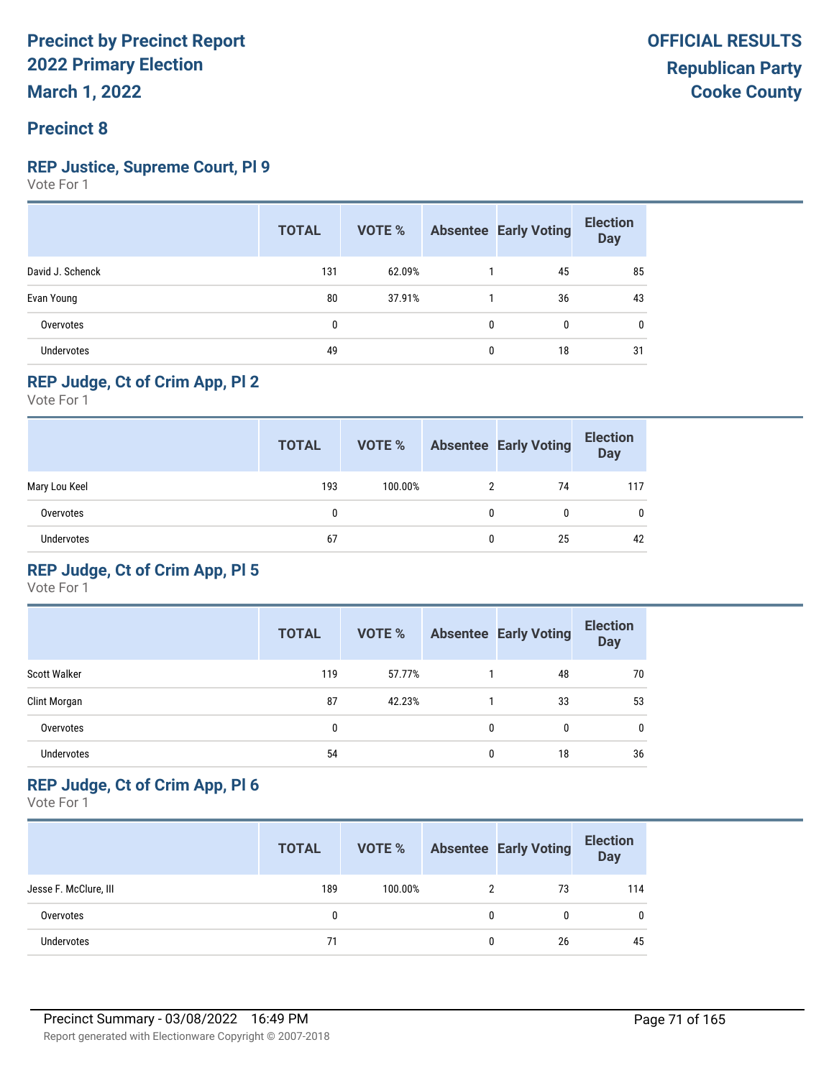## **Precinct 8**

### **REP Justice, Supreme Court, Pl 9**

Vote For 1

|                   | <b>TOTAL</b> | VOTE % |              | <b>Absentee Early Voting</b> | <b>Election</b><br><b>Day</b> |
|-------------------|--------------|--------|--------------|------------------------------|-------------------------------|
| David J. Schenck  | 131          | 62.09% |              | 45                           | 85                            |
| Evan Young        | 80           | 37.91% |              | 36                           | 43                            |
| Overvotes         | $\mathbf{0}$ |        | $\mathbf{0}$ | $\Omega$                     | 0                             |
| <b>Undervotes</b> | 49           |        | $\mathbf{0}$ | 18                           | 31                            |

## **REP Judge, Ct of Crim App, Pl 2**

Vote For 1

|               | <b>TOTAL</b> | VOTE %  |   | <b>Absentee Early Voting</b> | <b>Election</b><br><b>Day</b> |
|---------------|--------------|---------|---|------------------------------|-------------------------------|
| Mary Lou Keel | 193          | 100.00% |   | 74                           | 117                           |
| Overvotes     | 0            |         | 0 |                              | 0                             |
| Undervotes    | 67           |         | 0 | 25                           | 42                            |

## **REP Judge, Ct of Crim App, Pl 5**

Vote For 1

|                     | <b>TOTAL</b> | <b>VOTE %</b> |              | <b>Absentee Early Voting</b> | <b>Election</b><br><b>Day</b> |
|---------------------|--------------|---------------|--------------|------------------------------|-------------------------------|
| <b>Scott Walker</b> | 119          | 57.77%        |              | 48                           | 70                            |
| Clint Morgan        | 87           | 42.23%        |              | 33                           | 53                            |
| Overvotes           | 0            |               | 0            | 0                            | 0                             |
| <b>Undervotes</b>   | 54           |               | $\mathbf{0}$ | 18                           | 36                            |

## **REP Judge, Ct of Crim App, Pl 6**

|                       | <b>TOTAL</b> | VOTE %  |   | <b>Absentee Early Voting</b> | <b>Election</b><br><b>Day</b> |
|-----------------------|--------------|---------|---|------------------------------|-------------------------------|
| Jesse F. McClure, III | 189          | 100.00% |   | 73                           | 114                           |
| Overvotes             | 0            |         | 0 | 0                            | 0                             |
| <b>Undervotes</b>     | 71           |         | 0 | 26                           | 45                            |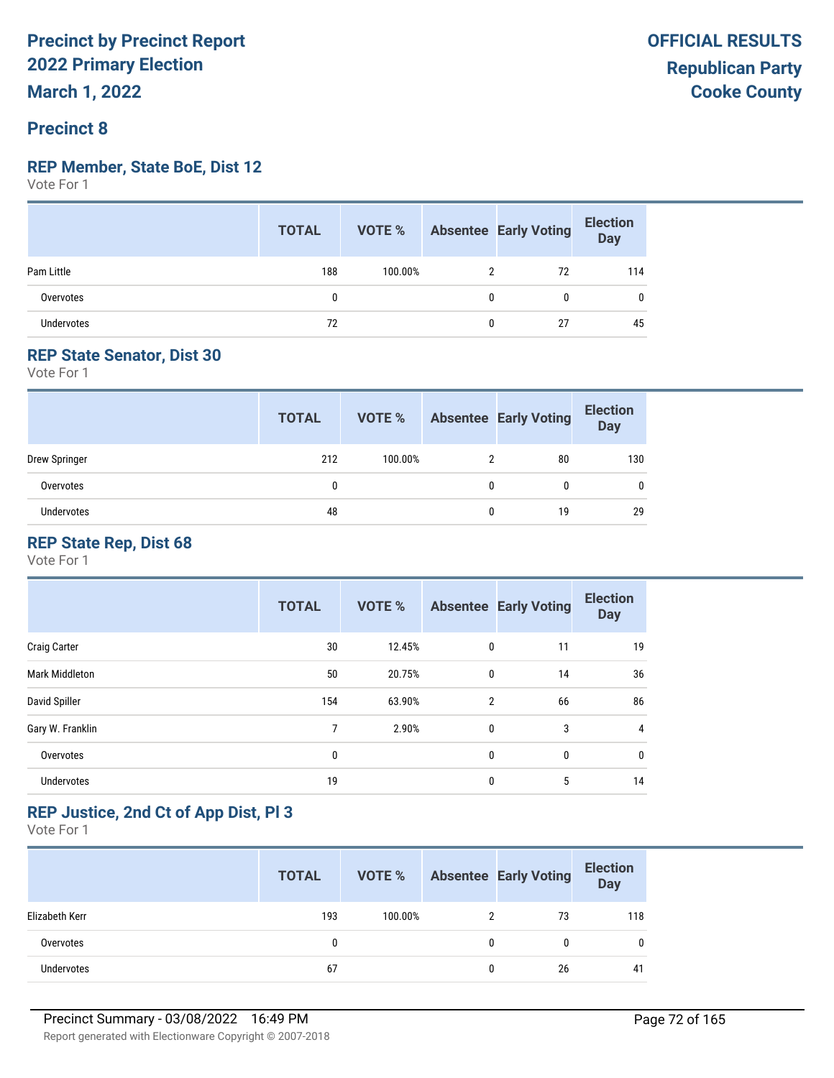## **Precinct 8**

#### **REP Member, State BoE, Dist 12**

Vote For 1

|                   | <b>TOTAL</b> | <b>VOTE %</b> | <b>Absentee Early Voting</b> | <b>Election</b><br>Day |
|-------------------|--------------|---------------|------------------------------|------------------------|
| Pam Little        | 188          | 100.00%       | 72                           | 114                    |
| Overvotes         | 0            |               | 0                            |                        |
| <b>Undervotes</b> | 72           |               | 27                           | 45                     |

## **REP State Senator, Dist 30**

Vote For 1

|               | <b>TOTAL</b> | VOTE %  | <b>Absentee Early Voting</b> | <b>Election</b><br><b>Day</b> |
|---------------|--------------|---------|------------------------------|-------------------------------|
| Drew Springer | 212          | 100.00% | 80                           | 130                           |
| Overvotes     | 0            |         | 0                            | 0                             |
| Undervotes    | 48           |         | 19                           | 29                            |

## **REP State Rep, Dist 68**

Vote For 1

|                       | <b>TOTAL</b> | <b>VOTE %</b> |                | <b>Absentee Early Voting</b> | <b>Election</b><br><b>Day</b> |
|-----------------------|--------------|---------------|----------------|------------------------------|-------------------------------|
| <b>Craig Carter</b>   | 30           | 12.45%        | 0              | 11                           | 19                            |
| <b>Mark Middleton</b> | 50           | 20.75%        | $\mathbf 0$    | 14                           | 36                            |
| David Spiller         | 154          | 63.90%        | $\overline{2}$ | 66                           | 86                            |
| Gary W. Franklin      | 7            | 2.90%         | $\mathbf 0$    | 3                            | 4                             |
| Overvotes             | 0            |               | 0              | 0                            | $\mathbf{0}$                  |
| Undervotes            | 19           |               | 0              | 5                            | 14                            |

## **REP Justice, 2nd Ct of App Dist, Pl 3**

|                   | <b>TOTAL</b> | VOTE %  |   | <b>Absentee Early Voting</b> | <b>Election</b><br>Day |
|-------------------|--------------|---------|---|------------------------------|------------------------|
| Elizabeth Kerr    | 193          | 100.00% | 2 | 73                           | 118                    |
| Overvotes         | 0            |         |   | 0                            | 0                      |
| <b>Undervotes</b> | 67           |         |   | 26                           | 41                     |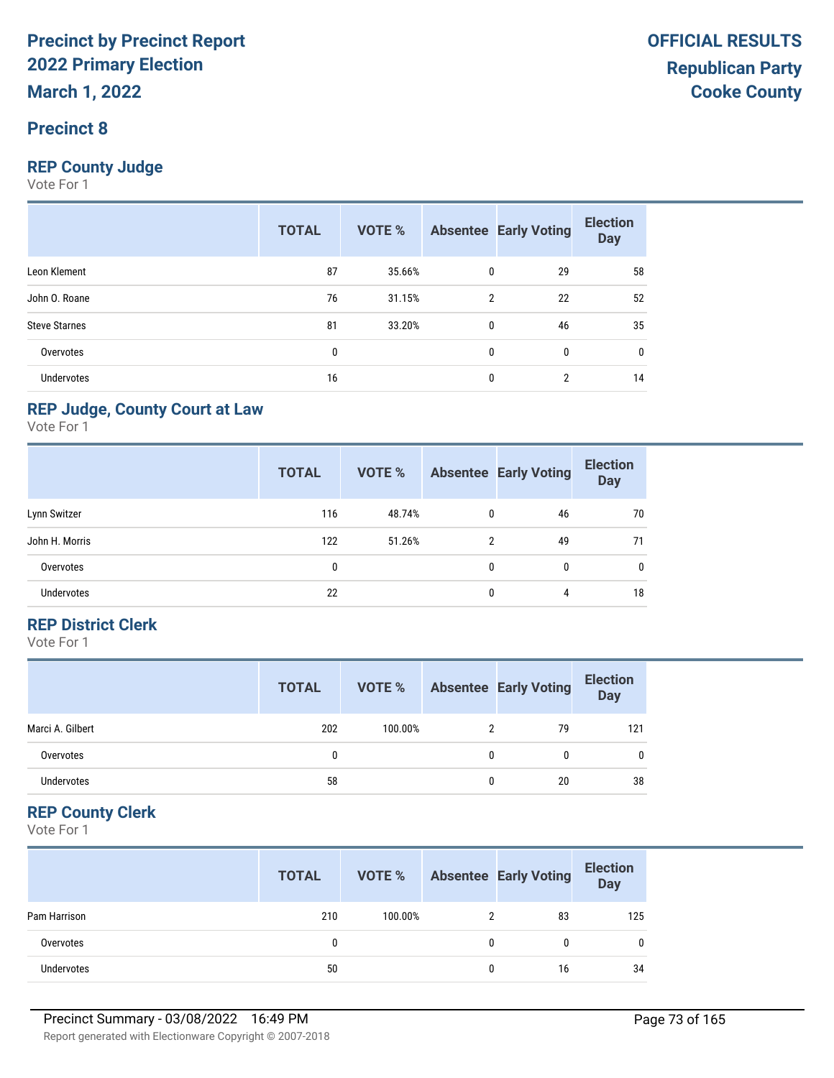#### **Precinct 8**

#### **REP County Judge**

Vote For 1

|                      | <b>TOTAL</b> | VOTE % |              | <b>Absentee Early Voting</b> | <b>Election</b><br><b>Day</b> |
|----------------------|--------------|--------|--------------|------------------------------|-------------------------------|
| Leon Klement         | 87           | 35.66% | 0            | 29                           | 58                            |
| John O. Roane        | 76           | 31.15% | 2            | 22                           | 52                            |
| <b>Steve Starnes</b> | 81           | 33.20% | $\mathbf{0}$ | 46                           | 35                            |
| Overvotes            | 0            |        | 0            | $\mathbf{0}$                 | 0                             |
| Undervotes           | 16           |        | 0            | $\overline{2}$               | 14                            |

#### **REP Judge, County Court at Law**

Vote For 1

|                   | <b>TOTAL</b> | <b>VOTE %</b> |   | <b>Absentee Early Voting</b> | <b>Election</b><br><b>Day</b> |
|-------------------|--------------|---------------|---|------------------------------|-------------------------------|
| Lynn Switzer      | 116          | 48.74%        | 0 | 46                           | 70                            |
| John H. Morris    | 122          | 51.26%        | 2 | 49                           | 71                            |
| Overvotes         | 0            |               | 0 | 0                            | 0                             |
| <b>Undervotes</b> | 22           |               | 0 | 4                            | 18                            |

#### **REP District Clerk**

Vote For 1

|                   | <b>TOTAL</b> | VOTE %  |   | <b>Absentee Early Voting</b> | <b>Election</b><br><b>Day</b> |
|-------------------|--------------|---------|---|------------------------------|-------------------------------|
| Marci A. Gilbert  | 202          | 100.00% |   | 79                           | 121                           |
| Overvotes         |              |         | 0 | 0                            | 0                             |
| <b>Undervotes</b> | 58           |         |   | 20                           | 38                            |

#### **REP County Clerk**

|              | <b>TOTAL</b> | VOTE %  |   | <b>Absentee Early Voting</b> | <b>Election</b><br><b>Day</b> |
|--------------|--------------|---------|---|------------------------------|-------------------------------|
| Pam Harrison | 210          | 100.00% |   | 83                           | 125                           |
| Overvotes    | 0            |         | 0 |                              | 0                             |
| Undervotes   | 50           |         | 0 | 16                           | 34                            |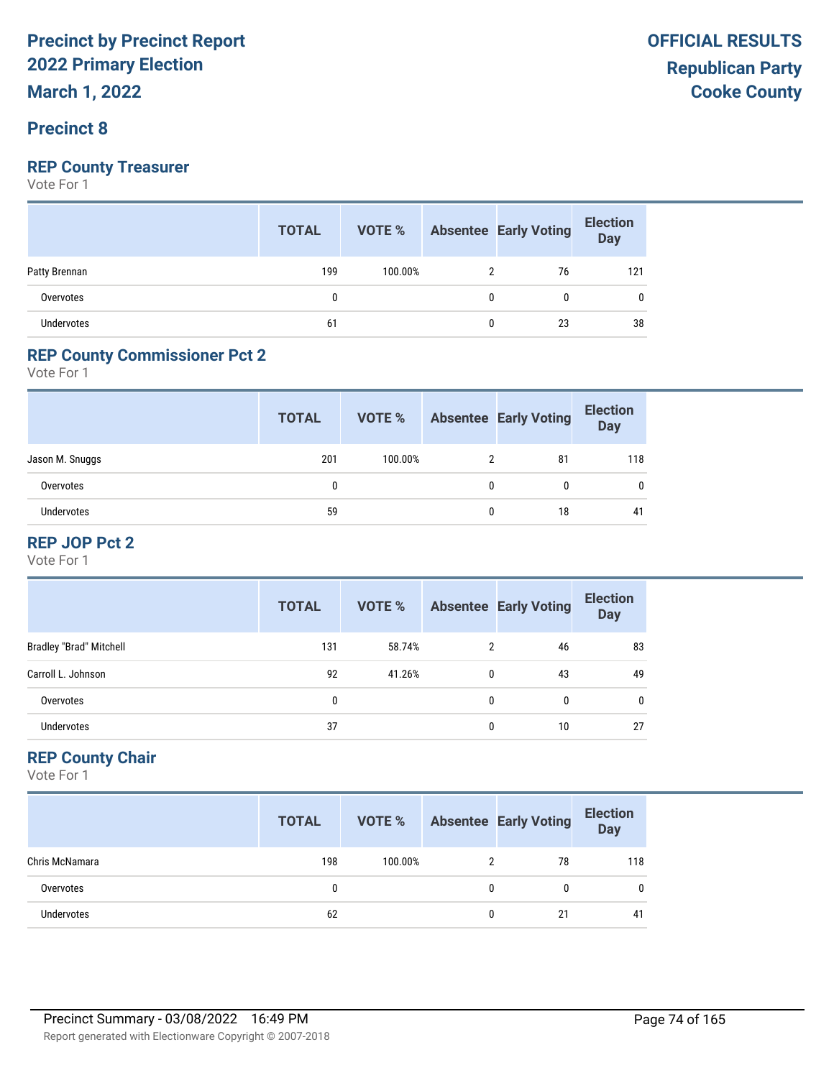#### **Precinct 8**

#### **REP County Treasurer**

Vote For 1

|                   | <b>TOTAL</b> | VOTE %  | <b>Absentee Early Voting</b> | <b>Election</b><br>Day |
|-------------------|--------------|---------|------------------------------|------------------------|
| Patty Brennan     | 199          | 100.00% | 76                           | 121                    |
| Overvotes         |              |         |                              | 0                      |
| <b>Undervotes</b> | 61           |         | 23                           | 38                     |

#### **REP County Commissioner Pct 2**

Vote For 1

|                   | <b>TOTAL</b> | VOTE %  |   | <b>Absentee Early Voting</b> | <b>Election</b><br><b>Day</b> |
|-------------------|--------------|---------|---|------------------------------|-------------------------------|
| Jason M. Snuggs   | 201          | 100.00% |   | 81                           | 118                           |
| Overvotes         | 0            |         |   |                              |                               |
| <b>Undervotes</b> | 59           |         | 0 | 18                           | 41                            |

#### **REP JOP Pct 2**

Vote For 1

|                                | <b>TOTAL</b> | VOTE % |          | <b>Absentee Early Voting</b> | <b>Election</b><br>Day |
|--------------------------------|--------------|--------|----------|------------------------------|------------------------|
| <b>Bradley "Brad" Mitchell</b> | 131          | 58.74% |          | 46                           | 83                     |
| Carroll L. Johnson             | 92           | 41.26% | $\Omega$ | 43                           | 49                     |
| Overvotes                      | 0            |        | 0        | 0                            |                        |
| Undervotes                     | 37           |        |          | 10                           | 27                     |

#### **REP County Chair**

|                   | <b>TOTAL</b> | VOTE %  |   | <b>Absentee Early Voting</b> | <b>Election</b><br><b>Day</b> |
|-------------------|--------------|---------|---|------------------------------|-------------------------------|
| Chris McNamara    | 198          | 100.00% |   | 78                           | 118                           |
| Overvotes         | 0            |         | 0 | 0                            | $\mathbf{0}$                  |
| <b>Undervotes</b> | 62           |         | 0 | 21                           | 41                            |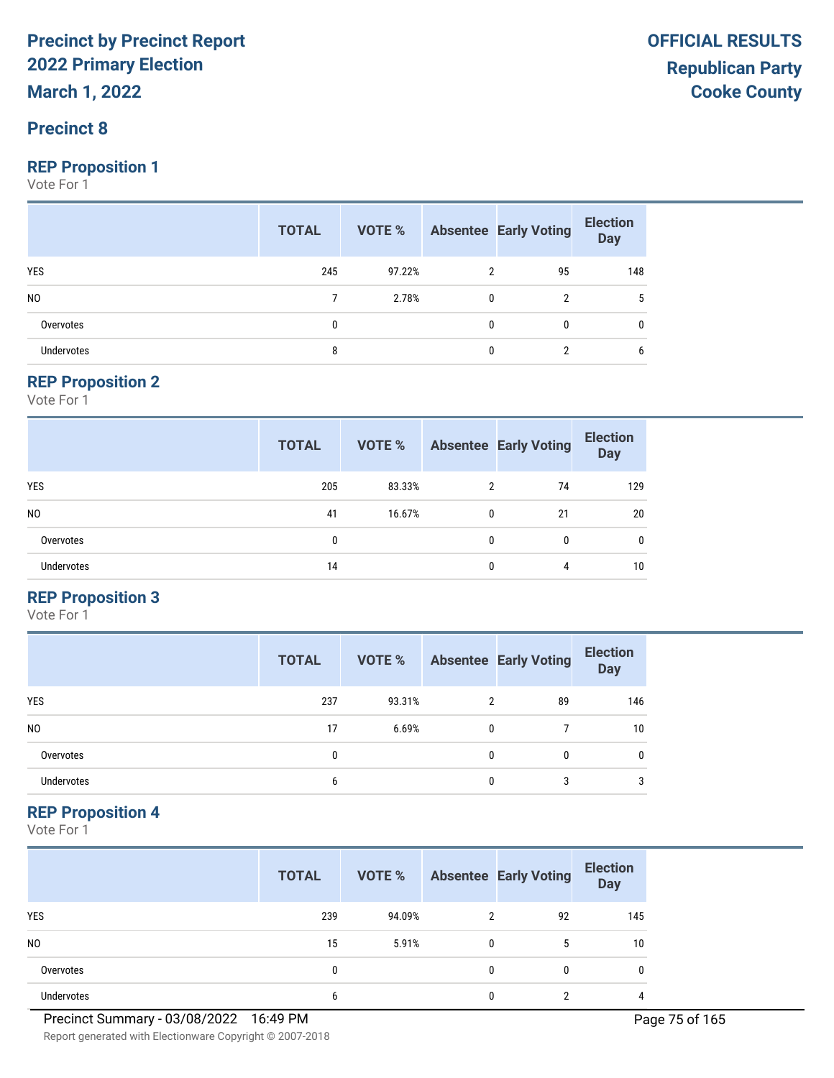#### **Precinct 8**

#### **REP Proposition 1**

Vote For 1

|                | <b>TOTAL</b> | <b>VOTE % Absentee Early Voting</b> |              |    | <b>Election</b><br>Day |
|----------------|--------------|-------------------------------------|--------------|----|------------------------|
| <b>YES</b>     | 245          | 97.22%                              |              | 95 | 148                    |
| N <sub>0</sub> |              | 2.78%                               | $\mathbf{0}$ | 2  |                        |
| Overvotes      | 0            |                                     |              | 0  | $\mathbf{0}$           |
| Undervotes     | 8            |                                     |              |    | 6                      |

#### **REP Proposition 2**

Vote For 1

|                   | <b>TOTAL</b> | VOTE % |              | <b>Absentee Early Voting</b> | <b>Election</b><br><b>Day</b> |
|-------------------|--------------|--------|--------------|------------------------------|-------------------------------|
| <b>YES</b>        | 205          | 83.33% | 2            | 74                           | 129                           |
| N <sub>0</sub>    | 41           | 16.67% | 0            | 21                           | 20                            |
| Overvotes         | 0            |        | $\mathbf{0}$ | 0                            | $\mathbf{0}$                  |
| <b>Undervotes</b> | 14           |        | 0            | 4                            | 10                            |

#### **REP Proposition 3**

Vote For 1

|                | <b>TOTAL</b> | VOTE % |   | <b>Absentee Early Voting</b> | <b>Election</b><br><b>Day</b> |
|----------------|--------------|--------|---|------------------------------|-------------------------------|
| <b>YES</b>     | 237          | 93.31% | 2 | 89                           | 146                           |
| N <sub>0</sub> | 17           | 6.69%  | 0 |                              | 10 <sup>°</sup>               |
| Overvotes      | $\mathbf{0}$ |        | 0 | 0                            | 0                             |
| Undervotes     | 6            |        | 0 | 3                            | 3                             |

#### **REP Proposition 4**

|                   | <b>TOTAL</b> | VOTE % |                | <b>Absentee Early Voting</b> | <b>Election</b><br><b>Day</b> |
|-------------------|--------------|--------|----------------|------------------------------|-------------------------------|
| <b>YES</b>        | 239          | 94.09% | $\mathfrak{p}$ | 92                           | 145                           |
| N <sub>0</sub>    | 15           | 5.91%  | $\mathbf{0}$   | 5                            | 10                            |
| Overvotes         | 0            |        | 0              | 0                            | 0                             |
| <b>Undervotes</b> | 6            |        | 0              | ∩                            | 4                             |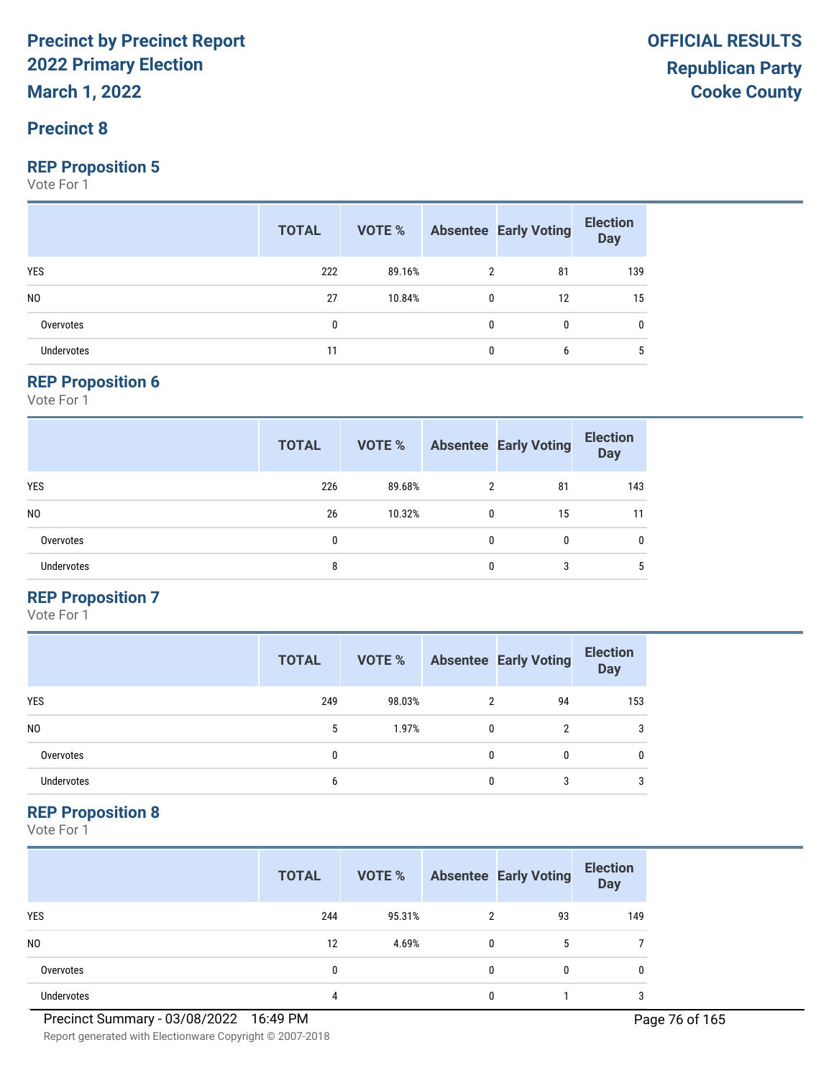#### **Precinct 8**

#### **REP Proposition 5**

Vote For 1

|                   | <b>TOTAL</b> |        |              | <b>VOTE %</b> Absentee Early Voting | <b>Election</b><br>Day |
|-------------------|--------------|--------|--------------|-------------------------------------|------------------------|
| <b>YES</b>        | 222          | 89.16% | 2            | 81                                  | 139                    |
| N <sub>0</sub>    | 27           | 10.84% | $\mathbf 0$  | 12                                  | 15                     |
| Overvotes         | 0            |        | 0            | $\mathbf{0}$                        | 0                      |
| <b>Undervotes</b> |              |        | $\mathbf{0}$ | 6                                   | 5                      |

#### **REP Proposition 6**

Vote For 1

|                   | <b>TOTAL</b> | VOTE % |   | <b>Absentee Early Voting</b> | <b>Election</b><br><b>Day</b> |
|-------------------|--------------|--------|---|------------------------------|-------------------------------|
| <b>YES</b>        | 226          | 89.68% | 2 | 81                           | 143                           |
| N <sub>0</sub>    | 26           | 10.32% | 0 | 15                           | 11                            |
| Overvotes         | 0            |        | 0 | 0                            | 0                             |
| <b>Undervotes</b> | 8            |        | 0 | 3                            | 5                             |

#### **REP Proposition 7**

Vote For 1

|                | <b>TOTAL</b> | VOTE % |   | <b>Absentee Early Voting</b> | <b>Election</b><br><b>Day</b> |
|----------------|--------------|--------|---|------------------------------|-------------------------------|
| <b>YES</b>     | 249          | 98.03% |   | 94                           | 153                           |
| N <sub>0</sub> | 5            | 1.97%  | 0 | 2                            | 3                             |
| Overvotes      | $\mathbf{0}$ |        | 0 | 0                            | 0                             |
| Undervotes     | 6            |        | O |                              | 3                             |

#### **REP Proposition 8**

|                   | <b>TOTAL</b> | VOTE % |               | <b>Absentee Early Voting</b> | <b>Election</b><br><b>Day</b> |
|-------------------|--------------|--------|---------------|------------------------------|-------------------------------|
| <b>YES</b>        | 244          | 95.31% | $\mathcal{P}$ | 93                           | 149                           |
| N <sub>0</sub>    | 12           | 4.69%  | $\mathbf{0}$  | 5                            |                               |
| Overvotes         | 0            |        | 0             | 0                            | 0                             |
| <b>Undervotes</b> | 4            |        | 0             |                              | 3                             |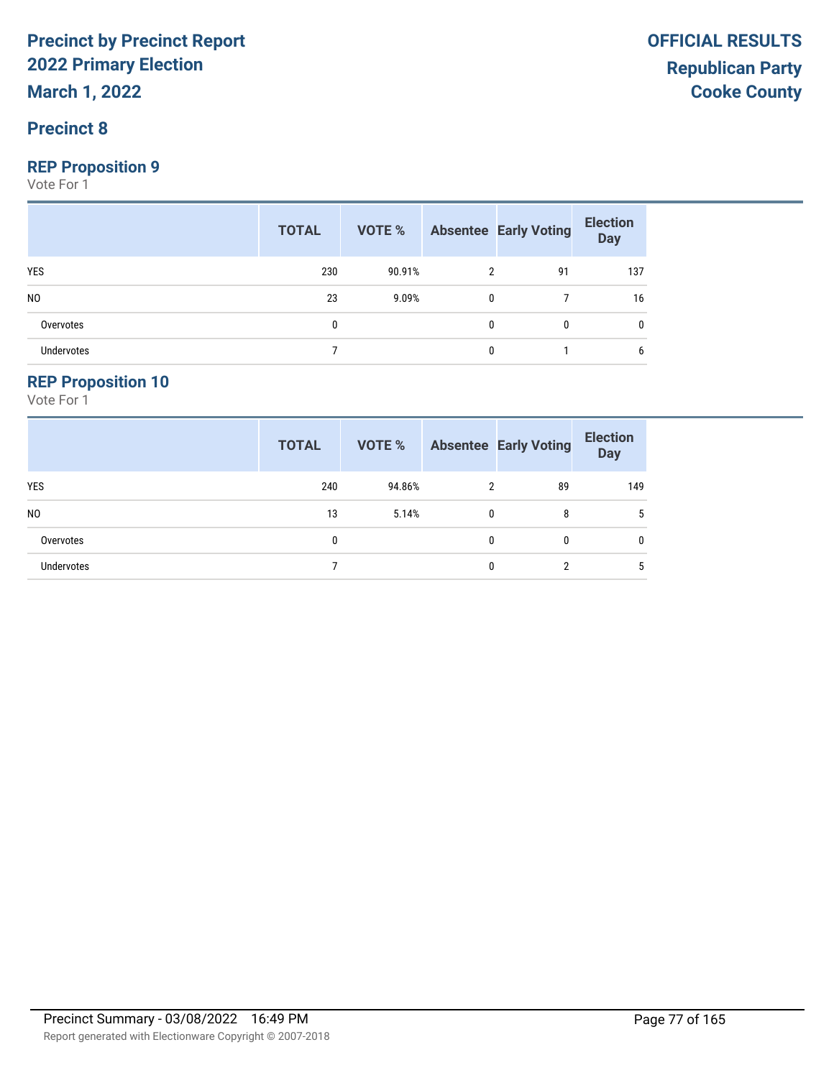**March 1, 2022**

#### **Precinct 8**

#### **REP Proposition 9**

Vote For 1

|                | <b>TOTAL</b> | VOTE % Absentee Early Voting |              |              | <b>Election</b><br><b>Day</b> |
|----------------|--------------|------------------------------|--------------|--------------|-------------------------------|
| <b>YES</b>     | 230          | 90.91%                       | 2            | 91           | 137                           |
| N <sub>0</sub> | 23           | 9.09%                        | $\mathbf{0}$ |              | 16                            |
| Overvotes      | 0            |                              | $\Omega$     | $\mathbf{0}$ | 0                             |
| Undervotes     |              |                              | $\Omega$     |              | 6                             |

#### **REP Proposition 10**

|                   | <b>TOTAL</b> | VOTE % |   | <b>Absentee Early Voting</b> | <b>Election</b><br><b>Day</b> |
|-------------------|--------------|--------|---|------------------------------|-------------------------------|
| YES               | 240          | 94.86% | 2 | 89                           | 149                           |
| N <sub>0</sub>    | 13           | 5.14%  | 0 | 8                            | 5                             |
| Overvotes         | 0            |        | 0 | 0                            | $\mathbf{0}$                  |
| <b>Undervotes</b> |              |        | 0 | റ                            | 5                             |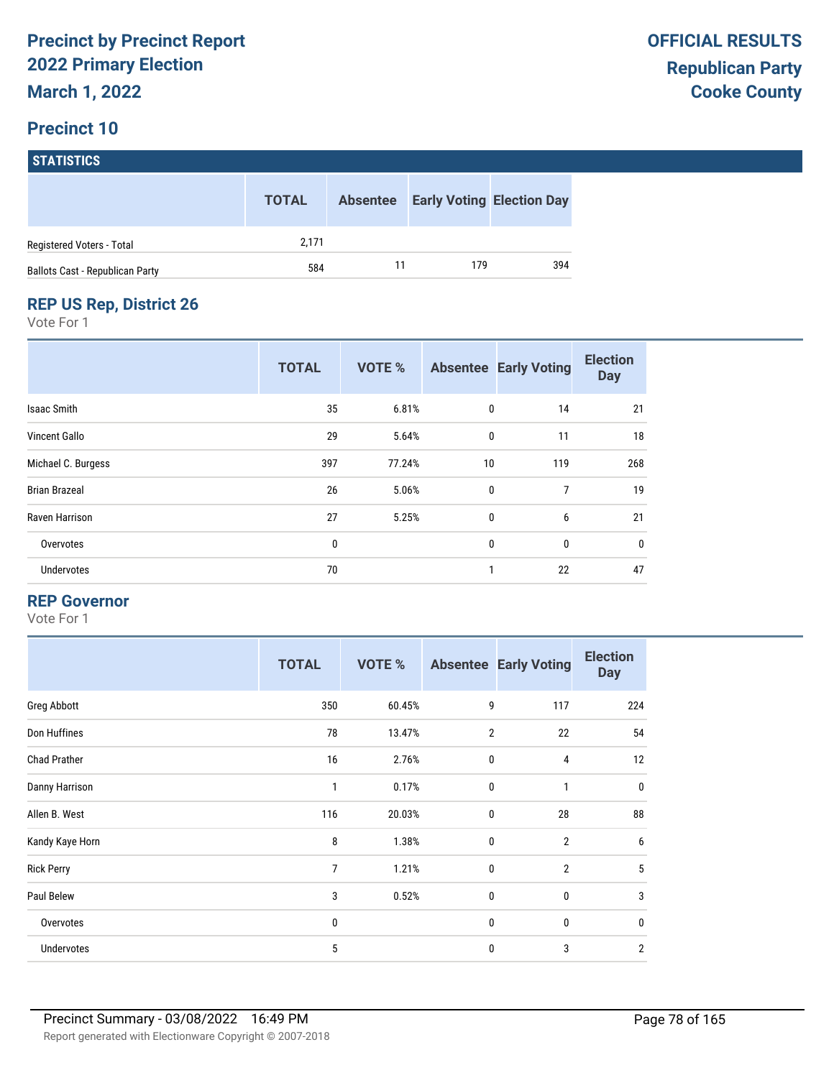### **Precinct 10**

| <b>STATISTICS</b>                      |              |                 |     |                                  |  |  |  |  |
|----------------------------------------|--------------|-----------------|-----|----------------------------------|--|--|--|--|
|                                        | <b>TOTAL</b> | <b>Absentee</b> |     | <b>Early Voting Election Day</b> |  |  |  |  |
| Registered Voters - Total              | 2,171        |                 |     |                                  |  |  |  |  |
| <b>Ballots Cast - Republican Party</b> | 584          | 11              | 179 | 394                              |  |  |  |  |

### **REP US Rep, District 26**

Vote For 1

|                      | <b>TOTAL</b> | VOTE % |              | <b>Absentee Early Voting</b> | <b>Election</b><br><b>Day</b> |
|----------------------|--------------|--------|--------------|------------------------------|-------------------------------|
| <b>Isaac Smith</b>   | 35           | 6.81%  | 0            | 14                           | 21                            |
| <b>Vincent Gallo</b> | 29           | 5.64%  | $\mathbf 0$  | 11                           | 18                            |
| Michael C. Burgess   | 397          | 77.24% | 10           | 119                          | 268                           |
| <b>Brian Brazeal</b> | 26           | 5.06%  | $\mathbf 0$  | $\overline{7}$               | 19                            |
| Raven Harrison       | 27           | 5.25%  | 0            | 6                            | 21                            |
| Overvotes            | $\bf{0}$     |        | $\mathbf{0}$ | $\mathbf{0}$                 | $\mathbf 0$                   |
| Undervotes           | 70           |        | 1            | 22                           | 47                            |

#### **REP Governor**

|                     | <b>TOTAL</b>   | <b>VOTE %</b> |                | <b>Absentee Early Voting</b> | <b>Election</b><br><b>Day</b> |
|---------------------|----------------|---------------|----------------|------------------------------|-------------------------------|
| Greg Abbott         | 350            | 60.45%        | 9              | 117                          | 224                           |
| Don Huffines        | 78             | 13.47%        | $\overline{2}$ | 22                           | 54                            |
| <b>Chad Prather</b> | 16             | 2.76%         | $\mathbf 0$    | 4                            | 12                            |
| Danny Harrison      | 1              | 0.17%         | $\mathbf 0$    | $\mathbf{1}$                 | $\mathbf 0$                   |
| Allen B. West       | 116            | 20.03%        | 0              | 28                           | 88                            |
| Kandy Kaye Horn     | 8              | 1.38%         | $\mathbf 0$    | $\overline{2}$               | 6                             |
| <b>Rick Perry</b>   | $\overline{7}$ | 1.21%         | $\mathbf 0$    | $\overline{2}$               | 5                             |
| Paul Belew          | 3              | 0.52%         | $\mathbf 0$    | 0                            | 3                             |
| Overvotes           | 0              |               | $\mathbf 0$    | 0                            | $\mathbf 0$                   |
| Undervotes          | 5              |               | 0              | 3                            | $\overline{2}$                |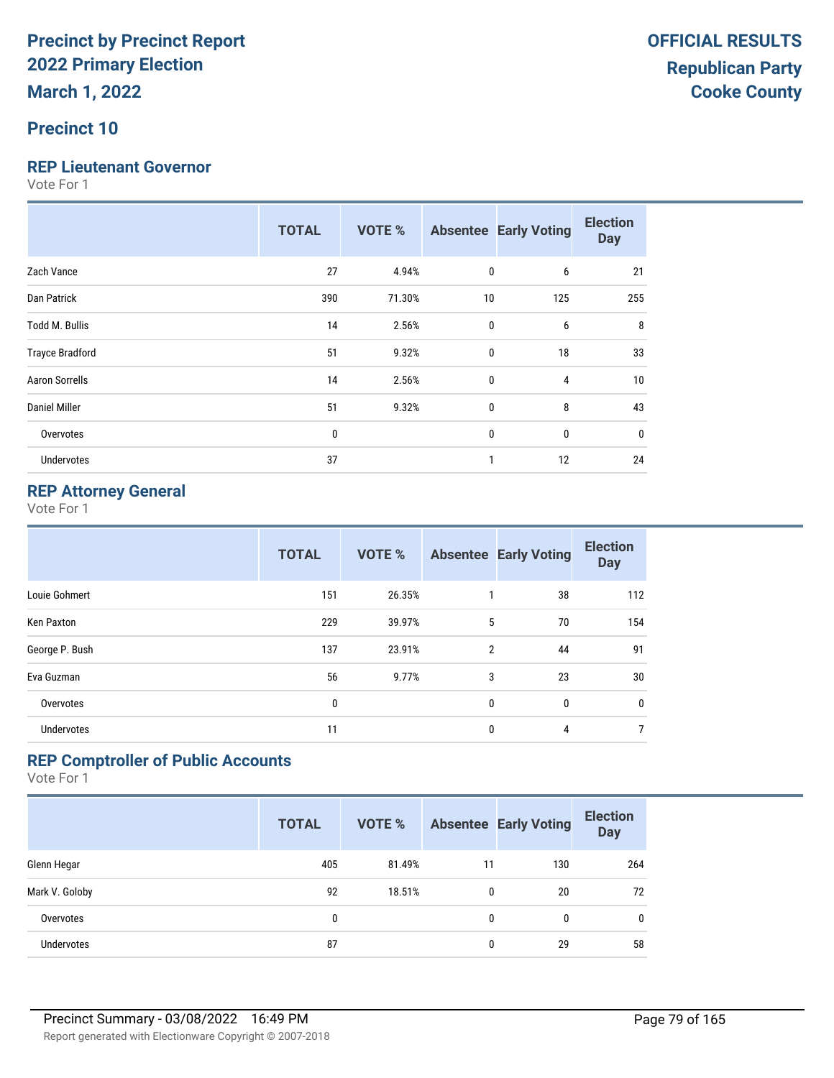#### **Precinct 10**

#### **REP Lieutenant Governor**

Vote For 1

|                        | <b>TOTAL</b> | <b>VOTE %</b> |    | <b>Absentee Early Voting</b> | <b>Election</b><br><b>Day</b> |
|------------------------|--------------|---------------|----|------------------------------|-------------------------------|
| Zach Vance             | 27           | 4.94%         | 0  | 6                            | 21                            |
| Dan Patrick            | 390          | 71.30%        | 10 | 125                          | 255                           |
| Todd M. Bullis         | 14           | 2.56%         | 0  | 6                            | 8                             |
| <b>Trayce Bradford</b> | 51           | 9.32%         | 0  | 18                           | 33                            |
| <b>Aaron Sorrells</b>  | 14           | 2.56%         | 0  | 4                            | 10                            |
| Daniel Miller          | 51           | 9.32%         | 0  | 8                            | 43                            |
| Overvotes              | $\bf{0}$     |               | 0  | 0                            | $\mathbf{0}$                  |
| <b>Undervotes</b>      | 37           |               | 1  | 12                           | 24                            |

#### **REP Attorney General**

Vote For 1

|                   | <b>TOTAL</b> | <b>VOTE %</b> |              | <b>Absentee Early Voting</b> | <b>Election</b><br><b>Day</b> |
|-------------------|--------------|---------------|--------------|------------------------------|-------------------------------|
| Louie Gohmert     | 151          | 26.35%        |              | 38                           | 112                           |
| Ken Paxton        | 229          | 39.97%        | 5            | 70                           | 154                           |
| George P. Bush    | 137          | 23.91%        | 2            | 44                           | 91                            |
| Eva Guzman        | 56           | 9.77%         | 3            | 23                           | 30                            |
| Overvotes         | 0            |               | 0            | 0                            | $\mathbf 0$                   |
| <b>Undervotes</b> | 11           |               | $\mathbf{0}$ | 4                            | $\overline{7}$                |

#### **REP Comptroller of Public Accounts**

|                   | <b>TOTAL</b> | <b>VOTE %</b> |    | <b>Absentee Early Voting</b> | <b>Election</b><br><b>Day</b> |
|-------------------|--------------|---------------|----|------------------------------|-------------------------------|
| Glenn Hegar       | 405          | 81.49%        | 11 | 130                          | 264                           |
| Mark V. Goloby    | 92           | 18.51%        | 0  | 20                           | 72                            |
| Overvotes         | 0            |               | 0  | 0                            | $\mathbf{0}$                  |
| <b>Undervotes</b> | 87           |               | 0  | 29                           | 58                            |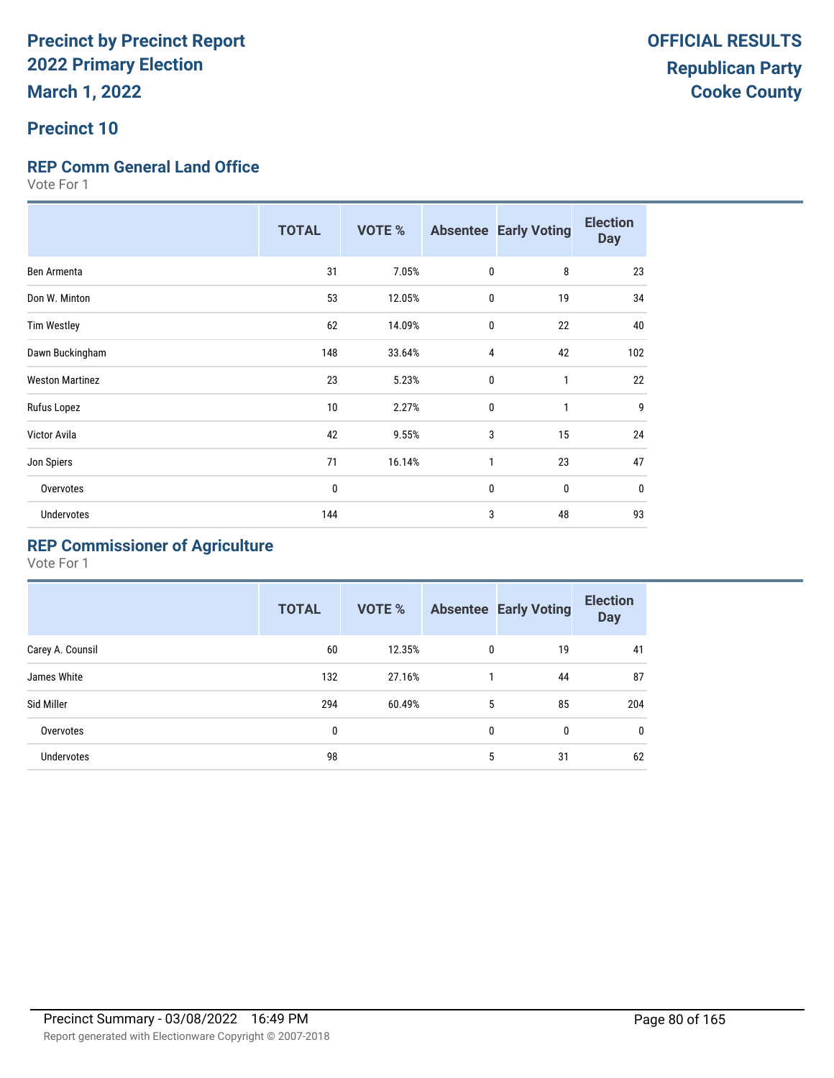#### **Precinct 10**

#### **REP Comm General Land Office**

Vote For 1

|                        | <b>TOTAL</b> | <b>VOTE %</b> |              | <b>Absentee Early Voting</b> | <b>Election</b><br><b>Day</b> |
|------------------------|--------------|---------------|--------------|------------------------------|-------------------------------|
| Ben Armenta            | 31           | 7.05%         | $\mathbf 0$  | 8                            | 23                            |
| Don W. Minton          | 53           | 12.05%        | $\mathbf 0$  | 19                           | 34                            |
| <b>Tim Westley</b>     | 62           | 14.09%        | 0            | 22                           | 40                            |
| Dawn Buckingham        | 148          | 33.64%        | 4            | 42                           | 102                           |
| <b>Weston Martinez</b> | 23           | 5.23%         | $\mathbf 0$  | 1                            | 22                            |
| Rufus Lopez            | 10           | 2.27%         | $\mathbf{0}$ | $\mathbf{1}$                 | 9                             |
| Victor Avila           | 42           | 9.55%         | 3            | 15                           | 24                            |
| Jon Spiers             | 71           | 16.14%        | 1            | 23                           | 47                            |
| Overvotes              | 0            |               | $\mathbf{0}$ | $\mathbf{0}$                 | $\bf{0}$                      |
| Undervotes             | 144          |               | 3            | 48                           | 93                            |

### **REP Commissioner of Agriculture**

|                   | <b>TOTAL</b> | <b>VOTE %</b> |   | <b>Absentee Early Voting</b> | <b>Election</b><br><b>Day</b> |
|-------------------|--------------|---------------|---|------------------------------|-------------------------------|
| Carey A. Counsil  | 60           | 12.35%        | 0 | 19                           | 41                            |
| James White       | 132          | 27.16%        |   | 44                           | 87                            |
| Sid Miller        | 294          | 60.49%        | 5 | 85                           | 204                           |
| Overvotes         | 0            |               | 0 | 0                            | 0                             |
| <b>Undervotes</b> | 98           |               | 5 | 31                           | 62                            |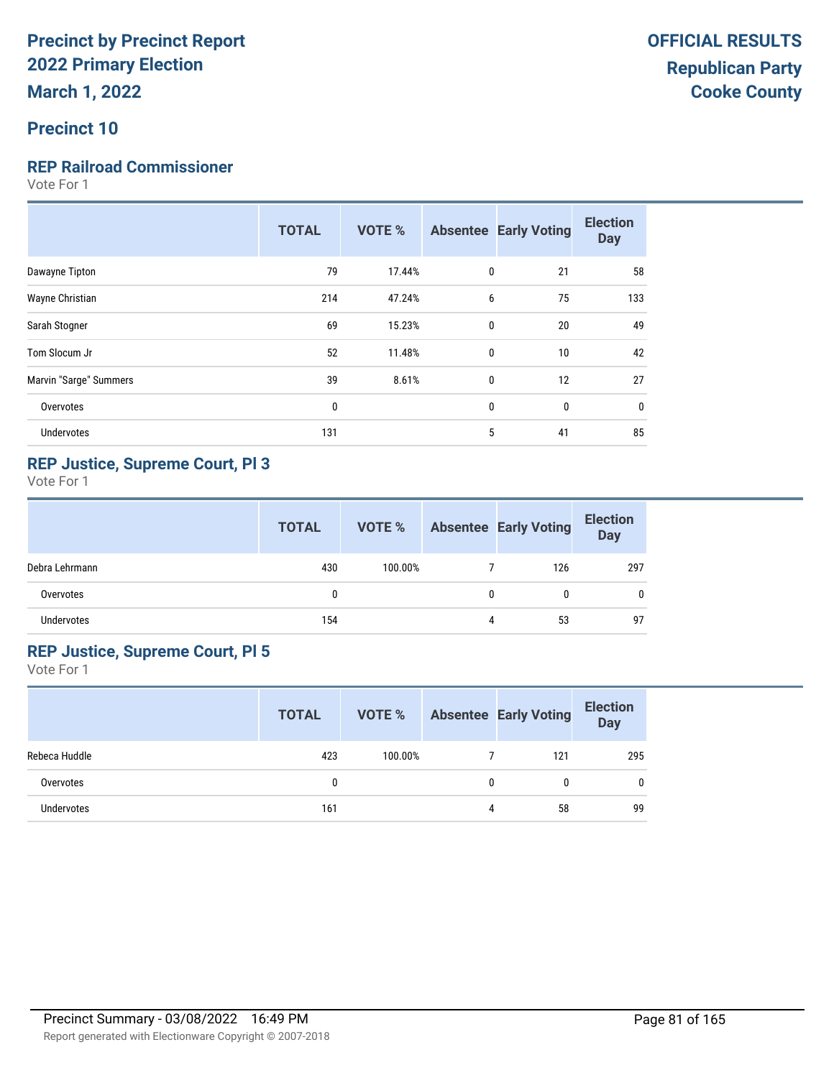#### **Precinct 10**

#### **REP Railroad Commissioner**

Vote For 1

|                        | <b>TOTAL</b> | <b>VOTE %</b> |              | <b>Absentee Early Voting</b> | <b>Election</b><br><b>Day</b> |
|------------------------|--------------|---------------|--------------|------------------------------|-------------------------------|
| Dawayne Tipton         | 79           | 17.44%        | 0            | 21                           | 58                            |
| Wayne Christian        | 214          | 47.24%        | 6            | 75                           | 133                           |
| Sarah Stogner          | 69           | 15.23%        | $\mathbf{0}$ | 20                           | 49                            |
| Tom Slocum Jr          | 52           | 11.48%        | $\mathbf{0}$ | 10                           | 42                            |
| Marvin "Sarge" Summers | 39           | 8.61%         | $\mathbf{0}$ | 12                           | 27                            |
| Overvotes              | $\bf{0}$     |               | 0            | $\mathbf 0$                  | $\bf{0}$                      |
| <b>Undervotes</b>      | 131          |               | 5            | 41                           | 85                            |
|                        |              |               |              |                              |                               |

#### **REP Justice, Supreme Court, Pl 3**

Vote For 1

|                   | <b>TOTAL</b> | VOTE %  |              | <b>Absentee Early Voting</b> | <b>Election</b><br><b>Day</b> |
|-------------------|--------------|---------|--------------|------------------------------|-------------------------------|
| Debra Lehrmann    | 430          | 100.00% |              | 126                          | 297                           |
| Overvotes         | $\mathbf{0}$ |         | $\mathbf{0}$ | 0                            | 0                             |
| <b>Undervotes</b> | 154          |         | 4            | 53                           | 97                            |

#### **REP Justice, Supreme Court, Pl 5**

|               | <b>TOTAL</b> | VOTE %  |   | <b>Absentee Early Voting</b> | <b>Election</b><br><b>Day</b> |
|---------------|--------------|---------|---|------------------------------|-------------------------------|
| Rebeca Huddle | 423          | 100.00% |   | 121                          | 295                           |
| Overvotes     |              |         | 0 | 0                            | 0                             |
| Undervotes    | 161          |         | 4 | 58                           | 99                            |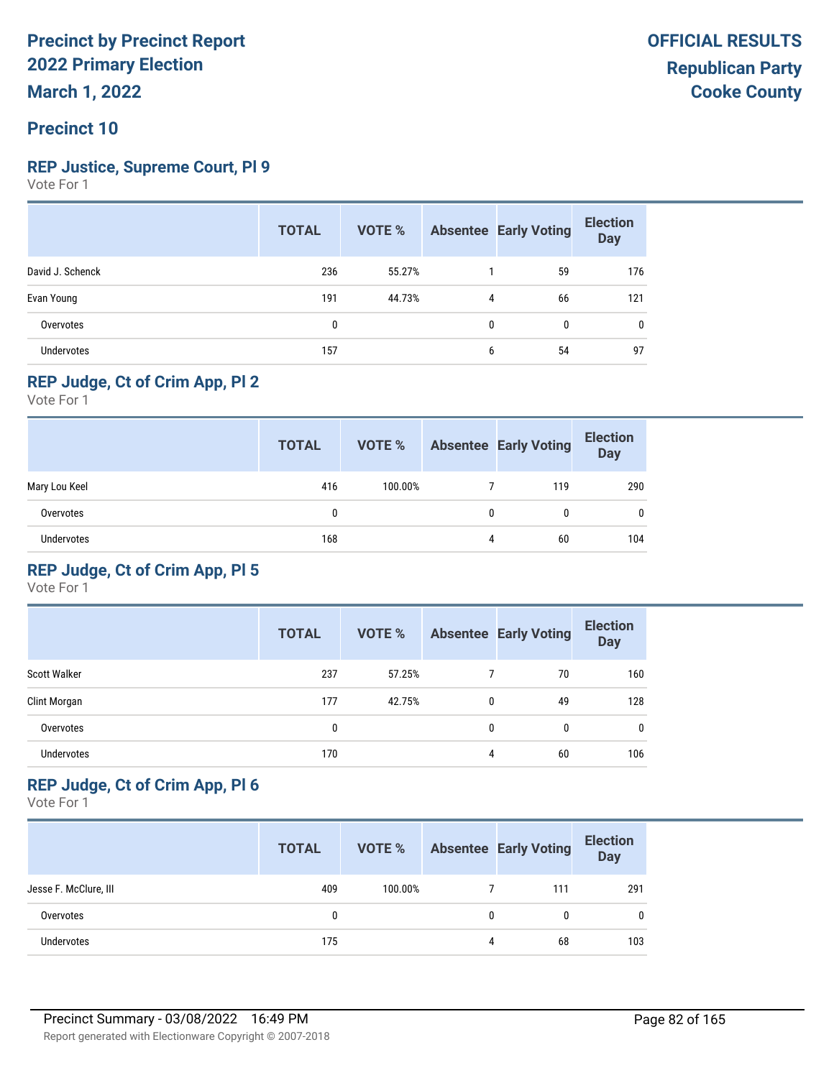#### **Precinct 10**

#### **REP Justice, Supreme Court, Pl 9**

Vote For 1

|                  | <b>TOTAL</b> | VOTE % |   | <b>Absentee Early Voting</b> | <b>Election</b><br><b>Day</b> |
|------------------|--------------|--------|---|------------------------------|-------------------------------|
| David J. Schenck | 236          | 55.27% |   | 59                           | 176                           |
| Evan Young       | 191          | 44.73% | 4 | 66                           | 121                           |
| Overvotes        | 0            |        | 0 | $\mathbf{0}$                 | 0                             |
| Undervotes       | 157          |        | 6 | 54                           | 97                            |

#### **REP Judge, Ct of Crim App, Pl 2**

Vote For 1

|                   | <b>TOTAL</b> | VOTE %  |   | <b>Absentee Early Voting</b> | <b>Election</b><br><b>Day</b> |
|-------------------|--------------|---------|---|------------------------------|-------------------------------|
| Mary Lou Keel     | 416          | 100.00% |   | 119                          | 290                           |
| Overvotes         | 0            |         | 0 | 0                            | $\mathbf{0}$                  |
| <b>Undervotes</b> | 168          |         | 4 | 60                           | 104                           |

#### **REP Judge, Ct of Crim App, Pl 5**

Vote For 1

|                     | <b>TOTAL</b> | <b>VOTE %</b> |   | <b>Absentee Early Voting</b> | <b>Election</b><br><b>Day</b> |
|---------------------|--------------|---------------|---|------------------------------|-------------------------------|
| <b>Scott Walker</b> | 237          | 57.25%        |   | 70                           | 160                           |
| Clint Morgan        | 177          | 42.75%        | 0 | 49                           | 128                           |
| Overvotes           | 0            |               | 0 | 0                            | 0                             |
| <b>Undervotes</b>   | 170          |               | 4 | 60                           | 106                           |

#### **REP Judge, Ct of Crim App, Pl 6**

|                       | <b>TOTAL</b> | VOTE %  |   | <b>Absentee Early Voting</b> | <b>Election</b><br><b>Day</b> |
|-----------------------|--------------|---------|---|------------------------------|-------------------------------|
| Jesse F. McClure, III | 409          | 100.00% |   | 111                          | 291                           |
| Overvotes             | 0            |         | 0 |                              | $\mathbf 0$                   |
| <b>Undervotes</b>     | 175          |         | 4 | 68                           | 103                           |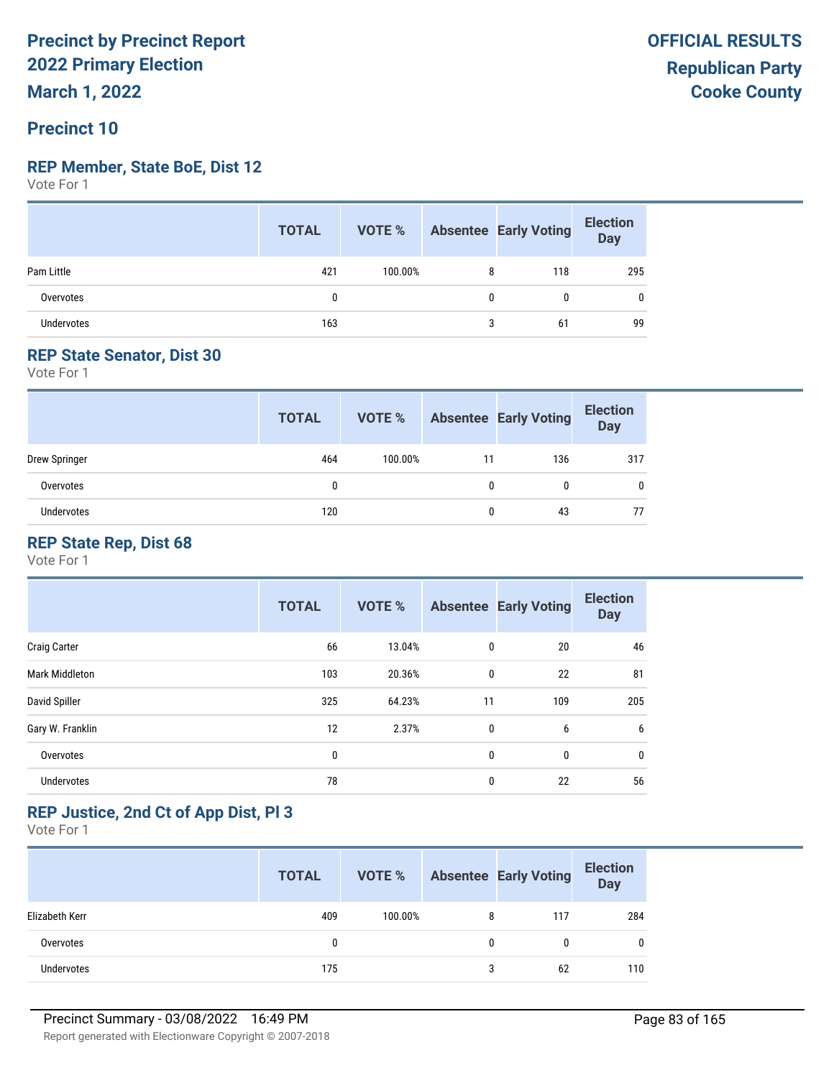**March 1, 2022**

#### **Precinct 10**

#### **REP Member, State BoE, Dist 12**

Vote For 1

|            | <b>TOTAL</b> |         |   | <b>VOTE %</b> Absentee Early Voting | <b>Election</b><br>Day |
|------------|--------------|---------|---|-------------------------------------|------------------------|
| Pam Little | 421          | 100.00% | 8 | 118                                 | 295                    |
| Overvotes  | 0            |         | 0 |                                     | 0                      |
| Undervotes | 163          |         | 3 | 61                                  | 99                     |

#### **REP State Senator, Dist 30**

Vote For 1

|               | <b>TOTAL</b> | VOTE %  |    | <b>Absentee Early Voting</b> | <b>Election</b><br><b>Day</b> |
|---------------|--------------|---------|----|------------------------------|-------------------------------|
| Drew Springer | 464          | 100.00% | 11 | 136                          | 317                           |
| Overvotes     | 0            |         | 0  |                              | 0                             |
| Undervotes    | 120          |         |    | 43                           | 77                            |

#### **REP State Rep, Dist 68**

Vote For 1

|                       | <b>TOTAL</b> | <b>VOTE %</b> |             | <b>Absentee Early Voting</b> | <b>Election</b><br><b>Day</b> |
|-----------------------|--------------|---------------|-------------|------------------------------|-------------------------------|
| <b>Craig Carter</b>   | 66           | 13.04%        | $\mathbf 0$ | 20                           | 46                            |
| <b>Mark Middleton</b> | 103          | 20.36%        | 0           | 22                           | 81                            |
| David Spiller         | 325          | 64.23%        | 11          | 109                          | 205                           |
| Gary W. Franklin      | 12           | 2.37%         | 0           | 6                            | 6                             |
| Overvotes             | 0            |               | 0           | 0                            | 0                             |
| <b>Undervotes</b>     | 78           |               | 0           | 22                           | 56                            |

#### **REP Justice, 2nd Ct of App Dist, Pl 3**

|                   | <b>TOTAL</b> | VOTE %  |   | <b>Absentee Early Voting</b> | <b>Election</b><br>Day |
|-------------------|--------------|---------|---|------------------------------|------------------------|
| Elizabeth Kerr    | 409          | 100.00% | 8 | 117                          | 284                    |
| Overvotes         | 0            |         |   | 0                            | 0                      |
| <b>Undervotes</b> | 175          |         | 3 | 62                           | 110                    |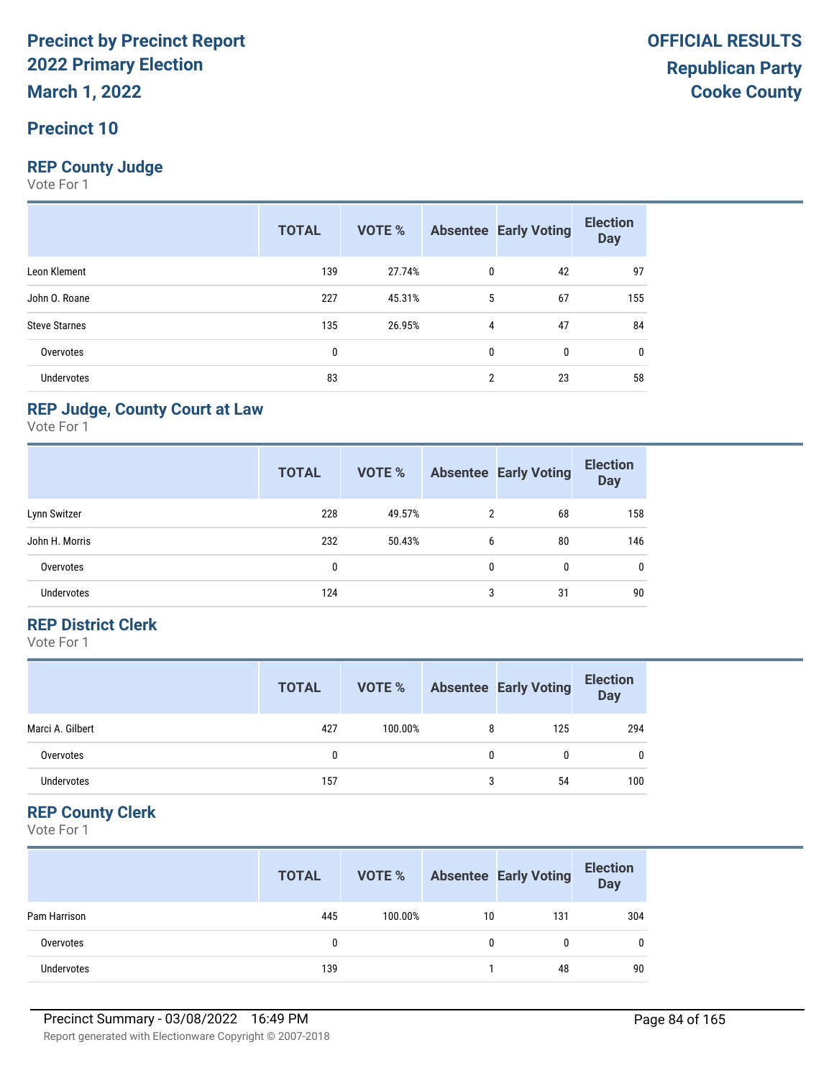# **Precinct 10**

#### **REP County Judge**

Vote For 1

|                      | <b>TOTAL</b> | <b>VOTE %</b> |                | <b>Absentee Early Voting</b> | <b>Election</b><br><b>Day</b> |
|----------------------|--------------|---------------|----------------|------------------------------|-------------------------------|
| Leon Klement         | 139          | 27.74%        | $\mathbf{0}$   | 42                           | 97                            |
| John O. Roane        | 227          | 45.31%        | 5              | 67                           | 155                           |
| <b>Steve Starnes</b> | 135          | 26.95%        | 4              | 47                           | 84                            |
| Overvotes            | 0            |               | $\mathbf{0}$   | 0                            | 0                             |
| <b>Undervotes</b>    | 83           |               | $\overline{2}$ | 23                           | 58                            |

#### **REP Judge, County Court at Law**

Vote For 1

|                   | <b>TOTAL</b> | <b>VOTE %</b> |   | <b>Absentee Early Voting</b> | <b>Election</b><br><b>Day</b> |
|-------------------|--------------|---------------|---|------------------------------|-------------------------------|
| Lynn Switzer      | 228          | 49.57%        | 2 | 68                           | 158                           |
| John H. Morris    | 232          | 50.43%        | 6 | 80                           | 146                           |
| Overvotes         | 0            |               | 0 | 0                            | 0                             |
| <b>Undervotes</b> | 124          |               | 3 | 31                           | 90                            |

#### **REP District Clerk**

Vote For 1

|                  | <b>TOTAL</b> | VOTE %  |   | <b>Absentee Early Voting</b> | <b>Election</b><br><b>Day</b> |
|------------------|--------------|---------|---|------------------------------|-------------------------------|
| Marci A. Gilbert | 427          | 100.00% | 8 | 125                          | 294                           |
| Overvotes        |              |         | 0 |                              | $\mathbf{0}$                  |
| Undervotes       | 157          |         | 3 | 54                           | 100                           |

#### **REP County Clerk**

|              | <b>TOTAL</b> | VOTE %  |    | <b>Absentee Early Voting</b> | <b>Election</b><br><b>Day</b> |
|--------------|--------------|---------|----|------------------------------|-------------------------------|
| Pam Harrison | 445          | 100.00% | 10 | 131                          | 304                           |
| Overvotes    | 0            |         | 0  |                              | 0                             |
| Undervotes   | 139          |         |    | 48                           | 90                            |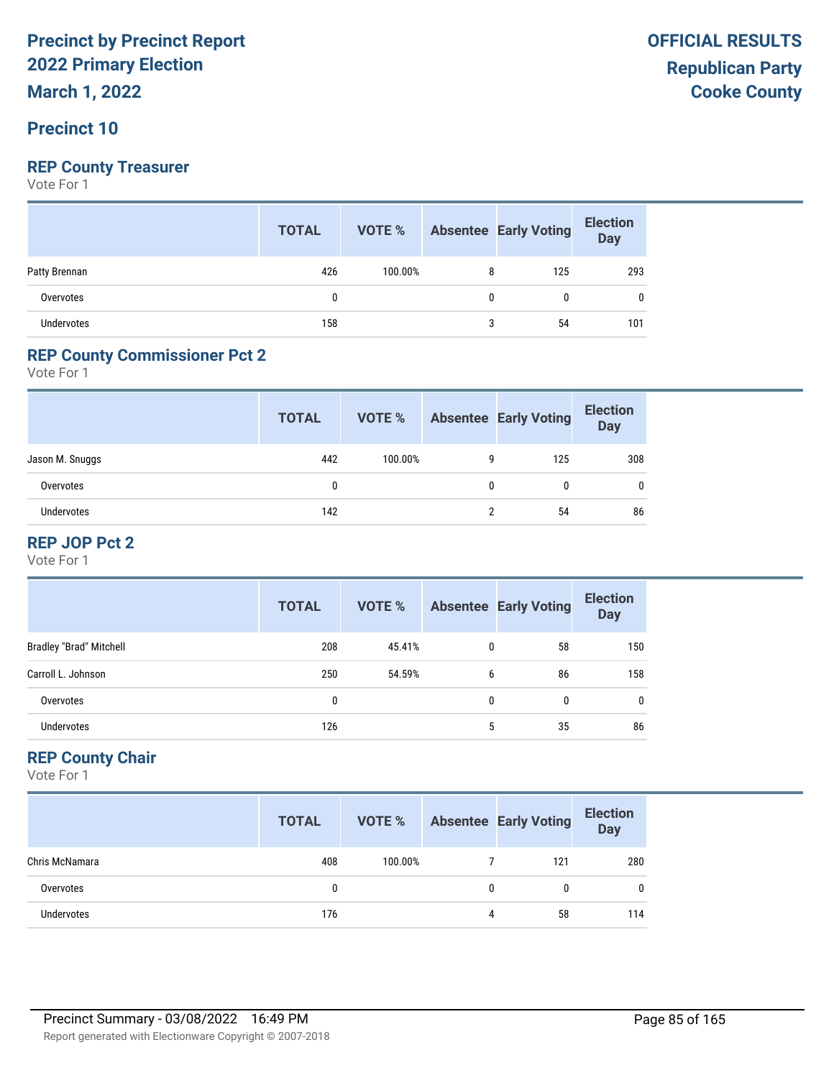**March 1, 2022**

#### **Precinct 10**

#### **REP County Treasurer**

Vote For 1

|               | <b>TOTAL</b> |         |   | <b>VOTE %</b> Absentee Early Voting | <b>Election</b><br>Day |
|---------------|--------------|---------|---|-------------------------------------|------------------------|
| Patty Brennan | 426          | 100.00% | 8 | 125                                 | 293                    |
| Overvotes     | 0            |         | 0 | 0                                   | 0                      |
| Undervotes    | 158          |         |   | 54                                  | 101                    |

#### **REP County Commissioner Pct 2**

Vote For 1

|                   | <b>TOTAL</b> | VOTE %  |   | <b>Absentee Early Voting</b> | <b>Election</b><br><b>Day</b> |
|-------------------|--------------|---------|---|------------------------------|-------------------------------|
| Jason M. Snuggs   | 442          | 100.00% | 9 | 125                          | 308                           |
| Overvotes         | $\mathbf{0}$ |         | 0 |                              |                               |
| <b>Undervotes</b> | 142          |         | ŋ | 54                           | 86                            |

#### **REP JOP Pct 2**

Vote For 1

|                                | <b>TOTAL</b> | VOTE % |   | <b>Absentee Early Voting</b> | <b>Election</b><br><b>Day</b> |
|--------------------------------|--------------|--------|---|------------------------------|-------------------------------|
| <b>Bradley "Brad" Mitchell</b> | 208          | 45.41% | 0 | 58                           | 150                           |
| Carroll L. Johnson             | 250          | 54.59% | 6 | 86                           | 158                           |
| Overvotes                      | 0            |        | 0 | 0                            |                               |
| <b>Undervotes</b>              | 126          |        | 5 | 35                           | 86                            |

#### **REP County Chair**

|                | <b>TOTAL</b> | VOTE %  |   | <b>Absentee Early Voting</b> | <b>Election</b><br><b>Day</b> |
|----------------|--------------|---------|---|------------------------------|-------------------------------|
| Chris McNamara | 408          | 100.00% |   | 121                          | 280                           |
| Overvotes      | 0            |         | 0 | 0                            | $\mathbf{0}$                  |
| Undervotes     | 176          |         | 4 | 58                           | 114                           |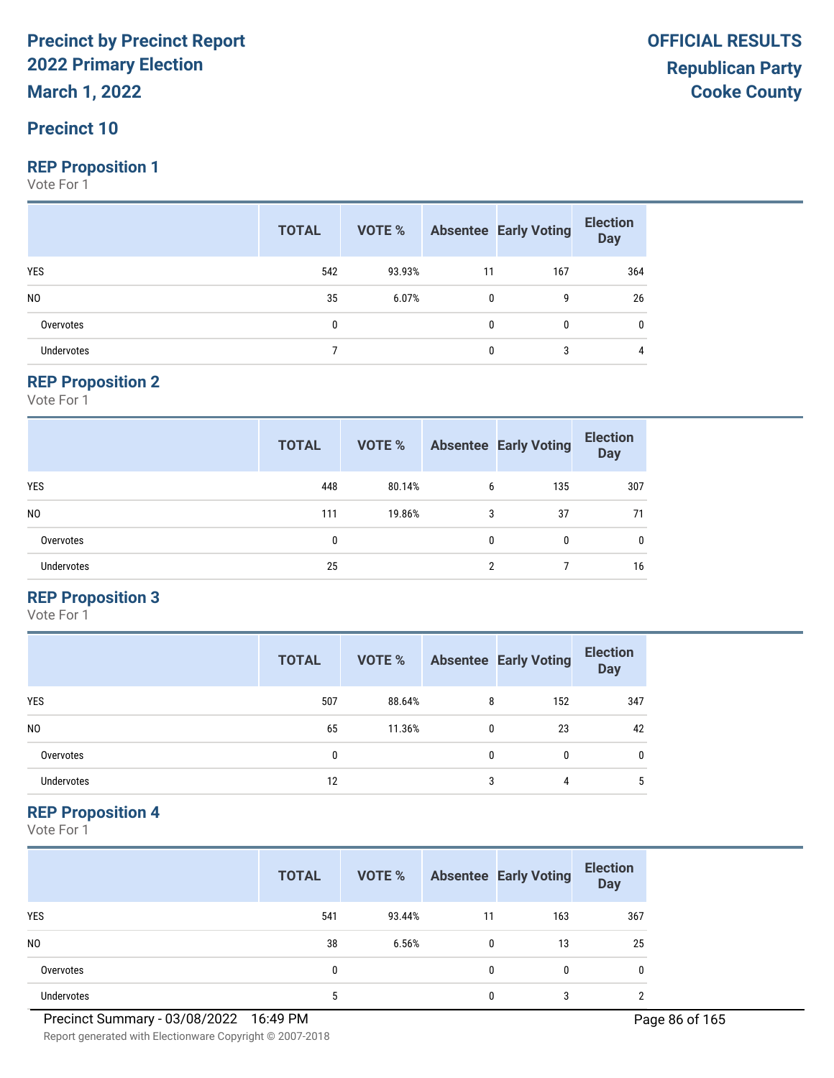**March 1, 2022**

#### **Precinct 10**

#### **REP Proposition 1**

Vote For 1

|                | <b>TOTAL</b> |        |              | <b>VOTE %</b> Absentee Early Voting | <b>Election</b><br>Day |
|----------------|--------------|--------|--------------|-------------------------------------|------------------------|
| <b>YES</b>     | 542          | 93.93% | 11           | 167                                 | 364                    |
| N <sub>0</sub> | 35           | 6.07%  | $\mathbf{0}$ | 9                                   | 26                     |
| Overvotes      | 0            |        | 0            |                                     | 0                      |
| Undervotes     |              |        | 0            | 3                                   | 4                      |

#### **REP Proposition 2**

Vote For 1

|                   | <b>TOTAL</b> | <b>VOTE %</b> |              | <b>Absentee Early Voting</b> | <b>Election</b><br><b>Day</b> |
|-------------------|--------------|---------------|--------------|------------------------------|-------------------------------|
| <b>YES</b>        | 448          | 80.14%        | 6            | 135                          | 307                           |
| N <sub>0</sub>    | 111          | 19.86%        | 3            | 37                           | 71                            |
| Overvotes         | 0            |               | $\mathbf{0}$ | 0                            | 0                             |
| <b>Undervotes</b> | 25           |               | 2            |                              | 16                            |

#### **REP Proposition 3**

Vote For 1

|                | <b>TOTAL</b> | VOTE % |   | <b>Absentee Early Voting</b> | <b>Election</b><br><b>Day</b> |
|----------------|--------------|--------|---|------------------------------|-------------------------------|
| <b>YES</b>     | 507          | 88.64% | 8 | 152                          | 347                           |
| N <sub>0</sub> | 65           | 11.36% | 0 | 23                           | 42                            |
| Overvotes      | 0            |        | 0 | 0                            | 0                             |
| Undervotes     | 12           |        | 3 | 4                            | 5                             |

#### **REP Proposition 4**

Vote For 1

|                | <b>TOTAL</b> | VOTE % |    | <b>Absentee Early Voting</b> | <b>Election</b><br><b>Day</b> |
|----------------|--------------|--------|----|------------------------------|-------------------------------|
| <b>YES</b>     | 541          | 93.44% | 11 | 163                          | 367                           |
| N <sub>0</sub> | 38           | 6.56%  | 0  | 13                           | 25                            |
| Overvotes      | 0            |        | 0  | 0                            | 0                             |
| Undervotes     | 5            |        |    | 3                            | ∩                             |

Report generated with Electionware Copyright © 2007-2018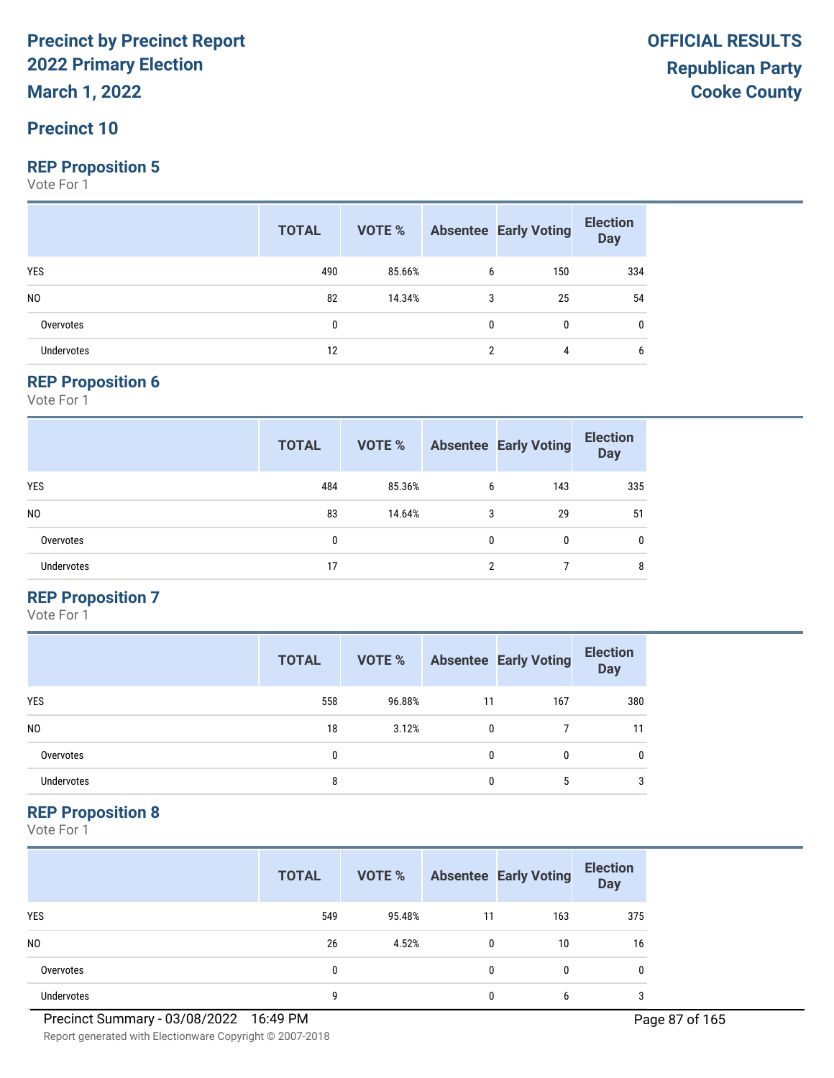**March 1, 2022**

#### **Precinct 10**

#### **REP Proposition 5**

Vote For 1

|                   | <b>TOTAL</b> |        |              | <b>VOTE %</b> Absentee Early Voting | <b>Election</b><br>Day |
|-------------------|--------------|--------|--------------|-------------------------------------|------------------------|
| YES               | 490          | 85.66% | 6            | 150                                 | 334                    |
| N <sub>0</sub>    | 82           | 14.34% | 3            | 25                                  | 54                     |
| Overvotes         | 0            |        | $\mathbf{0}$ | $\mathbf{0}$                        | 0                      |
| <b>Undervotes</b> | 12           |        |              | 4                                   | 6                      |

#### **REP Proposition 6**

Vote For 1

|                   | <b>TOTAL</b> | <b>VOTE %</b> |   | <b>Absentee Early Voting</b> | <b>Election</b><br><b>Day</b> |
|-------------------|--------------|---------------|---|------------------------------|-------------------------------|
| <b>YES</b>        | 484          | 85.36%        | 6 | 143                          | 335                           |
| N <sub>0</sub>    | 83           | 14.64%        | 3 | 29                           | 51                            |
| Overvotes         | 0            |               | 0 | 0                            | $\mathbf{0}$                  |
| <b>Undervotes</b> | 17           |               | 2 |                              | 8                             |

#### **REP Proposition 7**

Vote For 1

|                | <b>TOTAL</b> | VOTE % |    | <b>Absentee Early Voting</b> | <b>Election</b><br><b>Day</b> |
|----------------|--------------|--------|----|------------------------------|-------------------------------|
| <b>YES</b>     | 558          | 96.88% | 11 | 167                          | 380                           |
| N <sub>0</sub> | 18           | 3.12%  | 0  |                              | 11                            |
| Overvotes      | 0            |        | 0  | 0                            | 0                             |
| Undervotes     | 8            |        | 0  | 5                            | 3                             |

#### **REP Proposition 8**

Vote For 1

|                | <b>TOTAL</b> | VOTE % |              | <b>Absentee Early Voting</b> | <b>Election</b><br><b>Day</b> |
|----------------|--------------|--------|--------------|------------------------------|-------------------------------|
| <b>YES</b>     | 549          | 95.48% | 11           | 163                          | 375                           |
| N <sub>0</sub> | 26           | 4.52%  | $\mathbf{0}$ | 10                           | 16                            |
| Overvotes      | 0            |        | $\mathbf{0}$ | 0                            | 0                             |
| Undervotes     | q            |        | 0            | 6                            | 3                             |

Report generated with Electionware Copyright © 2007-2018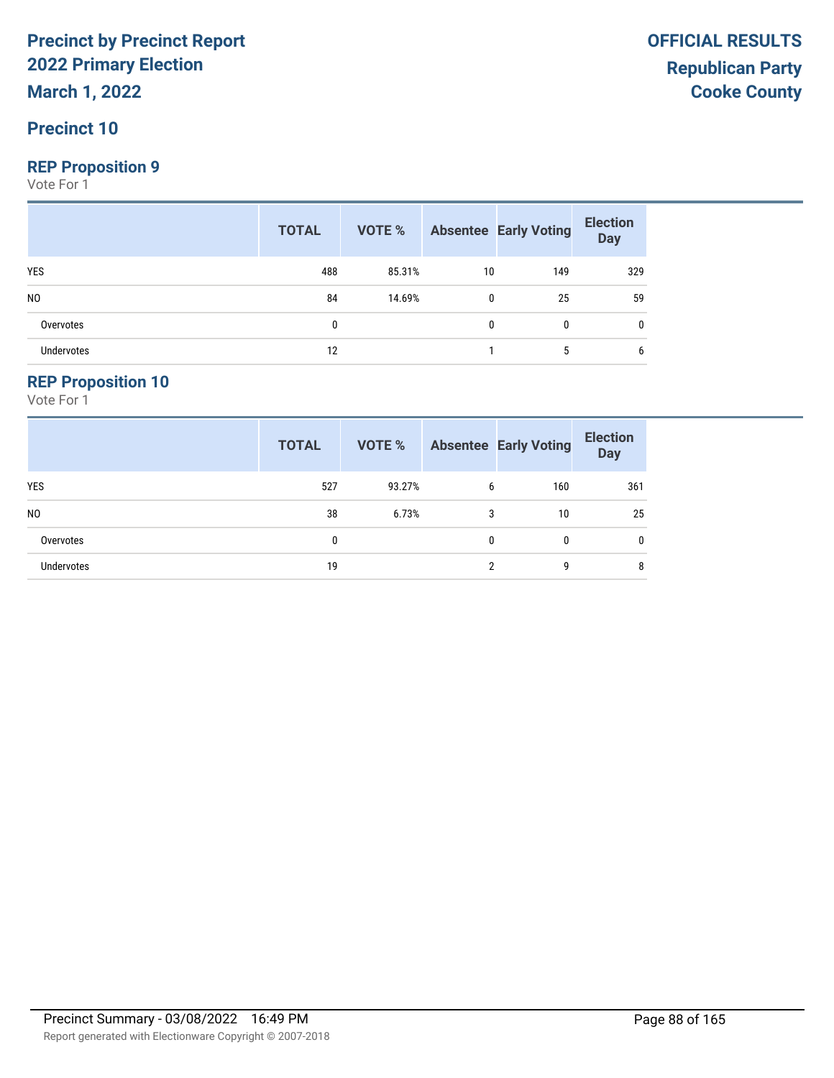**March 1, 2022**

#### **Precinct 10**

#### **REP Proposition 9**

Vote For 1

|                   | <b>TOTAL</b> |        |              | <b>VOTE %</b> Absentee Early Voting | <b>Election</b><br>Day |
|-------------------|--------------|--------|--------------|-------------------------------------|------------------------|
| <b>YES</b>        | 488          | 85.31% | 10           | 149                                 | 329                    |
| N <sub>0</sub>    | 84           | 14.69% | $\mathbf{0}$ | 25                                  | 59                     |
| Overvotes         | 0            |        | 0            | $\mathbf{0}$                        |                        |
| <b>Undervotes</b> | 12           |        |              | 5                                   | 6                      |

#### **REP Proposition 10**

|                   | <b>TOTAL</b> | <b>VOTE %</b> |                | <b>Absentee Early Voting</b> | <b>Election</b><br><b>Day</b> |
|-------------------|--------------|---------------|----------------|------------------------------|-------------------------------|
| <b>YES</b>        | 527          | 93.27%        | 6              | 160                          | 361                           |
| N <sub>0</sub>    | 38           | 6.73%         | 3              | 10                           | 25                            |
| Overvotes         | 0            |               | 0              | 0                            | 0                             |
| <b>Undervotes</b> | 19           |               | $\overline{2}$ | q                            | 8                             |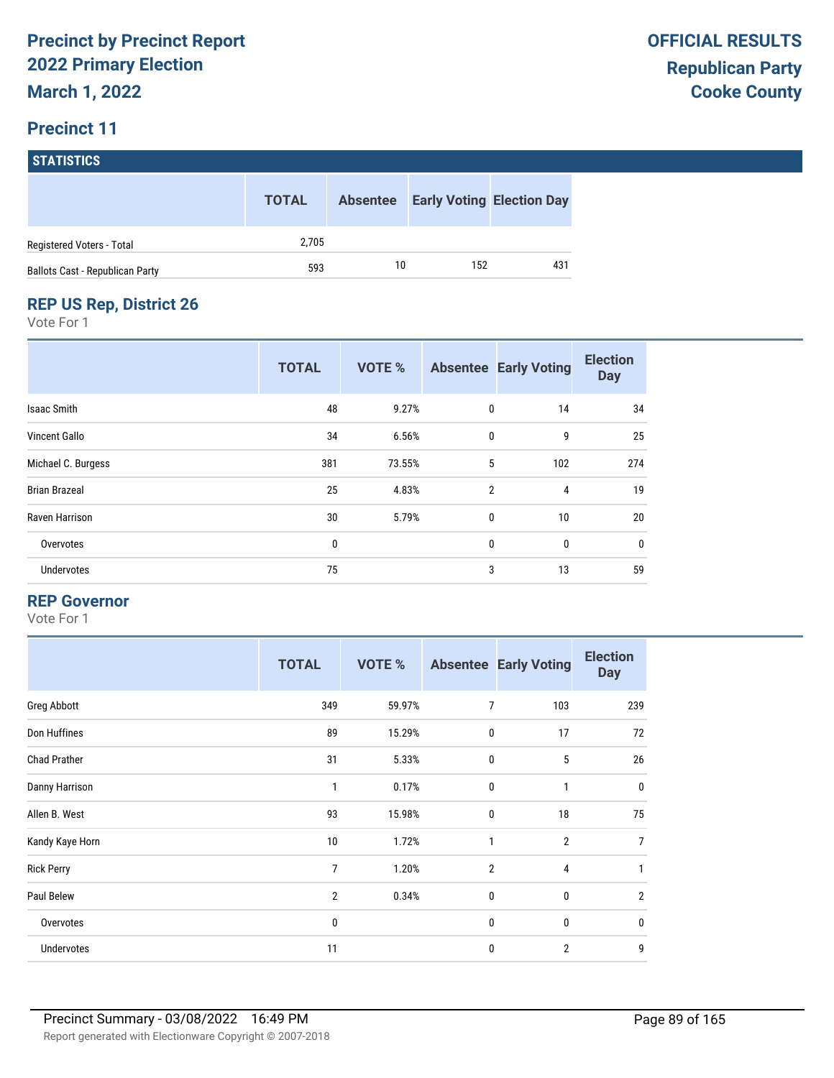# **STATISTICS**

|                                        | <b>TOTAL</b> | <b>Absentee</b> |     | <b>Early Voting Election Day</b> |
|----------------------------------------|--------------|-----------------|-----|----------------------------------|
| Registered Voters - Total              | 2.705        |                 |     |                                  |
| <b>Ballots Cast - Republican Party</b> | 593          | 10              | 152 | 431                              |

#### **REP US Rep, District 26**

Vote For 1

|                      | <b>TOTAL</b> | <b>VOTE %</b> |                | <b>Absentee Early Voting</b> | <b>Election</b><br><b>Day</b> |
|----------------------|--------------|---------------|----------------|------------------------------|-------------------------------|
| Isaac Smith          | 48           | 9.27%         | 0              | 14                           | 34                            |
| Vincent Gallo        | 34           | 6.56%         | $\mathbf 0$    | 9                            | 25                            |
| Michael C. Burgess   | 381          | 73.55%        | 5              | 102                          | 274                           |
| <b>Brian Brazeal</b> | 25           | 4.83%         | $\overline{2}$ | 4                            | 19                            |
| Raven Harrison       | 30           | 5.79%         | $\mathbf{0}$   | 10                           | 20                            |
| Overvotes            | 0            |               | $\mathbf 0$    | 0                            | $\mathbf 0$                   |
| Undervotes           | 75           |               | 3              | 13                           | 59                            |

#### **REP Governor**

|                     | <b>TOTAL</b>   | <b>VOTE %</b> |                | <b>Absentee Early Voting</b> | <b>Election</b><br><b>Day</b> |
|---------------------|----------------|---------------|----------------|------------------------------|-------------------------------|
| Greg Abbott         | 349            | 59.97%        | $\overline{7}$ | 103                          | 239                           |
| Don Huffines        | 89             | 15.29%        | $\mathbf 0$    | 17                           | 72                            |
| <b>Chad Prather</b> | 31             | 5.33%         | $\mathbf 0$    | 5                            | 26                            |
| Danny Harrison      | 1              | 0.17%         | $\mathbf 0$    | $\mathbf{1}$                 | $\mathbf 0$                   |
| Allen B. West       | 93             | 15.98%        | 0              | 18                           | 75                            |
| Kandy Kaye Horn     | 10             | 1.72%         | $\mathbf{1}$   | $\overline{2}$               | 7                             |
| <b>Rick Perry</b>   | $\overline{7}$ | 1.20%         | $\overline{2}$ | $\overline{4}$               | 1                             |
| Paul Belew          | $\overline{2}$ | 0.34%         | $\mathbf 0$    | 0                            | $\overline{2}$                |
| Overvotes           | 0              |               | $\mathbf 0$    | 0                            | $\mathbf 0$                   |
| Undervotes          | 11             |               | 0              | $\overline{2}$               | 9                             |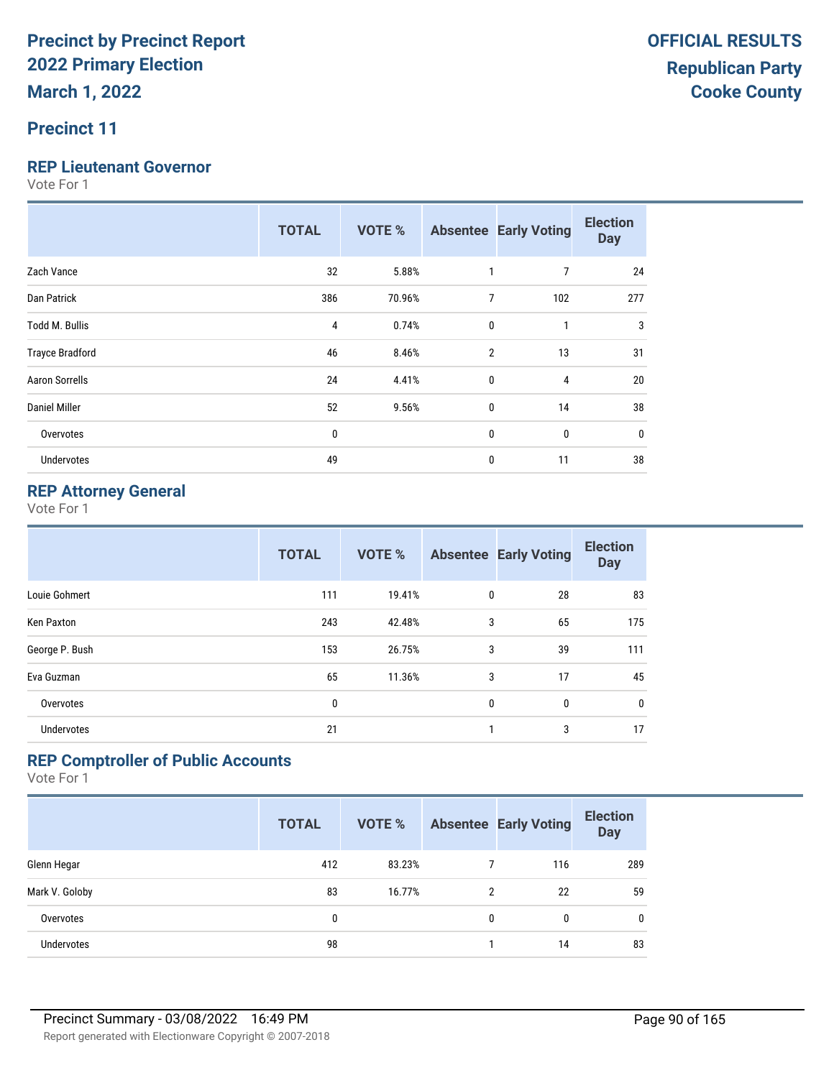#### **Precinct 11**

#### **REP Lieutenant Governor**

Vote For 1

|                        | <b>TOTAL</b> | <b>VOTE %</b> |                | <b>Absentee Early Voting</b> | <b>Election</b><br><b>Day</b> |
|------------------------|--------------|---------------|----------------|------------------------------|-------------------------------|
| Zach Vance             | 32           | 5.88%         | 1              | 7                            | 24                            |
| Dan Patrick            | 386          | 70.96%        | $\overline{7}$ | 102                          | 277                           |
| <b>Todd M. Bullis</b>  | 4            | 0.74%         | $\mathbf{0}$   | 1                            | 3                             |
| <b>Trayce Bradford</b> | 46           | 8.46%         | $\overline{2}$ | 13                           | 31                            |
| <b>Aaron Sorrells</b>  | 24           | 4.41%         | $\mathbf{0}$   | 4                            | 20                            |
| Daniel Miller          | 52           | 9.56%         | $\mathbf 0$    | 14                           | 38                            |
| Overvotes              | 0            |               | $\mathbf{0}$   | 0                            | 0                             |
| <b>Undervotes</b>      | 49           |               | $\mathbf{0}$   | 11                           | 38                            |

#### **REP Attorney General**

Vote For 1

|                | <b>TOTAL</b> | <b>VOTE %</b> |             | <b>Absentee Early Voting</b> | <b>Election</b><br><b>Day</b> |
|----------------|--------------|---------------|-------------|------------------------------|-------------------------------|
| Louie Gohmert  | 111          | 19.41%        | 0           | 28                           | 83                            |
| Ken Paxton     | 243          | 42.48%        | 3           | 65                           | 175                           |
| George P. Bush | 153          | 26.75%        | 3           | 39                           | 111                           |
| Eva Guzman     | 65           | 11.36%        | 3           | 17                           | 45                            |
| Overvotes      | 0            |               | $\mathbf 0$ | 0                            | $\mathbf 0$                   |
| Undervotes     | 21           |               | 1           | 3                            | 17                            |

#### **REP Comptroller of Public Accounts**

|                   | <b>TOTAL</b> | <b>VOTE %</b> |   | <b>Absentee Early Voting</b> | <b>Election</b><br><b>Day</b> |
|-------------------|--------------|---------------|---|------------------------------|-------------------------------|
| Glenn Hegar       | 412          | 83.23%        |   | 116                          | 289                           |
| Mark V. Goloby    | 83           | 16.77%        | 2 | 22                           | 59                            |
| Overvotes         | 0            |               | 0 | 0                            | 0                             |
| <b>Undervotes</b> | 98           |               |   | 14                           | 83                            |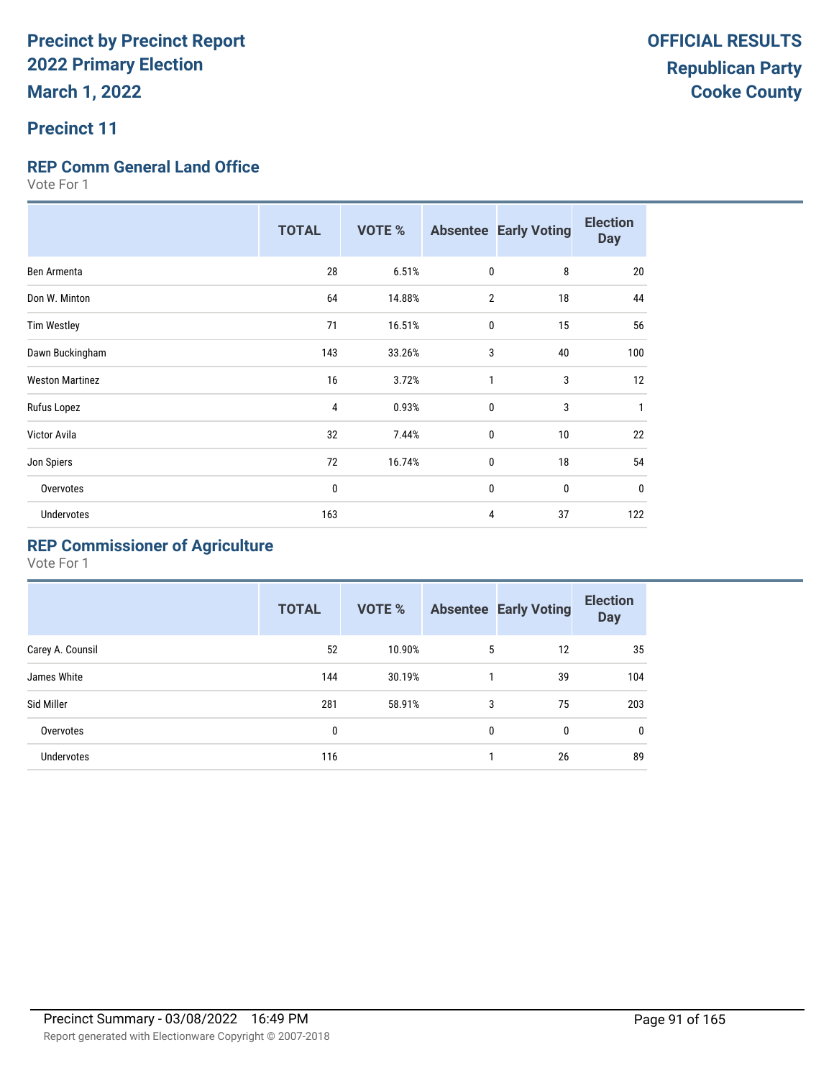#### **Precinct 11**

#### **REP Comm General Land Office**

Vote For 1

|                        | <b>TOTAL</b> | <b>VOTE %</b> |                | <b>Absentee Early Voting</b> | <b>Election</b><br><b>Day</b> |
|------------------------|--------------|---------------|----------------|------------------------------|-------------------------------|
| Ben Armenta            | 28           | 6.51%         | $\mathbf 0$    | 8                            | 20                            |
| Don W. Minton          | 64           | 14.88%        | $\overline{2}$ | 18                           | 44                            |
| <b>Tim Westley</b>     | 71           | 16.51%        | 0              | 15                           | 56                            |
| Dawn Buckingham        | 143          | 33.26%        | 3              | 40                           | 100                           |
| <b>Weston Martinez</b> | 16           | 3.72%         | 1              | 3                            | 12                            |
| Rufus Lopez            | 4            | 0.93%         | $\mathbf{0}$   | 3                            | $\mathbf{1}$                  |
| Victor Avila           | 32           | 7.44%         | 0              | 10                           | 22                            |
| Jon Spiers             | 72           | 16.74%        | 0              | 18                           | 54                            |
| Overvotes              | 0            |               | 0              | $\mathbf{0}$                 | $\bf{0}$                      |
| <b>Undervotes</b>      | 163          |               | 4              | 37                           | 122                           |

### **REP Commissioner of Agriculture**

|                   | <b>TOTAL</b> | VOTE % |              | <b>Absentee Early Voting</b> | <b>Election</b><br><b>Day</b> |
|-------------------|--------------|--------|--------------|------------------------------|-------------------------------|
| Carey A. Counsil  | 52           | 10.90% | 5            | 12                           | 35                            |
| James White       | 144          | 30.19% | 1            | 39                           | 104                           |
| Sid Miller        | 281          | 58.91% | 3            | 75                           | 203                           |
| Overvotes         | 0            |        | $\mathbf{0}$ | 0                            | 0                             |
| <b>Undervotes</b> | 116          |        |              | 26                           | 89                            |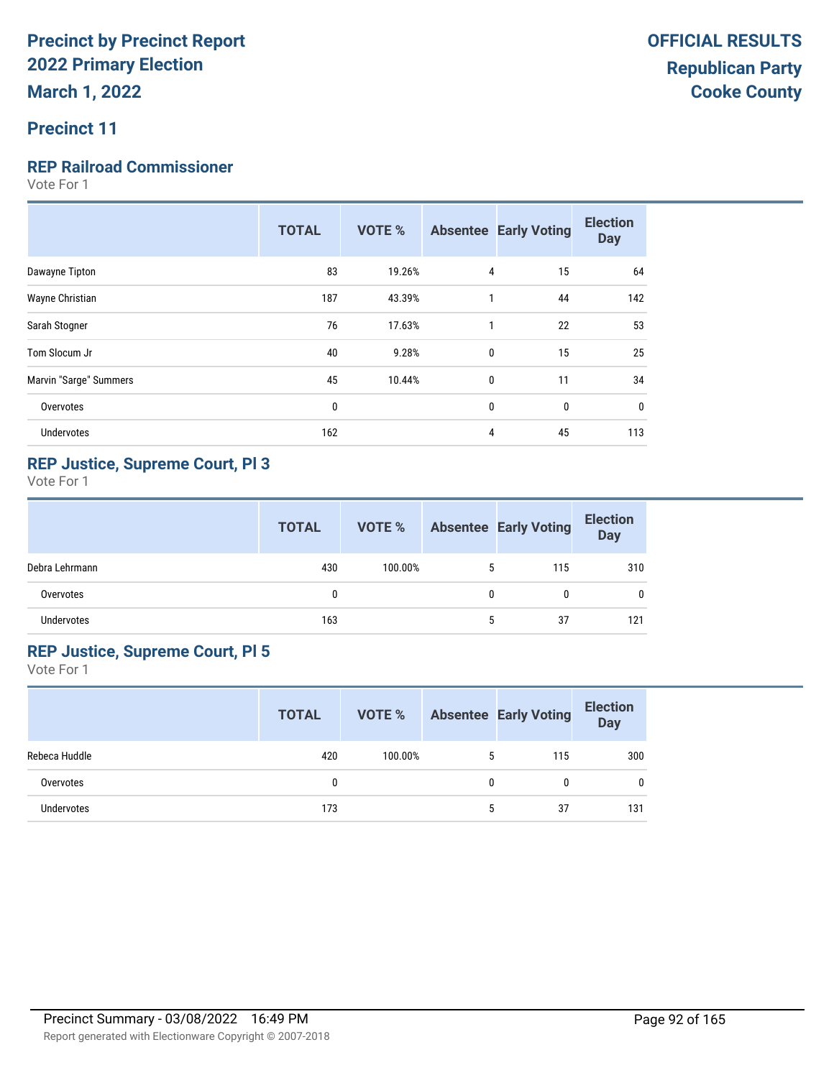#### **Precinct 11**

#### **REP Railroad Commissioner**

Vote For 1

|                        | <b>TOTAL</b> | <b>VOTE %</b> |              | <b>Absentee Early Voting</b> | <b>Election</b><br><b>Day</b> |
|------------------------|--------------|---------------|--------------|------------------------------|-------------------------------|
| Dawayne Tipton         | 83           | 19.26%        | 4            | 15                           | 64                            |
| Wayne Christian        | 187          | 43.39%        | 1            | 44                           | 142                           |
| Sarah Stogner          | 76           | 17.63%        | 1            | 22                           | 53                            |
| Tom Slocum Jr          | 40           | 9.28%         | $\mathbf{0}$ | 15                           | 25                            |
| Marvin "Sarge" Summers | 45           | 10.44%        | 0            | 11                           | 34                            |
| Overvotes              | 0            |               | 0            | 0                            | $\mathbf 0$                   |
| <b>Undervotes</b>      | 162          |               | 4            | 45                           | 113                           |
|                        |              |               |              |                              |                               |

#### **REP Justice, Supreme Court, Pl 3**

Vote For 1

|                | <b>TOTAL</b> | VOTE %  |   | <b>Absentee Early Voting</b> | <b>Election</b><br><b>Day</b> |
|----------------|--------------|---------|---|------------------------------|-------------------------------|
| Debra Lehrmann | 430          | 100.00% | 5 | 115                          | 310                           |
| Overvotes      | $\mathbf{0}$ |         | 0 | 0                            | 0                             |
| Undervotes     | 163          |         |   | 37                           | 121                           |

#### **REP Justice, Supreme Court, Pl 5**

|               | <b>TOTAL</b> | VOTE %  |   | <b>Absentee Early Voting</b> | <b>Election</b><br><b>Day</b> |
|---------------|--------------|---------|---|------------------------------|-------------------------------|
| Rebeca Huddle | 420          | 100.00% | 5 | 115                          | 300                           |
| Overvotes     |              |         | 0 | 0                            | 0                             |
| Undervotes    | 173          |         | 5 | 37                           | 131                           |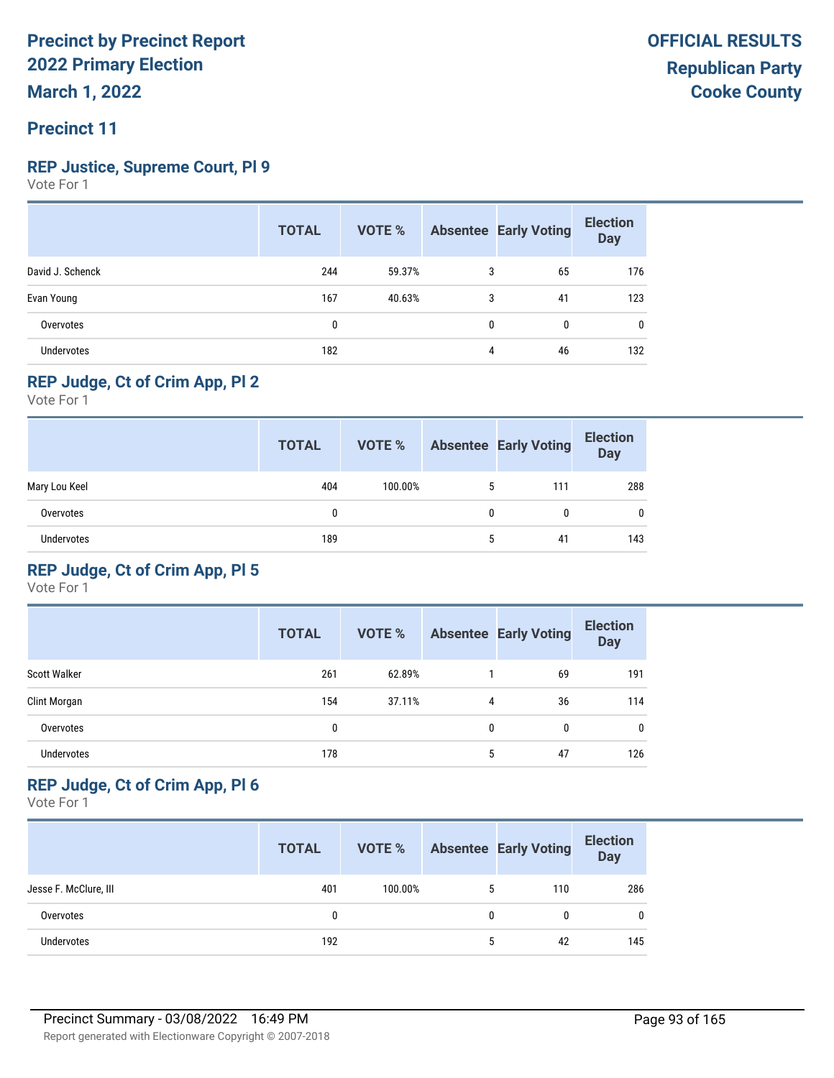#### **Precinct 11**

#### **REP Justice, Supreme Court, Pl 9**

Vote For 1

|                   | <b>TOTAL</b> | VOTE % |              | <b>Absentee Early Voting</b> | <b>Election</b><br><b>Day</b> |
|-------------------|--------------|--------|--------------|------------------------------|-------------------------------|
| David J. Schenck  | 244          | 59.37% | 3            | 65                           | 176                           |
| Evan Young        | 167          | 40.63% | 3            | 41                           | 123                           |
| Overvotes         | 0            |        | $\mathbf{0}$ | 0                            | $\mathbf{0}$                  |
| <b>Undervotes</b> | 182          |        | 4            | 46                           | 132                           |

#### **REP Judge, Ct of Crim App, Pl 2**

Vote For 1

|                   | <b>TOTAL</b> | VOTE %  |   | <b>Absentee Early Voting</b> | <b>Election</b><br><b>Day</b> |
|-------------------|--------------|---------|---|------------------------------|-------------------------------|
| Mary Lou Keel     | 404          | 100.00% | 5 | 111                          | 288                           |
| Overvotes         | 0            |         | 0 | 0                            | $\mathbf{0}$                  |
| <b>Undervotes</b> | 189          |         | 5 | 41                           | 143                           |

#### **REP Judge, Ct of Crim App, Pl 5**

Vote For 1

|                     | <b>TOTAL</b> | <b>VOTE %</b> |   | <b>Absentee Early Voting</b> | <b>Election</b><br><b>Day</b> |
|---------------------|--------------|---------------|---|------------------------------|-------------------------------|
| <b>Scott Walker</b> | 261          | 62.89%        |   | 69                           | 191                           |
| Clint Morgan        | 154          | 37.11%        | 4 | 36                           | 114                           |
| Overvotes           | 0            |               | 0 | 0                            | 0                             |
| <b>Undervotes</b>   | 178          |               | 5 | 47                           | 126                           |

#### **REP Judge, Ct of Crim App, Pl 6**

|                       | <b>TOTAL</b> | VOTE %  |   | <b>Absentee Early Voting</b> | <b>Election</b><br><b>Day</b> |
|-----------------------|--------------|---------|---|------------------------------|-------------------------------|
| Jesse F. McClure, III | 401          | 100.00% | 5 | 110                          | 286                           |
| Overvotes             | 0            |         | 0 | 0                            | $\mathbf 0$                   |
| Undervotes            | 192          |         | 5 | 42                           | 145                           |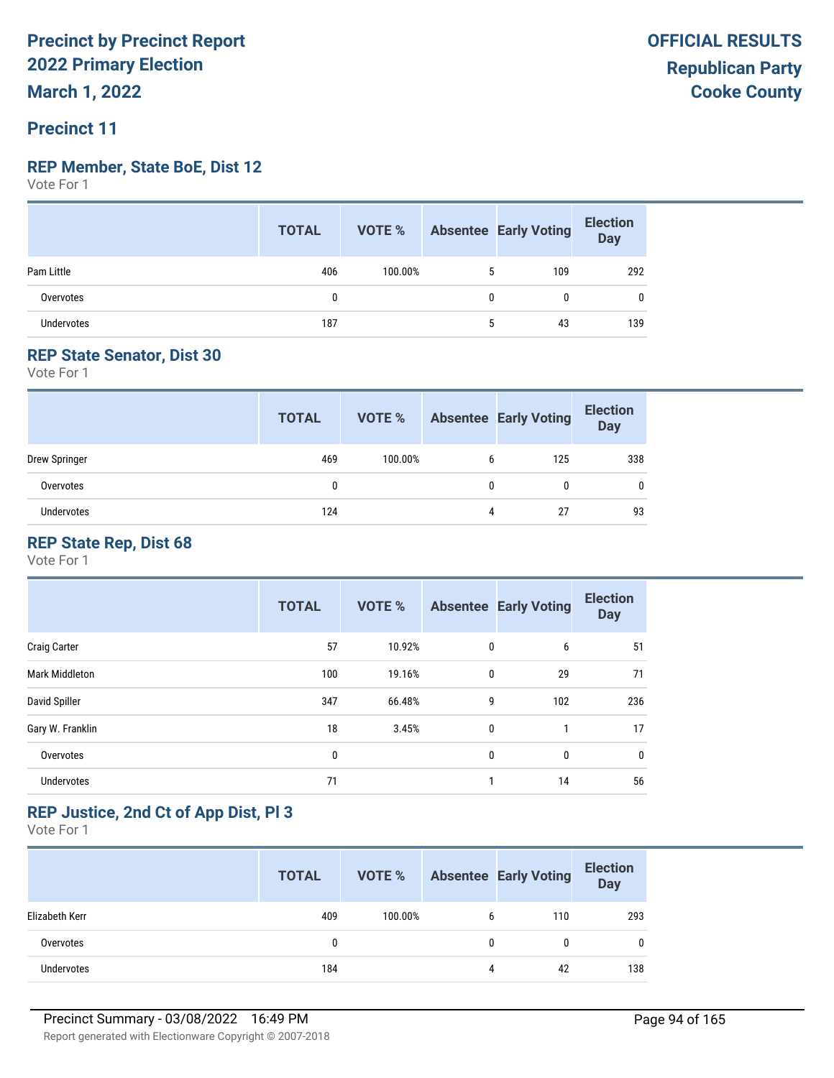#### **REP Member, State BoE, Dist 12**

Vote For 1

|            | <b>TOTAL</b> |         |   | <b>VOTE %</b> Absentee Early Voting | <b>Election</b><br>Day |
|------------|--------------|---------|---|-------------------------------------|------------------------|
| Pam Little | 406          | 100.00% |   | 109                                 | 292                    |
| Overvotes  | n            |         | 0 |                                     |                        |
| Undervotes | 187          |         | 5 | 43                                  | 139                    |

#### **REP State Senator, Dist 30**

Vote For 1

|               | <b>TOTAL</b> | VOTE %  |   | <b>Absentee Early Voting</b> | <b>Election</b><br><b>Day</b> |
|---------------|--------------|---------|---|------------------------------|-------------------------------|
| Drew Springer | 469          | 100.00% | 6 | 125                          | 338                           |
| Overvotes     | 0            |         | 0 | 0                            | 0                             |
| Undervotes    | 124          |         | 4 | 27                           | 93                            |

#### **REP State Rep, Dist 68**

Vote For 1

|                       | <b>TOTAL</b> | <b>VOTE %</b> |              | <b>Absentee Early Voting</b> | <b>Election</b><br><b>Day</b> |
|-----------------------|--------------|---------------|--------------|------------------------------|-------------------------------|
| <b>Craig Carter</b>   | 57           | 10.92%        | $\mathbf 0$  | 6                            | 51                            |
| <b>Mark Middleton</b> | 100          | 19.16%        | $\mathbf{0}$ | 29                           | 71                            |
| David Spiller         | 347          | 66.48%        | 9            | 102                          | 236                           |
| Gary W. Franklin      | 18           | 3.45%         | $\mathbf{0}$ |                              | 17                            |
| Overvotes             | 0            |               | 0            | 0                            | $\mathbf 0$                   |
| <b>Undervotes</b>     | 71           |               | 1            | 14                           | 56                            |

#### **REP Justice, 2nd Ct of App Dist, Pl 3**

|                   | <b>TOTAL</b> | VOTE %  |   | <b>Absentee Early Voting</b> | <b>Election</b><br><b>Day</b> |
|-------------------|--------------|---------|---|------------------------------|-------------------------------|
| Elizabeth Kerr    | 409          | 100.00% | 6 | 110                          | 293                           |
| Overvotes         | 0            |         | 0 | 0                            | 0                             |
| <b>Undervotes</b> | 184          |         |   | 42                           | 138                           |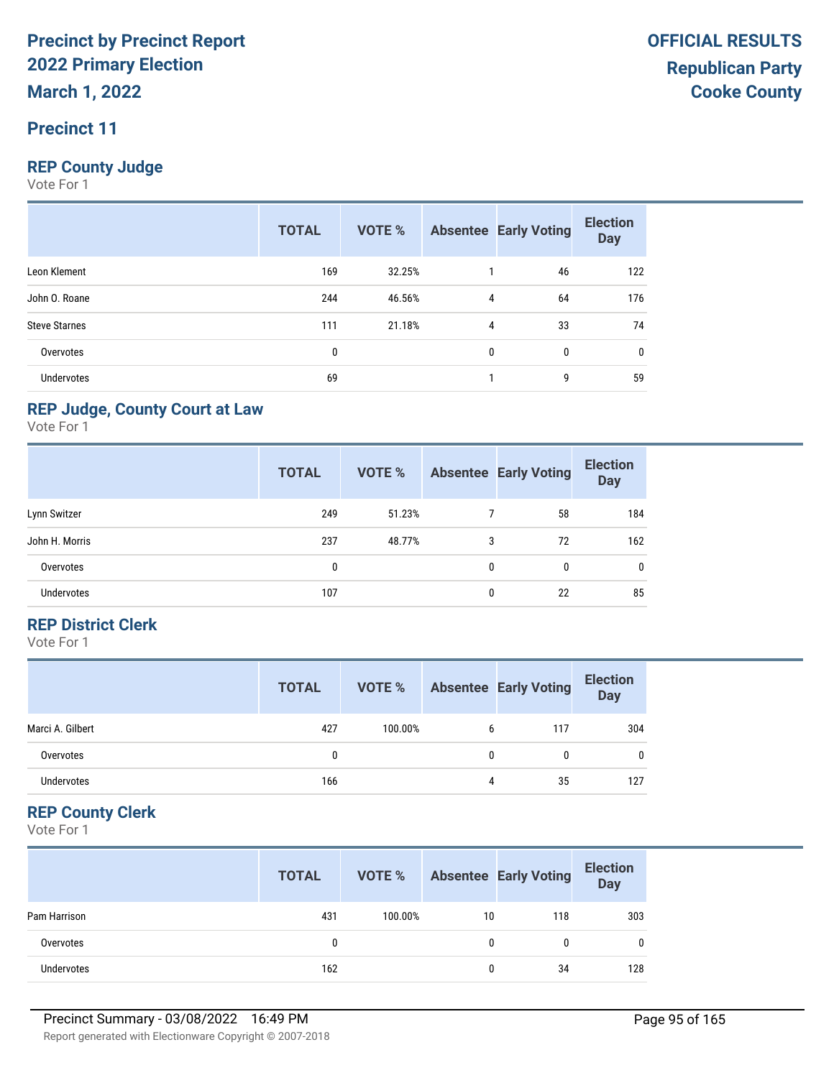#### **Precinct 11**

#### **REP County Judge**

Vote For 1

|                      | <b>TOTAL</b> | <b>VOTE %</b> |   | <b>Absentee Early Voting</b> | <b>Election</b><br><b>Day</b> |
|----------------------|--------------|---------------|---|------------------------------|-------------------------------|
| Leon Klement         | 169          | 32.25%        |   | 46                           | 122                           |
| John O. Roane        | 244          | 46.56%        | 4 | 64                           | 176                           |
| <b>Steve Starnes</b> | 111          | 21.18%        | 4 | 33                           | 74                            |
| Overvotes            | 0            |               | 0 | $\mathbf{0}$                 | 0                             |
| <b>Undervotes</b>    | 69           |               |   | 9                            | 59                            |

#### **REP Judge, County Court at Law**

Vote For 1

|                   | <b>TOTAL</b> | VOTE % |   | <b>Absentee Early Voting</b> | <b>Election</b><br><b>Day</b> |
|-------------------|--------------|--------|---|------------------------------|-------------------------------|
| Lynn Switzer      | 249          | 51.23% |   | 58                           | 184                           |
| John H. Morris    | 237          | 48.77% | 3 | 72                           | 162                           |
| Overvotes         | 0            |        | 0 | 0                            | $\mathbf{0}$                  |
| <b>Undervotes</b> | 107          |        | 0 | 22                           | 85                            |

#### **REP District Clerk**

Vote For 1

|                  | <b>TOTAL</b> | VOTE %  |   | <b>Absentee Early Voting</b> | <b>Election</b><br><b>Day</b> |
|------------------|--------------|---------|---|------------------------------|-------------------------------|
| Marci A. Gilbert | 427          | 100.00% | 6 | 117                          | 304                           |
| Overvotes        |              |         | 0 |                              | $\mathbf{0}$                  |
| Undervotes       | 166          |         | 4 | 35                           | 127                           |

#### **REP County Clerk**

|              | <b>TOTAL</b> | VOTE %  |    | <b>Absentee Early Voting</b> | <b>Election</b><br><b>Day</b> |
|--------------|--------------|---------|----|------------------------------|-------------------------------|
| Pam Harrison | 431          | 100.00% | 10 | 118                          | 303                           |
| Overvotes    | 0            |         | 0  |                              | 0                             |
| Undervotes   | 162          |         | 0  | 34                           | 128                           |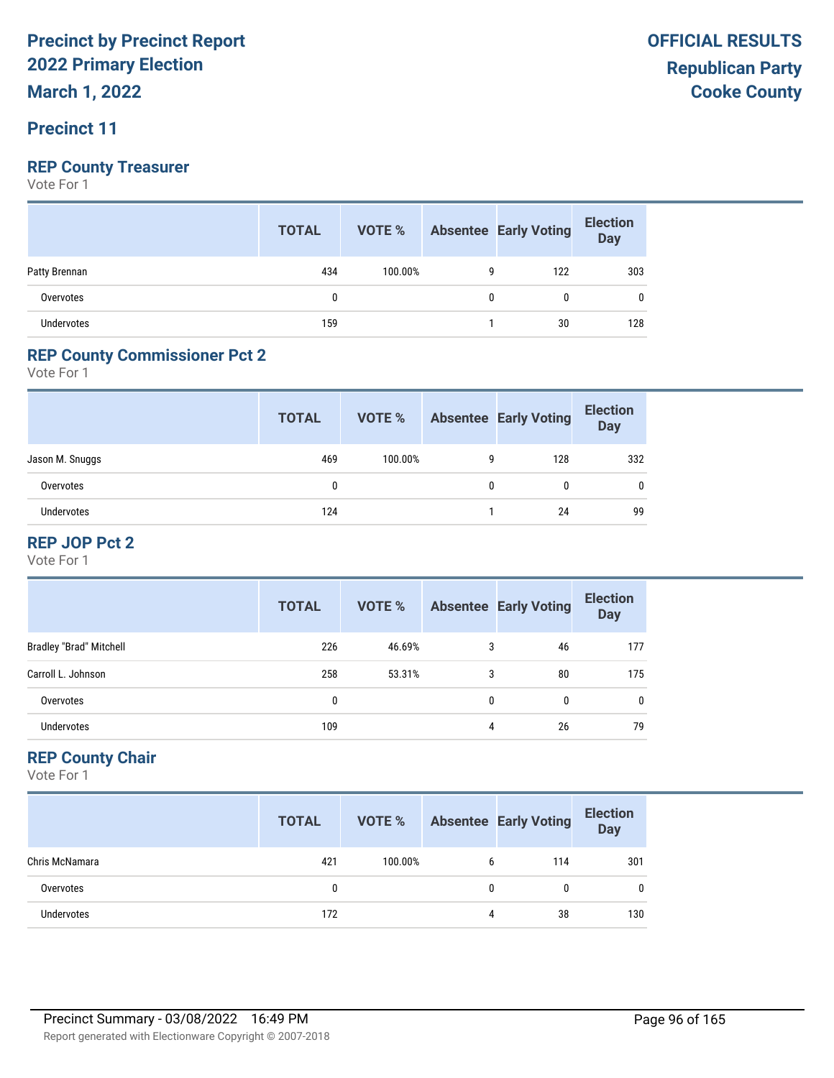**March 1, 2022**

#### **Precinct 11**

#### **REP County Treasurer**

Vote For 1

|               | <b>TOTAL</b> |         |   | <b>VOTE %</b> Absentee Early Voting | <b>Election</b><br>Day |
|---------------|--------------|---------|---|-------------------------------------|------------------------|
| Patty Brennan | 434          | 100.00% | g | 122                                 | 303                    |
| Overvotes     | 0            |         |   |                                     |                        |
| Undervotes    | 159          |         |   | 30                                  | 128                    |

#### **REP County Commissioner Pct 2**

Vote For 1

|                 | <b>TOTAL</b> | VOTE %  |   | <b>Absentee Early Voting</b> | <b>Election</b><br><b>Day</b> |
|-----------------|--------------|---------|---|------------------------------|-------------------------------|
| Jason M. Snuggs | 469          | 100.00% | 9 | 128                          | 332                           |
| Overvotes       |              |         | 0 | 0                            |                               |
| Undervotes      | 124          |         |   | 24                           | 99                            |

#### **REP JOP Pct 2**

Vote For 1

|                                | <b>TOTAL</b> | VOTE % |   | <b>Absentee Early Voting</b> | <b>Election</b><br><b>Day</b> |
|--------------------------------|--------------|--------|---|------------------------------|-------------------------------|
| <b>Bradley "Brad" Mitchell</b> | 226          | 46.69% | 3 | 46                           | 177                           |
| Carroll L. Johnson             | 258          | 53.31% | 3 | 80                           | 175                           |
| Overvotes                      | 0            |        | 0 | 0                            |                               |
| <b>Undervotes</b>              | 109          |        | 4 | 26                           | 79                            |

#### **REP County Chair**

|                   | <b>TOTAL</b> | VOTE %  |   | <b>Absentee Early Voting</b> | <b>Election</b><br><b>Day</b> |
|-------------------|--------------|---------|---|------------------------------|-------------------------------|
| Chris McNamara    | 421          | 100.00% | b | 114                          | 301                           |
| Overvotes         | 0            |         | 0 |                              | 0                             |
| <b>Undervotes</b> | 172          |         | 4 | 38                           | 130                           |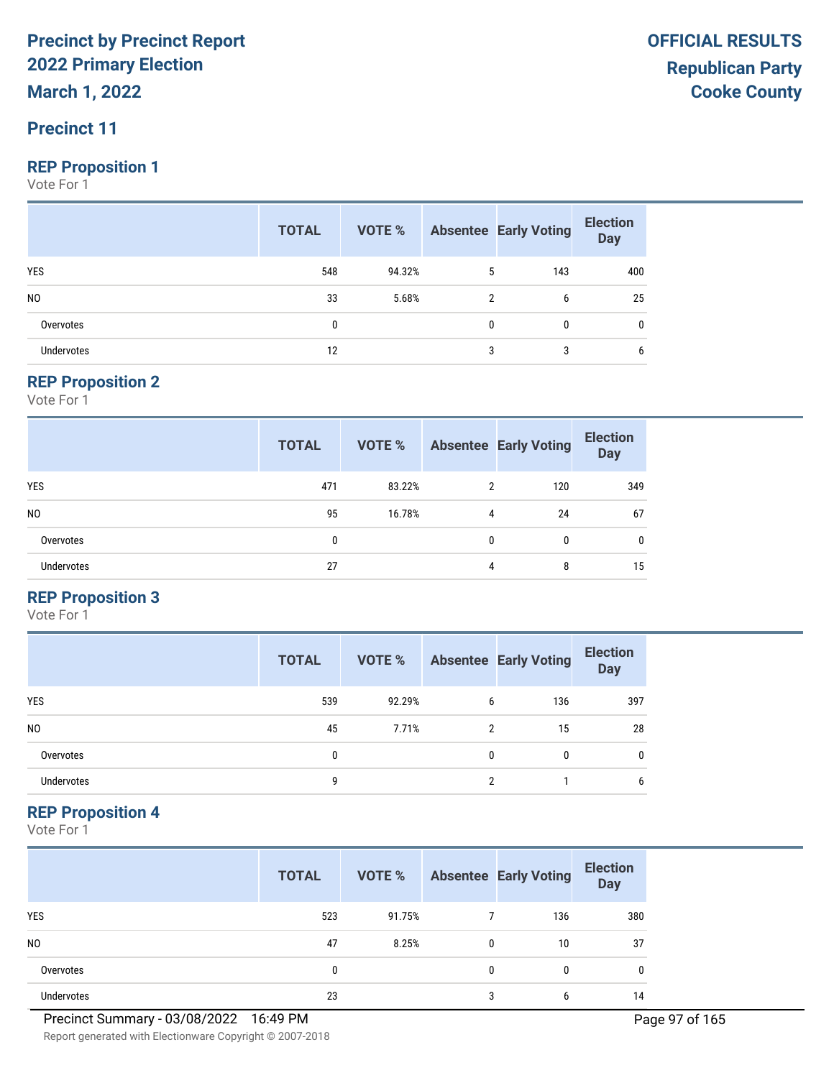**March 1, 2022**

#### **Precinct 11**

#### **REP Proposition 1**

Vote For 1

|                   | <b>TOTAL</b> |        |   | <b>VOTE %</b> Absentee Early Voting | <b>Election</b><br>Day |
|-------------------|--------------|--------|---|-------------------------------------|------------------------|
| <b>YES</b>        | 548          | 94.32% | 5 | 143                                 | 400                    |
| N <sub>0</sub>    | 33           | 5.68%  | 2 | 6                                   | 25                     |
| Overvotes         | 0            |        | 0 | 0                                   | 0                      |
| <b>Undervotes</b> | 12           |        | 3 | 3                                   | 6                      |

#### **REP Proposition 2**

Vote For 1

|                   | <b>TOTAL</b> | <b>VOTE %</b> |   | <b>Absentee Early Voting</b> | <b>Election</b><br><b>Day</b> |
|-------------------|--------------|---------------|---|------------------------------|-------------------------------|
| <b>YES</b>        | 471          | 83.22%        | 2 | 120                          | 349                           |
| N <sub>0</sub>    | 95           | 16.78%        | 4 | 24                           | 67                            |
| Overvotes         | 0            |               | 0 | 0                            | $\mathbf{0}$                  |
| <b>Undervotes</b> | 27           |               | 4 | 8                            | 15                            |

#### **REP Proposition 3**

Vote For 1

|                | <b>TOTAL</b> | VOTE % |   | <b>Absentee Early Voting</b> | <b>Election</b><br><b>Day</b> |
|----------------|--------------|--------|---|------------------------------|-------------------------------|
| <b>YES</b>     | 539          | 92.29% | 6 | 136                          | 397                           |
| N <sub>0</sub> | 45           | 7.71%  | 2 | 15                           | 28                            |
| Overvotes      | 0            |        | 0 | 0                            | 0                             |
| Undervotes     | 9            |        | ↑ |                              | 6                             |

#### **REP Proposition 4**

Vote For 1

|                   | <b>TOTAL</b> | VOTE % |              | <b>Absentee Early Voting</b> | <b>Election</b><br><b>Day</b> |
|-------------------|--------------|--------|--------------|------------------------------|-------------------------------|
| <b>YES</b>        | 523          | 91.75% |              | 136                          | 380                           |
| N <sub>0</sub>    | 47           | 8.25%  | $\mathbf{0}$ | 10                           | 37                            |
| Overvotes         | 0            |        | $\mathbf{0}$ | 0                            | 0                             |
| <b>Undervotes</b> | 23           |        | 3            | 6                            | 14                            |

Report generated with Electionware Copyright © 2007-2018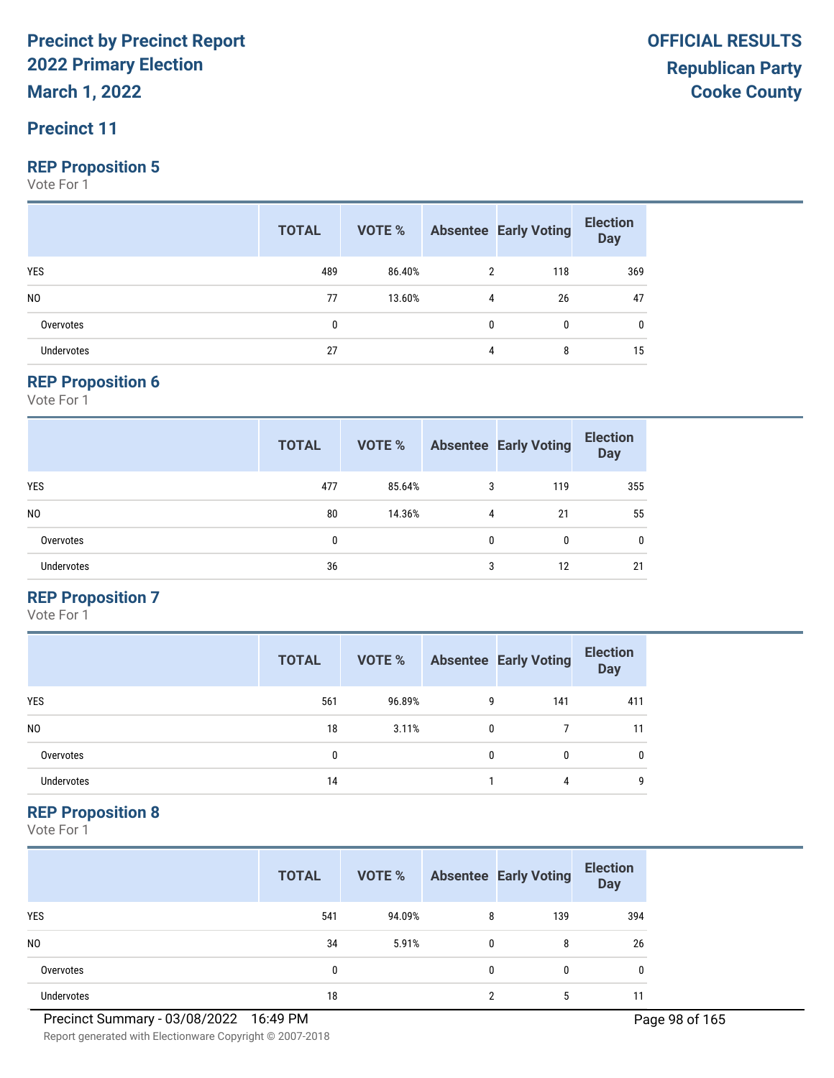**March 1, 2022**

#### **Precinct 11**

#### **REP Proposition 5**

Vote For 1

|                   | <b>TOTAL</b> |        |              | <b>VOTE %</b> Absentee Early Voting | <b>Election</b><br>Day |
|-------------------|--------------|--------|--------------|-------------------------------------|------------------------|
| <b>YES</b>        | 489          | 86.40% | 2            | 118                                 | 369                    |
| N <sub>0</sub>    | 77           | 13.60% | 4            | 26                                  | 47                     |
| Overvotes         | 0            |        | $\mathbf{0}$ | 0                                   | 0                      |
| <b>Undervotes</b> | 27           |        | 4            | 8                                   | 15                     |

#### **REP Proposition 6**

Vote For 1

|                   | <b>TOTAL</b> | <b>VOTE %</b> |   | <b>Absentee Early Voting</b> | <b>Election</b><br><b>Day</b> |
|-------------------|--------------|---------------|---|------------------------------|-------------------------------|
| <b>YES</b>        | 477          | 85.64%        | 3 | 119                          | 355                           |
| N <sub>0</sub>    | 80           | 14.36%        | 4 | 21                           | 55                            |
| Overvotes         | 0            |               | 0 | 0                            | $\mathbf{0}$                  |
| <b>Undervotes</b> | 36           |               | 3 | 12                           | 21                            |

#### **REP Proposition 7**

Vote For 1

|                | <b>TOTAL</b> | VOTE % |   | <b>Absentee Early Voting</b> | <b>Election</b><br><b>Day</b> |
|----------------|--------------|--------|---|------------------------------|-------------------------------|
| <b>YES</b>     | 561          | 96.89% | 9 | 141                          | 411                           |
| N <sub>0</sub> | 18           | 3.11%  | 0 |                              | 11                            |
| Overvotes      | 0            |        | 0 | 0                            | 0                             |
| Undervotes     | 14           |        |   | 4                            | 9                             |

#### **REP Proposition 8**

|                   | <b>TOTAL</b> | VOTE % |              | <b>Absentee Early Voting</b> | <b>Election</b><br><b>Day</b> |
|-------------------|--------------|--------|--------------|------------------------------|-------------------------------|
| <b>YES</b>        | 541          | 94.09% | 8            | 139                          | 394                           |
| N <sub>0</sub>    | 34           | 5.91%  | $\mathbf{0}$ | 8                            | 26                            |
| Overvotes         | 0            |        | $\mathbf{0}$ | 0                            | 0                             |
| <b>Undervotes</b> | 18           |        | ∩            | 5                            |                               |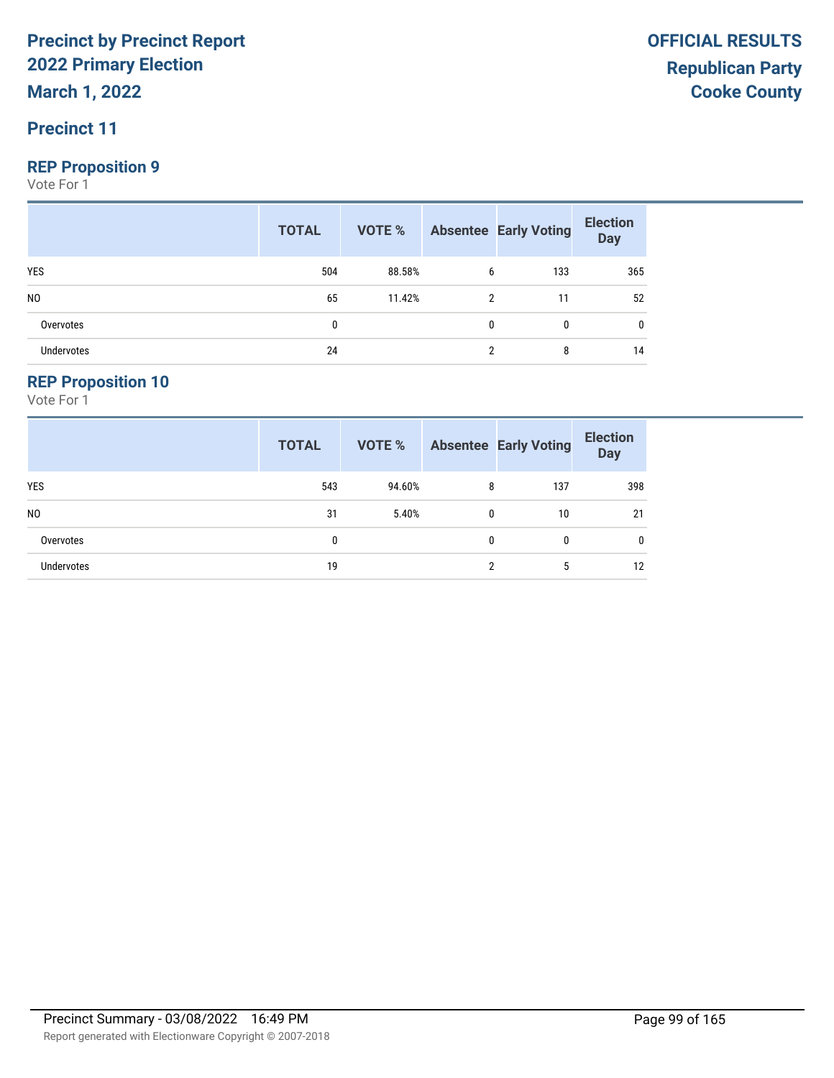**March 1, 2022**

#### **Precinct 11**

#### **REP Proposition 9**

Vote For 1

|                   | <b>TOTAL</b> |        |                | <b>VOTE %</b> Absentee Early Voting | <b>Election</b><br>Day |
|-------------------|--------------|--------|----------------|-------------------------------------|------------------------|
| <b>YES</b>        | 504          | 88.58% | 6              | 133                                 | 365                    |
| N <sub>0</sub>    | 65           | 11.42% | $\overline{2}$ | 11                                  | 52                     |
| Overvotes         | 0            |        | 0              |                                     | 0                      |
| <b>Undervotes</b> | 24           |        |                | 8                                   | 14                     |

#### **REP Proposition 10**

|                   | <b>TOTAL</b> | VOTE % |   | <b>Absentee Early Voting</b> | <b>Election</b><br><b>Day</b> |
|-------------------|--------------|--------|---|------------------------------|-------------------------------|
| <b>YES</b>        | 543          | 94.60% | 8 | 137                          | 398                           |
| N <sub>0</sub>    | 31           | 5.40%  | 0 | 10                           | 21                            |
| Overvotes         | 0            |        | 0 | 0                            | $\mathbf{0}$                  |
| <b>Undervotes</b> | 19           |        | C | 5                            | 12                            |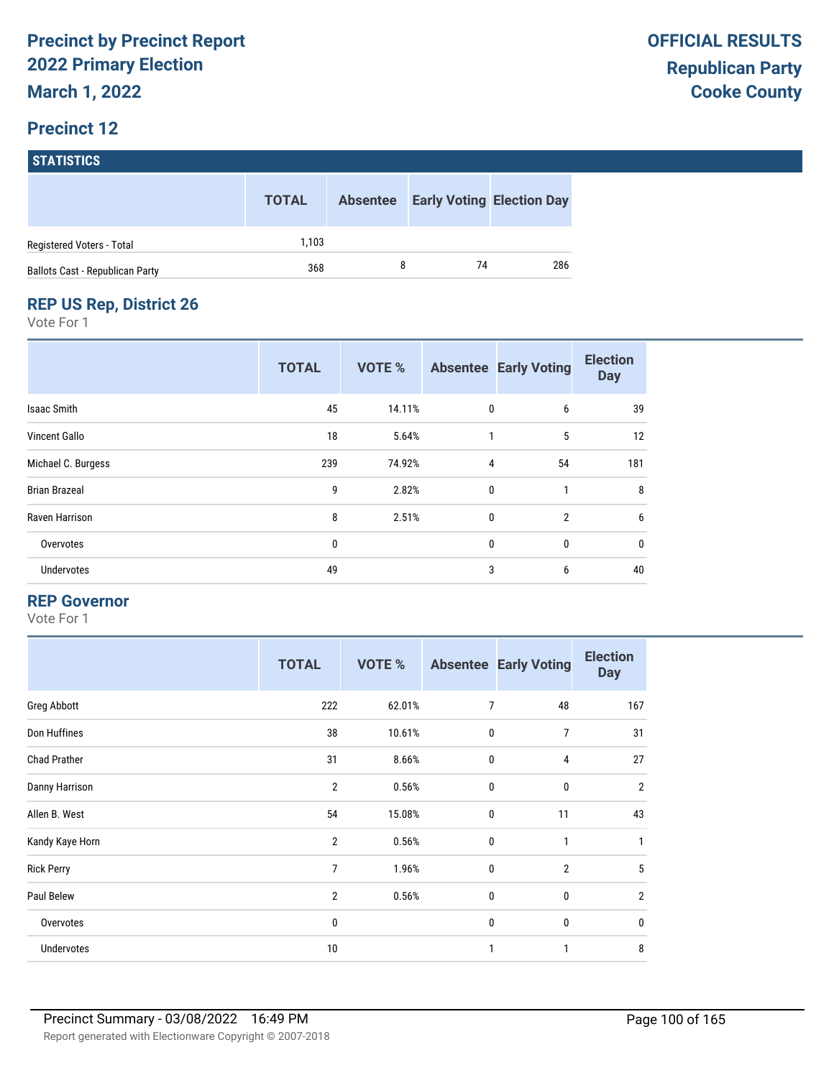|                                 | <b>TOTAL</b> | <b>Absentee</b> |    | <b>Early Voting Election Day</b> |
|---------------------------------|--------------|-----------------|----|----------------------------------|
| Registered Voters - Total       | 1.103        |                 |    |                                  |
| Ballots Cast - Republican Party | 368          |                 | 74 | 286                              |

#### **REP US Rep, District 26**

Vote For 1

|                      | <b>TOTAL</b> | <b>VOTE %</b> |              | <b>Absentee Early Voting</b> | <b>Election</b><br><b>Day</b> |
|----------------------|--------------|---------------|--------------|------------------------------|-------------------------------|
| Isaac Smith          | 45           | 14.11%        | $\mathbf 0$  | 6                            | 39                            |
| <b>Vincent Gallo</b> | 18           | 5.64%         | 1            | 5                            | 12                            |
| Michael C. Burgess   | 239          | 74.92%        | 4            | 54                           | 181                           |
| <b>Brian Brazeal</b> | 9            | 2.82%         | $\mathbf 0$  | 1                            | 8                             |
| Raven Harrison       | 8            | 2.51%         | $\mathbf{0}$ | $\overline{2}$               | 6                             |
| Overvotes            | 0            |               | $\mathbf 0$  | 0                            | $\mathbf 0$                   |
| Undervotes           | 49           |               | 3            | 6                            | 40                            |

#### **REP Governor**

|                     | <b>TOTAL</b>   | VOTE % |                | <b>Absentee Early Voting</b> | <b>Election</b><br><b>Day</b> |
|---------------------|----------------|--------|----------------|------------------------------|-------------------------------|
| Greg Abbott         | 222            | 62.01% | $\overline{7}$ | 48                           | 167                           |
| Don Huffines        | 38             | 10.61% | $\mathbf 0$    | 7                            | 31                            |
| <b>Chad Prather</b> | 31             | 8.66%  | $\mathbf 0$    | 4                            | 27                            |
| Danny Harrison      | $\overline{2}$ | 0.56%  | $\mathbf 0$    | $\mathbf 0$                  | $\overline{2}$                |
| Allen B. West       | 54             | 15.08% | $\mathbf 0$    | 11                           | 43                            |
| Kandy Kaye Horn     | $\overline{2}$ | 0.56%  | $\mathbf 0$    | 1                            | $\mathbf{1}$                  |
| <b>Rick Perry</b>   | $\overline{7}$ | 1.96%  | $\mathbf{0}$   | $\overline{2}$               | 5                             |
| Paul Belew          | $\overline{2}$ | 0.56%  | $\mathbf 0$    | $\mathbf 0$                  | $\overline{2}$                |
| Overvotes           | 0              |        | $\mathbf 0$    | 0                            | $\mathbf 0$                   |
| Undervotes          | 10             |        | 1              | 1                            | 8                             |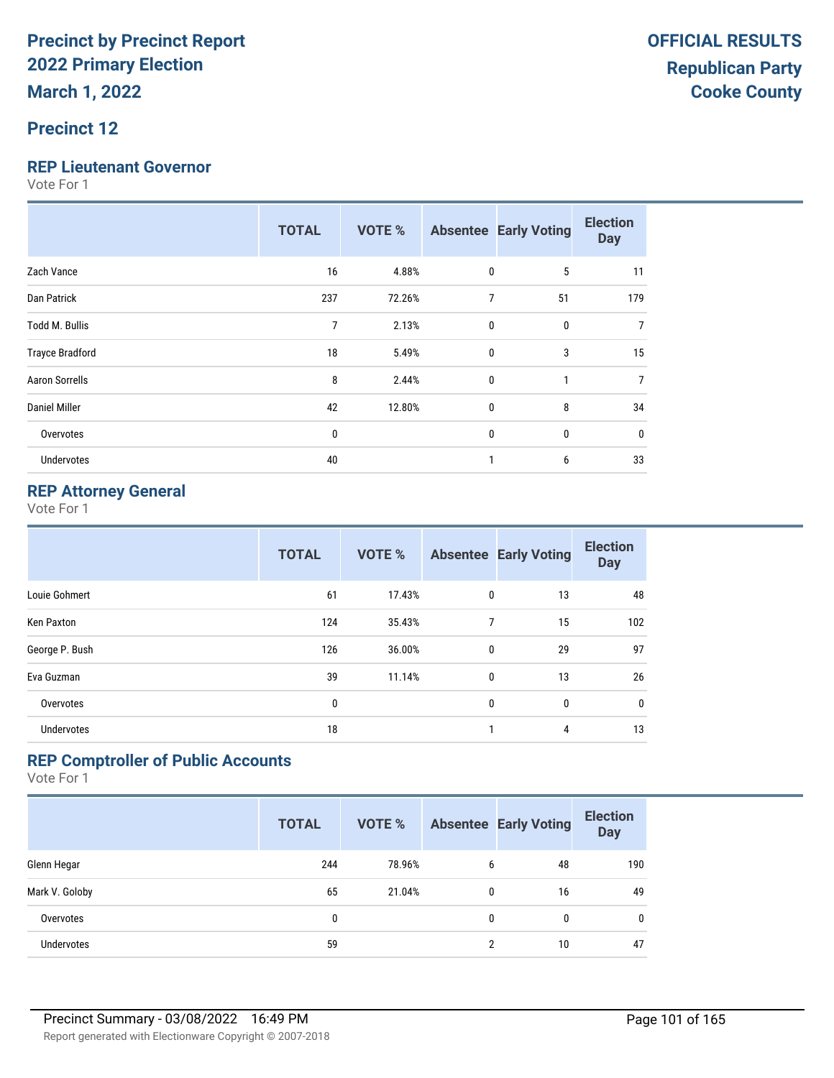#### **Precinct 12**

#### **REP Lieutenant Governor**

Vote For 1

|                        | <b>TOTAL</b> | <b>VOTE %</b> |                | <b>Absentee Early Voting</b> | <b>Election</b><br><b>Day</b> |
|------------------------|--------------|---------------|----------------|------------------------------|-------------------------------|
| Zach Vance             | 16           | 4.88%         | 0              | 5                            | 11                            |
| Dan Patrick            | 237          | 72.26%        | $\overline{7}$ | 51                           | 179                           |
| Todd M. Bullis         | 7            | 2.13%         | $\mathbf{0}$   | 0                            | $\overline{7}$                |
| <b>Trayce Bradford</b> | 18           | 5.49%         | $\mathbf{0}$   | 3                            | 15                            |
| <b>Aaron Sorrells</b>  | 8            | 2.44%         | 0              | 1                            | 7                             |
| <b>Daniel Miller</b>   | 42           | 12.80%        | $\mathbf{0}$   | 8                            | 34                            |
| Overvotes              | $\bf{0}$     |               | $\mathbf{0}$   | 0                            | 0                             |
| Undervotes             | 40           |               |                | 6                            | 33                            |

#### **REP Attorney General**

Vote For 1

|                   | <b>TOTAL</b> | <b>VOTE %</b> |              | <b>Absentee Early Voting</b> | <b>Election</b><br><b>Day</b> |
|-------------------|--------------|---------------|--------------|------------------------------|-------------------------------|
| Louie Gohmert     | 61           | 17.43%        | 0            | 13                           | 48                            |
| Ken Paxton        | 124          | 35.43%        | 7            | 15                           | 102                           |
| George P. Bush    | 126          | 36.00%        | $\mathbf{0}$ | 29                           | 97                            |
| Eva Guzman        | 39           | 11.14%        | 0            | 13                           | 26                            |
| Overvotes         | 0            |               | 0            | $\mathbf{0}$                 | $\mathbf 0$                   |
| <b>Undervotes</b> | 18           |               | $\mathbf{1}$ | 4                            | 13                            |

#### **REP Comptroller of Public Accounts**

|                   | <b>TOTAL</b> | <b>VOTE %</b> |                | <b>Absentee Early Voting</b> | <b>Election</b><br><b>Day</b> |
|-------------------|--------------|---------------|----------------|------------------------------|-------------------------------|
| Glenn Hegar       | 244          | 78.96%        | 6              | 48                           | 190                           |
| Mark V. Goloby    | 65           | 21.04%        | 0              | 16                           | 49                            |
| Overvotes         | 0            |               | 0              | 0                            | $\mathbf{0}$                  |
| <b>Undervotes</b> | 59           |               | $\overline{2}$ | 10                           | 47                            |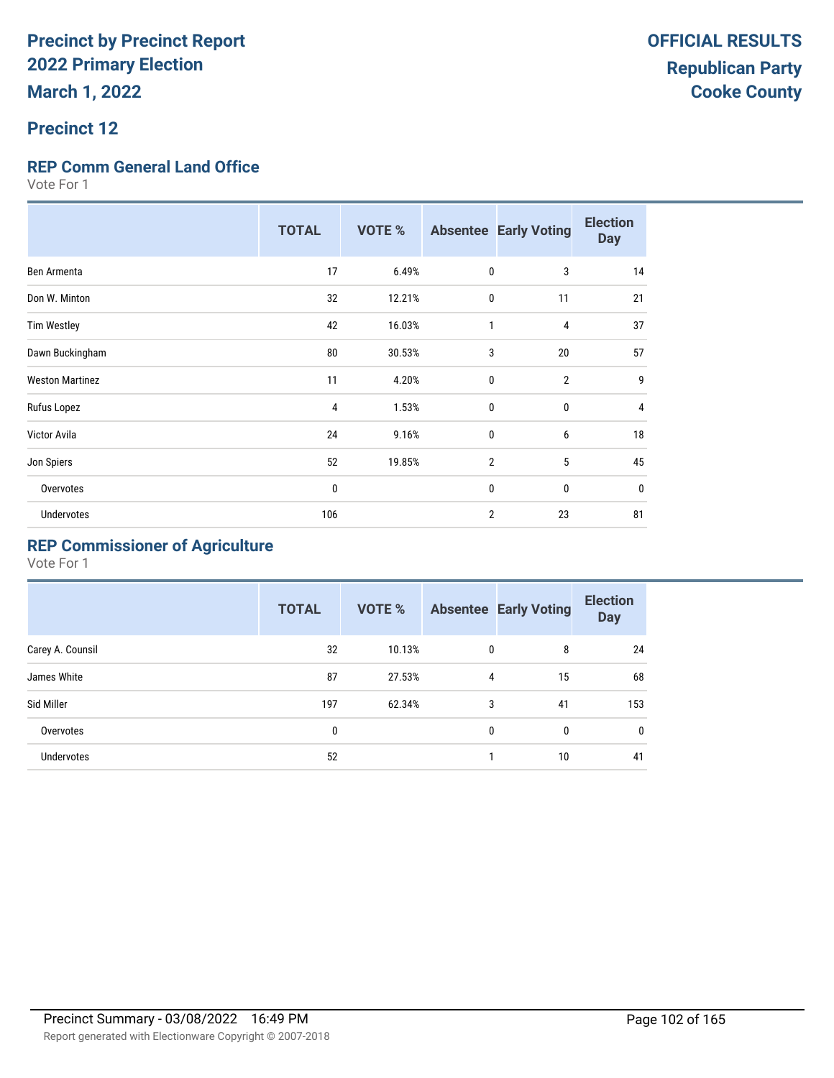#### **Precinct 12**

#### **REP Comm General Land Office**

Vote For 1

|                        | <b>TOTAL</b> | <b>VOTE %</b> |                | <b>Absentee Early Voting</b> | <b>Election</b><br><b>Day</b> |
|------------------------|--------------|---------------|----------------|------------------------------|-------------------------------|
| Ben Armenta            | 17           | 6.49%         | $\mathbf{0}$   | 3                            | 14                            |
| Don W. Minton          | 32           | 12.21%        | $\mathbf{0}$   | 11                           | 21                            |
| <b>Tim Westley</b>     | 42           | 16.03%        | $\mathbf{1}$   | 4                            | 37                            |
| Dawn Buckingham        | 80           | 30.53%        | 3              | 20                           | 57                            |
| <b>Weston Martinez</b> | 11           | 4.20%         | $\mathbf{0}$   | $\overline{2}$               | 9                             |
| Rufus Lopez            | 4            | 1.53%         | $\mathbf{0}$   | 0                            | 4                             |
| Victor Avila           | 24           | 9.16%         | $\mathbf{0}$   | 6                            | 18                            |
| Jon Spiers             | 52           | 19.85%        | $\overline{2}$ | 5                            | 45                            |
| Overvotes              | 0            |               | $\mathbf{0}$   | 0                            | 0                             |
| <b>Undervotes</b>      | 106          |               | $\overline{2}$ | 23                           | 81                            |

### **REP Commissioner of Agriculture**

|                  | <b>TOTAL</b> | <b>VOTE %</b> |   | <b>Absentee Early Voting</b> | <b>Election</b><br><b>Day</b> |
|------------------|--------------|---------------|---|------------------------------|-------------------------------|
| Carey A. Counsil | 32           | 10.13%        | 0 | 8                            | 24                            |
| James White      | 87           | 27.53%        | 4 | 15                           | 68                            |
| Sid Miller       | 197          | 62.34%        | 3 | 41                           | 153                           |
| Overvotes        | 0            |               | 0 | 0                            | 0                             |
| Undervotes       | 52           |               |   | 10                           | 41                            |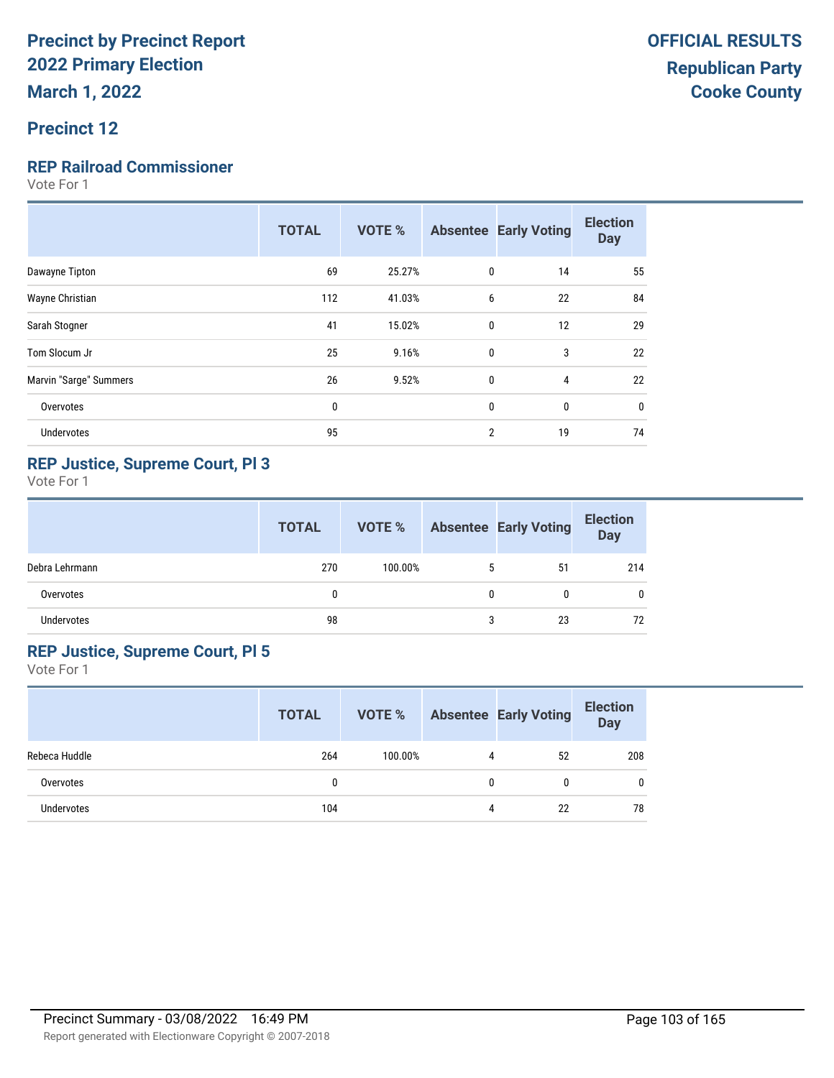#### **Precinct 12**

#### **REP Railroad Commissioner**

Vote For 1

|     |        |                |    | <b>Day</b> |
|-----|--------|----------------|----|------------|
| 69  | 25.27% |                | 14 | 55         |
| 112 | 41.03% | 6              | 22 | 84         |
| 41  | 15.02% | $\mathbf{0}$   | 12 | 29         |
| 25  | 9.16%  | $\mathbf{0}$   | 3  | 22         |
| 26  | 9.52%  | 0              | 4  | 22         |
| 0   |        | 0              | 0  | 0          |
| 95  |        | $\overline{2}$ | 19 | 74         |
|     |        |                |    | 0          |

#### **REP Justice, Supreme Court, Pl 3**

Vote For 1

|                | <b>TOTAL</b> | VOTE %  |   | <b>Absentee Early Voting</b> | <b>Election</b><br>Day |
|----------------|--------------|---------|---|------------------------------|------------------------|
| Debra Lehrmann | 270          | 100.00% | 5 | 51                           | 214                    |
| Overvotes      | $\mathbf{0}$ |         | 0 | 0                            | 0                      |
| Undervotes     | 98           |         | 3 | 23                           | 72                     |

#### **REP Justice, Supreme Court, Pl 5**

|               | <b>TOTAL</b> | VOTE %  |   | <b>Absentee Early Voting</b> | <b>Election</b><br><b>Day</b> |
|---------------|--------------|---------|---|------------------------------|-------------------------------|
| Rebeca Huddle | 264          | 100.00% | 4 | 52                           | 208                           |
| Overvotes     |              |         | 0 | N                            | $\mathbf{0}$                  |
| Undervotes    | 104          |         | 4 | 22                           | 78                            |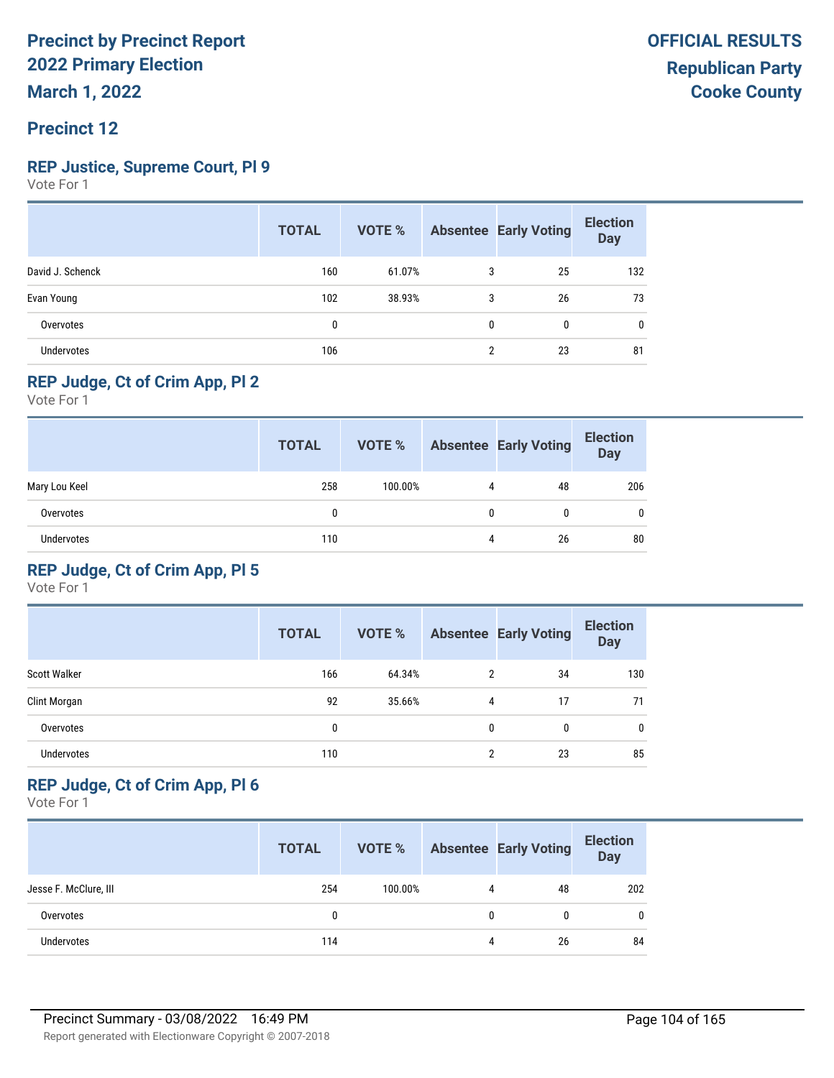### **Precinct 12**

#### **REP Justice, Supreme Court, Pl 9**

Vote For 1

|                   | <b>TOTAL</b> | VOTE % |   | <b>Absentee Early Voting</b> | <b>Election</b><br><b>Day</b> |
|-------------------|--------------|--------|---|------------------------------|-------------------------------|
| David J. Schenck  | 160          | 61.07% | 3 | 25                           | 132                           |
| Evan Young        | 102          | 38.93% | 3 | 26                           | 73                            |
| Overvotes         | 0            |        | 0 | $\mathbf{0}$                 | 0                             |
| <b>Undervotes</b> | 106          |        | ŋ | 23                           | 81                            |

#### **REP Judge, Ct of Crim App, Pl 2**

Vote For 1

|                   | <b>TOTAL</b> | VOTE %  |   | <b>Absentee Early Voting</b> | <b>Election</b><br>Day |
|-------------------|--------------|---------|---|------------------------------|------------------------|
| Mary Lou Keel     | 258          | 100.00% | 4 | 48                           | 206                    |
| Overvotes         | 0            |         | 0 |                              | 0                      |
| <b>Undervotes</b> | 110          |         | 4 | 26                           | 80                     |

#### **REP Judge, Ct of Crim App, Pl 5**

Vote For 1

|                     | <b>TOTAL</b> | <b>VOTE %</b> |   | <b>Absentee Early Voting</b> | <b>Election</b><br><b>Day</b> |
|---------------------|--------------|---------------|---|------------------------------|-------------------------------|
| <b>Scott Walker</b> | 166          | 64.34%        | 2 | 34                           | 130                           |
| Clint Morgan        | 92           | 35.66%        | 4 | 17                           | 71                            |
| Overvotes           | 0            |               | 0 | 0                            | $\mathbf{0}$                  |
| <b>Undervotes</b>   | 110          |               | 2 | 23                           | 85                            |

#### **REP Judge, Ct of Crim App, Pl 6**

|                       | <b>TOTAL</b> | VOTE %  |   | <b>Absentee Early Voting</b> | <b>Election</b><br><b>Day</b> |
|-----------------------|--------------|---------|---|------------------------------|-------------------------------|
| Jesse F. McClure, III | 254          | 100.00% | 4 | 48                           | 202                           |
| Overvotes             | 0            |         | 0 |                              | $\mathbf{0}$                  |
| <b>Undervotes</b>     | 114          |         | 4 | 26                           | 84                            |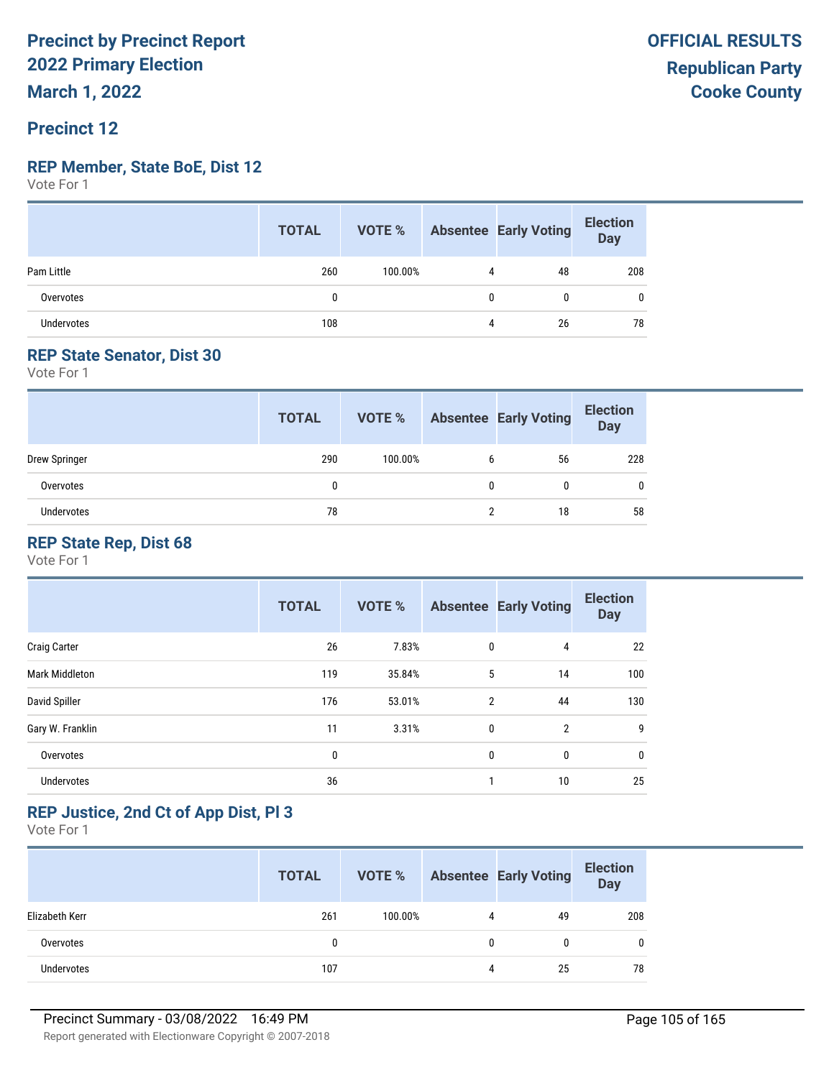### **Precinct 12**

#### **REP Member, State BoE, Dist 12**

Vote For 1

|                   | <b>TOTAL</b> |         |   | <b>VOTE %</b> Absentee Early Voting | <b>Election</b><br>Day |
|-------------------|--------------|---------|---|-------------------------------------|------------------------|
| Pam Little        | 260          | 100.00% |   | 48                                  | 208                    |
| Overvotes         |              |         |   | 0                                   |                        |
| <b>Undervotes</b> | 108          |         | 4 | 26                                  | 78                     |

#### **REP State Senator, Dist 30**

Vote For 1

|               | <b>TOTAL</b> | VOTE %  |              | <b>Absentee Early Voting</b> | <b>Election</b><br><b>Day</b> |
|---------------|--------------|---------|--------------|------------------------------|-------------------------------|
| Drew Springer | 290          | 100.00% | 6            | 56                           | 228                           |
| Overvotes     | 0            |         | $\mathbf{0}$ | 0                            | 0                             |
| Undervotes    | 78           |         |              | 18                           | 58                            |

#### **REP State Rep, Dist 68**

Vote For 1

|                     | <b>TOTAL</b> | <b>VOTE %</b> |                | <b>Absentee Early Voting</b> | <b>Election</b><br><b>Day</b> |
|---------------------|--------------|---------------|----------------|------------------------------|-------------------------------|
| <b>Craig Carter</b> | 26           | 7.83%         | $\mathbf 0$    | 4                            | 22                            |
| Mark Middleton      | 119          | 35.84%        | 5              | 14                           | 100                           |
| David Spiller       | 176          | 53.01%        | $\overline{2}$ | 44                           | 130                           |
| Gary W. Franklin    | 11           | 3.31%         | $\mathbf{0}$   | $\overline{2}$               | 9                             |
| Overvotes           | 0            |               | 0              | 0                            | $\mathbf 0$                   |
| <b>Undervotes</b>   | 36           |               | 1              | 10                           | 25                            |

#### **REP Justice, 2nd Ct of App Dist, Pl 3**

|                | <b>TOTAL</b> | VOTE %  |   | <b>Absentee Early Voting</b> | <b>Election</b><br><b>Day</b> |
|----------------|--------------|---------|---|------------------------------|-------------------------------|
| Elizabeth Kerr | 261          | 100.00% | 4 | 49                           | 208                           |
| Overvotes      | 0            |         | 0 |                              | 0                             |
| Undervotes     | 107          |         | 4 | 25                           | 78                            |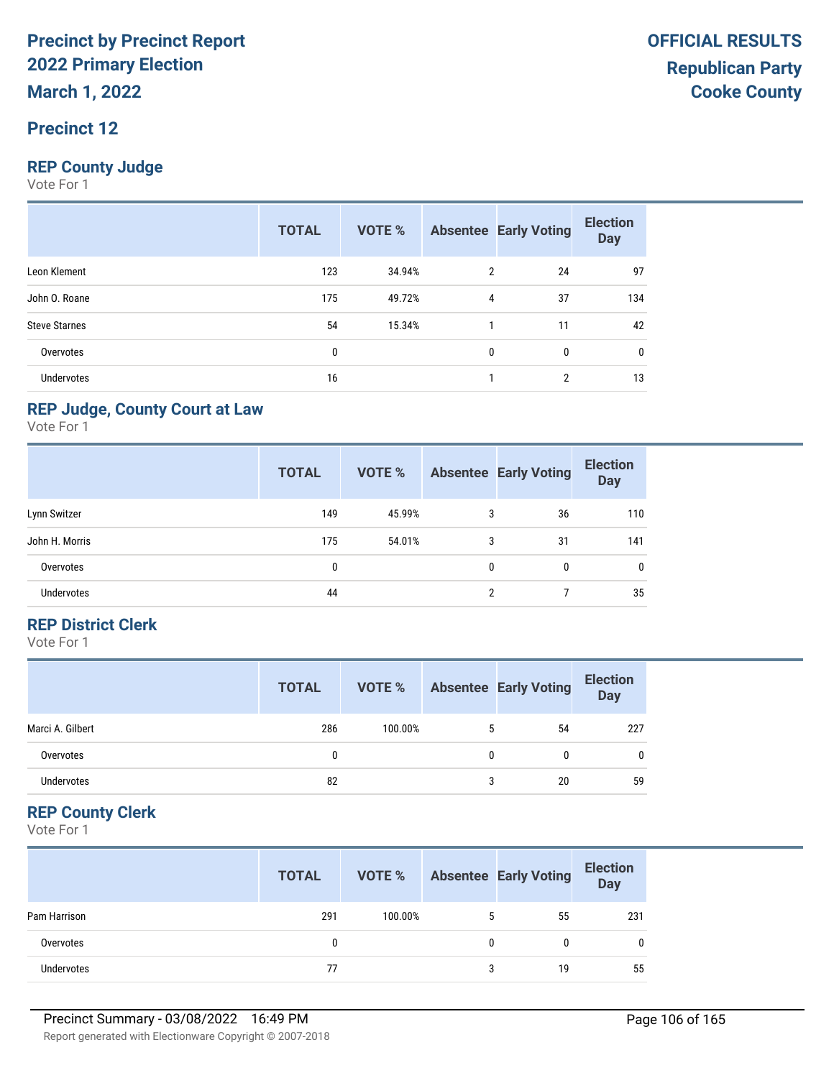#### **Precinct 12**

#### **REP County Judge**

Vote For 1

|                      | <b>TOTAL</b> | VOTE % |              | <b>Absentee Early Voting</b> | <b>Election</b><br><b>Day</b> |
|----------------------|--------------|--------|--------------|------------------------------|-------------------------------|
| Leon Klement         | 123          | 34.94% | 2            | 24                           | 97                            |
| John O. Roane        | 175          | 49.72% | 4            | 37                           | 134                           |
| <b>Steve Starnes</b> | 54           | 15.34% |              | 11                           | 42                            |
| Overvotes            | 0            |        | $\mathbf{0}$ | 0                            | 0                             |
| Undervotes           | 16           |        |              | 2                            | 13                            |

#### **REP Judge, County Court at Law**

Vote For 1

|                   | <b>TOTAL</b> | <b>VOTE %</b> |   | <b>Absentee Early Voting</b> | <b>Election</b><br><b>Day</b> |
|-------------------|--------------|---------------|---|------------------------------|-------------------------------|
| Lynn Switzer      | 149          | 45.99%        | 3 | 36                           | 110                           |
| John H. Morris    | 175          | 54.01%        | 3 | 31                           | 141                           |
| Overvotes         | 0            |               | 0 | 0                            | 0                             |
| <b>Undervotes</b> | 44           |               | 2 |                              | 35                            |

#### **REP District Clerk**

Vote For 1

|                  | <b>TOTAL</b> | VOTE %  |   | <b>Absentee Early Voting</b> | <b>Election</b><br>Day |
|------------------|--------------|---------|---|------------------------------|------------------------|
| Marci A. Gilbert | 286          | 100.00% | 5 | 54                           | 227                    |
| Overvotes        |              |         |   | 0                            | 0                      |
| Undervotes       | 82           |         | 3 | 20                           | 59                     |

#### **REP County Clerk**

|              | <b>TOTAL</b> | VOTE %  |   | <b>Absentee Early Voting</b> | <b>Election</b><br><b>Day</b> |
|--------------|--------------|---------|---|------------------------------|-------------------------------|
| Pam Harrison | 291          | 100.00% | 5 | 55                           | 231                           |
| Overvotes    |              |         | 0 |                              | 0                             |
| Undervotes   | 77           |         | 3 | 19                           | 55                            |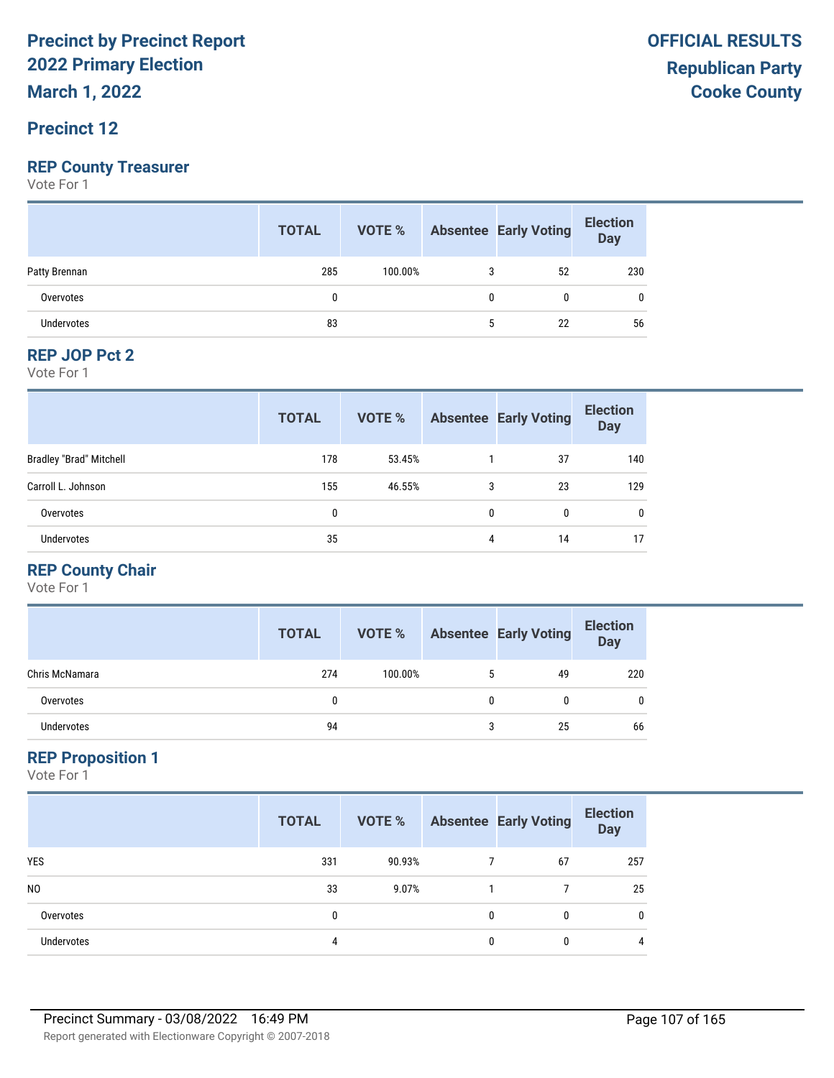**March 1, 2022**

#### **Precinct 12**

#### **REP County Treasurer**

Vote For 1

|                   | <b>TOTAL</b> |         |   | <b>VOTE %</b> Absentee Early Voting | <b>Election</b><br>Day |
|-------------------|--------------|---------|---|-------------------------------------|------------------------|
| Patty Brennan     | 285          | 100.00% | 3 | 52                                  | 230                    |
| Overvotes         | 0            |         | 0 | 0                                   |                        |
| <b>Undervotes</b> | 83           |         | ა | 22                                  | 56                     |

#### **REP JOP Pct 2**

Vote For 1

|                                | <b>TOTAL</b> | VOTE % |   | <b>Absentee Early Voting</b> | <b>Election</b><br><b>Day</b> |
|--------------------------------|--------------|--------|---|------------------------------|-------------------------------|
| <b>Bradley "Brad" Mitchell</b> | 178          | 53.45% |   | 37                           | 140                           |
| Carroll L. Johnson             | 155          | 46.55% | 3 | 23                           | 129                           |
| Overvotes                      | 0            |        | 0 | 0                            | $\mathbf{0}$                  |
| <b>Undervotes</b>              | 35           |        | 4 | 14                           | 17                            |

#### **REP County Chair**

Vote For 1

|                | <b>TOTAL</b> | VOTE %  |   | <b>Absentee Early Voting</b> | <b>Election</b><br><b>Day</b> |
|----------------|--------------|---------|---|------------------------------|-------------------------------|
| Chris McNamara | 274          | 100.00% | 5 | 49                           | 220                           |
| Overvotes      | 0            |         | 0 | 0                            | 0                             |
| Undervotes     | 94           |         | 3 | 25                           | 66                            |

#### **REP Proposition 1**

|                   | <b>TOTAL</b> | VOTE % |   | <b>Absentee Early Voting</b> | <b>Election</b><br><b>Day</b> |
|-------------------|--------------|--------|---|------------------------------|-------------------------------|
| <b>YES</b>        | 331          | 90.93% |   | 67                           | 257                           |
| N <sub>0</sub>    | 33           | 9.07%  |   |                              | 25                            |
| Overvotes         | 0            |        | 0 | 0                            | $\mathbf{0}$                  |
| <b>Undervotes</b> | 4            |        | 0 | 0                            | 4                             |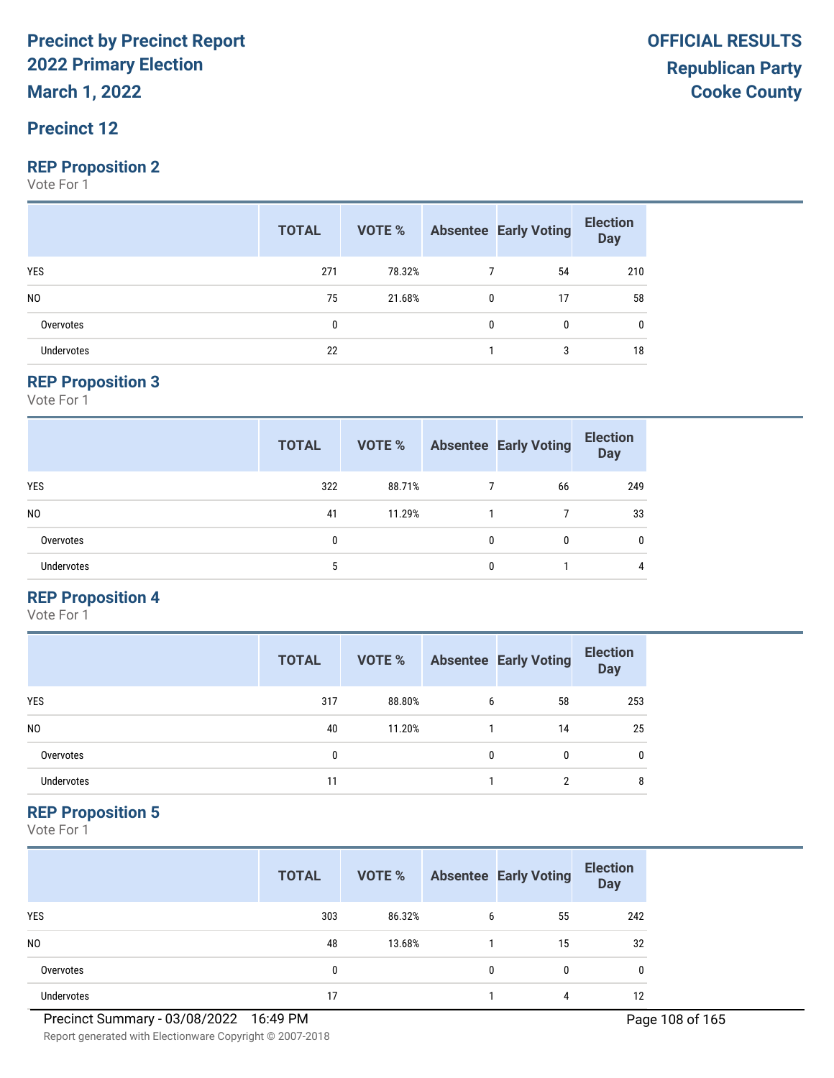**March 1, 2022**

#### **Precinct 12**

#### **REP Proposition 2**

Vote For 1

|                   | <b>TOTAL</b> | <b>VOTE %</b> Absentee Early Voting |   |              | <b>Election</b><br>Day |
|-------------------|--------------|-------------------------------------|---|--------------|------------------------|
| <b>YES</b>        | 271          | 78.32%                              |   | 54           | 210                    |
| N <sub>0</sub>    | 75           | 21.68%                              | 0 | 17           | 58                     |
| Overvotes         | 0            |                                     | 0 | $\mathbf{0}$ | 0                      |
| <b>Undervotes</b> | 22           |                                     |   | 3            | 18                     |

#### **REP Proposition 3**

Vote For 1

|                   | <b>TOTAL</b> | VOTE % |              | <b>Absentee Early Voting</b> | <b>Election</b><br><b>Day</b> |
|-------------------|--------------|--------|--------------|------------------------------|-------------------------------|
| <b>YES</b>        | 322          | 88.71% |              | 66                           | 249                           |
| N <sub>0</sub>    | 41           | 11.29% |              |                              | 33                            |
| Overvotes         | 0            |        | $\mathbf{0}$ | 0                            | $\mathbf{0}$                  |
| <b>Undervotes</b> | 5            |        | 0            |                              | 4                             |

#### **REP Proposition 4**

Vote For 1

|                | <b>TOTAL</b> | VOTE % |   | <b>Absentee Early Voting</b> | <b>Election</b><br><b>Day</b> |
|----------------|--------------|--------|---|------------------------------|-------------------------------|
| <b>YES</b>     | 317          | 88.80% | 6 | 58                           | 253                           |
| N <sub>0</sub> | 40           | 11.20% |   | 14                           | 25                            |
| Overvotes      | 0            |        | 0 | 0                            | 0                             |
| Undervotes     | 11           |        |   | ∩                            | 8                             |

#### **REP Proposition 5**

Vote For 1

|                | <b>TOTAL</b> | VOTE % |   | <b>Absentee Early Voting</b> | <b>Election</b><br><b>Day</b> |
|----------------|--------------|--------|---|------------------------------|-------------------------------|
| <b>YES</b>     | 303          | 86.32% | 6 | 55                           | 242                           |
| N <sub>0</sub> | 48           | 13.68% |   | 15                           | 32                            |
| Overvotes      | 0            |        | 0 | 0                            | 0                             |
| Undervotes     | 17           |        |   | 4                            | 12                            |

Report generated with Electionware Copyright © 2007-2018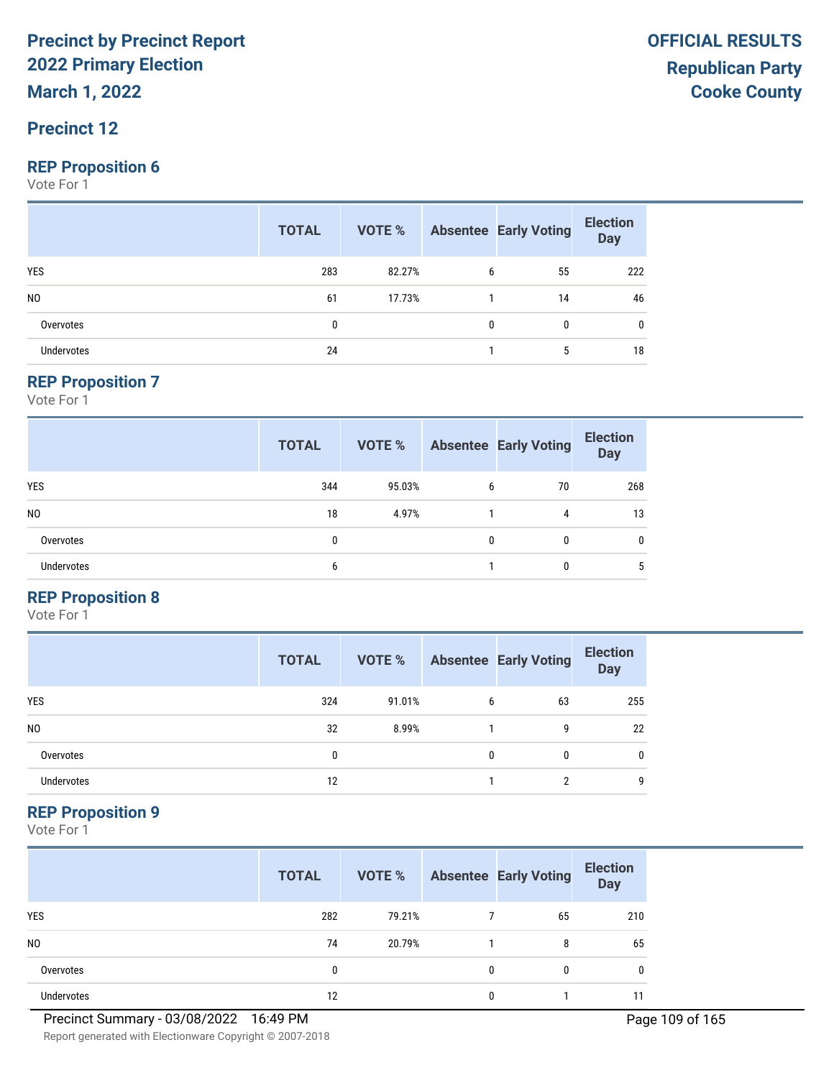**March 1, 2022**

#### **Precinct 12**

#### **REP Proposition 6**

Vote For 1

|                   | <b>TOTAL</b> |        |              | <b>VOTE %</b> Absentee Early Voting | <b>Election</b><br>Day |
|-------------------|--------------|--------|--------------|-------------------------------------|------------------------|
| <b>YES</b>        | 283          | 82.27% | 6            | 55                                  | 222                    |
| N <sub>0</sub>    | 61           | 17.73% |              | 14                                  | 46                     |
| Overvotes         | 0            |        | $\mathbf{0}$ | $\mathbf{0}$                        | 0                      |
| <b>Undervotes</b> | 24           |        |              | 5                                   | 18                     |

#### **REP Proposition 7**

Vote For 1

|                   | <b>TOTAL</b> | <b>VOTE %</b> |   | <b>Absentee Early Voting</b> | <b>Election</b><br><b>Day</b> |
|-------------------|--------------|---------------|---|------------------------------|-------------------------------|
| <b>YES</b>        | 344          | 95.03%        | 6 | 70                           | 268                           |
| N <sub>0</sub>    | 18           | 4.97%         |   | 4                            | 13                            |
| Overvotes         | 0            |               | 0 | 0                            | 0                             |
| <b>Undervotes</b> | 6            |               |   | 0                            | 5                             |

#### **REP Proposition 8**

Vote For 1

|                | <b>TOTAL</b> | VOTE % |   | <b>Absentee Early Voting</b> | <b>Election</b><br><b>Day</b> |
|----------------|--------------|--------|---|------------------------------|-------------------------------|
| <b>YES</b>     | 324          | 91.01% | 6 | 63                           | 255                           |
| N <sub>0</sub> | 32           | 8.99%  |   | g                            | 22                            |
| Overvotes      | 0            |        | 0 | 0                            | 0                             |
| Undervotes     | 12           |        |   | ∩                            | 9                             |

#### **REP Proposition 9**

Vote For 1

|                | <b>TOTAL</b> | VOTE % |   | <b>Absentee Early Voting</b> | <b>Election</b><br><b>Day</b> |
|----------------|--------------|--------|---|------------------------------|-------------------------------|
| <b>YES</b>     | 282          | 79.21% |   | 65                           | 210                           |
| N <sub>0</sub> | 74           | 20.79% |   | 8                            | 65                            |
| Overvotes      | 0            |        | 0 | $\Omega$                     | 0                             |
| Undervotes     | 12           |        | 0 |                              |                               |

Report generated with Electionware Copyright © 2007-2018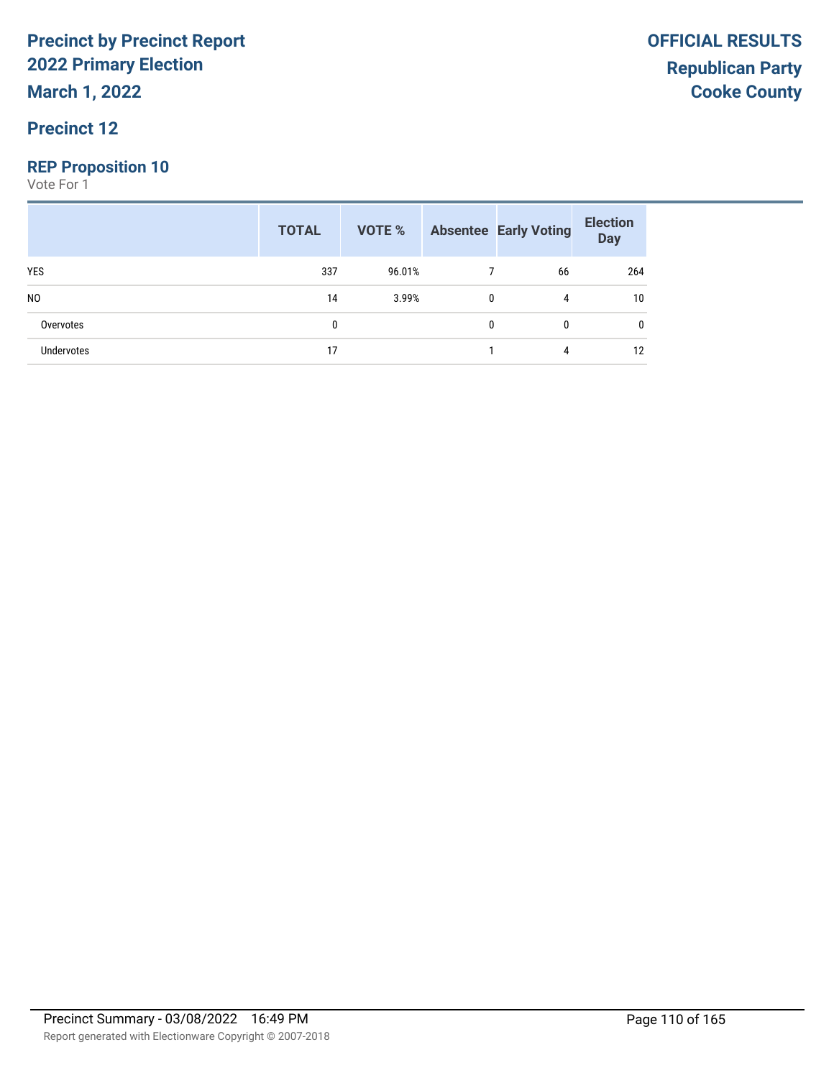**March 1, 2022**

#### **Precinct 12**

#### **REP Proposition 10**

|                   | <b>TOTAL</b> | VOTE % |   | <b>Absentee Early Voting</b> | <b>Election</b><br><b>Day</b> |
|-------------------|--------------|--------|---|------------------------------|-------------------------------|
| <b>YES</b>        | 337          | 96.01% |   | 66                           | 264                           |
| N <sub>0</sub>    | 14           | 3.99%  | 0 | 4                            | 10                            |
| Overvotes         | 0            |        | 0 | 0                            | 0                             |
| <b>Undervotes</b> | 17           |        |   | 4                            | 12                            |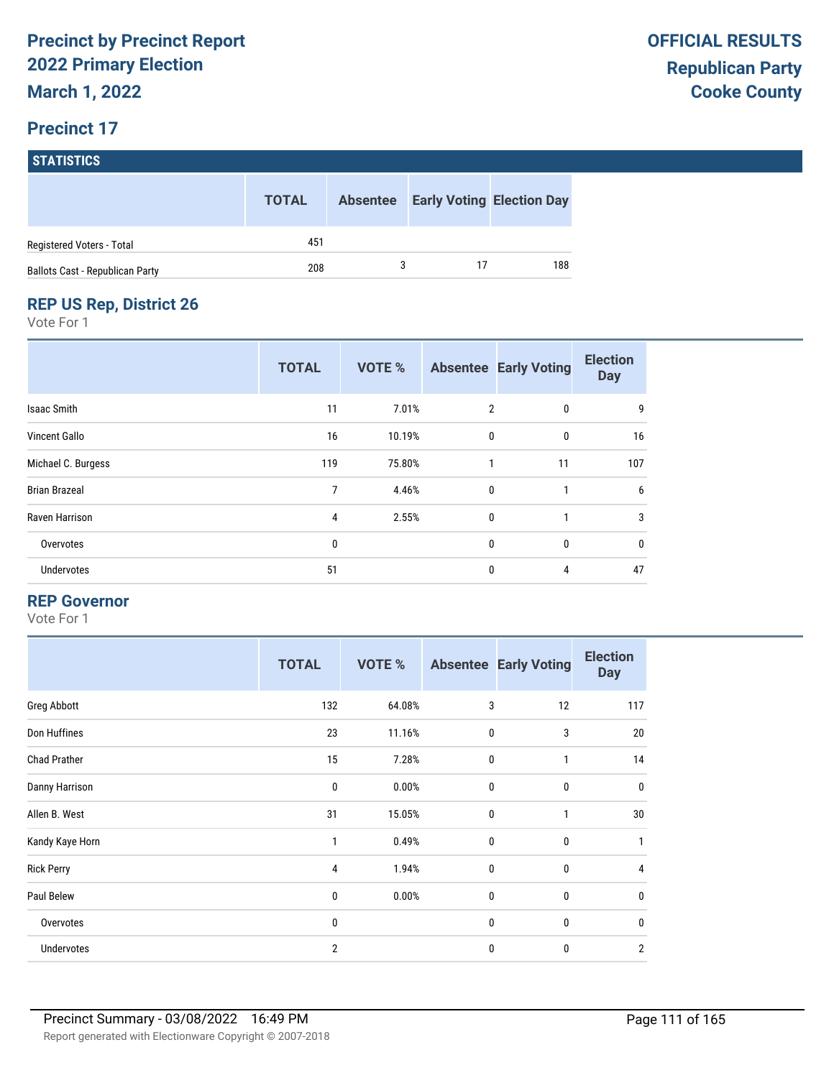|                                 | <b>TOTAL</b> | <b>Absentee</b> |    | <b>Early Voting Election Day</b> |
|---------------------------------|--------------|-----------------|----|----------------------------------|
| Registered Voters - Total       | 451          |                 |    |                                  |
| Ballots Cast - Republican Party | 208          |                 | 17 | 188                              |

### **REP US Rep, District 26**

Vote For 1

|                      | <b>TOTAL</b> | <b>VOTE %</b> |                | <b>Absentee Early Voting</b> | <b>Election</b><br><b>Day</b> |
|----------------------|--------------|---------------|----------------|------------------------------|-------------------------------|
| <b>Isaac Smith</b>   | 11           | 7.01%         | $\overline{2}$ | 0                            | 9                             |
| Vincent Gallo        | 16           | 10.19%        | $\mathbf 0$    | $\mathbf 0$                  | 16                            |
| Michael C. Burgess   | 119          | 75.80%        | 1              | 11                           | 107                           |
| <b>Brian Brazeal</b> | 7            | 4.46%         | $\mathbf 0$    | 1                            | 6                             |
| Raven Harrison       | 4            | 2.55%         | 0              | 1                            | 3                             |
| Overvotes            | 0            |               | $\mathbf{0}$   | $\mathbf{0}$                 | 0                             |
| Undervotes           | 51           |               | $\mathbf{0}$   | 4                            | 47                            |

#### **REP Governor**

|                     | <b>TOTAL</b>   | VOTE % |             | <b>Absentee Early Voting</b> | <b>Election</b><br><b>Day</b> |
|---------------------|----------------|--------|-------------|------------------------------|-------------------------------|
| Greg Abbott         | 132            | 64.08% | 3           | 12                           | 117                           |
| Don Huffines        | 23             | 11.16% | $\mathbf 0$ | 3                            | 20                            |
| <b>Chad Prather</b> | 15             | 7.28%  | $\mathbf 0$ | 1                            | 14                            |
| Danny Harrison      | 0              | 0.00%  | $\mathbf 0$ | $\mathbf 0$                  | $\mathbf 0$                   |
| Allen B. West       | 31             | 15.05% | $\mathbf 0$ | 1                            | 30                            |
| Kandy Kaye Horn     | 1              | 0.49%  | $\mathbf 0$ | $\mathbf{0}$                 | $\mathbf{1}$                  |
| <b>Rick Perry</b>   | 4              | 1.94%  | $\mathbf 0$ | $\mathbf{0}$                 | 4                             |
| Paul Belew          | 0              | 0.00%  | $\mathbf 0$ | $\mathbf 0$                  | 0                             |
| Overvotes           | 0              |        | $\mathbf 0$ | 0                            | $\mathbf 0$                   |
| Undervotes          | $\overline{2}$ |        | $\mathbf 0$ | 0                            | $\overline{2}$                |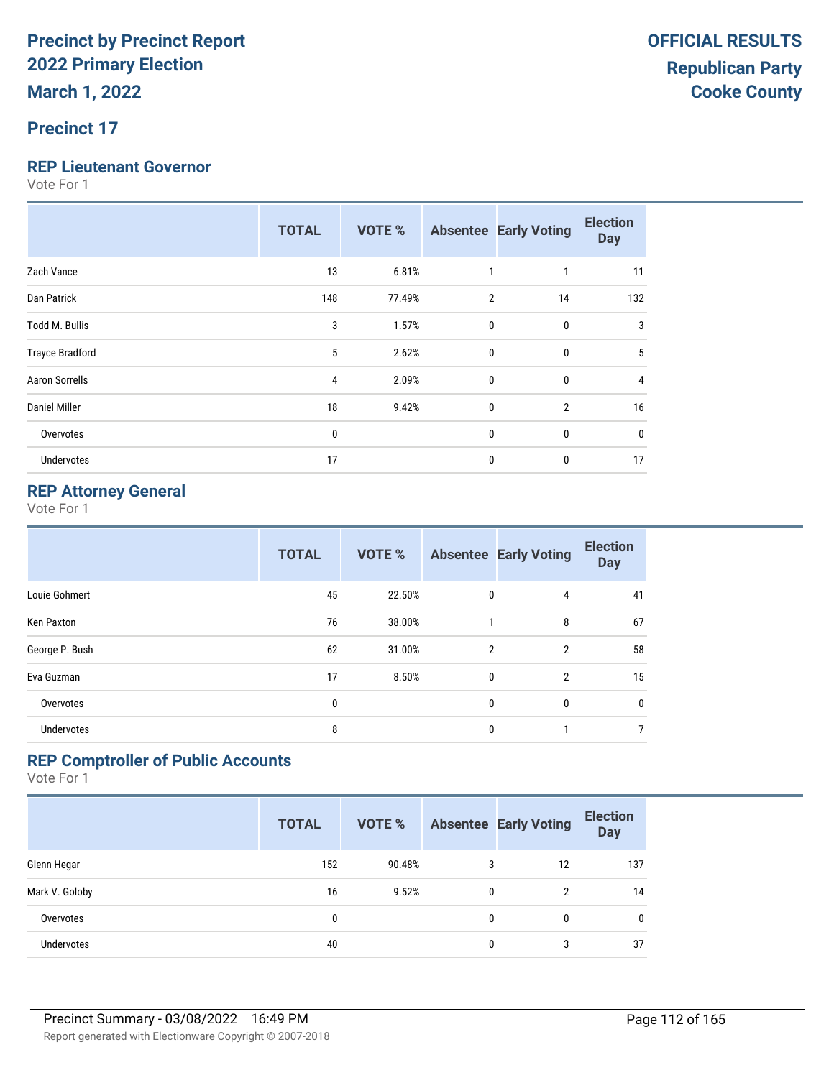#### **Precinct 17**

#### **REP Lieutenant Governor**

Vote For 1

|                        | <b>TOTAL</b> | <b>VOTE %</b> |                | <b>Absentee Early Voting</b> | <b>Election</b><br><b>Day</b> |
|------------------------|--------------|---------------|----------------|------------------------------|-------------------------------|
| Zach Vance             | 13           | 6.81%         | 1              | 1                            | 11                            |
| Dan Patrick            | 148          | 77.49%        | $\overline{2}$ | 14                           | 132                           |
| Todd M. Bullis         | 3            | 1.57%         | 0              | 0                            | 3                             |
| <b>Trayce Bradford</b> | 5            | 2.62%         | $\mathbf{0}$   | $\mathbf{0}$                 | 5                             |
| <b>Aaron Sorrells</b>  | 4            | 2.09%         | 0              | 0                            | 4                             |
| <b>Daniel Miller</b>   | 18           | 9.42%         | 0              | $\overline{2}$               | 16                            |
| Overvotes              | $\mathbf 0$  |               | 0              | 0                            | 0                             |
| Undervotes             | 17           |               | 0              | 0                            | 17                            |

#### **REP Attorney General**

Vote For 1

|                   | <b>TOTAL</b> | <b>VOTE %</b> |                | <b>Absentee Early Voting</b> | <b>Election</b><br><b>Day</b> |
|-------------------|--------------|---------------|----------------|------------------------------|-------------------------------|
| Louie Gohmert     | 45           | 22.50%        | 0              | 4                            | 41                            |
| Ken Paxton        | 76           | 38.00%        | 1              | 8                            | 67                            |
| George P. Bush    | 62           | 31.00%        | $\overline{2}$ | $\overline{2}$               | 58                            |
| Eva Guzman        | 17           | 8.50%         | 0              | $\overline{2}$               | 15                            |
| Overvotes         | 0            |               | 0              | $\mathbf{0}$                 | 0                             |
| <b>Undervotes</b> | 8            |               | $\mathbf{0}$   | 1                            | $\overline{7}$                |

#### **REP Comptroller of Public Accounts**

|                   | <b>TOTAL</b> | <b>VOTE %</b> |   | <b>Absentee Early Voting</b> | <b>Election</b><br><b>Day</b> |
|-------------------|--------------|---------------|---|------------------------------|-------------------------------|
| Glenn Hegar       | 152          | 90.48%        | 3 | 12                           | 137                           |
| Mark V. Goloby    | 16           | 9.52%         | 0 | 2                            | 14                            |
| Overvotes         | 0            |               | 0 | 0                            | $\mathbf{0}$                  |
| <b>Undervotes</b> | 40           |               | 0 | 3                            | 37                            |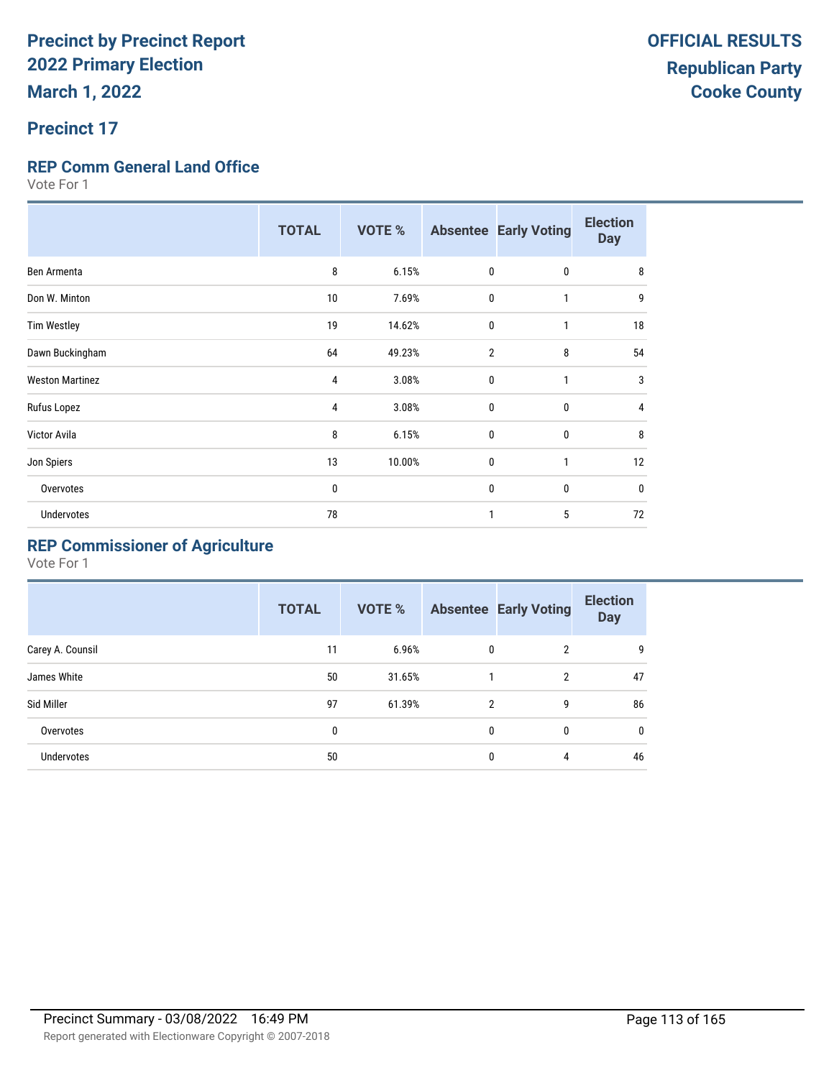### **Precinct 17**

#### **REP Comm General Land Office**

Vote For 1

|                        | <b>TOTAL</b> | <b>VOTE %</b> |                | <b>Absentee Early Voting</b> | <b>Election</b><br><b>Day</b> |
|------------------------|--------------|---------------|----------------|------------------------------|-------------------------------|
| Ben Armenta            | 8            | 6.15%         | $\mathbf{0}$   | 0                            | 8                             |
| Don W. Minton          | 10           | 7.69%         | 0              | 1                            | 9                             |
| <b>Tim Westley</b>     | 19           | 14.62%        | 0              | 1                            | 18                            |
| Dawn Buckingham        | 64           | 49.23%        | $\overline{2}$ | 8                            | 54                            |
| <b>Weston Martinez</b> | 4            | 3.08%         | $\mathbf 0$    | $\mathbf{1}$                 | 3                             |
| Rufus Lopez            | 4            | 3.08%         | $\mathbf{0}$   | $\mathbf{0}$                 | 4                             |
| Victor Avila           | 8            | 6.15%         | $\mathbf{0}$   | 0                            | 8                             |
| Jon Spiers             | 13           | 10.00%        | 0              | 1                            | 12                            |
| Overvotes              | 0            |               | $\mathbf{0}$   | 0                            | 0                             |
| <b>Undervotes</b>      | 78           |               |                | 5                            | 72                            |

#### **REP Commissioner of Agriculture**

|                  | <b>TOTAL</b> | VOTE % |                | <b>Absentee Early Voting</b> | <b>Election</b><br><b>Day</b> |
|------------------|--------------|--------|----------------|------------------------------|-------------------------------|
| Carey A. Counsil | 11           | 6.96%  | 0              | $\overline{2}$               | g                             |
| James White      | 50           | 31.65% |                | $\overline{2}$               | 47                            |
| Sid Miller       | 97           | 61.39% | $\mathfrak{p}$ | 9                            | 86                            |
| Overvotes        | 0            |        | 0              | 0                            | $\mathbf{0}$                  |
| Undervotes       | 50           |        | 0              | 4                            | 46                            |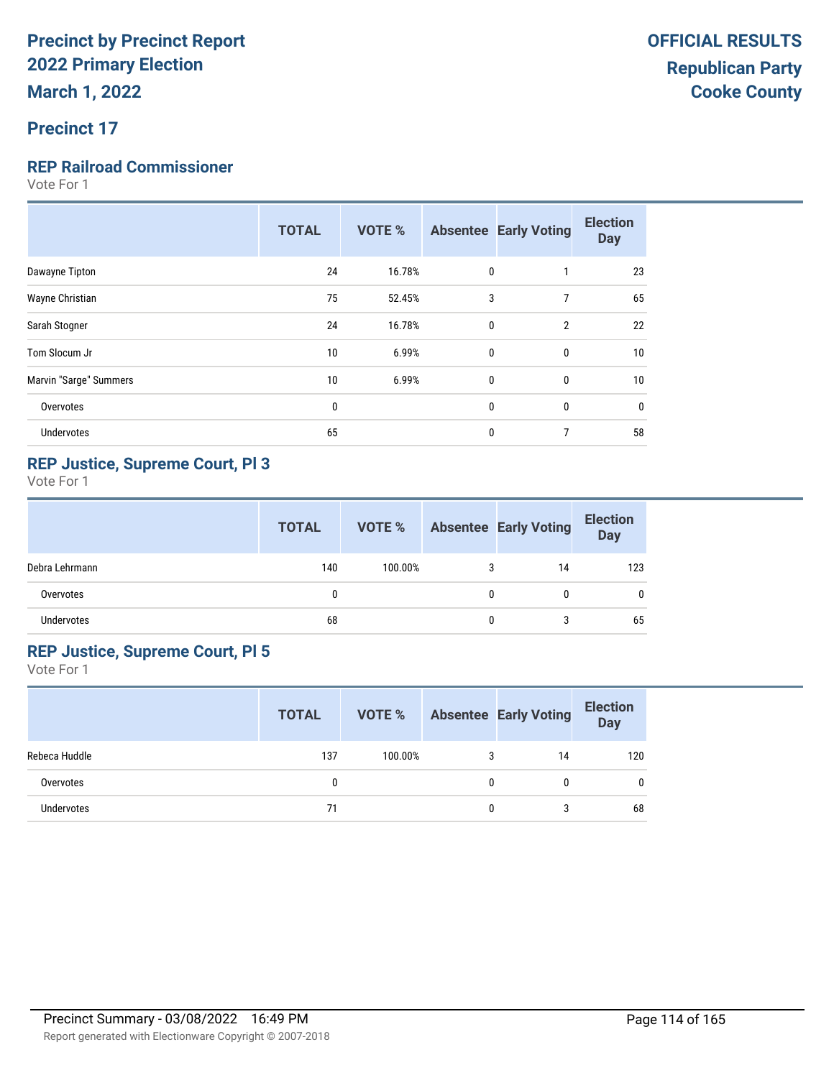### **Precinct 17**

#### **REP Railroad Commissioner**

Vote For 1

| 24<br>16.78%<br>0<br>23<br>Dawayne Tipton<br>$\overline{7}$<br>3<br>65<br>75<br>Wayne Christian<br>52.45%<br>22<br>24<br>16.78%<br>$\mathbf{0}$<br>$\overline{2}$<br>Sarah Stogner<br>10<br>$\mathbf{0}$<br>Tom Slocum Jr<br>6.99%<br>10<br>0<br>Marvin "Sarge" Summers<br>10<br>0<br>0<br>10<br>6.99%<br>0<br>$\mathbf{0}$<br>$\mathbf 0$<br>Overvotes<br>0<br>65<br>7<br>58<br>0<br>Undervotes | <b>TOTAL</b> | <b>VOTE %</b> | <b>Absentee Early Voting</b> | <b>Election</b><br><b>Day</b> |
|--------------------------------------------------------------------------------------------------------------------------------------------------------------------------------------------------------------------------------------------------------------------------------------------------------------------------------------------------------------------------------------------------|--------------|---------------|------------------------------|-------------------------------|
|                                                                                                                                                                                                                                                                                                                                                                                                  |              |               |                              |                               |
|                                                                                                                                                                                                                                                                                                                                                                                                  |              |               |                              |                               |
|                                                                                                                                                                                                                                                                                                                                                                                                  |              |               |                              |                               |
|                                                                                                                                                                                                                                                                                                                                                                                                  |              |               |                              |                               |
|                                                                                                                                                                                                                                                                                                                                                                                                  |              |               |                              |                               |
|                                                                                                                                                                                                                                                                                                                                                                                                  |              |               |                              |                               |
|                                                                                                                                                                                                                                                                                                                                                                                                  |              |               |                              |                               |

#### **REP Justice, Supreme Court, Pl 3**

Vote For 1

|                | <b>TOTAL</b> | VOTE %  |   | <b>Absentee Early Voting</b> | <b>Election</b><br>Day |
|----------------|--------------|---------|---|------------------------------|------------------------|
| Debra Lehrmann | 140          | 100.00% | 3 | 14                           | 123                    |
| Overvotes      | 0            |         | 0 | 0                            | 0                      |
| Undervotes     | 68           |         | 0 | 3                            | 65                     |

#### **REP Justice, Supreme Court, Pl 5**

|               | <b>TOTAL</b> | VOTE %  |   | <b>Absentee Early Voting</b> | <b>Election</b><br><b>Day</b> |
|---------------|--------------|---------|---|------------------------------|-------------------------------|
| Rebeca Huddle | 137          | 100.00% | 3 | 14                           | 120                           |
| Overvotes     |              |         |   |                              | 0                             |
| Undervotes    | 71           |         | 0 |                              | 68                            |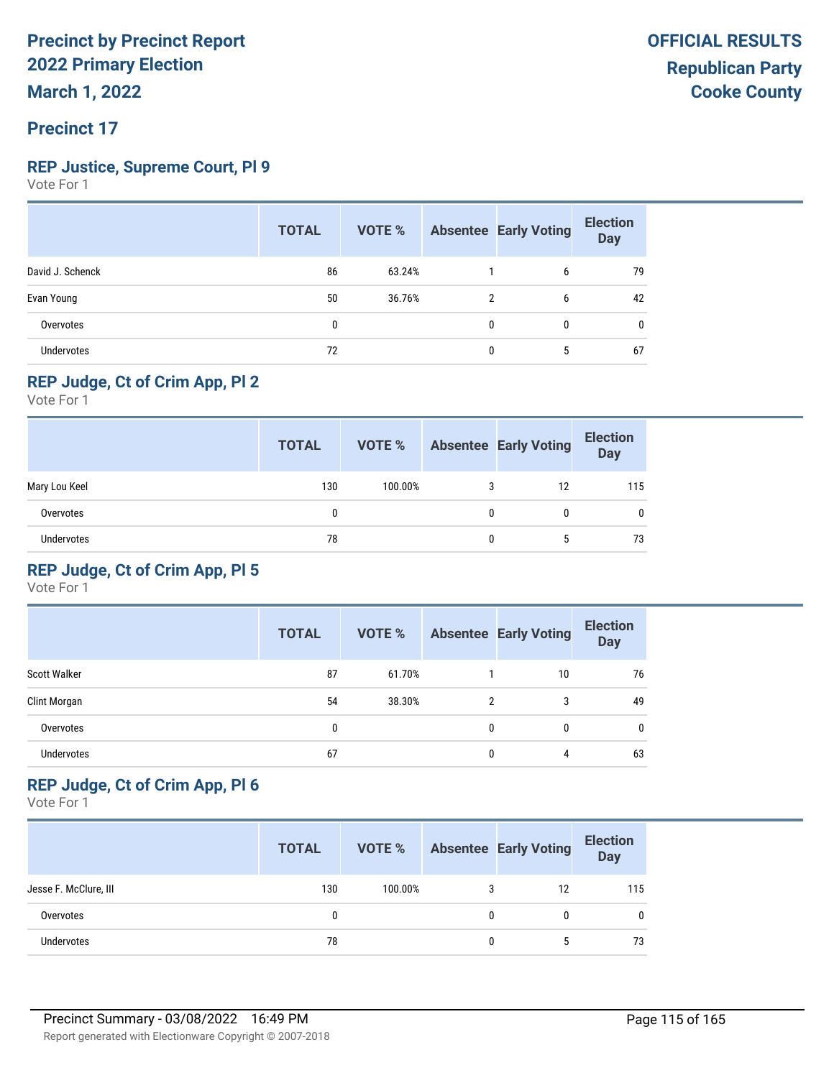### **Precinct 17**

#### **REP Justice, Supreme Court, Pl 9**

Vote For 1

|                   | <b>TOTAL</b> | <b>VOTE %</b> |   | <b>Absentee Early Voting</b> | <b>Election</b><br><b>Day</b> |
|-------------------|--------------|---------------|---|------------------------------|-------------------------------|
| David J. Schenck  | 86           | 63.24%        |   | 6                            | 79                            |
| Evan Young        | 50           | 36.76%        | 2 | 6                            | 42                            |
| Overvotes         | 0            |               | 0 | $\mathbf{0}$                 | 0                             |
| <b>Undervotes</b> | 72           |               | 0 | 5                            | 67                            |

#### **REP Judge, Ct of Crim App, Pl 2**

Vote For 1

|                   | <b>TOTAL</b> | VOTE %  |   | <b>Absentee Early Voting</b> | <b>Election</b><br>Day |
|-------------------|--------------|---------|---|------------------------------|------------------------|
| Mary Lou Keel     | 130          | 100.00% | 3 | 12                           | 115                    |
| Overvotes         | 0            |         | 0 | 0                            | 0                      |
| <b>Undervotes</b> | 78           |         | 0 | 5                            | 73                     |

#### **REP Judge, Ct of Crim App, Pl 5**

Vote For 1

|                     | <b>TOTAL</b> | VOTE % |   | <b>Absentee Early Voting</b> | <b>Election</b><br><b>Day</b> |
|---------------------|--------------|--------|---|------------------------------|-------------------------------|
| <b>Scott Walker</b> | 87           | 61.70% |   | 10                           | 76                            |
| Clint Morgan        | 54           | 38.30% | 2 | 3                            | 49                            |
| Overvotes           | 0            |        | 0 | 0                            | 0                             |
| <b>Undervotes</b>   | 67           |        | 0 | 4                            | 63                            |

#### **REP Judge, Ct of Crim App, Pl 6**

|                       | <b>TOTAL</b> | VOTE %  |   | <b>Absentee Early Voting</b> | <b>Election</b><br>Day |
|-----------------------|--------------|---------|---|------------------------------|------------------------|
| Jesse F. McClure, III | 130          | 100.00% | 3 | 12                           | 115                    |
| Overvotes             | 0            |         | 0 |                              | $\mathbf{0}$           |
| Undervotes            | 78           |         | 0 |                              | 73                     |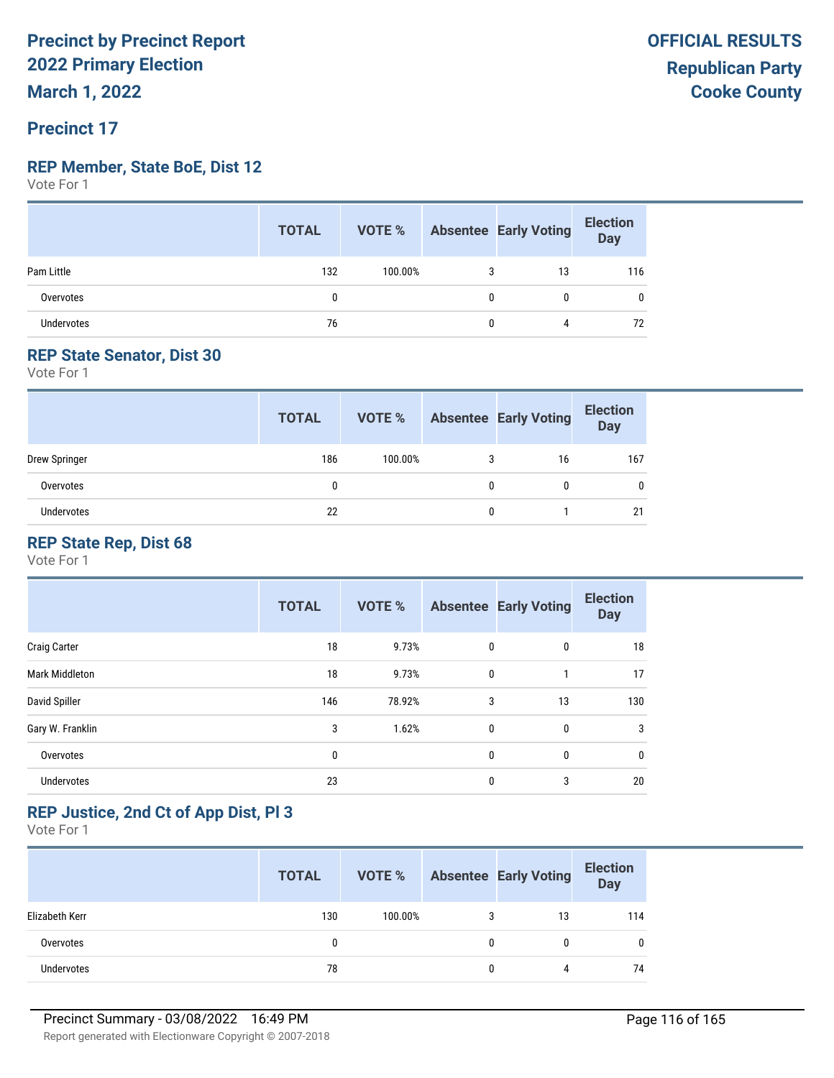**March 1, 2022**

#### **Precinct 17**

#### **REP Member, State BoE, Dist 12**

Vote For 1

|                   | <b>TOTAL</b> |         |   | <b>VOTE %</b> Absentee Early Voting | <b>Election</b><br>Day |
|-------------------|--------------|---------|---|-------------------------------------|------------------------|
| Pam Little        | 132          | 100.00% | 3 | 13                                  | 116                    |
| Overvotes         | 0            |         | 0 |                                     |                        |
| <b>Undervotes</b> | 76           |         | 0 | 4                                   | 72                     |

#### **REP State Senator, Dist 30**

Vote For 1

|               | <b>TOTAL</b> | VOTE %  |   | <b>Absentee Early Voting</b> | <b>Election</b><br><b>Day</b> |
|---------------|--------------|---------|---|------------------------------|-------------------------------|
| Drew Springer | 186          | 100.00% |   | 16                           | 167                           |
| Overvotes     |              |         | 0 |                              | 0                             |
| Undervotes    | 22           |         |   |                              | 21                            |

#### **REP State Rep, Dist 68**

Vote For 1

|                       | <b>TOTAL</b> | VOTE % |              | <b>Absentee Early Voting</b> | <b>Election</b><br><b>Day</b> |
|-----------------------|--------------|--------|--------------|------------------------------|-------------------------------|
| <b>Craig Carter</b>   | 18           | 9.73%  | 0            | 0                            | 18                            |
| <b>Mark Middleton</b> | 18           | 9.73%  | 0            | 1                            | 17                            |
| David Spiller         | 146          | 78.92% | 3            | 13                           | 130                           |
| Gary W. Franklin      | 3            | 1.62%  | $\mathbf{0}$ | 0                            | 3                             |
| Overvotes             | 0            |        | 0            | 0                            | 0                             |
| Undervotes            | 23           |        | 0            | 3                            | 20                            |

#### **REP Justice, 2nd Ct of App Dist, Pl 3**

|                   | <b>TOTAL</b> | VOTE %  |   | <b>Absentee Early Voting</b> | <b>Election</b><br>Day |
|-------------------|--------------|---------|---|------------------------------|------------------------|
| Elizabeth Kerr    | 130          | 100.00% | 3 | 13                           | 114                    |
| Overvotes         | 0            |         | 0 |                              |                        |
| <b>Undervotes</b> | 78           |         | 0 | 4                            | 74                     |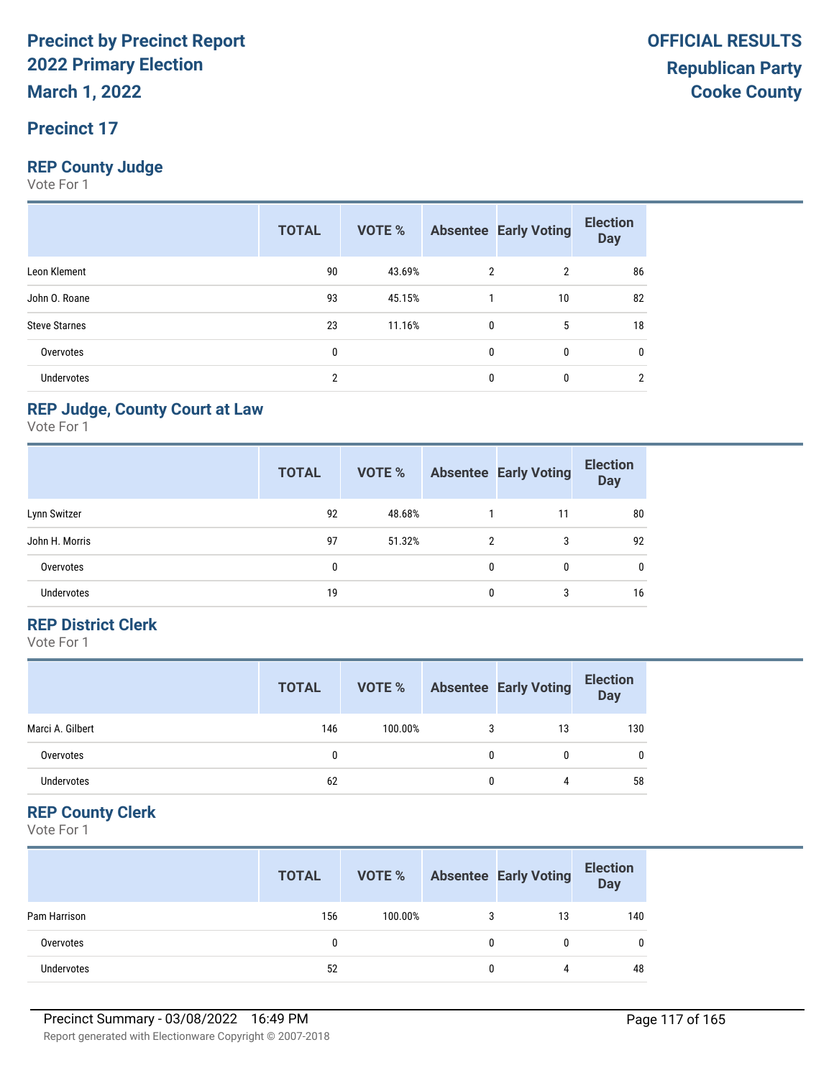#### **Precinct 17**

#### **REP County Judge**

Vote For 1

|                      | <b>TOTAL</b>   | VOTE % |              | <b>Absentee Early Voting</b> | <b>Election</b><br><b>Day</b> |
|----------------------|----------------|--------|--------------|------------------------------|-------------------------------|
| Leon Klement         | 90             | 43.69% | 2            | $\overline{2}$               | 86                            |
| John O. Roane        | 93             | 45.15% |              | 10                           | 82                            |
| <b>Steve Starnes</b> | 23             | 11.16% | 0            | 5                            | 18                            |
| Overvotes            | 0              |        | $\mathbf{0}$ | $\mathbf{0}$                 | 0                             |
| <b>Undervotes</b>    | $\overline{2}$ |        | 0            | 0                            | າ                             |

#### **REP Judge, County Court at Law**

Vote For 1

|                   | <b>TOTAL</b> | VOTE % |   | <b>Absentee Early Voting</b> | <b>Election</b><br><b>Day</b> |
|-------------------|--------------|--------|---|------------------------------|-------------------------------|
| Lynn Switzer      | 92           | 48.68% |   | 11                           | 80                            |
| John H. Morris    | 97           | 51.32% | 2 | 3                            | 92                            |
| Overvotes         | 0            |        | 0 | 0                            | $\mathbf 0$                   |
| <b>Undervotes</b> | 19           |        | 0 | 3                            | 16                            |

#### **REP District Clerk**

Vote For 1

|                   | <b>TOTAL</b> | VOTE %  |   | <b>Absentee Early Voting</b> | <b>Election</b><br>Day |
|-------------------|--------------|---------|---|------------------------------|------------------------|
| Marci A. Gilbert  | 146          | 100.00% | 3 | 13                           | 130                    |
| Overvotes         |              |         | 0 |                              | $\mathbf{0}$           |
| <b>Undervotes</b> | 62           |         |   | 4                            | 58                     |

#### **REP County Clerk**

|                   | <b>TOTAL</b> | VOTE %  |   | <b>Absentee Early Voting</b> | <b>Election</b><br>Day |
|-------------------|--------------|---------|---|------------------------------|------------------------|
| Pam Harrison      | 156          | 100.00% |   | 13                           | 140                    |
| Overvotes         |              |         | 0 |                              |                        |
| <b>Undervotes</b> | 52           |         | 0 |                              | 48                     |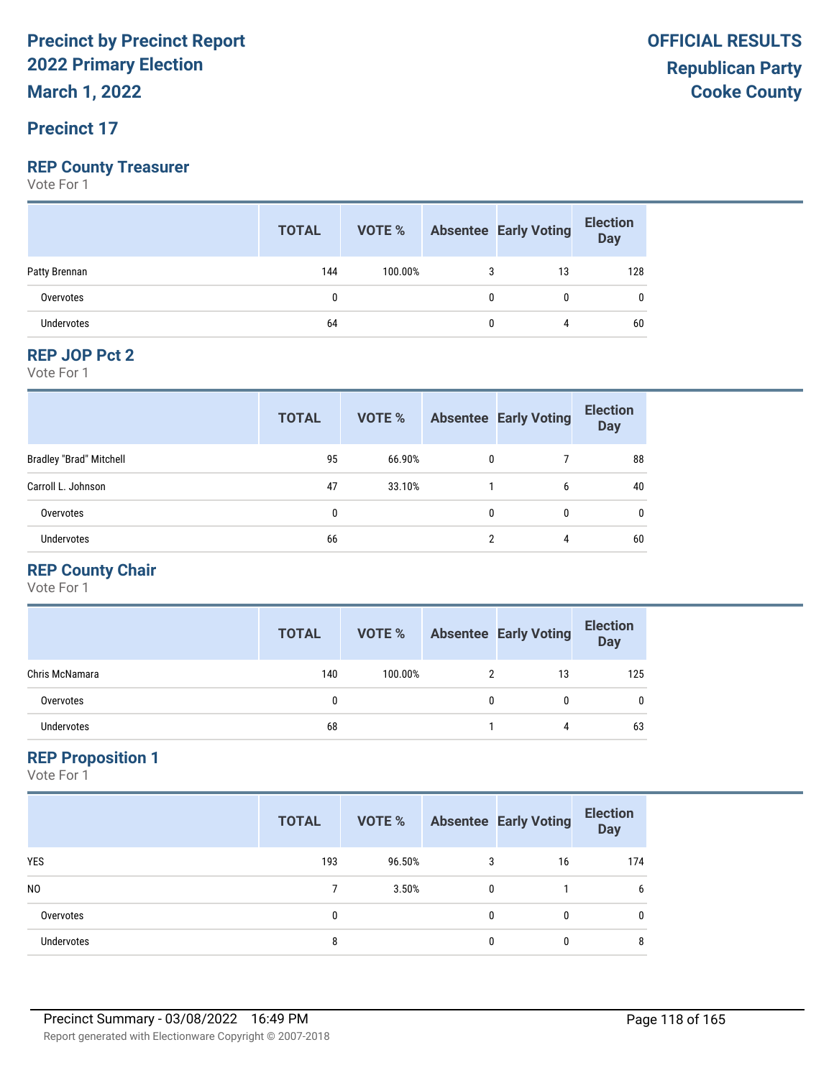**March 1, 2022**

#### **Precinct 17**

#### **REP County Treasurer**

Vote For 1

|                   | <b>TOTAL</b> | <b>VOTE %</b> | <b>Absentee Early Voting</b> | <b>Election</b><br>Day |
|-------------------|--------------|---------------|------------------------------|------------------------|
| Patty Brennan     | 144          | 100.00%       | 13                           | 128                    |
| Overvotes         |              |               | 0                            | 0                      |
| <b>Undervotes</b> | 64           |               | 4                            | 60                     |

#### **REP JOP Pct 2**

Vote For 1

|                                | <b>TOTAL</b> | <b>VOTE %</b> |   | <b>Absentee Early Voting</b> | <b>Election</b><br><b>Day</b> |
|--------------------------------|--------------|---------------|---|------------------------------|-------------------------------|
| <b>Bradley "Brad" Mitchell</b> | 95           | 66.90%        | 0 |                              | 88                            |
| Carroll L. Johnson             | 47           | 33.10%        |   | 6                            | 40                            |
| Overvotes                      | 0            |               | 0 | 0                            | $\mathbf{0}$                  |
| Undervotes                     | 66           |               | າ | 4                            | 60                            |

#### **REP County Chair**

Vote For 1

|                   | <b>TOTAL</b> | VOTE %  |   | <b>Absentee Early Voting</b> | <b>Election</b><br>Day |
|-------------------|--------------|---------|---|------------------------------|------------------------|
| Chris McNamara    | 140          | 100.00% |   | 13                           | 125                    |
| Overvotes         | 0            |         | 0 | 0                            | 0                      |
| <b>Undervotes</b> | 68           |         |   | 4                            | 63                     |

#### **REP Proposition 1**

|                   | <b>TOTAL</b> | VOTE % |   | <b>Absentee Early Voting</b> | <b>Election</b><br><b>Day</b> |
|-------------------|--------------|--------|---|------------------------------|-------------------------------|
| <b>YES</b>        | 193          | 96.50% | 3 | 16                           | 174                           |
| N <sub>0</sub>    |              | 3.50%  | 0 |                              | 6                             |
| Overvotes         | 0            |        | 0 | 0                            | $\mathbf{0}$                  |
| <b>Undervotes</b> | 8            |        | 0 | 0                            | 8                             |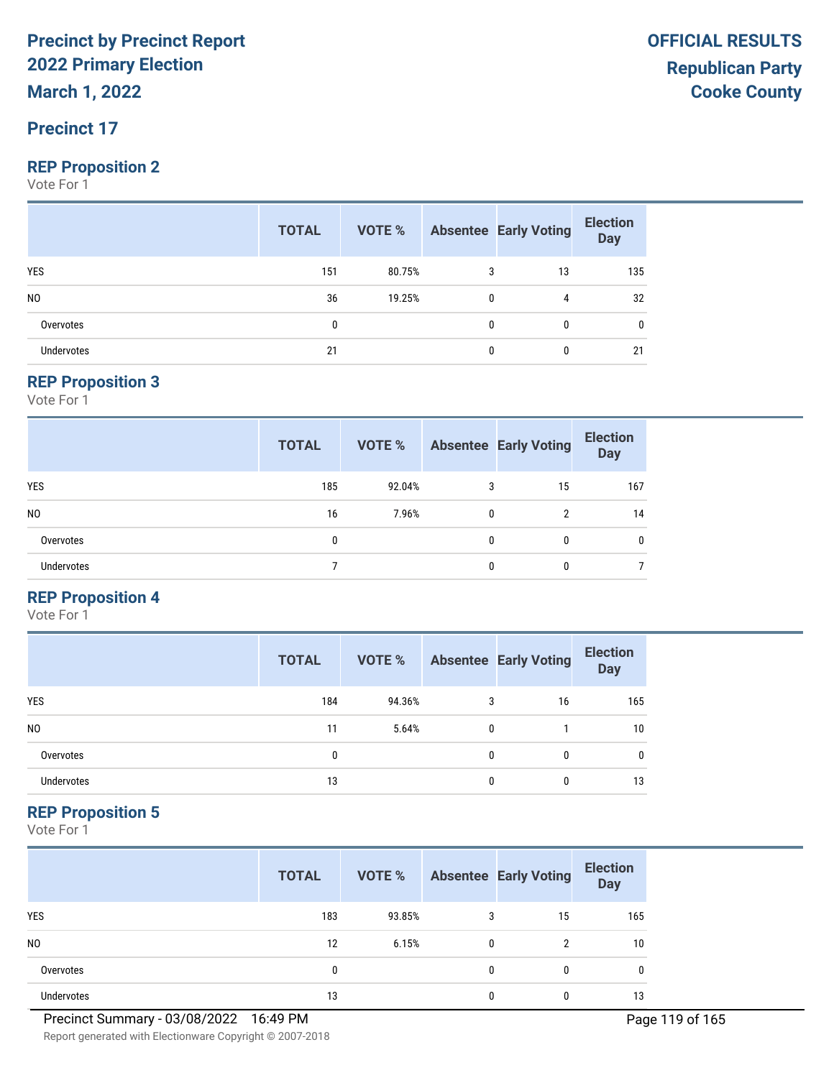**March 1, 2022**

#### **Precinct 17**

#### **REP Proposition 2**

Vote For 1

|                   | <b>TOTAL</b> | <b>VOTE %</b> Absentee Early Voting |              |    | <b>Election</b><br>Day |
|-------------------|--------------|-------------------------------------|--------------|----|------------------------|
| <b>YES</b>        | 151          | 80.75%                              | 3            | 13 | 135                    |
| N <sub>0</sub>    | 36           | 19.25%                              | $\mathbf{0}$ | 4  | 32                     |
| Overvotes         | 0            |                                     | 0            |    | 0                      |
| <b>Undervotes</b> | 21           |                                     | 0            |    | 21                     |

#### **REP Proposition 3**

Vote For 1

|                   | <b>TOTAL</b> | VOTE % |              | <b>Absentee Early Voting</b> | <b>Election</b><br><b>Day</b> |
|-------------------|--------------|--------|--------------|------------------------------|-------------------------------|
| YES               | 185          | 92.04% | 3            | 15                           | 167                           |
| N <sub>0</sub>    | 16           | 7.96%  | $\mathbf{0}$ | 2                            | 14                            |
| Overvotes         | 0            |        | 0            | 0                            | $\mathbf{0}$                  |
| <b>Undervotes</b> |              |        | $\theta$     | 0                            |                               |

#### **REP Proposition 4**

Vote For 1

|                | <b>TOTAL</b> | VOTE % |   | <b>Absentee Early Voting</b> | <b>Election</b><br><b>Day</b> |
|----------------|--------------|--------|---|------------------------------|-------------------------------|
| <b>YES</b>     | 184          | 94.36% | 3 | 16                           | 165                           |
| N <sub>0</sub> | 11           | 5.64%  | 0 |                              | 10                            |
| Overvotes      | 0            |        | 0 | $\Omega$                     | 0                             |
| Undervotes     | 13           |        | 0 |                              | 13                            |

#### **REP Proposition 5**

Vote For 1

|                   | <b>TOTAL</b> | VOTE % |              | <b>Absentee Early Voting</b> | <b>Election</b><br><b>Day</b> |
|-------------------|--------------|--------|--------------|------------------------------|-------------------------------|
| <b>YES</b>        | 183          | 93.85% | 3            | 15                           | 165                           |
| N <sub>0</sub>    | 12           | 6.15%  | $\mathbf{0}$ | 2                            | 10                            |
| Overvotes         | 0            |        | $\mathbf{0}$ | 0                            | 0                             |
| <b>Undervotes</b> | 13           |        | 0            | 0                            | 13                            |

Report generated with Electionware Copyright © 2007-2018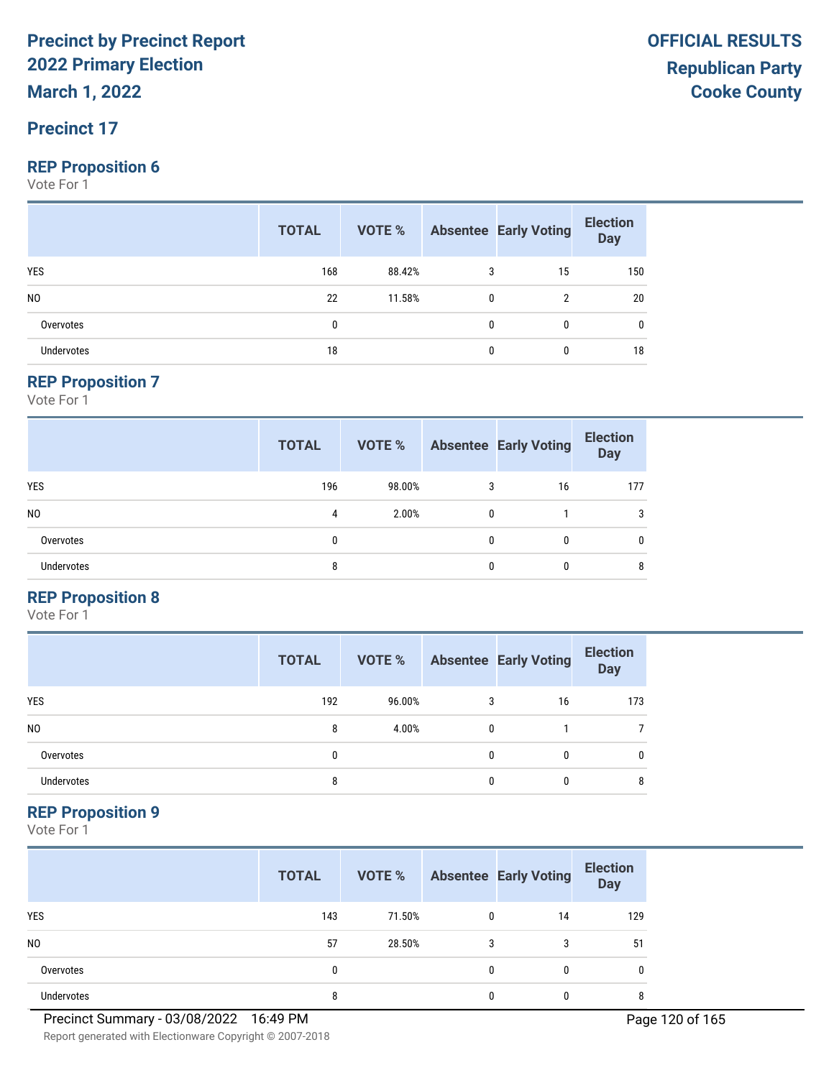**March 1, 2022**

#### **Precinct 17**

#### **REP Proposition 6**

Vote For 1

|                   | <b>TOTAL</b> | VOTE % |              | <b>Absentee Early Voting</b> | <b>Election</b><br><b>Day</b> |
|-------------------|--------------|--------|--------------|------------------------------|-------------------------------|
| YES               | 168          | 88.42% |              | 15                           | 150                           |
| N <sub>0</sub>    | 22           | 11.58% | $\mathbf{0}$ | 2                            | 20                            |
| Overvotes         | 0            |        | $\Omega$     | $\mathbf{0}$                 | 0                             |
| <b>Undervotes</b> | 18           |        | 0            | $\bf{0}$                     | 18                            |

#### **REP Proposition 7**

Vote For 1

|                   | <b>TOTAL</b> | VOTE % |              | <b>Absentee Early Voting</b> | <b>Election</b><br><b>Day</b> |
|-------------------|--------------|--------|--------------|------------------------------|-------------------------------|
| YES               | 196          | 98.00% | 3            | 16                           | 177                           |
| N <sub>0</sub>    | 4            | 2.00%  | $\mathbf{0}$ |                              | 3                             |
| Overvotes         | 0            |        | 0            | 0                            | $\mathbf{0}$                  |
| <b>Undervotes</b> | 8            |        | 0            | 0                            | 8                             |

#### **REP Proposition 8**

Vote For 1

|                | <b>TOTAL</b> | VOTE % |   | <b>Absentee Early Voting</b> | <b>Election</b><br><b>Day</b> |
|----------------|--------------|--------|---|------------------------------|-------------------------------|
| <b>YES</b>     | 192          | 96.00% | 3 | 16                           | 173                           |
| N <sub>0</sub> | 8            | 4.00%  | 0 |                              |                               |
| Overvotes      | 0            |        | 0 | 0                            | 0                             |
| Undervotes     | 8            |        | O |                              | 8                             |

#### **REP Proposition 9**

Vote For 1

|                | <b>TOTAL</b> | VOTE % |              | <b>Absentee Early Voting</b> | <b>Election</b><br><b>Day</b> |
|----------------|--------------|--------|--------------|------------------------------|-------------------------------|
| <b>YES</b>     | 143          | 71.50% | $\mathbf{0}$ | 14                           | 129                           |
| N <sub>0</sub> | 57           | 28.50% | 3            | 3                            | 51                            |
| Overvotes      | 0            |        | 0            | 0                            | 0                             |
| Undervotes     | 8            |        | 0            |                              | 8                             |

Report generated with Electionware Copyright © 2007-2018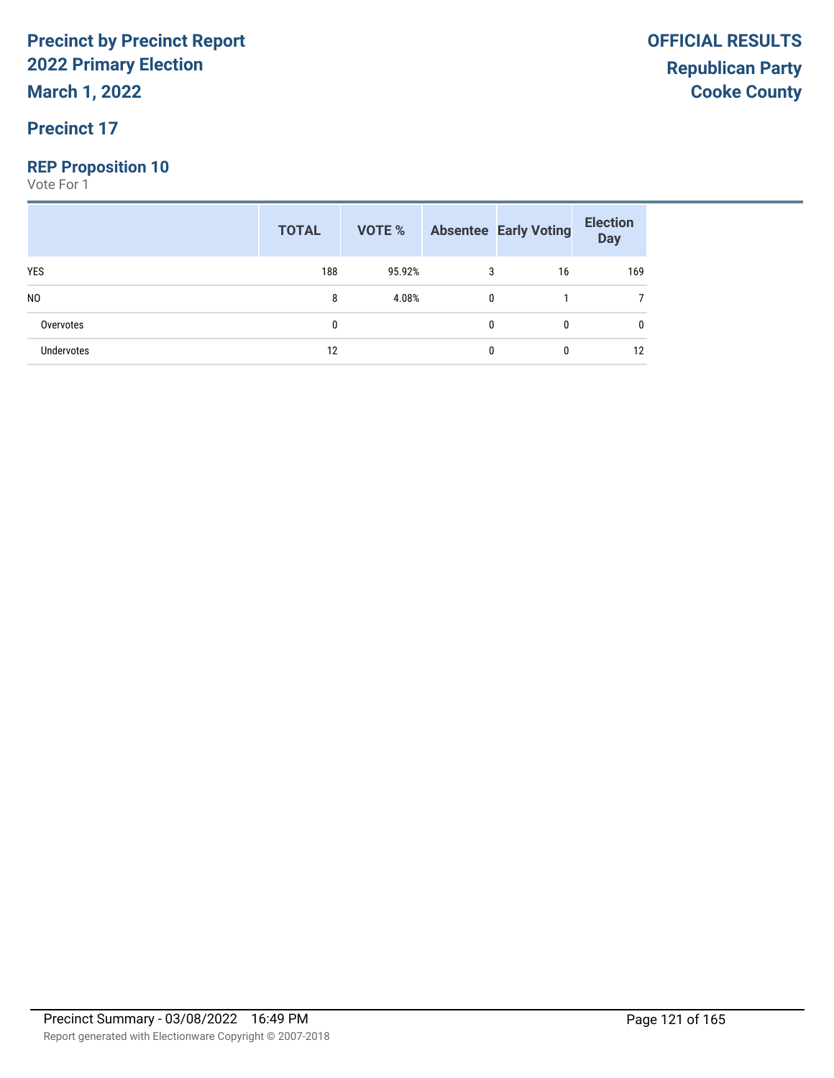**March 1, 2022**

#### **Precinct 17**

#### **REP Proposition 10**

|                | <b>TOTAL</b> |        |              | <b>VOTE %</b> Absentee Early Voting | <b>Election</b><br>Day |
|----------------|--------------|--------|--------------|-------------------------------------|------------------------|
| <b>YES</b>     | 188          | 95.92% | 3            | 16                                  | 169                    |
| N <sub>0</sub> | 8            | 4.08%  | $\mathbf{0}$ |                                     |                        |
| Overvotes      | 0            |        | 0            | 0                                   | 0                      |
| Undervotes     | 12           |        | 0            | 0                                   | 12                     |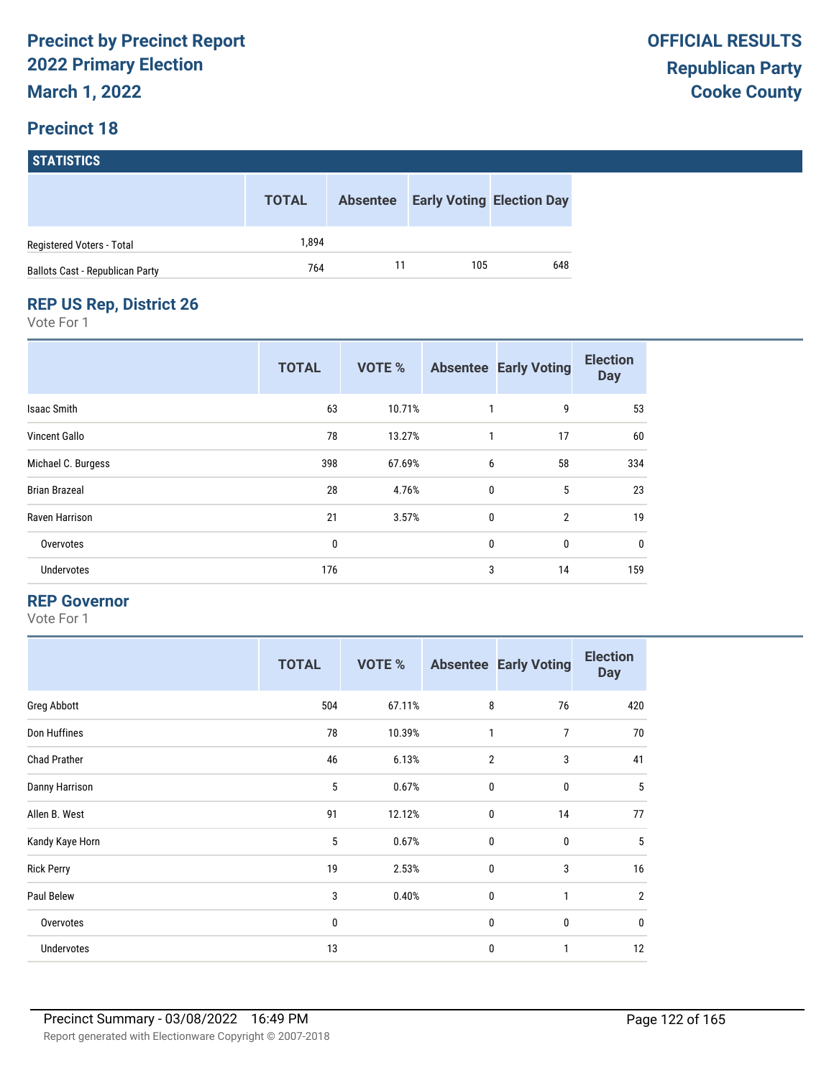#### **STATISTICS**

|                                        | <b>TOTAL</b> | <b>Absentee</b> | <b>Early Voting Election Day</b> |     |
|----------------------------------------|--------------|-----------------|----------------------------------|-----|
| Registered Voters - Total              | 1.894        |                 |                                  |     |
| <b>Ballots Cast - Republican Party</b> | 764          |                 | 105                              | 648 |

#### **REP US Rep, District 26**

Vote For 1

|                      | <b>TOTAL</b> | VOTE % |             | <b>Absentee Early Voting</b> | <b>Election</b><br><b>Day</b> |
|----------------------|--------------|--------|-------------|------------------------------|-------------------------------|
| Isaac Smith          | 63           | 10.71% |             | 9                            | 53                            |
| Vincent Gallo        | 78           | 13.27% | 1           | 17                           | 60                            |
| Michael C. Burgess   | 398          | 67.69% | 6           | 58                           | 334                           |
| <b>Brian Brazeal</b> | 28           | 4.76%  | $\mathbf 0$ | 5                            | 23                            |
| Raven Harrison       | 21           | 3.57%  | $\mathbf 0$ | $\overline{2}$               | 19                            |
| Overvotes            | 0            |        | $\mathbf 0$ | $\mathbf 0$                  | $\mathbf 0$                   |
| Undervotes           | 176          |        | 3           | 14                           | 159                           |

#### **REP Governor**

|                     | <b>TOTAL</b> | <b>VOTE %</b> |                | <b>Absentee Early Voting</b> | <b>Election</b><br><b>Day</b> |
|---------------------|--------------|---------------|----------------|------------------------------|-------------------------------|
| Greg Abbott         | 504          | 67.11%        | 8              | 76                           | 420                           |
| Don Huffines        | 78           | 10.39%        | 1              | 7                            | 70                            |
| <b>Chad Prather</b> | 46           | 6.13%         | $\overline{2}$ | 3                            | 41                            |
| Danny Harrison      | 5            | 0.67%         | $\mathbf 0$    | $\mathbf 0$                  | 5                             |
| Allen B. West       | 91           | 12.12%        | $\mathbf 0$    | 14                           | 77                            |
| Kandy Kaye Horn     | 5            | 0.67%         | $\mathbf 0$    | 0                            | $5\phantom{.0}$               |
| <b>Rick Perry</b>   | 19           | 2.53%         | $\mathbf 0$    | 3                            | 16                            |
| Paul Belew          | 3            | 0.40%         | $\mathbf 0$    | 1                            | $\overline{2}$                |
| Overvotes           | 0            |               | $\mathbf 0$    | $\bf{0}$                     | $\mathbf 0$                   |
| Undervotes          | 13           |               | $\mathbf 0$    | 1                            | 12                            |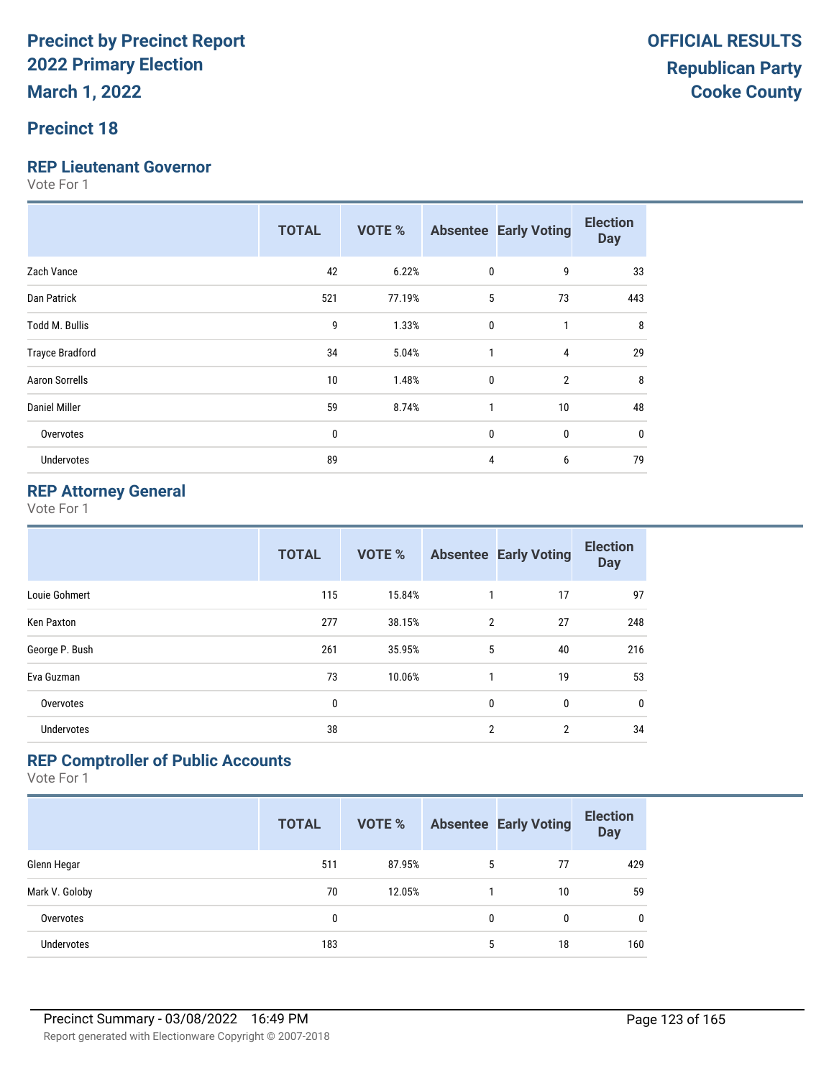# **Precinct 18**

#### **REP Lieutenant Governor**

Vote For 1

|                        | <b>TOTAL</b> | VOTE % |              | <b>Absentee Early Voting</b> | <b>Election</b><br><b>Day</b> |
|------------------------|--------------|--------|--------------|------------------------------|-------------------------------|
| Zach Vance             | 42           | 6.22%  | 0            | 9                            | 33                            |
| Dan Patrick            | 521          | 77.19% | 5            | 73                           | 443                           |
| <b>Todd M. Bullis</b>  | 9            | 1.33%  | $\mathbf{0}$ | 1                            | 8                             |
| <b>Trayce Bradford</b> | 34           | 5.04%  | $\mathbf{1}$ | 4                            | 29                            |
| <b>Aaron Sorrells</b>  | 10           | 1.48%  | $\mathbf{0}$ | $\overline{2}$               | 8                             |
| <b>Daniel Miller</b>   | 59           | 8.74%  | 1            | 10                           | 48                            |
| Overvotes              | 0            |        | 0            | 0                            | 0                             |
| Undervotes             | 89           |        | 4            | 6                            | 79                            |

#### **REP Attorney General**

Vote For 1

|                   | <b>TOTAL</b> | <b>VOTE %</b> |                | <b>Absentee Early Voting</b> | <b>Election</b><br><b>Day</b> |
|-------------------|--------------|---------------|----------------|------------------------------|-------------------------------|
| Louie Gohmert     | 115          | 15.84%        |                | 17                           | 97                            |
| Ken Paxton        | 277          | 38.15%        | 2              | 27                           | 248                           |
| George P. Bush    | 261          | 35.95%        | 5              | 40                           | 216                           |
| Eva Guzman        | 73           | 10.06%        | 1              | 19                           | 53                            |
| Overvotes         | 0            |               | $\mathbf{0}$   | 0                            | 0                             |
| <b>Undervotes</b> | 38           |               | $\overline{2}$ | $\overline{2}$               | 34                            |

#### **REP Comptroller of Public Accounts**

|                | <b>TOTAL</b> | <b>VOTE %</b> |   | <b>Absentee Early Voting</b> | <b>Election</b><br><b>Day</b> |
|----------------|--------------|---------------|---|------------------------------|-------------------------------|
| Glenn Hegar    | 511          | 87.95%        | 5 | 77                           | 429                           |
| Mark V. Goloby | 70           | 12.05%        |   | 10                           | 59                            |
| Overvotes      | 0            |               | 0 | 0                            | 0                             |
| Undervotes     | 183          |               | 5 | 18                           | 160                           |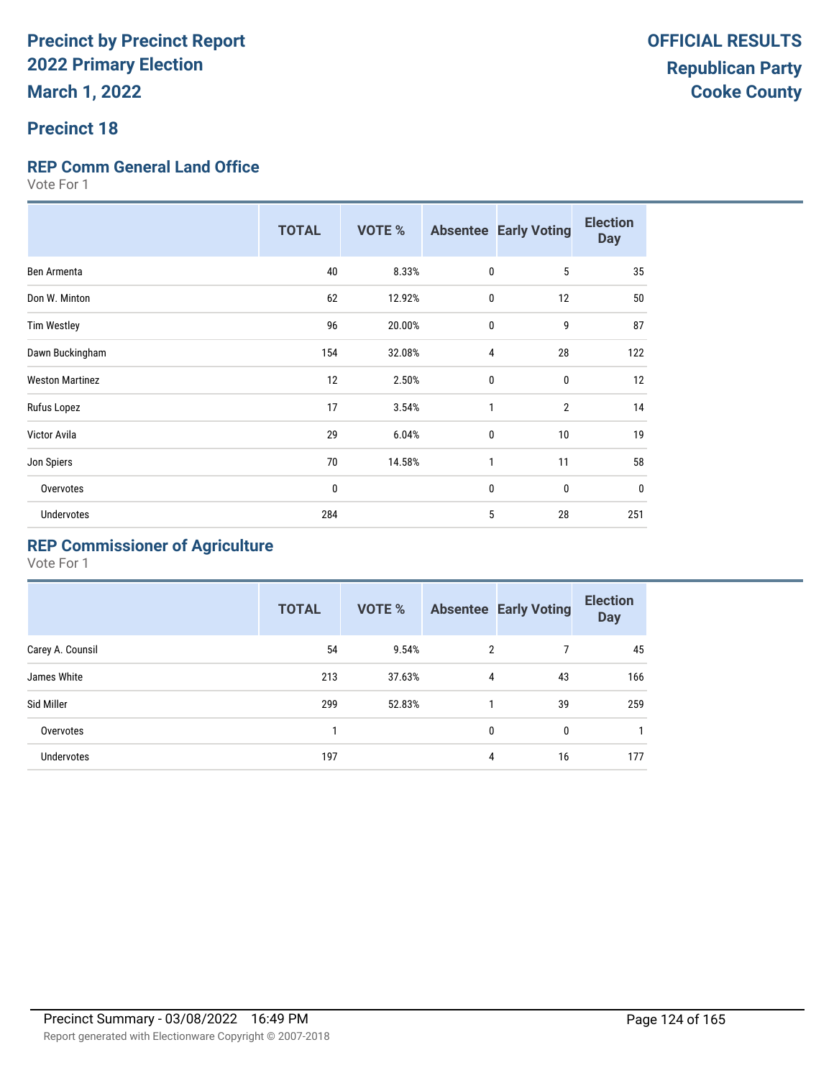#### **Precinct 18**

#### **REP Comm General Land Office**

Vote For 1

|                        | <b>TOTAL</b> | <b>VOTE %</b> |              | <b>Absentee Early Voting</b> | <b>Election</b><br><b>Day</b> |
|------------------------|--------------|---------------|--------------|------------------------------|-------------------------------|
| Ben Armenta            | 40           | 8.33%         | $\mathbf 0$  | 5                            | 35                            |
| Don W. Minton          | 62           | 12.92%        | $\mathbf 0$  | 12                           | 50                            |
| <b>Tim Westley</b>     | 96           | 20.00%        | $\mathbf 0$  | 9                            | 87                            |
| Dawn Buckingham        | 154          | 32.08%        | 4            | 28                           | 122                           |
| <b>Weston Martinez</b> | 12           | 2.50%         | $\mathbf 0$  | 0                            | 12                            |
| Rufus Lopez            | 17           | 3.54%         | $\mathbf{1}$ | $\overline{2}$               | 14                            |
| Victor Avila           | 29           | 6.04%         | $\mathbf{0}$ | 10                           | 19                            |
| Jon Spiers             | 70           | 14.58%        | 1            | 11                           | 58                            |
| Overvotes              | 0            |               | $\mathbf{0}$ | 0                            | $\mathbf 0$                   |
| <b>Undervotes</b>      | 284          |               | 5            | 28                           | 251                           |

### **REP Commissioner of Agriculture**

|                  | <b>TOTAL</b> | VOTE % |              | <b>Absentee Early Voting</b> | <b>Election</b><br><b>Day</b> |
|------------------|--------------|--------|--------------|------------------------------|-------------------------------|
| Carey A. Counsil | 54           | 9.54%  | 2            | 7                            | 45                            |
| James White      | 213          | 37.63% | 4            | 43                           | 166                           |
| Sid Miller       | 299          | 52.83% |              | 39                           | 259                           |
| Overvotes        |              |        | $\mathbf{0}$ | 0                            |                               |
| Undervotes       | 197          |        | 4            | 16                           | 177                           |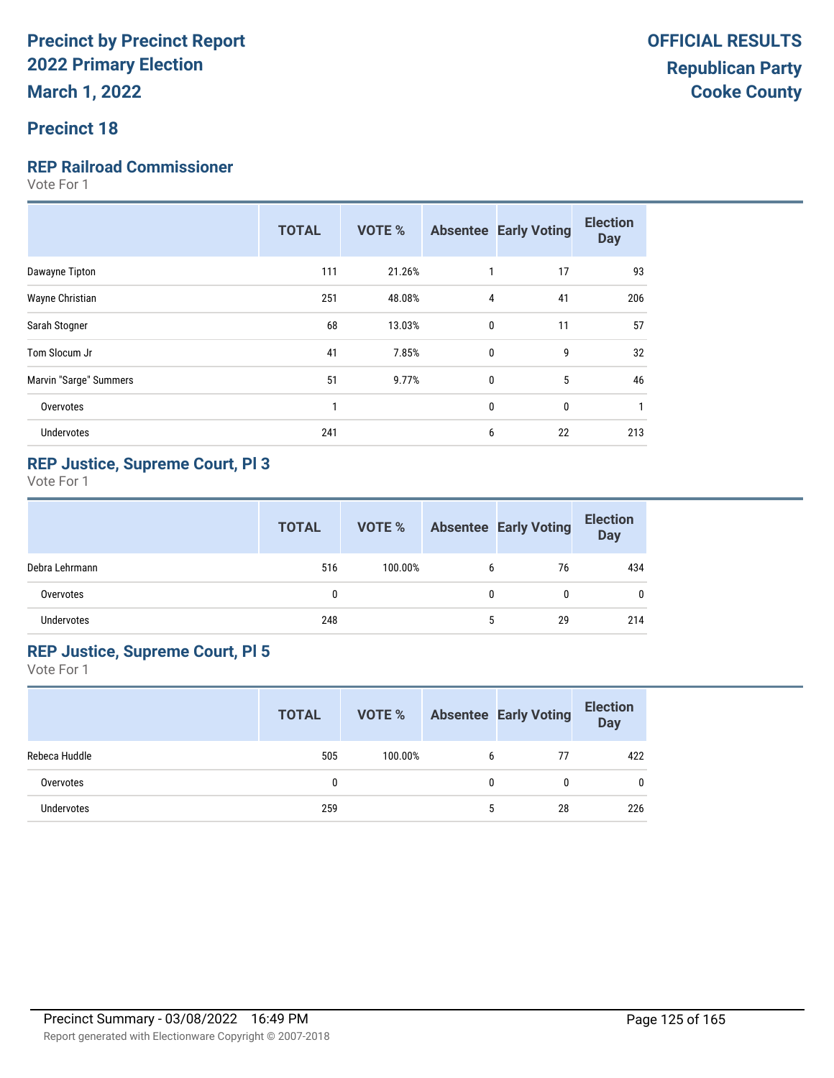#### **Precinct 18**

#### **REP Railroad Commissioner**

Vote For 1

| 17<br>111<br>21.26%<br>Dawayne Tipton<br>251<br>48.08%<br>$\overline{4}$<br>41<br>Wayne Christian<br>68<br>13.03%<br>$\mathbf{0}$<br>11<br>Sarah Stogner<br>41<br>9<br>Tom Slocum Jr<br>7.85%<br>$\mathbf{0}$<br>51<br>5<br>Marvin "Sarge" Summers<br>$\mathbf 0$<br>9.77%<br>0<br>$\mathbf 0$<br>Overvotes<br>1<br>Undervotes<br>241<br>22<br>6 | <b>TOTAL</b> | <b>VOTE %</b> | <b>Absentee Early Voting</b> | <b>Election</b><br><b>Day</b> |
|--------------------------------------------------------------------------------------------------------------------------------------------------------------------------------------------------------------------------------------------------------------------------------------------------------------------------------------------------|--------------|---------------|------------------------------|-------------------------------|
|                                                                                                                                                                                                                                                                                                                                                  |              |               |                              | 93                            |
|                                                                                                                                                                                                                                                                                                                                                  |              |               |                              | 206                           |
|                                                                                                                                                                                                                                                                                                                                                  |              |               |                              | 57                            |
|                                                                                                                                                                                                                                                                                                                                                  |              |               |                              | 32                            |
|                                                                                                                                                                                                                                                                                                                                                  |              |               |                              | 46                            |
|                                                                                                                                                                                                                                                                                                                                                  |              |               |                              |                               |
|                                                                                                                                                                                                                                                                                                                                                  |              |               |                              | 213                           |

#### **REP Justice, Supreme Court, Pl 3**

Vote For 1

|                   | <b>TOTAL</b> | VOTE %  |   | <b>Absentee Early Voting</b> | <b>Election</b><br><b>Day</b> |
|-------------------|--------------|---------|---|------------------------------|-------------------------------|
| Debra Lehrmann    | 516          | 100.00% | 6 | 76                           | 434                           |
| Overvotes         | $\mathbf{0}$ |         | 0 | 0                            | 0                             |
| <b>Undervotes</b> | 248          |         | 5 | 29                           | 214                           |

#### **REP Justice, Supreme Court, Pl 5**

|               | <b>TOTAL</b> | VOTE %  |   | <b>Absentee Early Voting</b> | <b>Election</b><br><b>Day</b> |
|---------------|--------------|---------|---|------------------------------|-------------------------------|
| Rebeca Huddle | 505          | 100.00% | b | 77                           | 422                           |
| Overvotes     |              |         | 0 | N                            | $\mathbf{0}$                  |
| Undervotes    | 259          |         | 5 | 28                           | 226                           |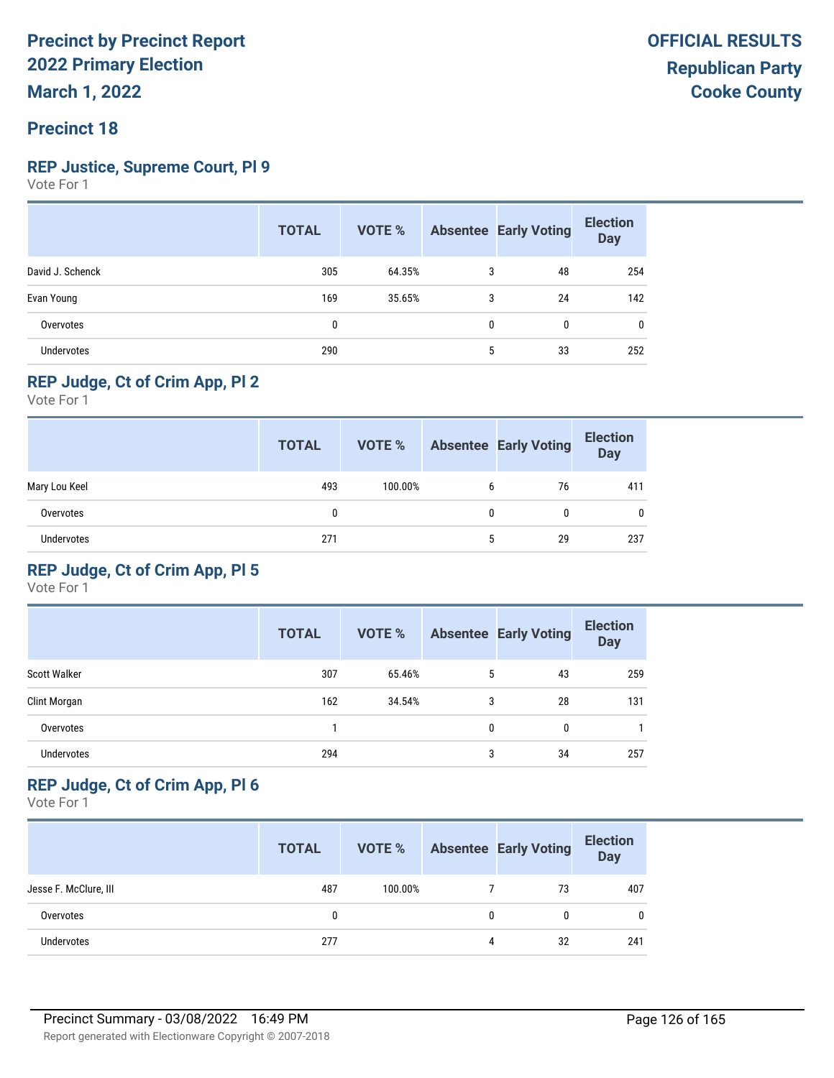#### **Precinct 18**

#### **REP Justice, Supreme Court, Pl 9**

Vote For 1

|                   | <b>TOTAL</b> | VOTE % |              | <b>Absentee Early Voting</b> | <b>Election</b><br><b>Day</b> |
|-------------------|--------------|--------|--------------|------------------------------|-------------------------------|
| David J. Schenck  | 305          | 64.35% | 3            | 48                           | 254                           |
| Evan Young        | 169          | 35.65% | 3            | 24                           | 142                           |
| Overvotes         | 0            |        | $\mathbf{0}$ | 0                            | 0                             |
| <b>Undervotes</b> | 290          |        | 5            | 33                           | 252                           |

#### **REP Judge, Ct of Crim App, Pl 2**

Vote For 1

|               | <b>TOTAL</b> | VOTE %  |   | <b>Absentee Early Voting</b> | <b>Election</b><br><b>Day</b> |
|---------------|--------------|---------|---|------------------------------|-------------------------------|
| Mary Lou Keel | 493          | 100.00% | 6 | 76                           | 411                           |
| Overvotes     | 0            |         | 0 |                              | 0                             |
| Undervotes    | 271          |         | 5 | 29                           | 237                           |

#### **REP Judge, Ct of Crim App, Pl 5**

Vote For 1

|                     | <b>TOTAL</b> | VOTE % |   | <b>Absentee Early Voting</b> | <b>Election</b><br><b>Day</b> |
|---------------------|--------------|--------|---|------------------------------|-------------------------------|
| <b>Scott Walker</b> | 307          | 65.46% | 5 | 43                           | 259                           |
| Clint Morgan        | 162          | 34.54% | 3 | 28                           | 131                           |
| Overvotes           |              |        | 0 | 0                            |                               |
| <b>Undervotes</b>   | 294          |        | 3 | 34                           | 257                           |

#### **REP Judge, Ct of Crim App, Pl 6**

|                       | <b>TOTAL</b> | VOTE %  |   | <b>Absentee Early Voting</b> | <b>Election</b><br><b>Day</b> |
|-----------------------|--------------|---------|---|------------------------------|-------------------------------|
| Jesse F. McClure, III | 487          | 100.00% |   | 73                           | 407                           |
| Overvotes             | 0            |         | 0 | 0                            | $\mathbf 0$                   |
| <b>Undervotes</b>     | 277          |         | 4 | 32                           | 241                           |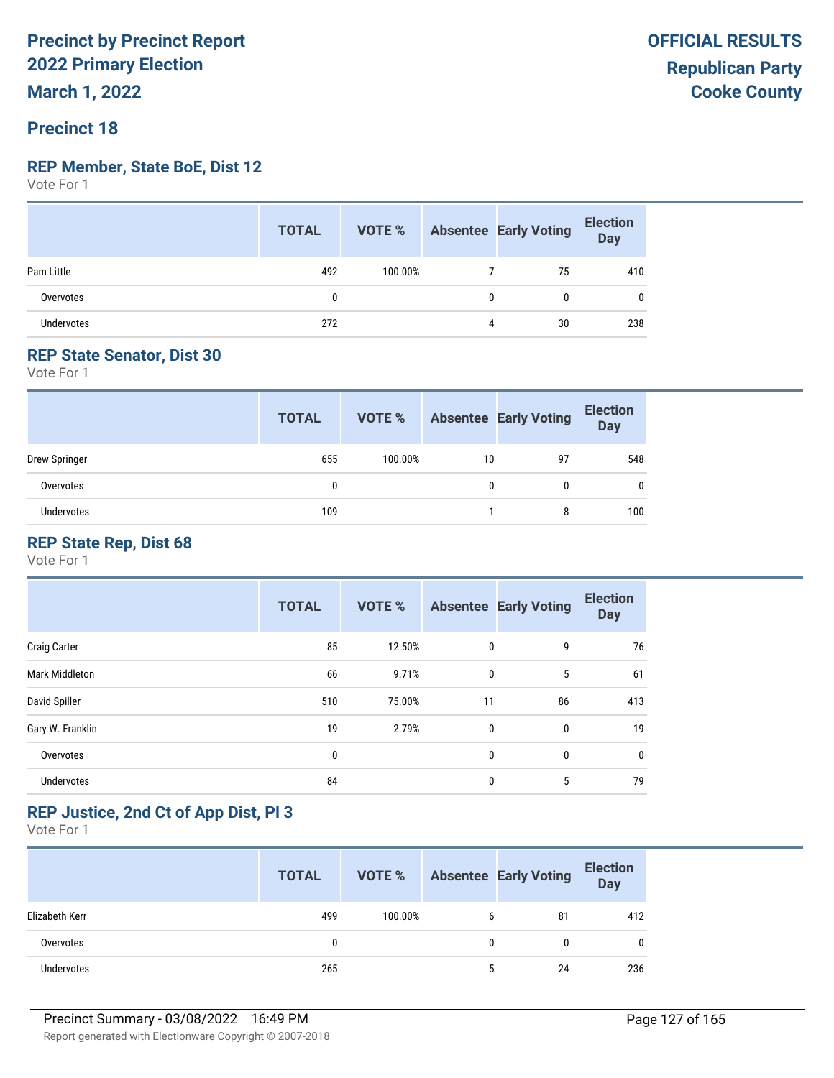# **Precinct 18**

#### **REP Member, State BoE, Dist 12**

Vote For 1

|                   | <b>TOTAL</b> |         |   | <b>VOTE %</b> Absentee Early Voting | <b>Election</b><br>Day |
|-------------------|--------------|---------|---|-------------------------------------|------------------------|
| Pam Little        | 492          | 100.00% |   | 75                                  | 410                    |
| Overvotes         | 0            |         | 0 |                                     | 0                      |
| <b>Undervotes</b> | 272          |         | 4 | 30                                  | 238                    |

#### **REP State Senator, Dist 30**

Vote For 1

|                   | <b>TOTAL</b> | VOTE %  |    | <b>Absentee Early Voting</b> | <b>Election</b><br><b>Day</b> |
|-------------------|--------------|---------|----|------------------------------|-------------------------------|
| Drew Springer     | 655          | 100.00% | 10 | 97                           | 548                           |
| Overvotes         | 0            |         |    |                              | 0                             |
| <b>Undervotes</b> | 109          |         |    | 8                            | 100                           |

#### **REP State Rep, Dist 68**

Vote For 1

|                     | <b>TOTAL</b> | <b>VOTE %</b> |             | <b>Absentee Early Voting</b> | <b>Election</b><br><b>Day</b> |
|---------------------|--------------|---------------|-------------|------------------------------|-------------------------------|
| <b>Craig Carter</b> | 85           | 12.50%        | $\mathbf 0$ | 9                            | 76                            |
| Mark Middleton      | 66           | 9.71%         | 0           | 5                            | 61                            |
| David Spiller       | 510          | 75.00%        | 11          | 86                           | 413                           |
| Gary W. Franklin    | 19           | 2.79%         | $\mathbf 0$ | 0                            | 19                            |
| Overvotes           | 0            |               | 0           | 0                            | 0                             |
| Undervotes          | 84           |               | 0           | 5                            | 79                            |

#### **REP Justice, 2nd Ct of App Dist, Pl 3**

|                   | <b>TOTAL</b> | VOTE %  |   | <b>Absentee Early Voting</b> | <b>Election</b><br><b>Day</b> |
|-------------------|--------------|---------|---|------------------------------|-------------------------------|
| Elizabeth Kerr    | 499          | 100.00% | b | 81                           | 412                           |
| Overvotes         | 0            |         | 0 |                              | 0                             |
| <b>Undervotes</b> | 265          |         | 5 | 24                           | 236                           |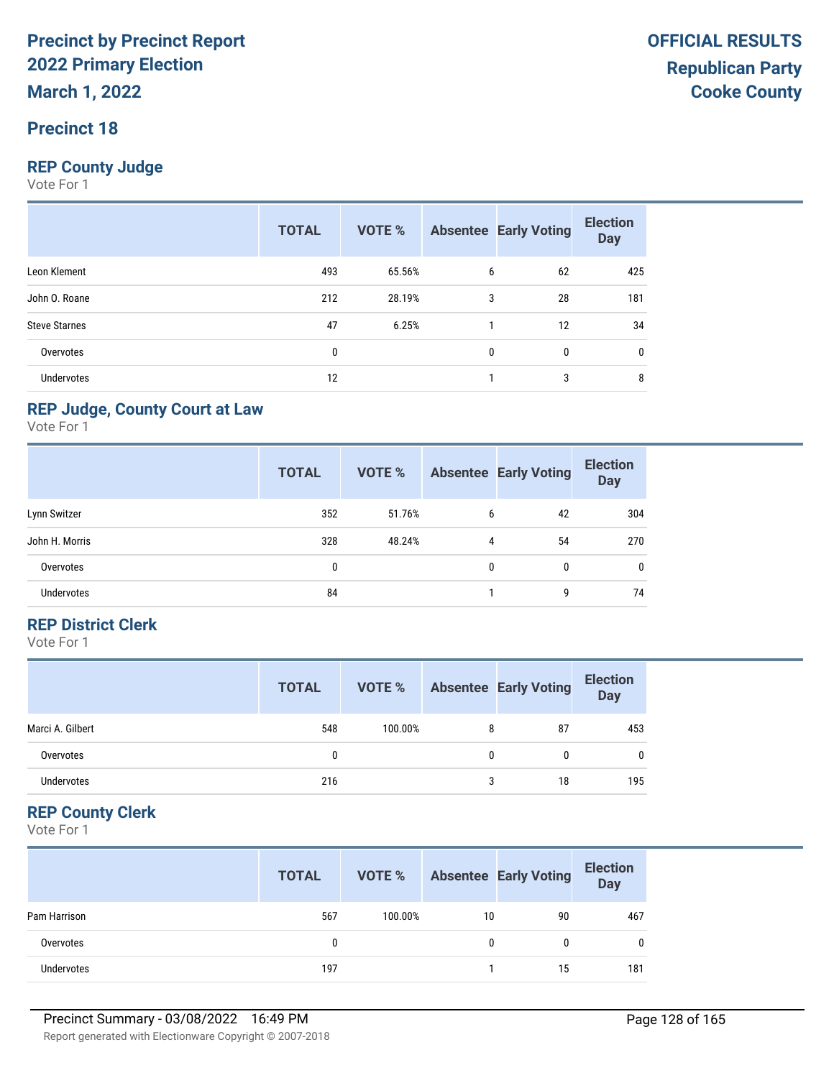#### **Precinct 18**

#### **REP County Judge**

Vote For 1

|                      | <b>TOTAL</b> | <b>VOTE %</b> |   | <b>Absentee Early Voting</b> | <b>Election</b><br><b>Day</b> |
|----------------------|--------------|---------------|---|------------------------------|-------------------------------|
| Leon Klement         | 493          | 65.56%        | 6 | 62                           | 425                           |
| John O. Roane        | 212          | 28.19%        | 3 | 28                           | 181                           |
| <b>Steve Starnes</b> | 47           | 6.25%         |   | 12                           | 34                            |
| Overvotes            | 0            |               | 0 | 0                            | 0                             |
| Undervotes           | 12           |               |   | 3                            | 8                             |

#### **REP Judge, County Court at Law**

Vote For 1

|                   | <b>TOTAL</b> | <b>VOTE %</b> |   | <b>Absentee Early Voting</b> | <b>Election</b><br><b>Day</b> |
|-------------------|--------------|---------------|---|------------------------------|-------------------------------|
| Lynn Switzer      | 352          | 51.76%        | 6 | 42                           | 304                           |
| John H. Morris    | 328          | 48.24%        | 4 | 54                           | 270                           |
| Overvotes         | 0            |               | 0 | 0                            | 0                             |
| <b>Undervotes</b> | 84           |               |   | 9                            | 74                            |

#### **REP District Clerk**

Vote For 1

|                  | <b>TOTAL</b> | VOTE %  |   | <b>Absentee Early Voting</b> | <b>Election</b><br>Day |
|------------------|--------------|---------|---|------------------------------|------------------------|
| Marci A. Gilbert | 548          | 100.00% | 8 | 87                           | 453                    |
| Overvotes        |              |         | 0 | 0                            | 0                      |
| Undervotes       | 216          |         | 3 | 18                           | 195                    |

#### **REP County Clerk**

|                   | <b>TOTAL</b> | VOTE %  |    | <b>Absentee Early Voting</b> | <b>Election</b><br><b>Day</b> |
|-------------------|--------------|---------|----|------------------------------|-------------------------------|
| Pam Harrison      | 567          | 100.00% | 10 | 90                           | 467                           |
| Overvotes         |              |         |    | 0                            | 0                             |
| <b>Undervotes</b> | 197          |         |    | 15                           | 181                           |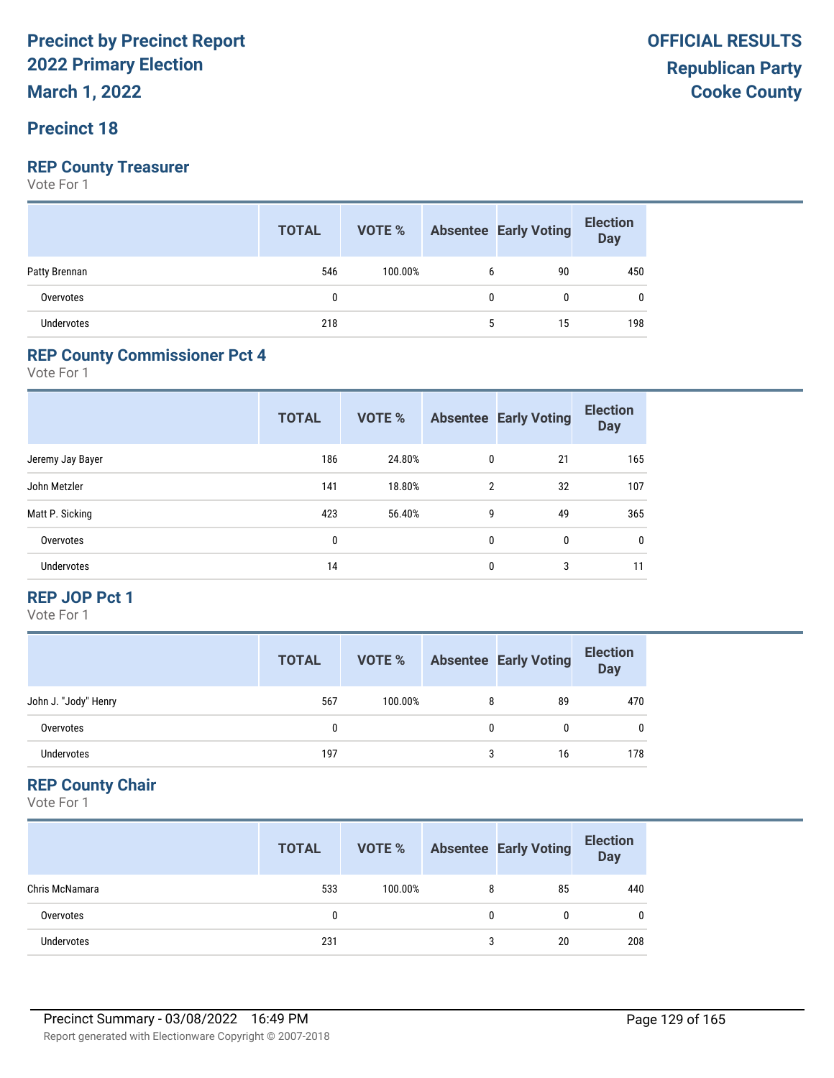**March 1, 2022**

#### **Precinct 18**

#### **REP County Treasurer**

Vote For 1

|               | <b>TOTAL</b> |         |   | <b>VOTE %</b> Absentee Early Voting | <b>Election</b><br>Day |
|---------------|--------------|---------|---|-------------------------------------|------------------------|
| Patty Brennan | 546          | 100.00% | 6 | 90                                  | 450                    |
| Overvotes     | 0            |         | 0 | 0                                   |                        |
| Undervotes    | 218          |         |   | 15                                  | 198                    |

#### **REP County Commissioner Pct 4**

Vote For 1

|                   | <b>TOTAL</b> | <b>VOTE %</b> |                | <b>Absentee Early Voting</b> | <b>Election</b><br><b>Day</b> |
|-------------------|--------------|---------------|----------------|------------------------------|-------------------------------|
| Jeremy Jay Bayer  | 186          | 24.80%        | 0              | 21                           | 165                           |
| John Metzler      | 141          | 18.80%        | $\overline{2}$ | 32                           | 107                           |
| Matt P. Sicking   | 423          | 56.40%        | 9              | 49                           | 365                           |
| Overvotes         | 0            |               | 0              | $\mathbf{0}$                 | $\mathbf{0}$                  |
| <b>Undervotes</b> | 14           |               | 0              | 3                            | 11                            |

#### **REP JOP Pct 1**

Vote For 1

|                      | <b>TOTAL</b> | VOTE %  | <b>Absentee Early Voting</b> | <b>Election</b><br>Day |
|----------------------|--------------|---------|------------------------------|------------------------|
| John J. "Jody" Henry | 567          | 100.00% | 89                           | 470                    |
| Overvotes            |              |         |                              | $\mathbf{0}$           |
| Undervotes           | 197          |         | 16                           | 178                    |

#### **REP County Chair**

|                | <b>TOTAL</b> | VOTE %  |   | <b>Absentee Early Voting</b> | <b>Election</b><br><b>Day</b> |
|----------------|--------------|---------|---|------------------------------|-------------------------------|
| Chris McNamara | 533          | 100.00% | 8 | 85                           | 440                           |
| Overvotes      | 0            |         | 0 | 0                            | $\mathbf{0}$                  |
| Undervotes     | 231          |         | 3 | 20                           | 208                           |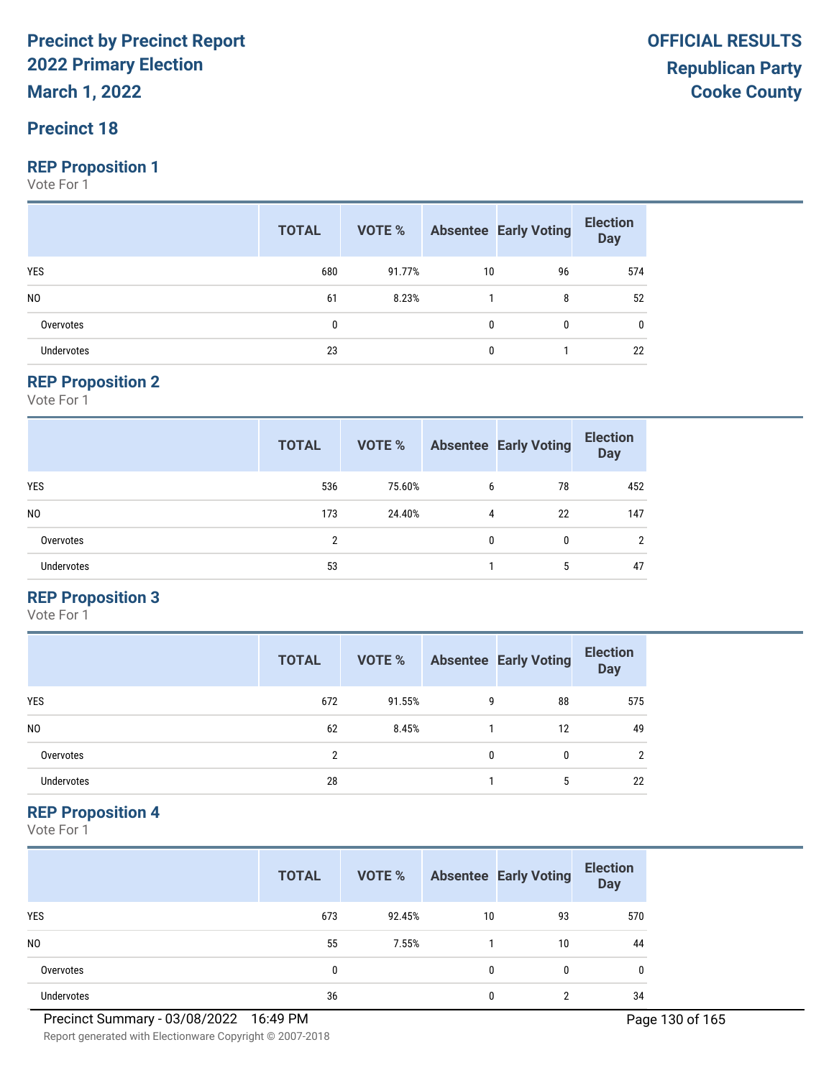**March 1, 2022**

#### **Precinct 18**

#### **REP Proposition 1**

Vote For 1

|                | <b>TOTAL</b> |        |    | <b>VOTE %</b> Absentee Early Voting | <b>Election</b><br>Day |
|----------------|--------------|--------|----|-------------------------------------|------------------------|
| <b>YES</b>     | 680          | 91.77% | 10 | 96                                  | 574                    |
| N <sub>0</sub> | 61           | 8.23%  |    | 8                                   | 52                     |
| Overvotes      | $\mathbf{0}$ |        | 0  | $\mathbf{0}$                        | 0                      |
| Undervotes     | 23           |        | 0  |                                     | 22                     |

#### **REP Proposition 2**

Vote For 1

|                   | <b>TOTAL</b> | <b>VOTE %</b> |              | <b>Absentee Early Voting</b> | <b>Election</b><br><b>Day</b> |
|-------------------|--------------|---------------|--------------|------------------------------|-------------------------------|
| <b>YES</b>        | 536          | 75.60%        | 6            | 78                           | 452                           |
| N <sub>0</sub>    | 173          | 24.40%        | 4            | 22                           | 147                           |
| Overvotes         | 2            |               | $\mathbf{0}$ | 0                            | 2                             |
| <b>Undervotes</b> | 53           |               |              | 5                            | 47                            |

#### **REP Proposition 3**

Vote For 1

|                | <b>TOTAL</b> | VOTE % |   | <b>Absentee Early Voting</b> | <b>Election</b><br><b>Day</b> |
|----------------|--------------|--------|---|------------------------------|-------------------------------|
| <b>YES</b>     | 672          | 91.55% | 9 | 88                           | 575                           |
| N <sub>0</sub> | 62           | 8.45%  |   | 12                           | 49                            |
| Overvotes      | C            |        | 0 | 0                            | $\mathcal{P}$                 |
| Undervotes     | 28           |        |   | 5                            | 22                            |

#### **REP Proposition 4**

Vote For 1

|                | <b>TOTAL</b> | VOTE % |              | <b>Absentee Early Voting</b> | <b>Election</b><br><b>Day</b> |
|----------------|--------------|--------|--------------|------------------------------|-------------------------------|
| <b>YES</b>     | 673          | 92.45% | 10           | 93                           | 570                           |
| N <sub>0</sub> | 55           | 7.55%  |              | 10                           | 44                            |
| Overvotes      | 0            |        | $\mathbf{0}$ | 0                            | 0                             |
| Undervotes     | 36           |        | 0            | c                            | 34                            |

Report generated with Electionware Copyright © 2007-2018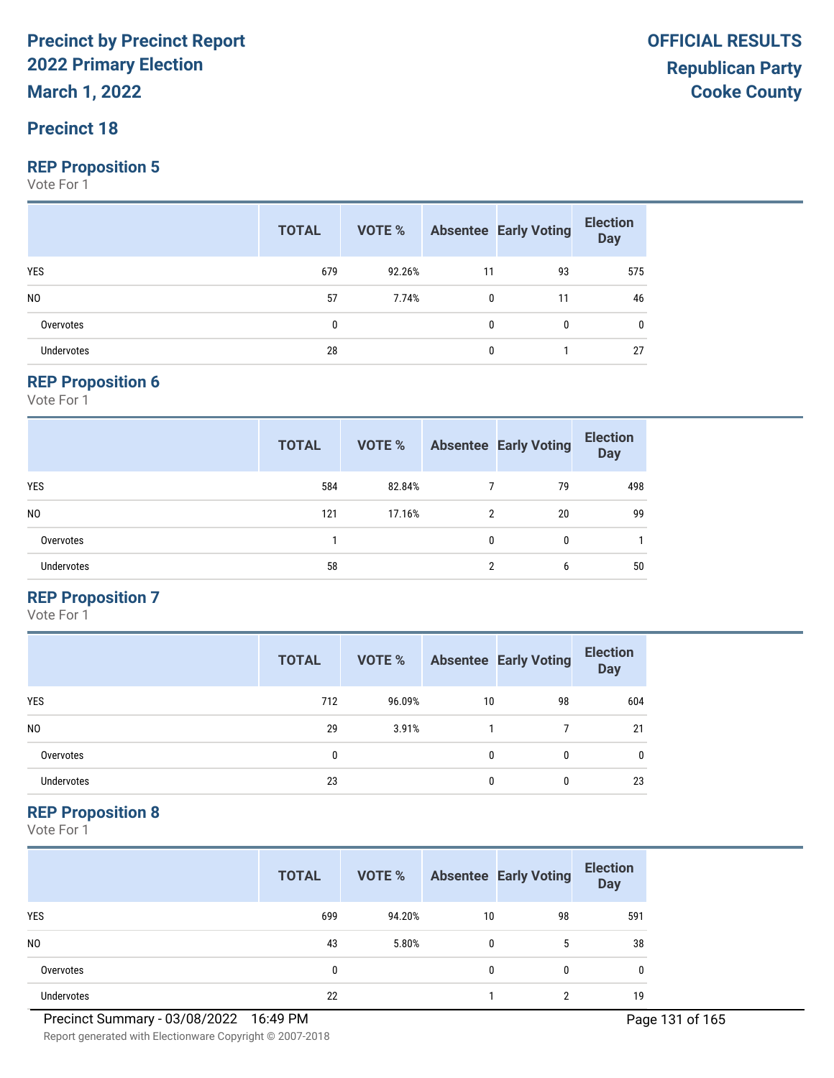**March 1, 2022**

#### **Precinct 18**

#### **REP Proposition 5**

Vote For 1

|                   | <b>TOTAL</b> |        |              | <b>VOTE %</b> Absentee Early Voting | <b>Election</b><br>Day |
|-------------------|--------------|--------|--------------|-------------------------------------|------------------------|
| <b>YES</b>        | 679          | 92.26% | 11           | 93                                  | 575                    |
| N <sub>0</sub>    | 57           | 7.74%  | $\mathbf{0}$ | 11                                  | 46                     |
| Overvotes         | 0            |        | 0            | 0                                   | 0                      |
| <b>Undervotes</b> | 28           |        | 0            |                                     | 27                     |

#### **REP Proposition 6**

Vote For 1

|                   | <b>TOTAL</b> | VOTE % |                | <b>Absentee Early Voting</b> | <b>Election</b><br><b>Day</b> |
|-------------------|--------------|--------|----------------|------------------------------|-------------------------------|
| <b>YES</b>        | 584          | 82.84% |                | 79                           | 498                           |
| N <sub>0</sub>    | 121          | 17.16% | 2              | 20                           | 99                            |
| Overvotes         |              |        | $\mathbf{0}$   | 0                            |                               |
| <b>Undervotes</b> | 58           |        | $\overline{2}$ | 6                            | 50                            |

#### **REP Proposition 7**

Vote For 1

|                | <b>TOTAL</b> | VOTE % |    | <b>Absentee Early Voting</b> | <b>Election</b><br><b>Day</b> |
|----------------|--------------|--------|----|------------------------------|-------------------------------|
| <b>YES</b>     | 712          | 96.09% | 10 | 98                           | 604                           |
| N <sub>0</sub> | 29           | 3.91%  |    |                              | 21                            |
| Overvotes      | 0            |        | 0  | 0                            | 0                             |
| Undervotes     | 23           |        | 0  | 0                            | 23                            |

#### **REP Proposition 8**

Vote For 1

|                | <b>TOTAL</b> | VOTE % |              | <b>Absentee Early Voting</b> | <b>Election</b><br><b>Day</b> |
|----------------|--------------|--------|--------------|------------------------------|-------------------------------|
| <b>YES</b>     | 699          | 94.20% | 10           | 98                           | 591                           |
| N <sub>0</sub> | 43           | 5.80%  | $\mathbf{0}$ | 5                            | 38                            |
| Overvotes      | 0            |        | 0            | $\Omega$                     | 0                             |
| Undervotes     | 22           |        |              | ∩                            | 19                            |

Report generated with Electionware Copyright © 2007-2018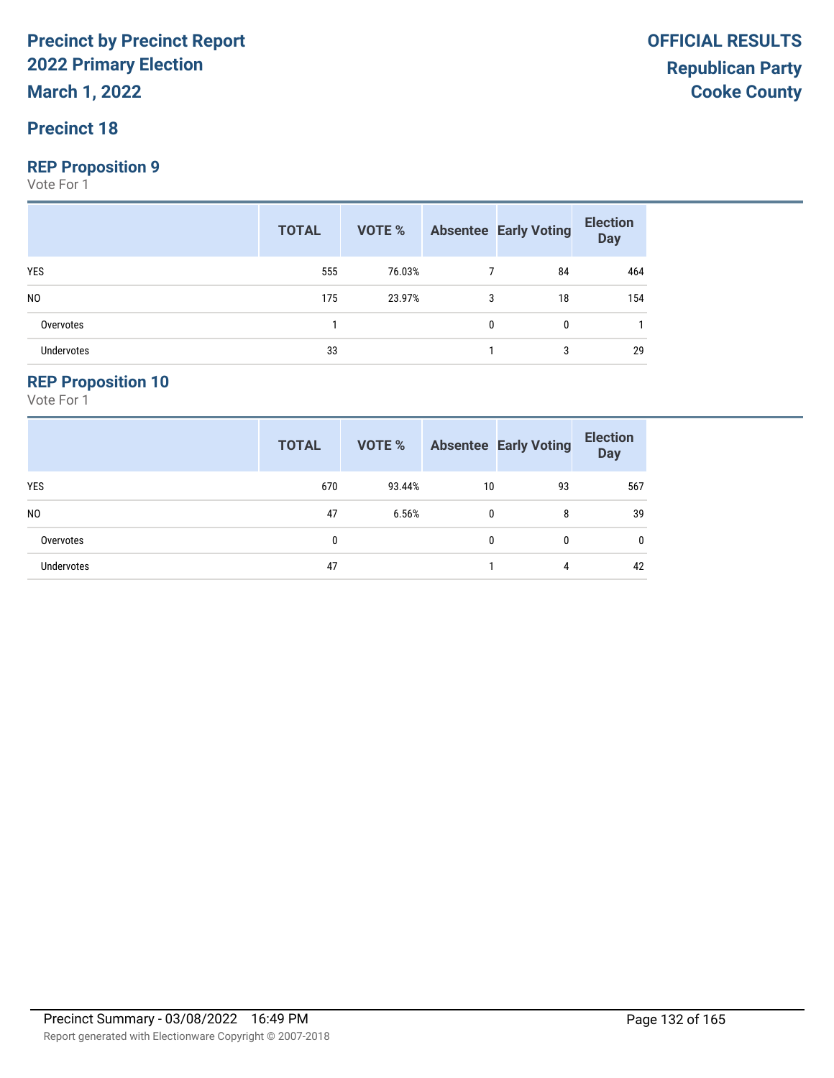**March 1, 2022**

#### **Precinct 18**

#### **REP Proposition 9**

Vote For 1

|                | <b>TOTAL</b> |        |   | <b>VOTE %</b> Absentee Early Voting | <b>Election</b><br>Day |
|----------------|--------------|--------|---|-------------------------------------|------------------------|
| YES            | 555          | 76.03% |   | 84                                  | 464                    |
| N <sub>0</sub> | 175          | 23.97% | 3 | 18                                  | 154                    |
| Overvotes      |              |        | 0 | $\bf{0}$                            |                        |
| Undervotes     | 33           |        |   | 3                                   | 29                     |

#### **REP Proposition 10**

|                   | <b>TOTAL</b> | VOTE % |    | <b>Absentee Early Voting</b> | <b>Election</b><br><b>Day</b> |
|-------------------|--------------|--------|----|------------------------------|-------------------------------|
| YES               | 670          | 93.44% | 10 | 93                           | 567                           |
| N <sub>0</sub>    | 47           | 6.56%  | 0  | 8                            | 39                            |
| Overvotes         | $\mathbf{0}$ |        | 0  | 0                            | $\mathbf{0}$                  |
| <b>Undervotes</b> | 47           |        |    | 4                            | 42                            |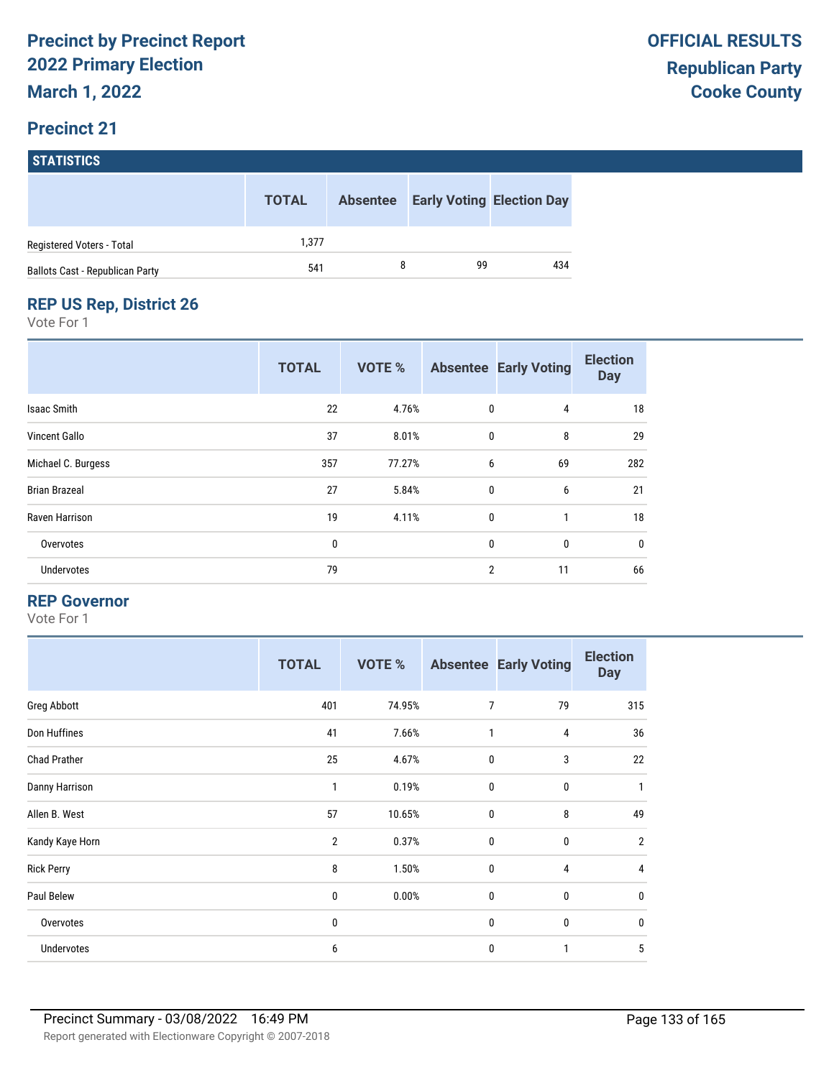# **STATISTICS**

|                                        | <b>TOTAL</b> | <b>Absentee</b> | <b>Early Voting Election Day</b> |     |
|----------------------------------------|--------------|-----------------|----------------------------------|-----|
| Registered Voters - Total              | 1.377        |                 |                                  |     |
| <b>Ballots Cast - Republican Party</b> | 541          |                 | 99                               | 434 |

#### **REP US Rep, District 26**

Vote For 1

|                      | <b>TOTAL</b> | <b>VOTE %</b> |                | <b>Absentee Early Voting</b> | <b>Election</b><br><b>Day</b> |
|----------------------|--------------|---------------|----------------|------------------------------|-------------------------------|
| Isaac Smith          | 22           | 4.76%         | 0              | 4                            | 18                            |
| <b>Vincent Gallo</b> | 37           | 8.01%         | $\mathbf{0}$   | 8                            | 29                            |
| Michael C. Burgess   | 357          | 77.27%        | 6              | 69                           | 282                           |
| <b>Brian Brazeal</b> | 27           | 5.84%         | $\mathbf{0}$   | 6                            | 21                            |
| Raven Harrison       | 19           | 4.11%         | $\mathbf{0}$   | $\mathbf{1}$                 | 18                            |
| Overvotes            | 0            |               | $\mathbf{0}$   | 0                            | 0                             |
| Undervotes           | 79           |               | $\overline{2}$ | 11                           | 66                            |

#### **REP Governor**

|                     | <b>TOTAL</b> | <b>VOTE %</b> |                  | <b>Absentee Early Voting</b> | <b>Election</b><br><b>Day</b> |
|---------------------|--------------|---------------|------------------|------------------------------|-------------------------------|
| Greg Abbott         | 401          | 74.95%        | $\overline{7}$   | 79                           | 315                           |
| Don Huffines        | 41           | 7.66%         | 1                | 4                            | 36                            |
| <b>Chad Prather</b> | 25           | 4.67%         | $\mathbf 0$      | 3                            | 22                            |
| Danny Harrison      | 1            | 0.19%         | $\mathbf{0}$     | $\mathbf 0$                  | 1                             |
| Allen B. West       | 57           | 10.65%        | $\boldsymbol{0}$ | 8                            | 49                            |
| Kandy Kaye Horn     | 2            | 0.37%         | $\mathbf{0}$     | $\mathbf{0}$                 | $\overline{2}$                |
| <b>Rick Perry</b>   | 8            | 1.50%         | $\mathbf 0$      | 4                            | 4                             |
| Paul Belew          | 0            | 0.00%         | $\mathbf 0$      | $\mathbf 0$                  | $\mathbf{0}$                  |
| Overvotes           | 0            |               | $\mathbf 0$      | 0                            | $\mathbf{0}$                  |
| Undervotes          | 6            |               | $\mathbf{0}$     | 1                            | 5                             |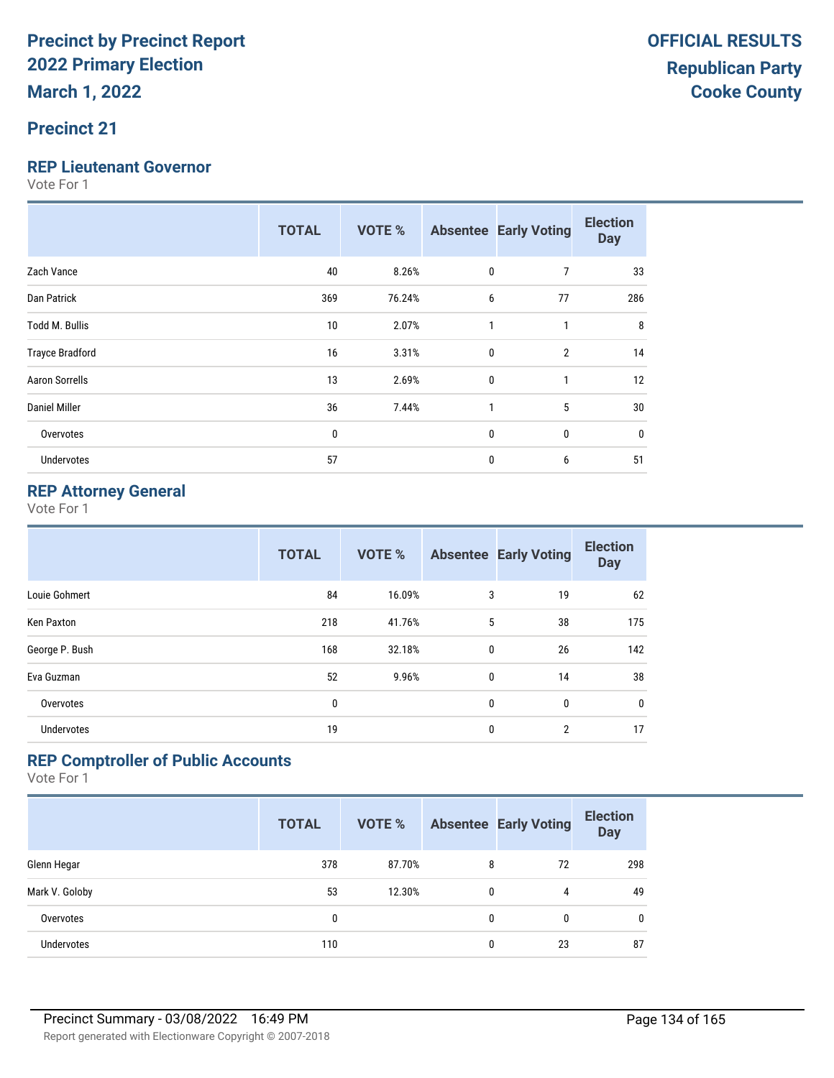#### **Precinct 21**

#### **REP Lieutenant Governor**

Vote For 1

|                        | <b>TOTAL</b> | <b>VOTE %</b> |   | <b>Absentee Early Voting</b> | <b>Election</b><br><b>Day</b> |
|------------------------|--------------|---------------|---|------------------------------|-------------------------------|
| Zach Vance             | 40           | 8.26%         | 0 | 7                            | 33                            |
| Dan Patrick            | 369          | 76.24%        | 6 | 77                           | 286                           |
| <b>Todd M. Bullis</b>  | 10           | 2.07%         | 1 | 1                            | 8                             |
| <b>Trayce Bradford</b> | 16           | 3.31%         | 0 | $\overline{2}$               | 14                            |
| <b>Aaron Sorrells</b>  | 13           | 2.69%         | 0 | 1                            | 12                            |
| Daniel Miller          | 36           | 7.44%         | 1 | 5                            | 30                            |
| Overvotes              | $\mathbf{0}$ |               | 0 | 0                            | $\mathbf{0}$                  |
| <b>Undervotes</b>      | 57           |               | 0 | 6                            | 51                            |

#### **REP Attorney General**

Vote For 1

|                | <b>TOTAL</b> | <b>VOTE %</b> |              | <b>Absentee Early Voting</b> | <b>Election</b><br><b>Day</b> |
|----------------|--------------|---------------|--------------|------------------------------|-------------------------------|
| Louie Gohmert  | 84           | 16.09%        | 3            | 19                           | 62                            |
| Ken Paxton     | 218          | 41.76%        | 5            | 38                           | 175                           |
| George P. Bush | 168          | 32.18%        | $\mathbf{0}$ | 26                           | 142                           |
| Eva Guzman     | 52           | 9.96%         | 0            | 14                           | 38                            |
| Overvotes      | 0            |               | $\mathbf{0}$ | 0                            | 0                             |
| Undervotes     | 19           |               | $\mathbf{0}$ | $\overline{2}$               | 17                            |

#### **REP Comptroller of Public Accounts**

|                   | <b>TOTAL</b> | <b>VOTE %</b> |   | <b>Absentee Early Voting</b> | <b>Election</b><br><b>Day</b> |
|-------------------|--------------|---------------|---|------------------------------|-------------------------------|
| Glenn Hegar       | 378          | 87.70%        | 8 | 72                           | 298                           |
| Mark V. Goloby    | 53           | 12.30%        | 0 | 4                            | 49                            |
| Overvotes         | 0            |               | 0 | 0                            | $\mathbf{0}$                  |
| <b>Undervotes</b> | 110          |               | 0 | 23                           | 87                            |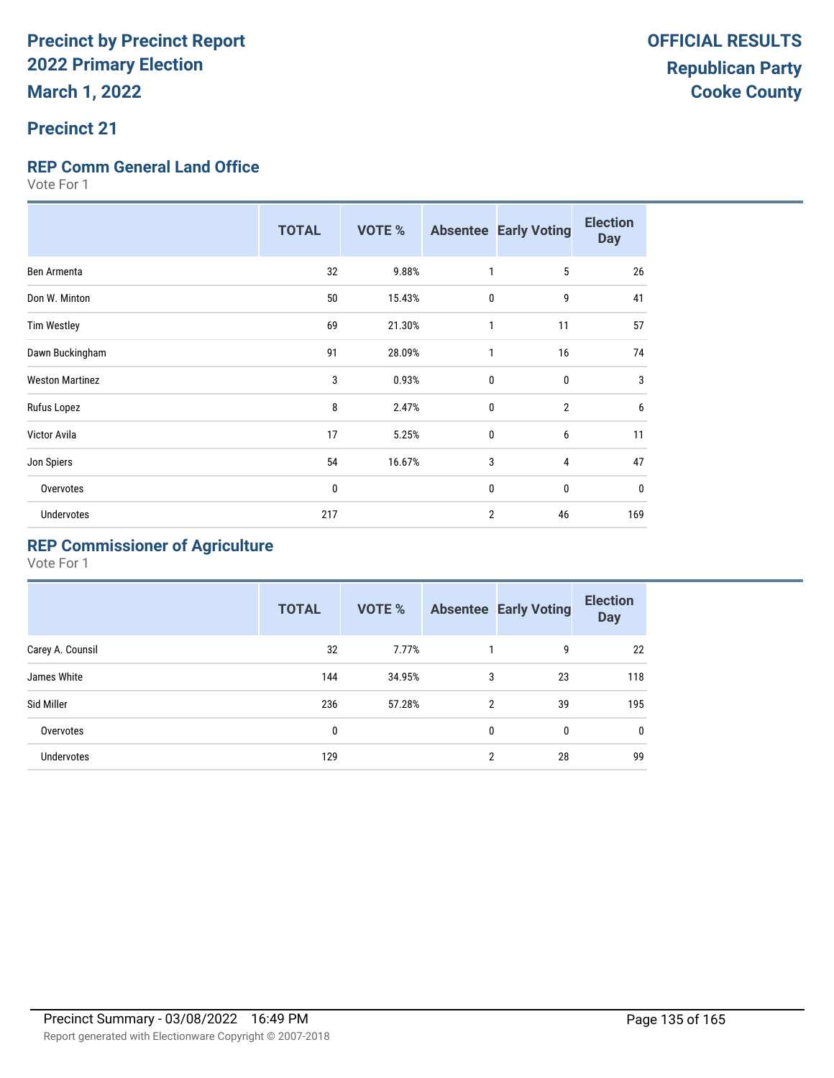#### **Precinct 21**

#### **REP Comm General Land Office**

Vote For 1

|                        | <b>TOTAL</b> | <b>VOTE %</b> |              | <b>Absentee Early Voting</b> | <b>Election</b><br><b>Day</b> |
|------------------------|--------------|---------------|--------------|------------------------------|-------------------------------|
| Ben Armenta            | 32           | 9.88%         | $\mathbf{1}$ | 5                            | 26                            |
| Don W. Minton          | 50           | 15.43%        | 0            | 9                            | 41                            |
| <b>Tim Westley</b>     | 69           | 21.30%        | 1            | 11                           | 57                            |
| Dawn Buckingham        | 91           | 28.09%        | 1            | 16                           | 74                            |
| <b>Weston Martinez</b> | 3            | 0.93%         | 0            | $\mathbf{0}$                 | 3                             |
| Rufus Lopez            | 8            | 2.47%         | $\mathbf{0}$ | $\overline{2}$               | 6                             |
| Victor Avila           | 17           | 5.25%         | 0            | 6                            | 11                            |
| Jon Spiers             | 54           | 16.67%        | 3            | 4                            | 47                            |
| Overvotes              | 0            |               | 0            | $\mathbf{0}$                 | 0                             |
| <b>Undervotes</b>      | 217          |               | 2            | 46                           | 169                           |

### **REP Commissioner of Agriculture**

|                  | <b>TOTAL</b> | VOTE % |   | <b>Absentee Early Voting</b> | <b>Election</b><br><b>Day</b> |
|------------------|--------------|--------|---|------------------------------|-------------------------------|
| Carey A. Counsil | 32           | 7.77%  |   | 9                            | 22                            |
| James White      | 144          | 34.95% | 3 | 23                           | 118                           |
| Sid Miller       | 236          | 57.28% | 2 | 39                           | 195                           |
| Overvotes        | 0            |        | 0 | 0                            | 0                             |
| Undervotes       | 129          |        | 2 | 28                           | 99                            |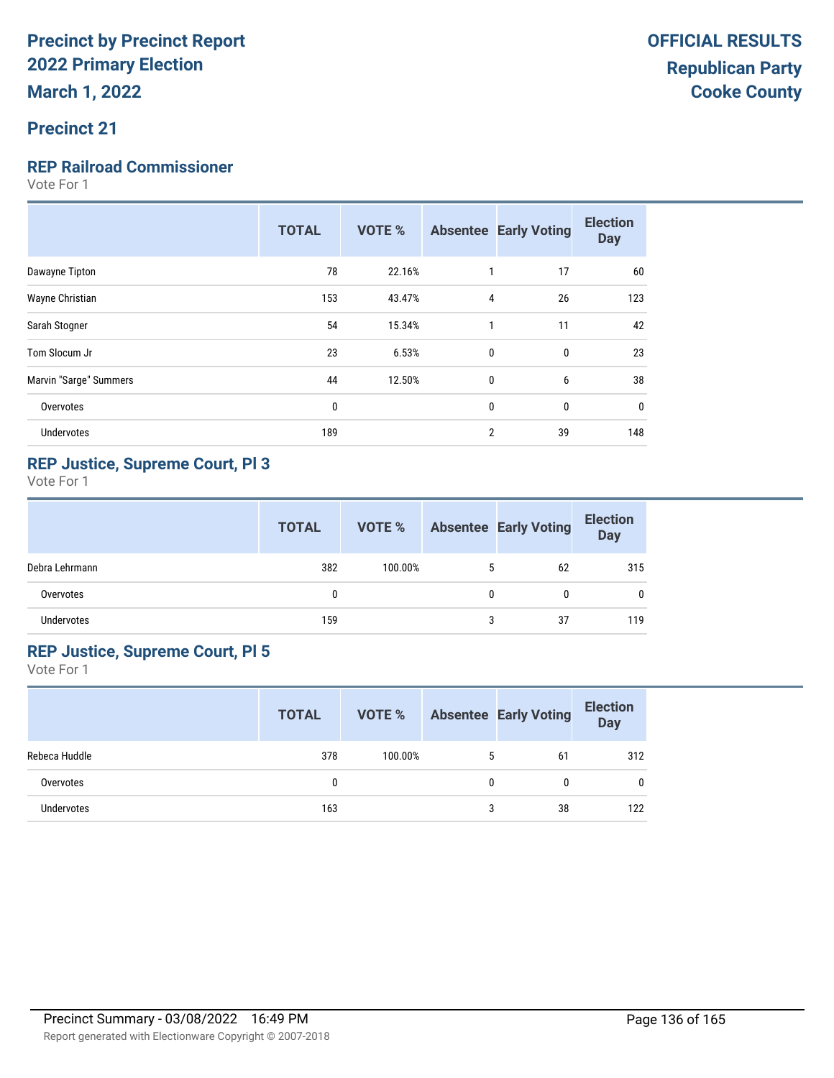#### **Precinct 21**

#### **REP Railroad Commissioner**

Vote For 1

| 78<br>22.16%<br>17<br>60<br>Dawayne Tipton<br>1<br>123<br>Wayne Christian<br>153<br>43.47%<br>4<br>26<br>54<br>42<br>15.34%<br>11<br>Sarah Stogner<br>1<br>23<br>6.53%<br>$\mathbf{0}$<br>23<br>Tom Slocum Jr<br>$\mathbf{0}$<br>38<br>Marvin "Sarge" Summers<br>44<br>$\mathbf 0$<br>6<br>12.50%<br>0<br>$\mathbf{0}$<br>$\mathbf{0}$<br>Overvotes<br>0<br>$\overline{2}$<br>39<br>148<br>Undervotes<br>189 | <b>TOTAL</b> | <b>VOTE %</b> | <b>Absentee Early Voting</b> | <b>Election</b><br><b>Day</b> |
|--------------------------------------------------------------------------------------------------------------------------------------------------------------------------------------------------------------------------------------------------------------------------------------------------------------------------------------------------------------------------------------------------------------|--------------|---------------|------------------------------|-------------------------------|
|                                                                                                                                                                                                                                                                                                                                                                                                              |              |               |                              |                               |
|                                                                                                                                                                                                                                                                                                                                                                                                              |              |               |                              |                               |
|                                                                                                                                                                                                                                                                                                                                                                                                              |              |               |                              |                               |
|                                                                                                                                                                                                                                                                                                                                                                                                              |              |               |                              |                               |
|                                                                                                                                                                                                                                                                                                                                                                                                              |              |               |                              |                               |
|                                                                                                                                                                                                                                                                                                                                                                                                              |              |               |                              |                               |
|                                                                                                                                                                                                                                                                                                                                                                                                              |              |               |                              |                               |

#### **REP Justice, Supreme Court, Pl 3**

Vote For 1

|                   | <b>TOTAL</b> | VOTE %  |   | <b>Absentee Early Voting</b> | <b>Election</b><br><b>Day</b> |
|-------------------|--------------|---------|---|------------------------------|-------------------------------|
| Debra Lehrmann    | 382          | 100.00% | 5 | 62                           | 315                           |
| Overvotes         | 0            |         | 0 | 0                            | 0                             |
| <b>Undervotes</b> | 159          |         | 3 | 37                           | 119                           |

#### **REP Justice, Supreme Court, Pl 5**

|               | <b>TOTAL</b> | VOTE %  |   | <b>Absentee Early Voting</b> | <b>Election</b><br><b>Day</b> |
|---------------|--------------|---------|---|------------------------------|-------------------------------|
| Rebeca Huddle | 378          | 100.00% | 5 | 61                           | 312                           |
| Overvotes     |              |         | 0 | N                            | $\mathbf{0}$                  |
| Undervotes    | 163          |         | 3 | 38                           | 122                           |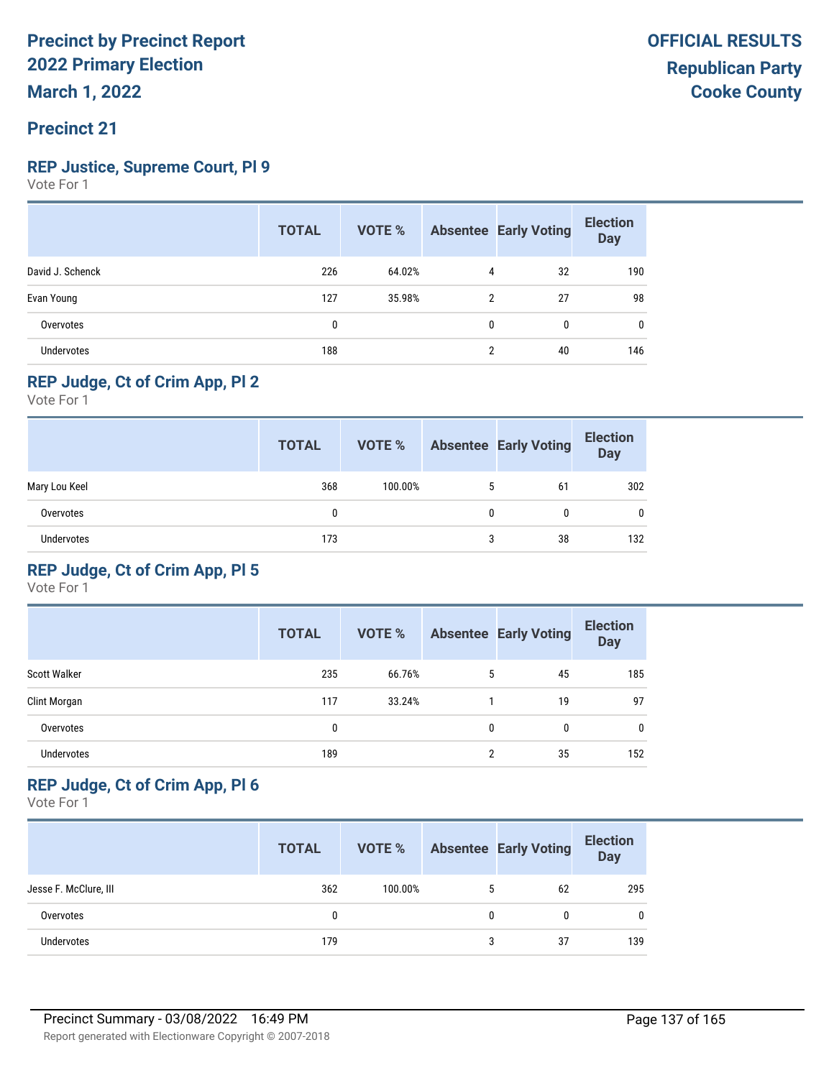#### **Precinct 21**

#### **REP Justice, Supreme Court, Pl 9**

Vote For 1

|                   | <b>TOTAL</b> | VOTE % |   | <b>Absentee Early Voting</b> | <b>Election</b><br><b>Day</b> |
|-------------------|--------------|--------|---|------------------------------|-------------------------------|
| David J. Schenck  | 226          | 64.02% | 4 | 32                           | 190                           |
| Evan Young        | 127          | 35.98% | 2 | 27                           | 98                            |
| Overvotes         | 0            |        | 0 | $\Omega$                     | $\mathbf{0}$                  |
| <b>Undervotes</b> | 188          |        | 2 | 40                           | 146                           |

#### **REP Judge, Ct of Crim App, Pl 2**

Vote For 1

|                   | <b>TOTAL</b> | VOTE %  |   | <b>Absentee Early Voting</b> | <b>Election</b><br><b>Day</b> |
|-------------------|--------------|---------|---|------------------------------|-------------------------------|
| Mary Lou Keel     | 368          | 100.00% | 5 | 61                           | 302                           |
| Overvotes         | 0            |         | 0 |                              | $\mathbf{0}$                  |
| <b>Undervotes</b> | 173          |         | 3 | 38                           | 132                           |

#### **REP Judge, Ct of Crim App, Pl 5**

Vote For 1

|                     | <b>TOTAL</b> | <b>VOTE %</b> |   | <b>Absentee Early Voting</b> | <b>Election</b><br><b>Day</b> |
|---------------------|--------------|---------------|---|------------------------------|-------------------------------|
| <b>Scott Walker</b> | 235          | 66.76%        | 5 | 45                           | 185                           |
| Clint Morgan        | 117          | 33.24%        |   | 19                           | 97                            |
| Overvotes           | 0            |               | 0 | 0                            | 0                             |
| <b>Undervotes</b>   | 189          |               | 2 | 35                           | 152                           |

#### **REP Judge, Ct of Crim App, Pl 6**

|                       | <b>TOTAL</b> | VOTE %  |   | <b>Absentee Early Voting</b> | <b>Election</b><br><b>Day</b> |
|-----------------------|--------------|---------|---|------------------------------|-------------------------------|
| Jesse F. McClure, III | 362          | 100.00% |   | 62                           | 295                           |
| Overvotes             | 0            |         | 0 |                              | $\mathbf{0}$                  |
| Undervotes            | 179          |         | 3 | 37                           | 139                           |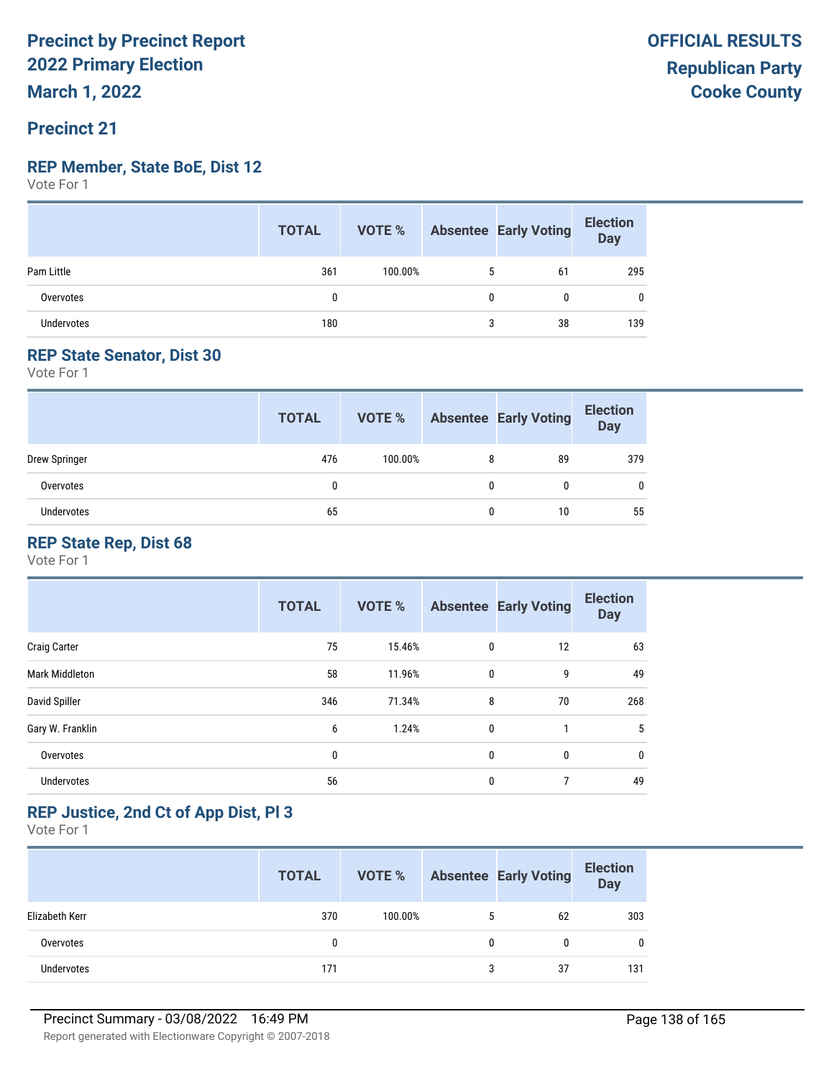#### **REP Member, State BoE, Dist 12**

Vote For 1

|                   | <b>TOTAL</b> | VOTE %  |   | Absentee Early Voting | <b>Election</b><br>Day |
|-------------------|--------------|---------|---|-----------------------|------------------------|
| Pam Little        | 361          | 100.00% | 5 | 61                    | 295                    |
| Overvotes         | 0            |         | 0 |                       | 0                      |
| <b>Undervotes</b> | 180          |         | 3 | 38                    | 139                    |

#### **REP State Senator, Dist 30**

Vote For 1

|               | <b>TOTAL</b> | VOTE %  |   | <b>Absentee Early Voting</b> | <b>Election</b><br>Day |
|---------------|--------------|---------|---|------------------------------|------------------------|
| Drew Springer | 476          | 100.00% | 8 | 89                           | 379                    |
| Overvotes     | 0            |         | 0 |                              | 0                      |
| Undervotes    | 65           |         |   | 10                           | 55                     |

#### **REP State Rep, Dist 68**

Vote For 1

|                     | <b>TOTAL</b> | <b>VOTE %</b> |              | <b>Absentee Early Voting</b> | <b>Election</b><br><b>Day</b> |
|---------------------|--------------|---------------|--------------|------------------------------|-------------------------------|
| <b>Craig Carter</b> | 75           | 15.46%        | 0            | 12                           | 63                            |
| Mark Middleton      | 58           | 11.96%        | 0            | 9                            | 49                            |
| David Spiller       | 346          | 71.34%        | 8            | 70                           | 268                           |
| Gary W. Franklin    | 6            | 1.24%         | $\mathbf{0}$ | $\overline{1}$               | 5                             |
| Overvotes           | 0            |               | 0            | $\mathbf{0}$                 | $\mathbf{0}$                  |
| Undervotes          | 56           |               | $\mathbf{0}$ | 7                            | 49                            |

#### **REP Justice, 2nd Ct of App Dist, Pl 3**

|                | <b>TOTAL</b> | VOTE %  |   | <b>Absentee Early Voting</b> | <b>Election</b><br>Day |
|----------------|--------------|---------|---|------------------------------|------------------------|
| Elizabeth Kerr | 370          | 100.00% | 5 | 62                           | 303                    |
| Overvotes      | 0            |         | 0 |                              | 0                      |
| Undervotes     | 171          |         | 3 | 37                           | 131                    |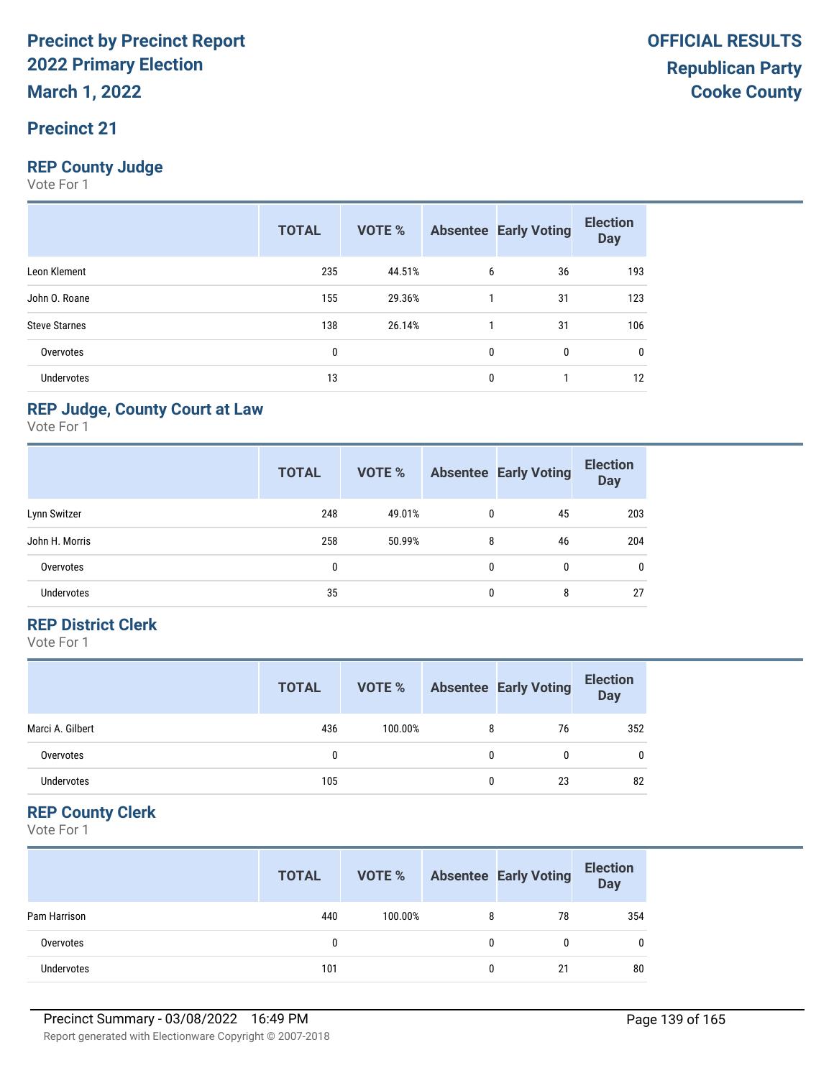#### **Precinct 21**

#### **REP County Judge**

Vote For 1

|                      | <b>TOTAL</b> | <b>VOTE %</b> |   | <b>Absentee Early Voting</b> | <b>Election</b><br><b>Day</b> |
|----------------------|--------------|---------------|---|------------------------------|-------------------------------|
| Leon Klement         | 235          | 44.51%        | 6 | 36                           | 193                           |
| John O. Roane        | 155          | 29.36%        |   | 31                           | 123                           |
| <b>Steve Starnes</b> | 138          | 26.14%        |   | 31                           | 106                           |
| Overvotes            | 0            |               | 0 | 0                            | 0                             |
| <b>Undervotes</b>    | 13           |               | 0 |                              | 12                            |

#### **REP Judge, County Court at Law**

Vote For 1

|                   | <b>TOTAL</b> | VOTE % |   | <b>Absentee Early Voting</b> | <b>Election</b><br><b>Day</b> |
|-------------------|--------------|--------|---|------------------------------|-------------------------------|
| Lynn Switzer      | 248          | 49.01% | 0 | 45                           | 203                           |
| John H. Morris    | 258          | 50.99% | 8 | 46                           | 204                           |
| Overvotes         | 0            |        | 0 | $\mathbf{0}$                 | $\mathbf{0}$                  |
| <b>Undervotes</b> | 35           |        | 0 | 8                            | 27                            |

#### **REP District Clerk**

Vote For 1

|                  | <b>TOTAL</b> | VOTE %  |   | <b>Absentee Early Voting</b> | <b>Election</b><br><b>Day</b> |
|------------------|--------------|---------|---|------------------------------|-------------------------------|
| Marci A. Gilbert | 436          | 100.00% | 8 | 76                           | 352                           |
| Overvotes        |              |         | 0 |                              | $\mathbf{0}$                  |
| Undervotes       | 105          |         | 0 | 23                           | 82                            |

#### **REP County Clerk**

|              | <b>TOTAL</b> | VOTE %  |              | <b>Absentee Early Voting</b> | <b>Election</b><br>Day |
|--------------|--------------|---------|--------------|------------------------------|------------------------|
| Pam Harrison | 440          | 100.00% | 8            | 78                           | 354                    |
| Overvotes    | 0            |         | $\mathbf{0}$ | 0                            |                        |
| Undervotes   | 101          |         | 0            | 21                           | 80                     |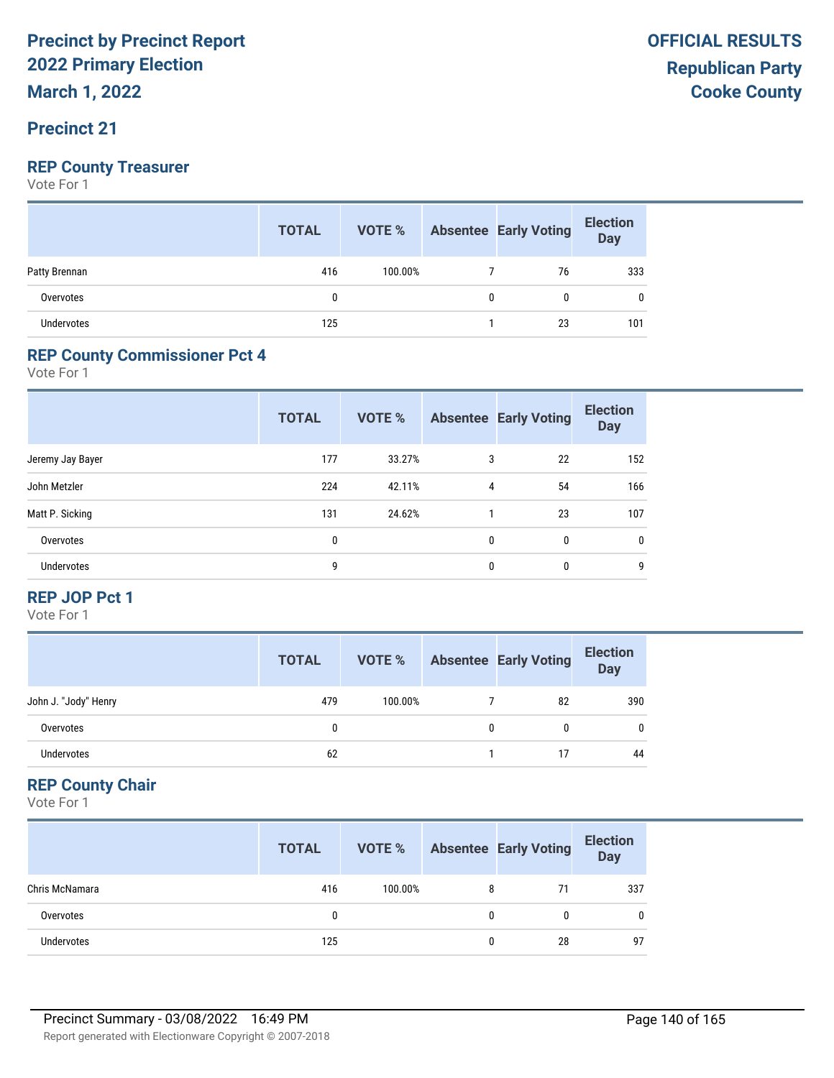#### **Precinct 21**

#### **REP County Treasurer**

Vote For 1

|                   | <b>TOTAL</b> | VOTE %  |   | Absentee Early Voting | <b>Election</b><br>Day |
|-------------------|--------------|---------|---|-----------------------|------------------------|
| Patty Brennan     | 416          | 100.00% |   | 76                    | 333                    |
| Overvotes         |              |         | 0 | 0                     |                        |
| <b>Undervotes</b> | 125          |         |   | 23                    | 101                    |

#### **REP County Commissioner Pct 4**

Vote For 1

|                   | <b>TOTAL</b> | <b>VOTE %</b> |   | <b>Absentee Early Voting</b> | <b>Election</b><br><b>Day</b> |
|-------------------|--------------|---------------|---|------------------------------|-------------------------------|
| Jeremy Jay Bayer  | 177          | 33.27%        | 3 | 22                           | 152                           |
| John Metzler      | 224          | 42.11%        | 4 | 54                           | 166                           |
| Matt P. Sicking   | 131          | 24.62%        |   | 23                           | 107                           |
| Overvotes         | 0            |               | 0 | $\mathbf{0}$                 | $\mathbf{0}$                  |
| <b>Undervotes</b> | 9            |               | 0 | $\mathbf{0}$                 | 9                             |

#### **REP JOP Pct 1**

Vote For 1

|                      | <b>TOTAL</b> | VOTE %  | <b>Absentee Early Voting</b> | <b>Election</b><br>Day |
|----------------------|--------------|---------|------------------------------|------------------------|
| John J. "Jody" Henry | 479          | 100.00% | 82                           | 390                    |
| Overvotes            |              |         |                              | $\mathbf{0}$           |
| Undervotes           | 62           |         | 17                           | 44                     |

#### **REP County Chair**

|                   | <b>TOTAL</b> | VOTE %  |   | <b>Absentee Early Voting</b> | <b>Election</b><br>Day |
|-------------------|--------------|---------|---|------------------------------|------------------------|
| Chris McNamara    | 416          | 100.00% | 8 |                              | 337                    |
| Overvotes         |              |         | 0 |                              | 0                      |
| <b>Undervotes</b> | 125          |         | 0 | 28                           | 97                     |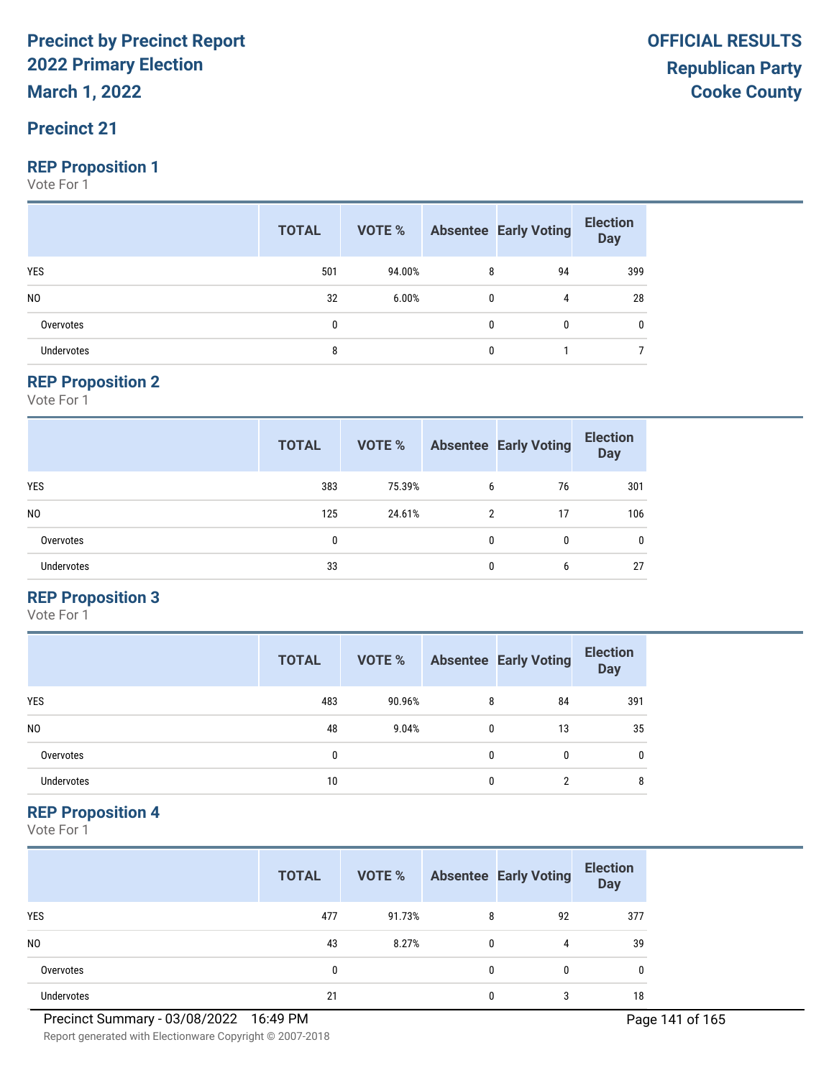**March 1, 2022**

#### **Precinct 21**

#### **REP Proposition 1**

Vote For 1

|                   | <b>TOTAL</b> |        |              | <b>VOTE %</b> Absentee Early Voting | <b>Election</b><br>Day |
|-------------------|--------------|--------|--------------|-------------------------------------|------------------------|
| YES               | 501          | 94.00% | 8            | 94                                  | 399                    |
| N <sub>0</sub>    | 32           | 6.00%  | 0            | 4                                   | 28                     |
| Overvotes         | 0            |        | $\mathbf{0}$ | 0                                   | 0                      |
| <b>Undervotes</b> | 8            |        | 0            |                                     |                        |

#### **REP Proposition 2**

Vote For 1

|                   | <b>TOTAL</b> | VOTE % |   | <b>Absentee Early Voting</b> | <b>Election</b><br><b>Day</b> |
|-------------------|--------------|--------|---|------------------------------|-------------------------------|
| <b>YES</b>        | 383          | 75.39% | 6 | 76                           | 301                           |
| N <sub>0</sub>    | 125          | 24.61% | 2 | 17                           | 106                           |
| Overvotes         | 0            |        | 0 | 0                            | $\mathbf{0}$                  |
| <b>Undervotes</b> | 33           |        | 0 | 6                            | 27                            |

#### **REP Proposition 3**

Vote For 1

|                | <b>TOTAL</b> | VOTE % |   | <b>Absentee Early Voting</b> | <b>Election</b><br><b>Day</b> |
|----------------|--------------|--------|---|------------------------------|-------------------------------|
| <b>YES</b>     | 483          | 90.96% | 8 | 84                           | 391                           |
| N <sub>0</sub> | 48           | 9.04%  | 0 | 13                           | 35                            |
| Overvotes      | 0            |        | 0 | $\Omega$                     | 0                             |
| Undervotes     | 10           |        | 0 | ∩                            | 8                             |

#### **REP Proposition 4**

Vote For 1

|                   | <b>TOTAL</b> | VOTE % |   | <b>Absentee Early Voting</b> | <b>Election</b><br><b>Day</b> |
|-------------------|--------------|--------|---|------------------------------|-------------------------------|
| <b>YES</b>        | 477          | 91.73% | 8 | 92                           | 377                           |
| N <sub>0</sub>    | 43           | 8.27%  |   | 4                            | 39                            |
| Overvotes         | 0            |        | 0 | 0                            | 0                             |
| <b>Undervotes</b> | 21           |        |   | 3                            | 18                            |

Report generated with Electionware Copyright © 2007-2018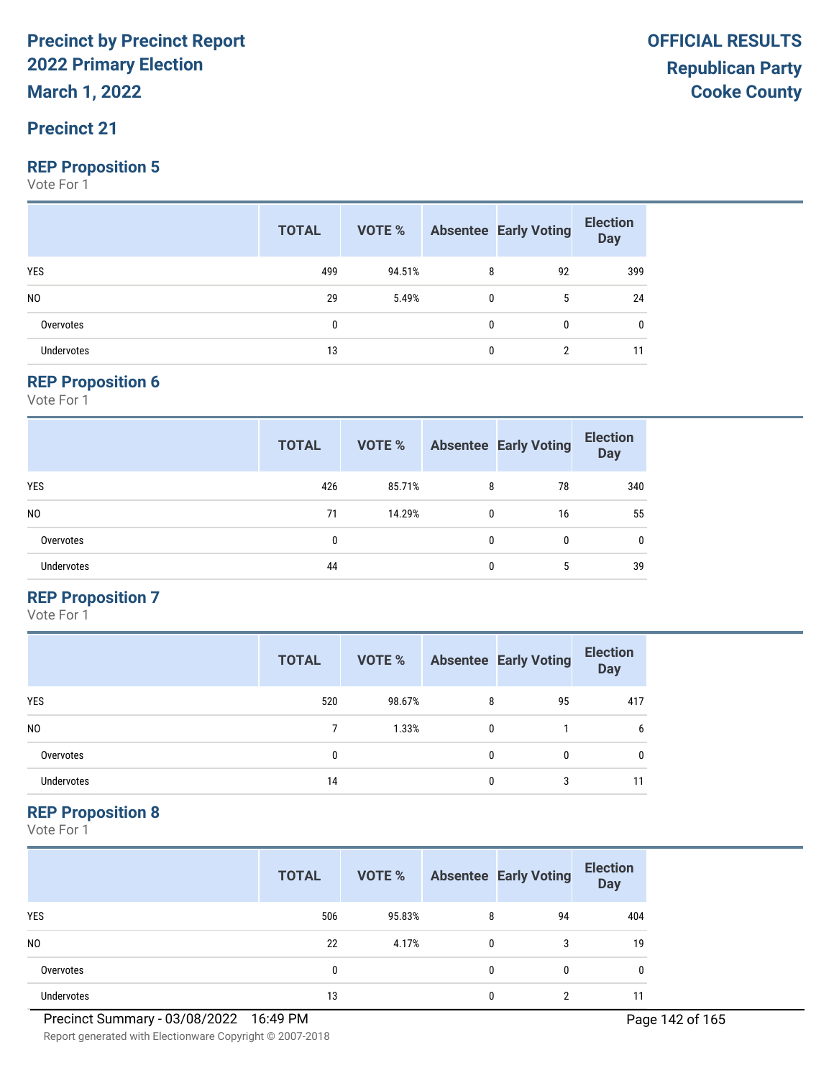**March 1, 2022**

#### **Precinct 21**

#### **REP Proposition 5**

Vote For 1

|                   | <b>TOTAL</b> |        |              | <b>VOTE %</b> Absentee Early Voting | <b>Election</b><br>Day |
|-------------------|--------------|--------|--------------|-------------------------------------|------------------------|
| <b>YES</b>        | 499          | 94.51% | 8            | 92                                  | 399                    |
| N <sub>0</sub>    | 29           | 5.49%  | $\mathbf{0}$ | 5                                   | 24                     |
| Overvotes         | 0            |        | $\Omega$     |                                     | 0                      |
| <b>Undervotes</b> | 13           |        | $\Omega$     |                                     | 11                     |

#### **REP Proposition 6**

Vote For 1

|                   | <b>TOTAL</b> | VOTE % |   | <b>Absentee Early Voting</b> | <b>Election</b><br><b>Day</b> |
|-------------------|--------------|--------|---|------------------------------|-------------------------------|
| <b>YES</b>        | 426          | 85.71% | 8 | 78                           | 340                           |
| N <sub>0</sub>    | 71           | 14.29% | 0 | 16                           | 55                            |
| Overvotes         | 0            |        | 0 | 0                            | $\mathbf{0}$                  |
| <b>Undervotes</b> | 44           |        | 0 | 5                            | 39                            |

#### **REP Proposition 7**

Vote For 1

|                | <b>TOTAL</b> | VOTE % |   | <b>Absentee Early Voting</b> | <b>Election</b><br><b>Day</b> |
|----------------|--------------|--------|---|------------------------------|-------------------------------|
| <b>YES</b>     | 520          | 98.67% | 8 | 95                           | 417                           |
| N <sub>0</sub> |              | 1.33%  | 0 |                              | 6                             |
| Overvotes      | 0            |        | 0 | 0                            | 0                             |
| Undervotes     | 14           |        | O | 3                            | 11                            |

#### **REP Proposition 8**

Vote For 1

|                | <b>TOTAL</b> | VOTE % |              | <b>Absentee Early Voting</b> | <b>Election</b><br><b>Day</b> |
|----------------|--------------|--------|--------------|------------------------------|-------------------------------|
| <b>YES</b>     | 506          | 95.83% | 8            | 94                           | 404                           |
| N <sub>0</sub> | 22           | 4.17%  | $\mathbf{0}$ | 3                            | 19                            |
| Overvotes      | 0            |        | $\mathbf{0}$ | 0                            | 0                             |
| Undervotes     | 13           |        | 0            | ∩                            |                               |

Report generated with Electionware Copyright © 2007-2018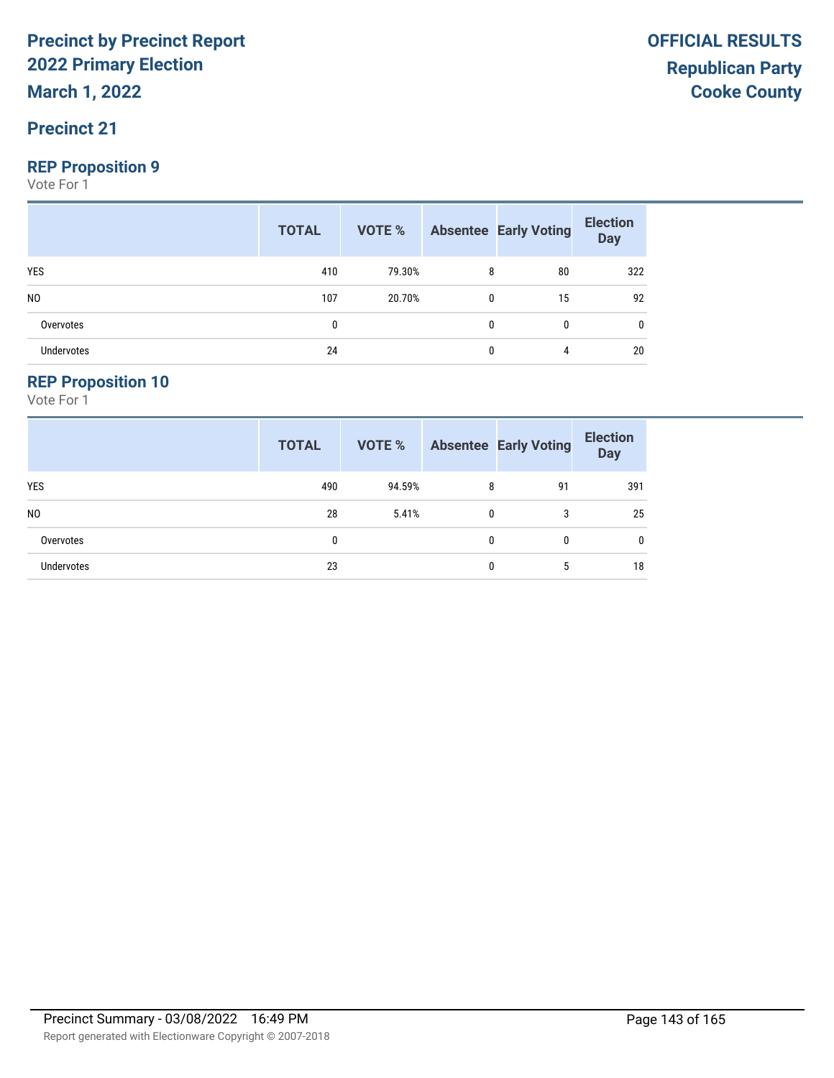#### **Precinct 21**

#### **REP Proposition 9**

Vote For 1

|                   | <b>TOTAL</b> |        |              | <b>VOTE %</b> Absentee Early Voting | <b>Election</b><br>Day |
|-------------------|--------------|--------|--------------|-------------------------------------|------------------------|
| YES               | 410          | 79.30% | 8            | 80                                  | 322                    |
| N <sub>0</sub>    | 107          | 20.70% | 0            | 15                                  | 92                     |
| Overvotes         | 0            |        | $\mathbf{0}$ | 0                                   | 0                      |
| <b>Undervotes</b> | 24           |        | 0            | 4                                   | 20                     |

#### **REP Proposition 10**

|                   | <b>TOTAL</b> | <b>VOTE %</b> |   | <b>Absentee Early Voting</b> | <b>Election</b><br><b>Day</b> |
|-------------------|--------------|---------------|---|------------------------------|-------------------------------|
| <b>YES</b>        | 490          | 94.59%        | 8 | 91                           | 391                           |
| N <sub>0</sub>    | 28           | 5.41%         | 0 | 3                            | 25                            |
| Overvotes         | 0            |               | 0 | 0                            | 0                             |
| <b>Undervotes</b> | 23           |               | 0 | 5                            | 18                            |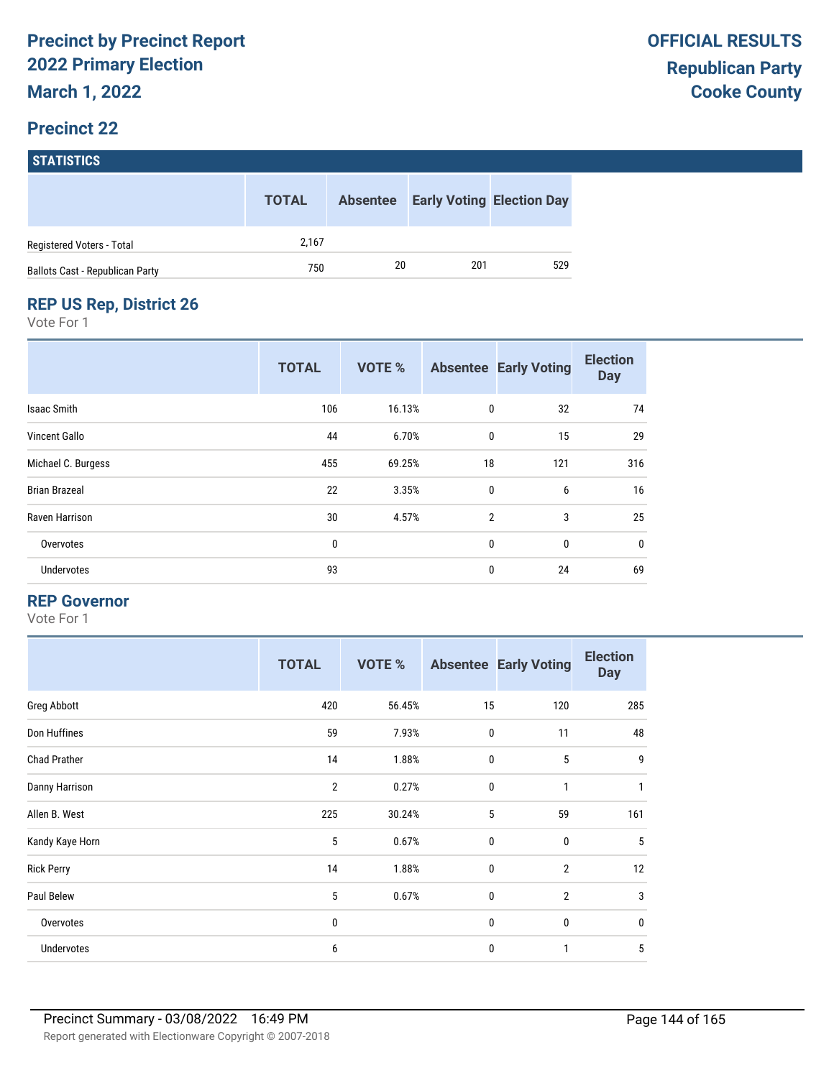|                                 | <b>TOTAL</b> | <b>Absentee</b> | <b>Early Voting Election Day</b> |     |
|---------------------------------|--------------|-----------------|----------------------------------|-----|
| Registered Voters - Total       | 2.167        |                 |                                  |     |
| Ballots Cast - Republican Party | 750          | 20              | 201                              | 529 |

#### **REP US Rep, District 26**

Vote For 1

|                      | <b>TOTAL</b> | <b>VOTE %</b> |                | <b>Absentee Early Voting</b> | <b>Election</b><br><b>Day</b> |
|----------------------|--------------|---------------|----------------|------------------------------|-------------------------------|
| <b>Isaac Smith</b>   | 106          | 16.13%        | 0              | 32                           | 74                            |
| <b>Vincent Gallo</b> | 44           | 6.70%         | 0              | 15                           | 29                            |
| Michael C. Burgess   | 455          | 69.25%        | 18             | 121                          | 316                           |
| <b>Brian Brazeal</b> | 22           | 3.35%         | $\mathbf 0$    | 6                            | 16                            |
| Raven Harrison       | 30           | 4.57%         | $\overline{2}$ | 3                            | 25                            |
| Overvotes            | $\mathbf{0}$ |               | $\mathbf 0$    | 0                            | 0                             |
| Undervotes           | 93           |               | 0              | 24                           | 69                            |

#### **REP Governor**

|                     | <b>TOTAL</b>   | VOTE % |             | <b>Absentee Early Voting</b> | <b>Election</b><br><b>Day</b> |
|---------------------|----------------|--------|-------------|------------------------------|-------------------------------|
| Greg Abbott         | 420            | 56.45% | 15          | 120                          | 285                           |
| Don Huffines        | 59             | 7.93%  | $\mathbf 0$ | 11                           | 48                            |
| <b>Chad Prather</b> | 14             | 1.88%  | $\mathbf 0$ | 5                            | 9                             |
| Danny Harrison      | $\overline{2}$ | 0.27%  | $\mathbf 0$ | 1                            | 1                             |
| Allen B. West       | 225            | 30.24% | 5           | 59                           | 161                           |
| Kandy Kaye Horn     | 5              | 0.67%  | $\mathbf 0$ | $\mathbf{0}$                 | 5                             |
| <b>Rick Perry</b>   | 14             | 1.88%  | $\mathbf 0$ | $\overline{2}$               | 12                            |
| Paul Belew          | 5              | 0.67%  | $\mathbf 0$ | $\overline{2}$               | 3                             |
| Overvotes           | 0              |        | $\mathbf 0$ | 0                            | $\mathbf 0$                   |
| Undervotes          | 6              |        | $\mathbf 0$ | 1                            | 5                             |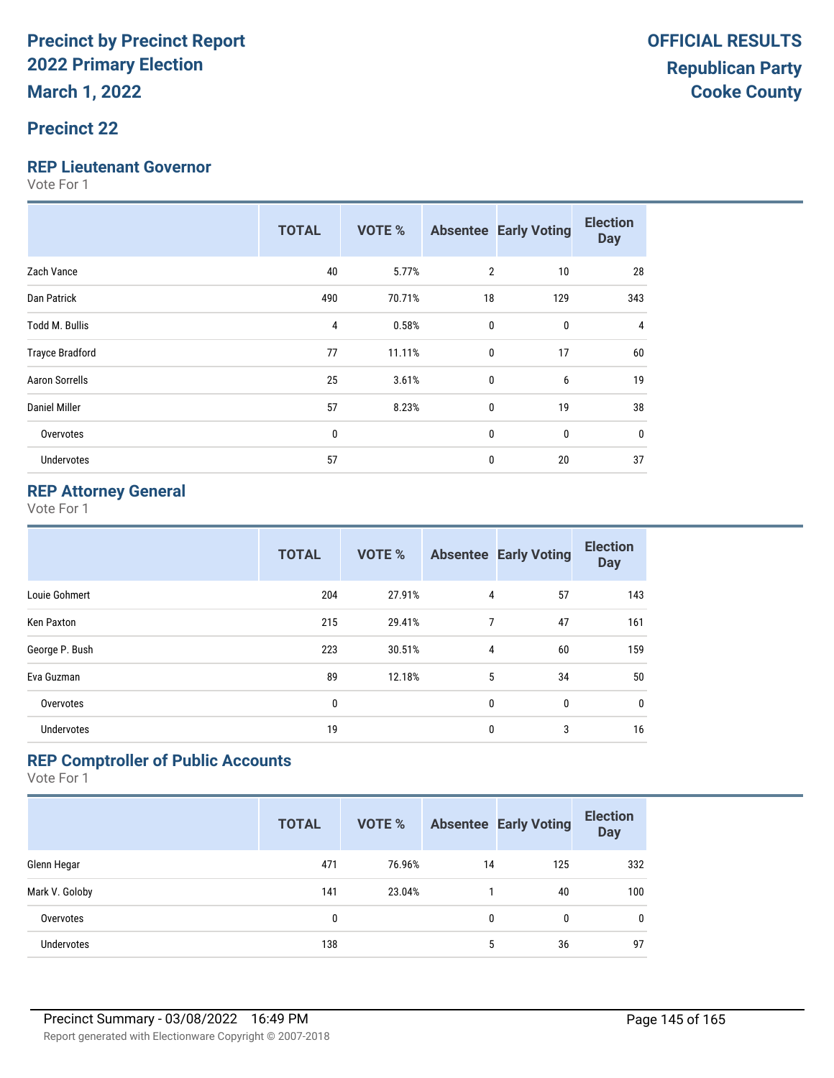# **Precinct 22**

#### **REP Lieutenant Governor**

Vote For 1

|                        | <b>TOTAL</b> | <b>VOTE %</b> |                | <b>Absentee Early Voting</b> | <b>Election</b><br><b>Day</b> |
|------------------------|--------------|---------------|----------------|------------------------------|-------------------------------|
| Zach Vance             | 40           | 5.77%         | $\overline{2}$ | 10                           | 28                            |
| Dan Patrick            | 490          | 70.71%        | 18             | 129                          | 343                           |
| <b>Todd M. Bullis</b>  | 4            | 0.58%         | $\mathbf{0}$   | 0                            | 4                             |
| <b>Trayce Bradford</b> | 77           | 11.11%        | $\mathbf{0}$   | 17                           | 60                            |
| Aaron Sorrells         | 25           | 3.61%         | $\mathbf{0}$   | 6                            | 19                            |
| Daniel Miller          | 57           | 8.23%         | $\mathbf{0}$   | 19                           | 38                            |
| Overvotes              | $\mathbf{0}$ |               | $\mathbf{0}$   | 0                            | 0                             |
| <b>Undervotes</b>      | 57           |               | 0              | 20                           | 37                            |

### **REP Attorney General**

Vote For 1

|                   | <b>TOTAL</b> | <b>VOTE %</b> |                | <b>Absentee Early Voting</b> | <b>Election</b><br><b>Day</b> |
|-------------------|--------------|---------------|----------------|------------------------------|-------------------------------|
| Louie Gohmert     | 204          | 27.91%        | 4              | 57                           | 143                           |
| Ken Paxton        | 215          | 29.41%        | 7              | 47                           | 161                           |
| George P. Bush    | 223          | 30.51%        | $\overline{4}$ | 60                           | 159                           |
| Eva Guzman        | 89           | 12.18%        | 5              | 34                           | 50                            |
| Overvotes         | 0            |               | $\mathbf{0}$   | 0                            | $\mathbf 0$                   |
| <b>Undervotes</b> | 19           |               | 0              | 3                            | 16                            |

## **REP Comptroller of Public Accounts**

|                   | <b>TOTAL</b> | <b>VOTE %</b> |    | <b>Absentee Early Voting</b> | <b>Election</b><br><b>Day</b> |
|-------------------|--------------|---------------|----|------------------------------|-------------------------------|
| Glenn Hegar       | 471          | 76.96%        | 14 | 125                          | 332                           |
| Mark V. Goloby    | 141          | 23.04%        |    | 40                           | 100                           |
| Overvotes         | 0            |               | 0  | 0                            | $\mathbf{0}$                  |
| <b>Undervotes</b> | 138          |               | 5  | 36                           | 97                            |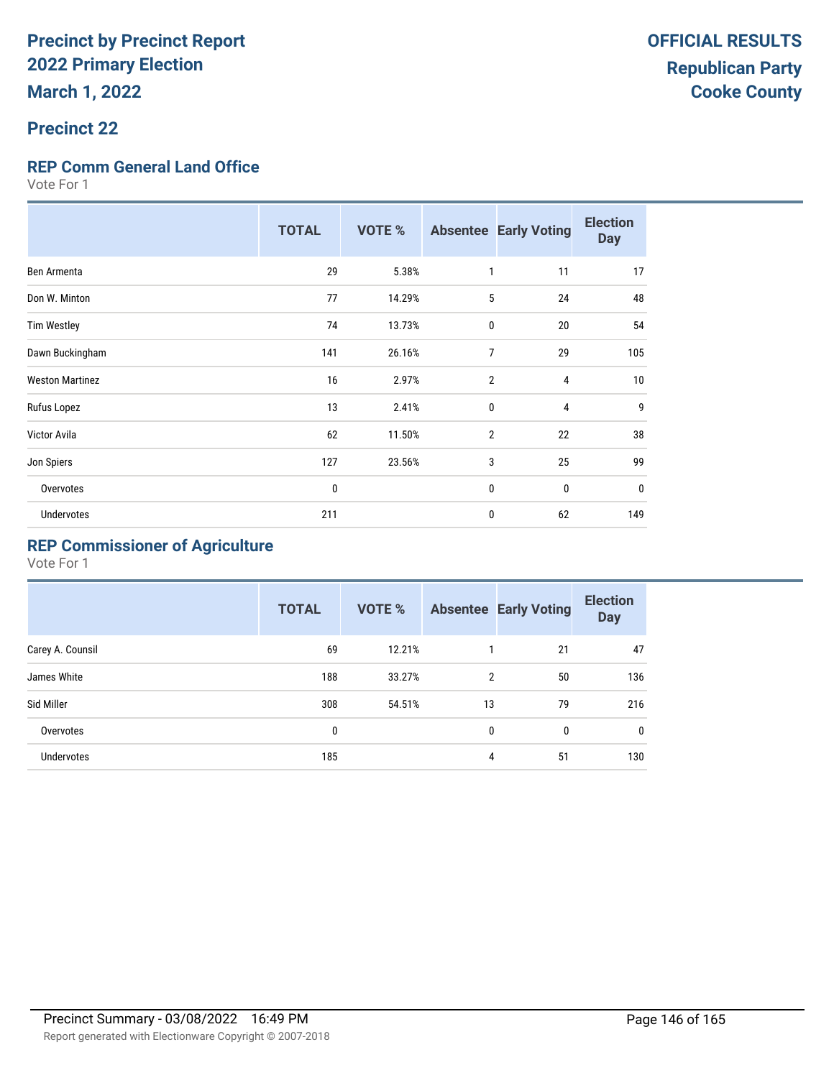## **Precinct 22**

#### **REP Comm General Land Office**

Vote For 1

|                        | <b>TOTAL</b> | <b>VOTE %</b> |                | <b>Absentee Early Voting</b> | <b>Election</b><br><b>Day</b> |
|------------------------|--------------|---------------|----------------|------------------------------|-------------------------------|
| Ben Armenta            | 29           | 5.38%         | $\mathbf{1}$   | 11                           | 17                            |
| Don W. Minton          | 77           | 14.29%        | 5              | 24                           | 48                            |
| <b>Tim Westley</b>     | 74           | 13.73%        | $\mathbf{0}$   | 20                           | 54                            |
| Dawn Buckingham        | 141          | 26.16%        | $\overline{7}$ | 29                           | 105                           |
| <b>Weston Martinez</b> | 16           | 2.97%         | $\overline{2}$ | 4                            | 10                            |
| Rufus Lopez            | 13           | 2.41%         | $\mathbf{0}$   | $\overline{4}$               | 9                             |
| <b>Victor Avila</b>    | 62           | 11.50%        | $\overline{2}$ | 22                           | 38                            |
| Jon Spiers             | 127          | 23.56%        | 3              | 25                           | 99                            |
| Overvotes              | 0            |               | $\mathbf{0}$   | $\mathbf{0}$                 | 0                             |
| <b>Undervotes</b>      | 211          |               | 0              | 62                           | 149                           |

# **REP Commissioner of Agriculture**

|                  | <b>TOTAL</b> | <b>VOTE %</b> |                | <b>Absentee Early Voting</b> | <b>Election</b><br><b>Day</b> |
|------------------|--------------|---------------|----------------|------------------------------|-------------------------------|
| Carey A. Counsil | 69           | 12.21%        |                | 21                           | 47                            |
| James White      | 188          | 33.27%        | $\overline{2}$ | 50                           | 136                           |
| Sid Miller       | 308          | 54.51%        | 13             | 79                           | 216                           |
| Overvotes        | 0            |               | 0              | 0                            | 0                             |
| Undervotes       | 185          |               | 4              | 51                           | 130                           |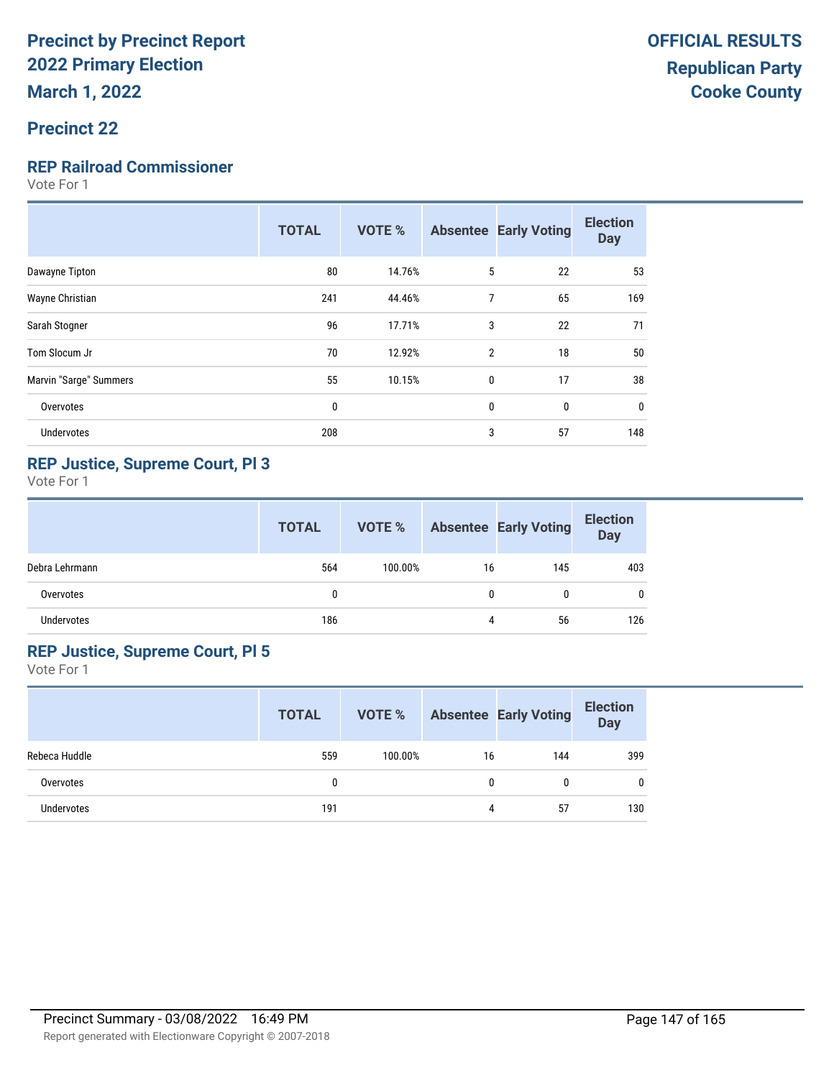#### **Precinct 22**

#### **REP Railroad Commissioner**

Vote For 1

|                        | <b>TOTAL</b> | <b>VOTE %</b> |                | <b>Absentee Early Voting</b> | <b>Election</b><br><b>Day</b> |
|------------------------|--------------|---------------|----------------|------------------------------|-------------------------------|
| Dawayne Tipton         | 80           | 14.76%        | 5              | 22                           | 53                            |
| Wayne Christian        | 241          | 44.46%        | 7              | 65                           | 169                           |
| Sarah Stogner          | 96           | 17.71%        | 3              | 22                           | 71                            |
| Tom Slocum Jr          | 70           | 12.92%        | $\overline{2}$ | 18                           | 50                            |
| Marvin "Sarge" Summers | 55           | 10.15%        | $\mathbf 0$    | 17                           | 38                            |
| Overvotes              | 0            |               | $\mathbf{0}$   | $\mathbf 0$                  | 0                             |
| <b>Undervotes</b>      | 208          |               | 3              | 57                           | 148                           |
|                        |              |               |                |                              |                               |

#### **REP Justice, Supreme Court, Pl 3**

Vote For 1

|                | <b>TOTAL</b> | VOTE %  |    | <b>Absentee Early Voting</b> | <b>Election</b><br><b>Day</b> |
|----------------|--------------|---------|----|------------------------------|-------------------------------|
| Debra Lehrmann | 564          | 100.00% | 16 | 145                          | 403                           |
| Overvotes      | 0            |         | 0  | 0                            | 0                             |
| Undervotes     | 186          |         | 4  | 56                           | 126                           |

### **REP Justice, Supreme Court, Pl 5**

|               | <b>TOTAL</b> | VOTE %  |    | <b>Absentee Early Voting</b> | <b>Election</b><br><b>Day</b> |
|---------------|--------------|---------|----|------------------------------|-------------------------------|
| Rebeca Huddle | 559          | 100.00% | 16 | 144                          | 399                           |
| Overvotes     | 0            |         | 0  | N                            | $\mathbf{0}$                  |
| Undervotes    | 191          |         | 4  | 57                           | 130                           |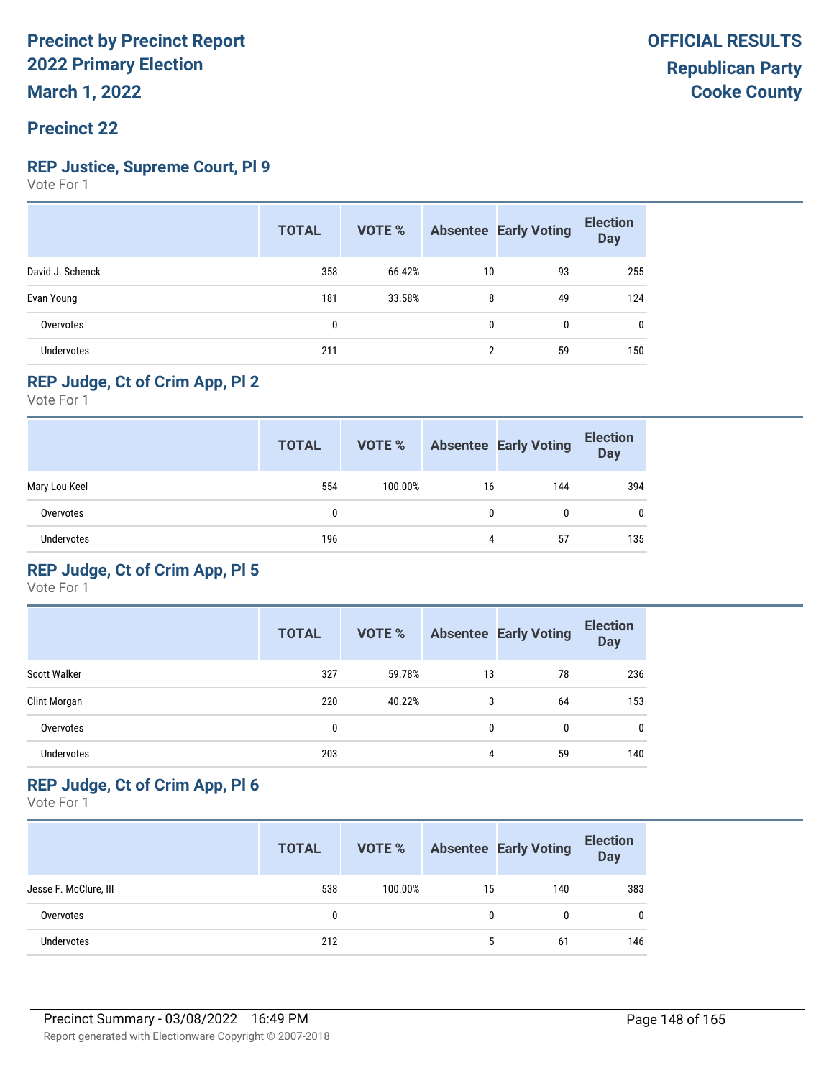#### **Precinct 22**

#### **REP Justice, Supreme Court, Pl 9**

Vote For 1

|                  | <b>TOTAL</b> | VOTE % |    | <b>Absentee Early Voting</b> | <b>Election</b><br><b>Day</b> |
|------------------|--------------|--------|----|------------------------------|-------------------------------|
| David J. Schenck | 358          | 66.42% | 10 | 93                           | 255                           |
| Evan Young       | 181          | 33.58% | 8  | 49                           | 124                           |
| Overvotes        | 0            |        | 0  | $\mathbf{0}$                 | 0                             |
| Undervotes       | 211          |        | 2  | 59                           | 150                           |

# **REP Judge, Ct of Crim App, Pl 2**

Vote For 1

|                   | <b>TOTAL</b> | VOTE %  |    | <b>Absentee Early Voting</b> | <b>Election</b><br><b>Day</b> |
|-------------------|--------------|---------|----|------------------------------|-------------------------------|
| Mary Lou Keel     | 554          | 100.00% | 16 | 144                          | 394                           |
| Overvotes         | 0            |         | 0  | 0                            | $\mathbf{0}$                  |
| <b>Undervotes</b> | 196          |         | 4  | 57                           | 135                           |

## **REP Judge, Ct of Crim App, Pl 5**

Vote For 1

|                     | <b>TOTAL</b> | <b>VOTE %</b> |    | <b>Absentee Early Voting</b> | <b>Election</b><br><b>Day</b> |
|---------------------|--------------|---------------|----|------------------------------|-------------------------------|
| <b>Scott Walker</b> | 327          | 59.78%        | 13 | 78                           | 236                           |
| Clint Morgan        | 220          | 40.22%        | 3  | 64                           | 153                           |
| Overvotes           | 0            |               | 0  | 0                            | 0                             |
| <b>Undervotes</b>   | 203          |               | 4  | 59                           | 140                           |

### **REP Judge, Ct of Crim App, Pl 6**

|                       | <b>TOTAL</b> | VOTE %  |    | <b>Absentee Early Voting</b> | <b>Election</b><br>Day |
|-----------------------|--------------|---------|----|------------------------------|------------------------|
| Jesse F. McClure, III | 538          | 100.00% | 15 | 140                          | 383                    |
| Overvotes             | 0            |         | 0  |                              | $\mathbf{0}$           |
| <b>Undervotes</b>     | 212          |         | 5  | 61                           | 146                    |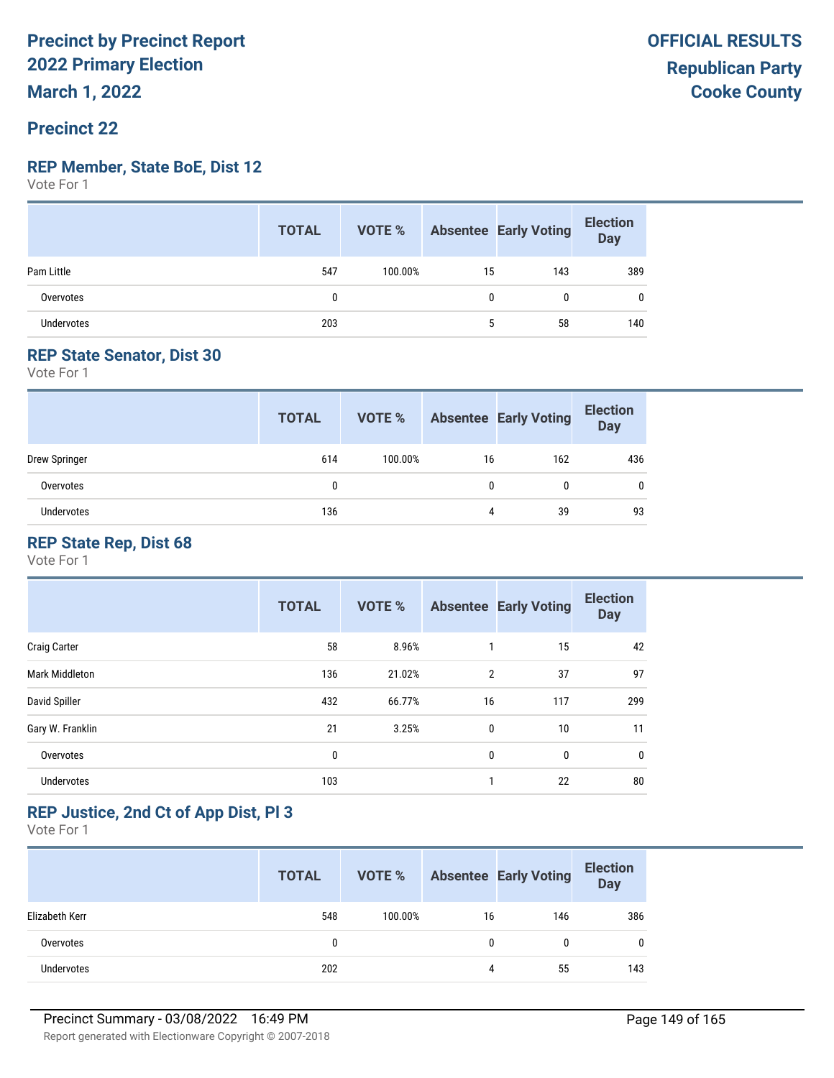# **Precinct 22**

#### **REP Member, State BoE, Dist 12**

Vote For 1

|                   | <b>TOTAL</b> |         |             | <b>VOTE %</b> Absentee Early Voting | <b>Election</b><br>Day |
|-------------------|--------------|---------|-------------|-------------------------------------|------------------------|
| Pam Little        | 547          | 100.00% | 15          | 143                                 | 389                    |
| Overvotes         |              |         | U           | 0                                   | $\mathbf{0}$           |
| <b>Undervotes</b> | 203          |         | $5^{\circ}$ | 58                                  | 140                    |

## **REP State Senator, Dist 30**

Vote For 1

|               | <b>TOTAL</b> | VOTE %  |              | <b>Absentee Early Voting</b> | <b>Election</b><br><b>Day</b> |
|---------------|--------------|---------|--------------|------------------------------|-------------------------------|
| Drew Springer | 614          | 100.00% | 16           | 162                          | 436                           |
| Overvotes     | 0            |         | $\mathbf{0}$ | 0                            | $\mathbf{0}$                  |
| Undervotes    | 136          |         | 4            | 39                           | 93                            |

#### **REP State Rep, Dist 68**

Vote For 1

|                       | <b>TOTAL</b> | <b>VOTE %</b> |                | <b>Absentee Early Voting</b> | <b>Election</b><br><b>Day</b> |
|-----------------------|--------------|---------------|----------------|------------------------------|-------------------------------|
| <b>Craig Carter</b>   | 58           | 8.96%         | 1              | 15                           | 42                            |
| <b>Mark Middleton</b> | 136          | 21.02%        | $\overline{2}$ | 37                           | 97                            |
| David Spiller         | 432          | 66.77%        | 16             | 117                          | 299                           |
| Gary W. Franklin      | 21           | 3.25%         | 0              | 10                           | 11                            |
| Overvotes             | 0            |               | 0              | 0                            | 0                             |
| <b>Undervotes</b>     | 103          |               | 1              | 22                           | 80                            |

## **REP Justice, 2nd Ct of App Dist, Pl 3**

|                | <b>TOTAL</b> | VOTE %  |    | <b>Absentee Early Voting</b> | <b>Election</b><br><b>Day</b> |
|----------------|--------------|---------|----|------------------------------|-------------------------------|
| Elizabeth Kerr | 548          | 100.00% | 16 | 146                          | 386                           |
| Overvotes      | 0            |         | 0  |                              | 0                             |
| Undervotes     | 202          |         | 4  | 55                           | 143                           |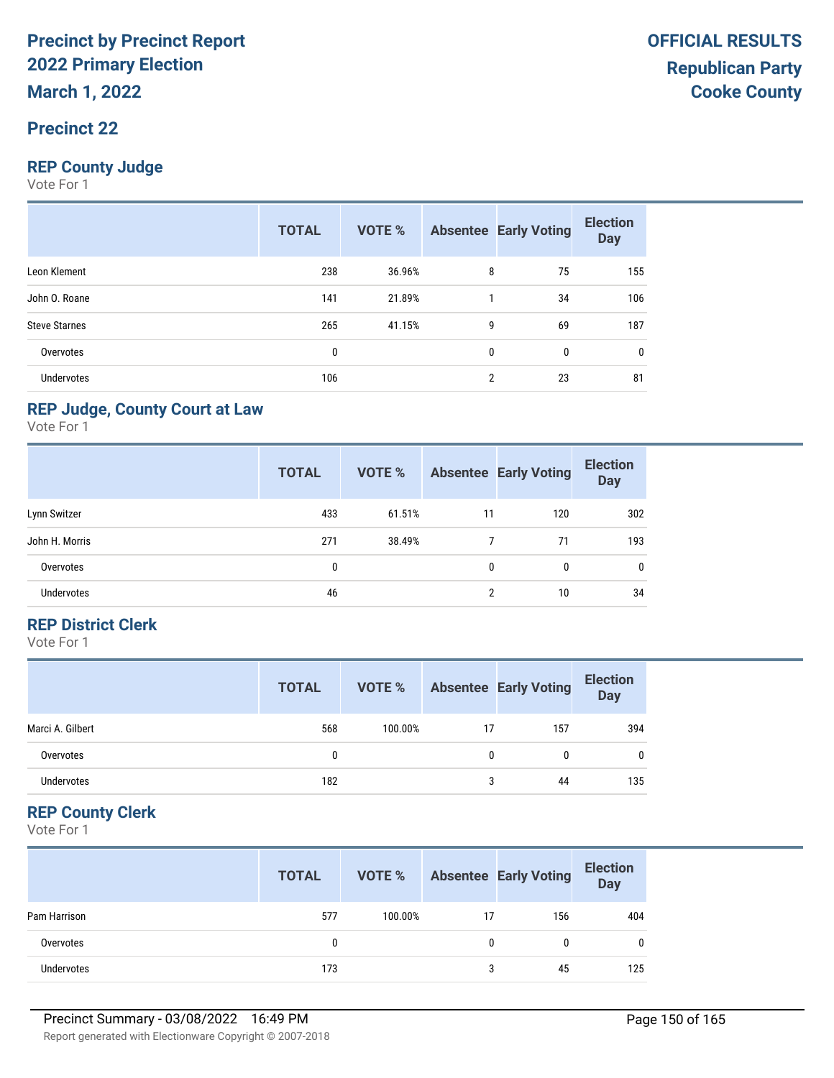## **Precinct 22**

### **REP County Judge**

Vote For 1

|                      | <b>TOTAL</b> | <b>VOTE %</b> |                | <b>Absentee Early Voting</b> | <b>Election</b><br><b>Day</b> |
|----------------------|--------------|---------------|----------------|------------------------------|-------------------------------|
| Leon Klement         | 238          | 36.96%        | 8              | 75                           | 155                           |
| John O. Roane        | 141          | 21.89%        |                | 34                           | 106                           |
| <b>Steve Starnes</b> | 265          | 41.15%        | 9              | 69                           | 187                           |
| Overvotes            | 0            |               | $\mathbf{0}$   | 0                            | 0                             |
| <b>Undervotes</b>    | 106          |               | $\overline{2}$ | 23                           | 81                            |

#### **REP Judge, County Court at Law**

Vote For 1

|                   | <b>TOTAL</b> | <b>VOTE %</b> |    | <b>Absentee Early Voting</b> | <b>Election</b><br><b>Day</b> |
|-------------------|--------------|---------------|----|------------------------------|-------------------------------|
| Lynn Switzer      | 433          | 61.51%        | 11 | 120                          | 302                           |
| John H. Morris    | 271          | 38.49%        |    | 71                           | 193                           |
| Overvotes         | 0            |               | 0  | 0                            | 0                             |
| <b>Undervotes</b> | 46           |               | 2  | 10                           | 34                            |

#### **REP District Clerk**

Vote For 1

|                   | <b>TOTAL</b> | VOTE %  |    | <b>Absentee Early Voting</b> | <b>Election</b><br><b>Day</b> |
|-------------------|--------------|---------|----|------------------------------|-------------------------------|
| Marci A. Gilbert  | 568          | 100.00% | 17 | 157                          | 394                           |
| Overvotes         |              |         | 0  | 0                            | $\mathbf{0}$                  |
| <b>Undervotes</b> | 182          |         | 3  | 44                           | 135                           |

## **REP County Clerk**

|                   | <b>TOTAL</b> | VOTE %  |    | <b>Absentee Early Voting</b> | <b>Election</b><br><b>Day</b> |
|-------------------|--------------|---------|----|------------------------------|-------------------------------|
| Pam Harrison      | 577          | 100.00% | 17 | 156                          | 404                           |
| Overvotes         |              |         |    |                              | 0                             |
| <b>Undervotes</b> | 173          |         | 3  | 45                           | 125                           |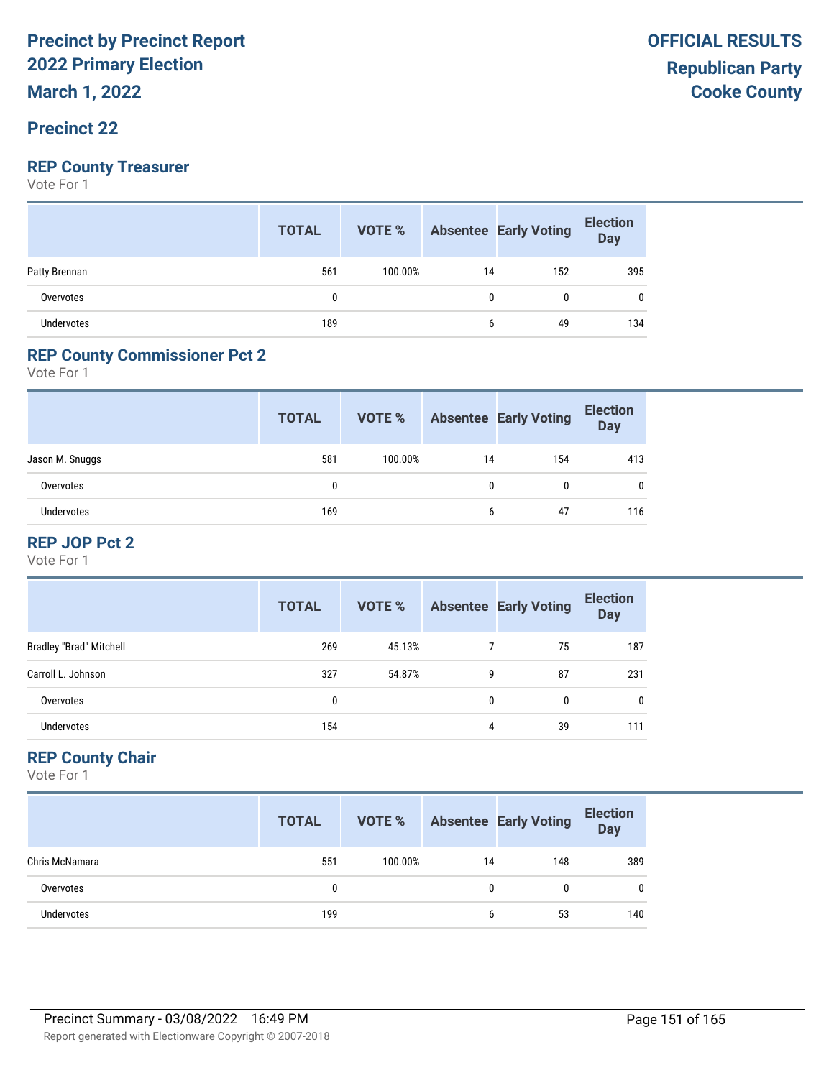**March 1, 2022**

## **Precinct 22**

### **REP County Treasurer**

Vote For 1

|               | <b>TOTAL</b> |         |    | <b>VOTE %</b> Absentee Early Voting | <b>Election</b><br><b>Day</b> |
|---------------|--------------|---------|----|-------------------------------------|-------------------------------|
| Patty Brennan | 561          | 100.00% | 14 | 152                                 | 395                           |
| Overvotes     | 0            |         | 0  | 0                                   | 0                             |
| Undervotes    | 189          |         | 6  | 49                                  | 134                           |

## **REP County Commissioner Pct 2**

Vote For 1

|                 | <b>TOTAL</b> | VOTE %  |    | <b>Absentee Early Voting</b> | <b>Election</b><br><b>Day</b> |
|-----------------|--------------|---------|----|------------------------------|-------------------------------|
| Jason M. Snuggs | 581          | 100.00% | 14 | 154                          | 413                           |
| Overvotes       |              |         | 0  | 0                            |                               |
| Undervotes      | 169          |         | 6  | 47                           | 116                           |

#### **REP JOP Pct 2**

Vote For 1

|                                | <b>TOTAL</b> | VOTE % |   | <b>Absentee Early Voting</b> | <b>Election</b><br><b>Day</b> |
|--------------------------------|--------------|--------|---|------------------------------|-------------------------------|
| <b>Bradley "Brad" Mitchell</b> | 269          | 45.13% |   | 75                           | 187                           |
| Carroll L. Johnson             | 327          | 54.87% | 9 | 87                           | 231                           |
| Overvotes                      | 0            |        | 0 | 0                            | 0                             |
| <b>Undervotes</b>              | 154          |        | 4 | 39                           | 111                           |

## **REP County Chair**

|                | <b>TOTAL</b> | VOTE %  |    | <b>Absentee Early Voting</b> | <b>Election</b><br><b>Day</b> |
|----------------|--------------|---------|----|------------------------------|-------------------------------|
| Chris McNamara | 551          | 100.00% | 14 | 148                          | 389                           |
| Overvotes      | 0            |         | 0  | 0                            | $\mathbf{0}$                  |
| Undervotes     | 199          |         | 6  | 53                           | 140                           |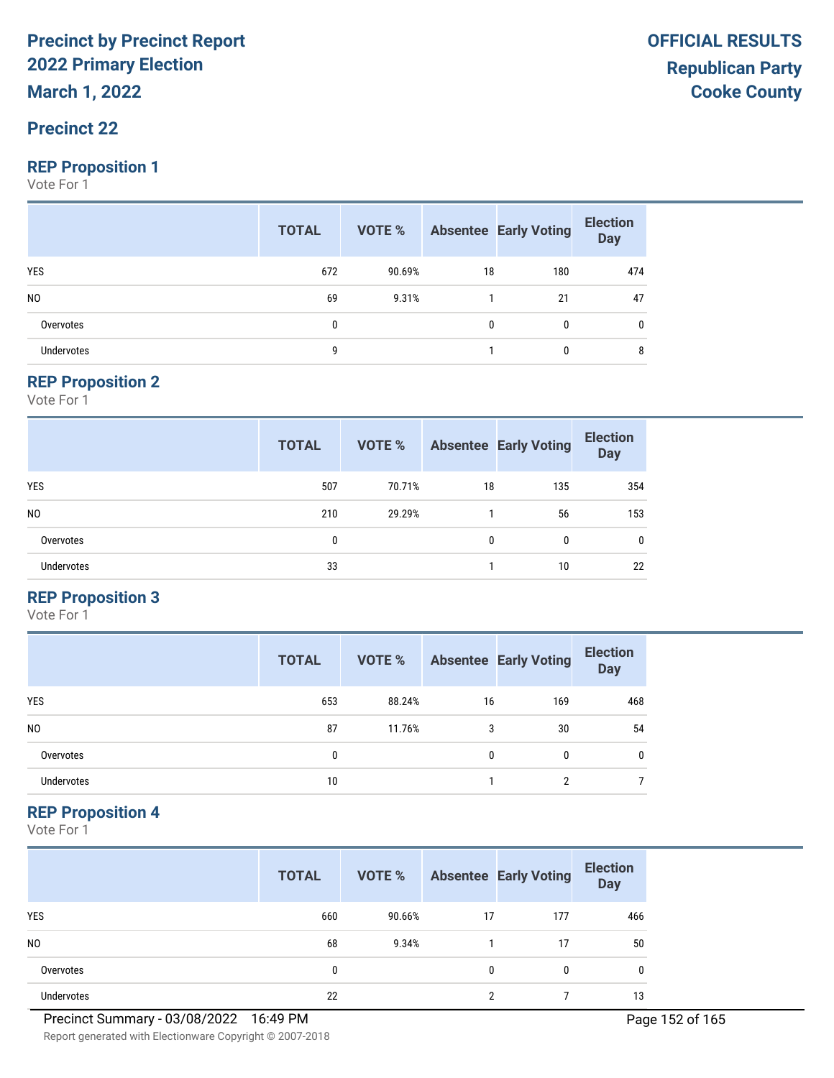**March 1, 2022**

## **Precinct 22**

#### **REP Proposition 1**

Vote For 1

|                   | <b>TOTAL</b> |        |    | <b>VOTE %</b> Absentee Early Voting | <b>Election</b><br>$\overline{$ Day |
|-------------------|--------------|--------|----|-------------------------------------|-------------------------------------|
| <b>YES</b>        | 672          | 90.69% | 18 | 180                                 | 474                                 |
| N <sub>0</sub>    | 69           | 9.31%  |    | 21                                  | 47                                  |
| Overvotes         | 0            |        | 0  | 0                                   | 0                                   |
| <b>Undervotes</b> | g            |        |    |                                     | 8                                   |

#### **REP Proposition 2**

Vote For 1

|                   | <b>TOTAL</b> | VOTE % |    | <b>Absentee Early Voting</b> | <b>Election</b><br><b>Day</b> |
|-------------------|--------------|--------|----|------------------------------|-------------------------------|
| <b>YES</b>        | 507          | 70.71% | 18 | 135                          | 354                           |
| N <sub>0</sub>    | 210          | 29.29% |    | 56                           | 153                           |
| Overvotes         | 0            |        | 0  | 0                            | $\mathbf{0}$                  |
| <b>Undervotes</b> | 33           |        |    | 10                           | 22                            |

#### **REP Proposition 3**

Vote For 1

|                | <b>TOTAL</b> | VOTE % |    | <b>Absentee Early Voting</b> | <b>Election</b><br><b>Day</b> |
|----------------|--------------|--------|----|------------------------------|-------------------------------|
| <b>YES</b>     | 653          | 88.24% | 16 | 169                          | 468                           |
| N <sub>0</sub> | 87           | 11.76% | 3  | 30                           | 54                            |
| Overvotes      | 0            |        | 0  | 0                            | 0                             |
| Undervotes     | 10           |        |    | ∩                            |                               |

#### **REP Proposition 4**

Vote For 1

|                | <b>TOTAL</b> | VOTE % |    | <b>Absentee Early Voting</b> | <b>Election</b><br><b>Day</b> |
|----------------|--------------|--------|----|------------------------------|-------------------------------|
| <b>YES</b>     | 660          | 90.66% | 17 | 177                          | 466                           |
| N <sub>0</sub> | 68           | 9.34%  |    | 17                           | 50                            |
| Overvotes      | 0            |        | 0  | 0                            | 0                             |
| Undervotes     | 22           |        | ŋ  |                              | 13                            |

Report generated with Electionware Copyright © 2007-2018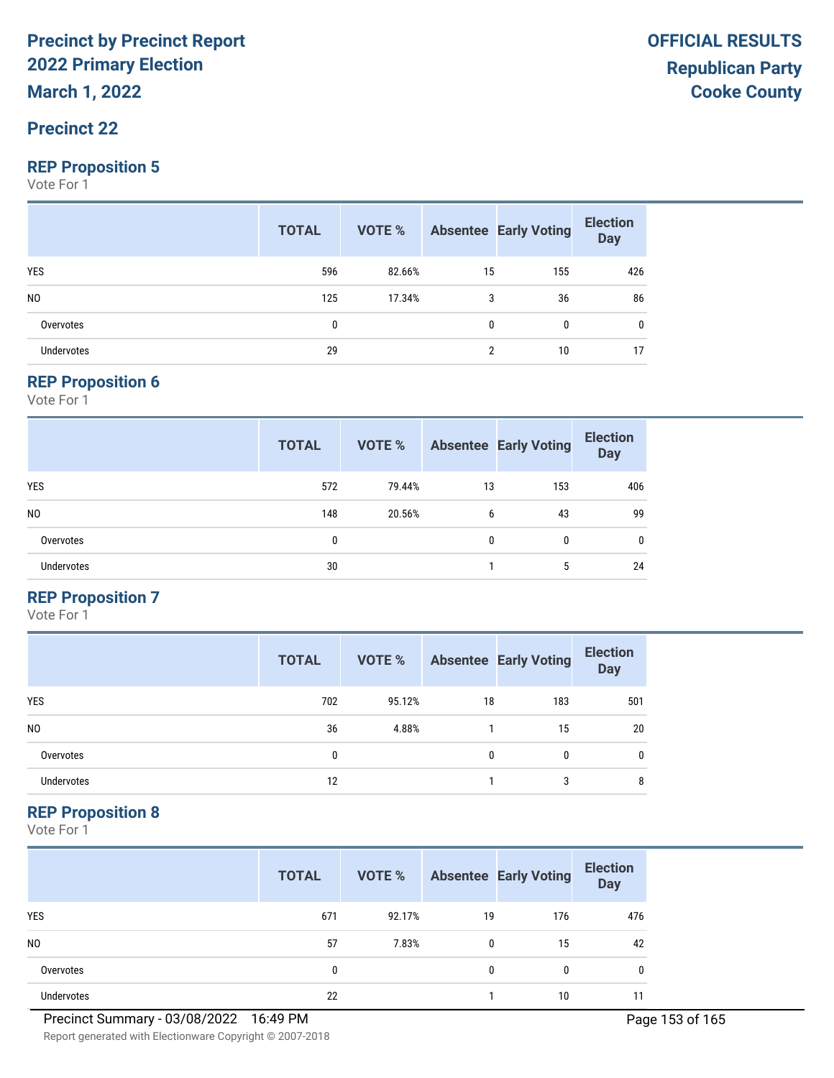**March 1, 2022**

## **Precinct 22**

#### **REP Proposition 5**

Vote For 1

|                   | <b>TOTAL</b> |        |              | <b>VOTE %</b> Absentee Early Voting | <b>Election</b><br>Day |
|-------------------|--------------|--------|--------------|-------------------------------------|------------------------|
| <b>YES</b>        | 596          | 82.66% | 15           | 155                                 | 426                    |
| N <sub>0</sub>    | 125          | 17.34% | 3            | 36                                  | 86                     |
| Overvotes         | 0            |        | $\mathbf{0}$ | 0                                   | 0                      |
| <b>Undervotes</b> | 29           |        | ŋ            | 10                                  | 17                     |

#### **REP Proposition 6**

Vote For 1

|                   | <b>TOTAL</b> | <b>VOTE %</b> |    | <b>Absentee Early Voting</b> | <b>Election</b><br><b>Day</b> |
|-------------------|--------------|---------------|----|------------------------------|-------------------------------|
| <b>YES</b>        | 572          | 79.44%        | 13 | 153                          | 406                           |
| N <sub>0</sub>    | 148          | 20.56%        | 6  | 43                           | 99                            |
| Overvotes         | 0            |               | 0  | 0                            | $\mathbf{0}$                  |
| <b>Undervotes</b> | 30           |               |    | 5                            | 24                            |

#### **REP Proposition 7**

Vote For 1

|                | <b>TOTAL</b> | VOTE % |    | <b>Absentee Early Voting</b> | <b>Election</b><br><b>Day</b> |
|----------------|--------------|--------|----|------------------------------|-------------------------------|
| <b>YES</b>     | 702          | 95.12% | 18 | 183                          | 501                           |
| N <sub>0</sub> | 36           | 4.88%  |    | 15                           | 20                            |
| Overvotes      | 0            |        | 0  | 0                            | 0                             |
| Undervotes     | 12           |        |    | 3                            | 8                             |

#### **REP Proposition 8**

Vote For 1

|                   | <b>TOTAL</b> | VOTE % |              | <b>Absentee Early Voting</b> | <b>Election</b><br><b>Day</b> |
|-------------------|--------------|--------|--------------|------------------------------|-------------------------------|
| <b>YES</b>        | 671          | 92.17% | 19           | 176                          | 476                           |
| N <sub>0</sub>    | 57           | 7.83%  | $\mathbf{0}$ | 15                           | 42                            |
| Overvotes         | 0            |        | $\mathbf{0}$ | 0                            | 0                             |
| <b>Undervotes</b> | 22           |        |              | 10                           |                               |

Report generated with Electionware Copyright © 2007-2018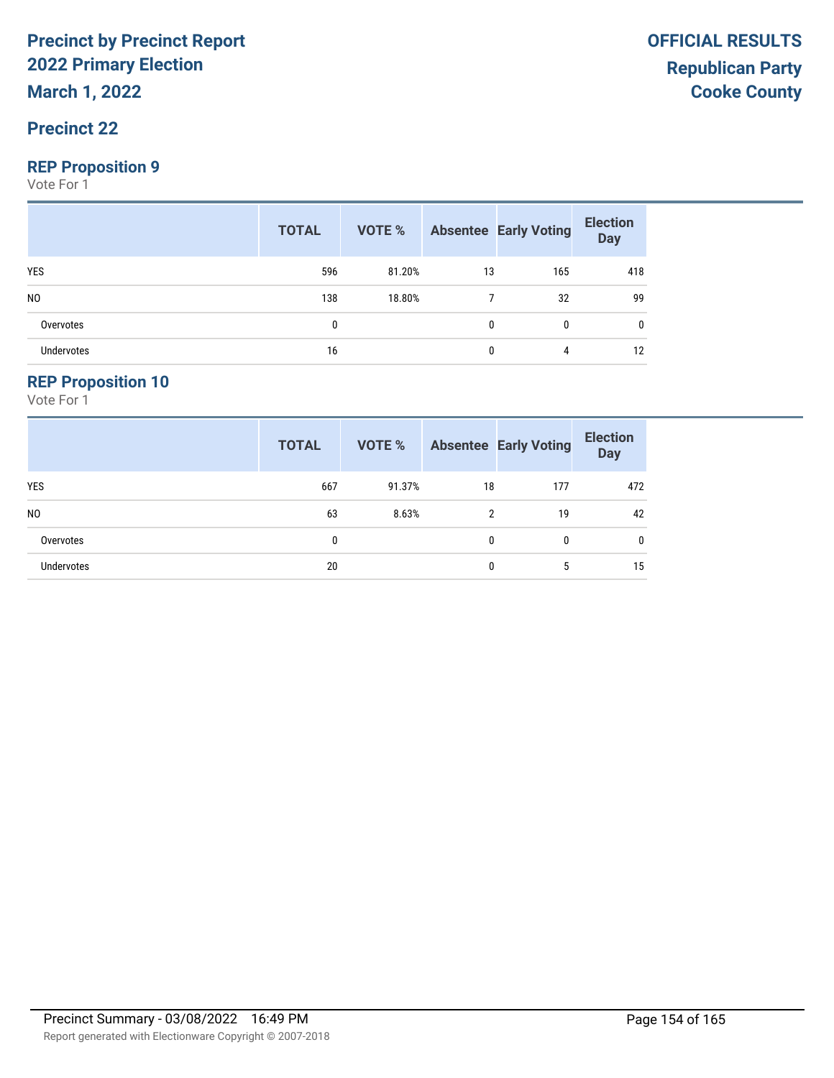**March 1, 2022**

## **Precinct 22**

#### **REP Proposition 9**

Vote For 1

|                   | <b>TOTAL</b> |        |    | <b>VOTE %</b> Absentee Early Voting | <b>Election</b><br>Day |
|-------------------|--------------|--------|----|-------------------------------------|------------------------|
| <b>YES</b>        | 596          | 81.20% | 13 | 165                                 | 418                    |
| N <sub>0</sub>    | 138          | 18.80% |    | 32                                  | 99                     |
| Overvotes         | 0            |        |    | 0                                   | 0                      |
| <b>Undervotes</b> | 16           |        |    | 4                                   | 12                     |

#### **REP Proposition 10**

|                   | <b>TOTAL</b> | <b>VOTE %</b> |    | <b>Absentee Early Voting</b> | <b>Election</b><br><b>Day</b> |
|-------------------|--------------|---------------|----|------------------------------|-------------------------------|
| <b>YES</b>        | 667          | 91.37%        | 18 | 177                          | 472                           |
| N <sub>0</sub>    | 63           | 8.63%         | 2  | 19                           | 42                            |
| Overvotes         | 0            |               | 0  | 0                            | 0                             |
| <b>Undervotes</b> | 20           |               | 0  | 5                            | 15                            |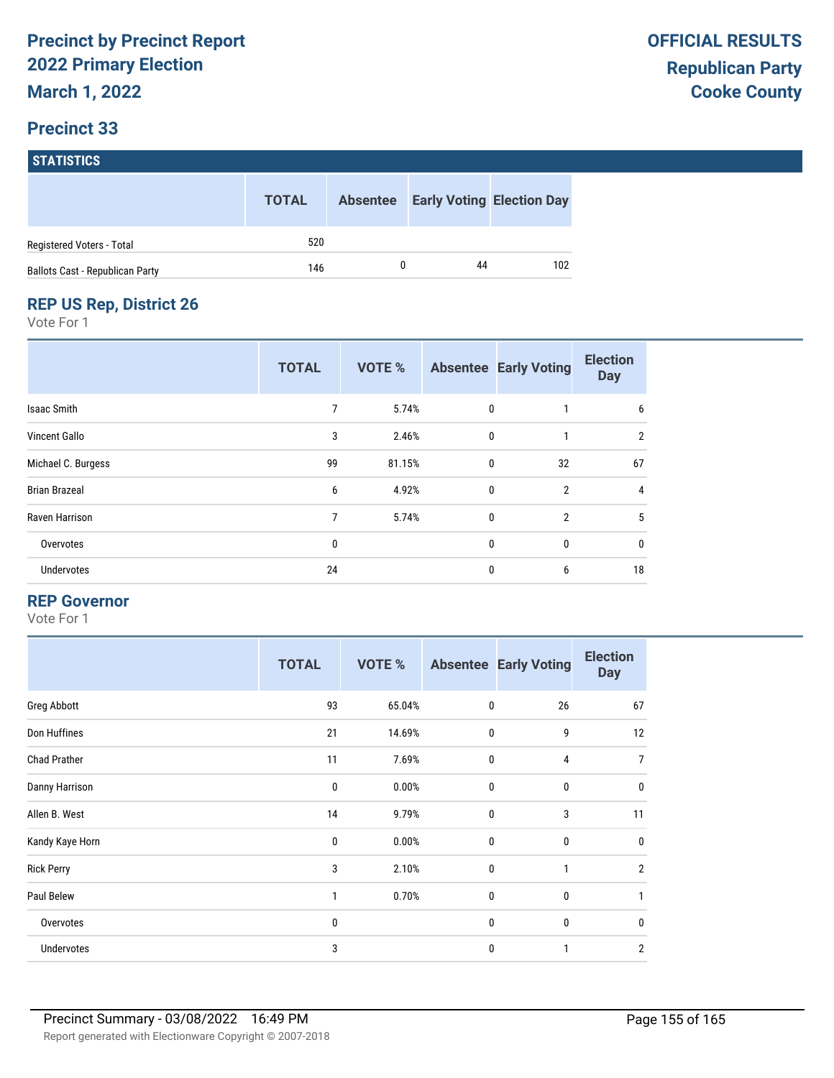|                                 | <b>TOTAL</b> | <b>Absentee</b> |    | <b>Early Voting Election Day</b> |
|---------------------------------|--------------|-----------------|----|----------------------------------|
| Registered Voters - Total       | 520          |                 |    |                                  |
| Ballots Cast - Republican Party | 146          |                 | 44 | 102                              |

# **REP US Rep, District 26**

Vote For 1

|                      | <b>TOTAL</b> | <b>VOTE %</b> |             | <b>Absentee Early Voting</b> | <b>Election</b><br><b>Day</b> |
|----------------------|--------------|---------------|-------------|------------------------------|-------------------------------|
| Isaac Smith          | 7            | 5.74%         | 0           |                              | 6                             |
| Vincent Gallo        | 3            | 2.46%         | $\mathbf 0$ | 1                            | $\overline{2}$                |
| Michael C. Burgess   | 99           | 81.15%        | 0           | 32                           | 67                            |
| <b>Brian Brazeal</b> | 6            | 4.92%         | $\mathbf 0$ | $\overline{2}$               | 4                             |
| Raven Harrison       | 7            | 5.74%         | $\mathbf 0$ | $\overline{2}$               | 5                             |
| Overvotes            | 0            |               | 0           | 0                            | $\mathbf 0$                   |
| <b>Undervotes</b>    | 24           |               | 0           | 6                            | 18                            |

#### **REP Governor**

|                     | <b>TOTAL</b> | <b>VOTE %</b> |              | <b>Absentee Early Voting</b> | <b>Election</b><br><b>Day</b> |
|---------------------|--------------|---------------|--------------|------------------------------|-------------------------------|
| Greg Abbott         | 93           | 65.04%        | $\mathbf 0$  | 26                           | 67                            |
| Don Huffines        | 21           | 14.69%        | $\mathbf 0$  | 9                            | 12                            |
| <b>Chad Prather</b> | 11           | 7.69%         | $\mathbf 0$  | 4                            | $\overline{7}$                |
| Danny Harrison      | 0            | 0.00%         | $\mathbf 0$  | $\mathbf 0$                  | $\mathbf 0$                   |
| Allen B. West       | 14           | 9.79%         | $\mathbf 0$  | 3                            | 11                            |
| Kandy Kaye Horn     | 0            | 0.00%         | $\mathbf{0}$ | $\mathbf{0}$                 | $\mathbf 0$                   |
| <b>Rick Perry</b>   | 3            | 2.10%         | $\mathbf{0}$ | 1                            | $\overline{2}$                |
| Paul Belew          | 1            | 0.70%         | $\mathbf 0$  | $\mathbf 0$                  | $\mathbf{1}$                  |
| Overvotes           | 0            |               | $\mathbf 0$  | 0                            | $\mathbf 0$                   |
| Undervotes          | 3            |               | $\mathbf 0$  | 1                            | $\overline{2}$                |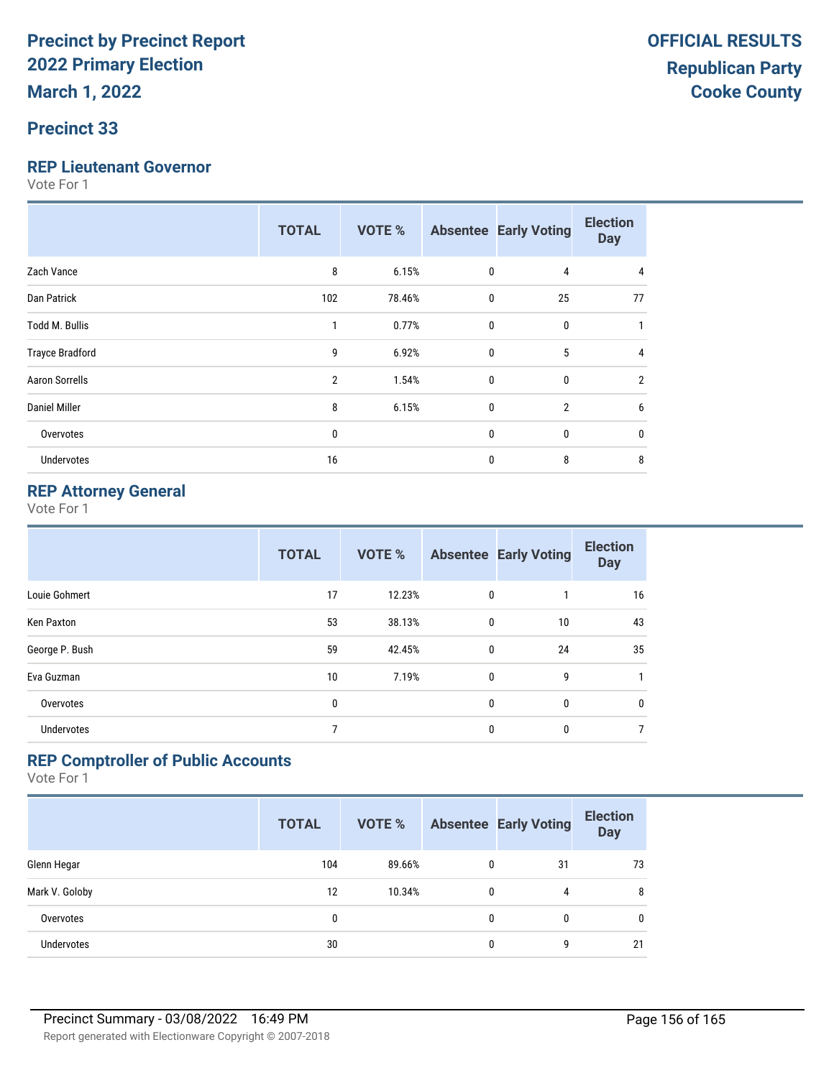# **Precinct 33**

#### **REP Lieutenant Governor**

Vote For 1

|                        | <b>TOTAL</b>   | VOTE % |              | <b>Absentee Early Voting</b> | <b>Election</b><br><b>Day</b> |
|------------------------|----------------|--------|--------------|------------------------------|-------------------------------|
| Zach Vance             | 8              | 6.15%  | $\mathbf 0$  | 4                            | 4                             |
| Dan Patrick            | 102            | 78.46% | $\mathbf 0$  | 25                           | 77                            |
| <b>Todd M. Bullis</b>  |                | 0.77%  | $\mathbf{0}$ | $\bf{0}$                     |                               |
| <b>Trayce Bradford</b> | 9              | 6.92%  | $\mathbf{0}$ | 5                            | 4                             |
| <b>Aaron Sorrells</b>  | $\overline{2}$ | 1.54%  | $\mathbf 0$  | $\mathbf{0}$                 | $\overline{2}$                |
| <b>Daniel Miller</b>   | 8              | 6.15%  | $\mathbf 0$  | $\overline{2}$               | 6                             |
| Overvotes              | 0              |        | $\mathbf 0$  | $\bf{0}$                     | 0                             |
| Undervotes             | 16             |        | 0            | 8                            | 8                             |

### **REP Attorney General**

Vote For 1

|                   | <b>TOTAL</b> | <b>VOTE %</b> |              | <b>Absentee Early Voting</b> | <b>Election</b><br><b>Day</b> |
|-------------------|--------------|---------------|--------------|------------------------------|-------------------------------|
| Louie Gohmert     | 17           | 12.23%        | 0            |                              | 16                            |
| <b>Ken Paxton</b> | 53           | 38.13%        | 0            | 10                           | 43                            |
| George P. Bush    | 59           | 42.45%        | 0            | 24                           | 35                            |
| Eva Guzman        | 10           | 7.19%         | 0            | 9                            | 1                             |
| Overvotes         | 0            |               | $\mathbf{0}$ | $\mathbf{0}$                 | 0                             |
| <b>Undervotes</b> |              |               | $\mathbf{0}$ | 0                            | 7                             |

#### **REP Comptroller of Public Accounts**

|                   | <b>TOTAL</b> | <b>VOTE %</b> |   | <b>Absentee Early Voting</b> | <b>Election</b><br><b>Day</b> |
|-------------------|--------------|---------------|---|------------------------------|-------------------------------|
| Glenn Hegar       | 104          | 89.66%        | 0 | 31                           | 73                            |
| Mark V. Goloby    | 12           | 10.34%        | 0 | 4                            | 8                             |
| Overvotes         | 0            |               | 0 | 0                            | 0                             |
| <b>Undervotes</b> | 30           |               | 0 | 9                            | 21                            |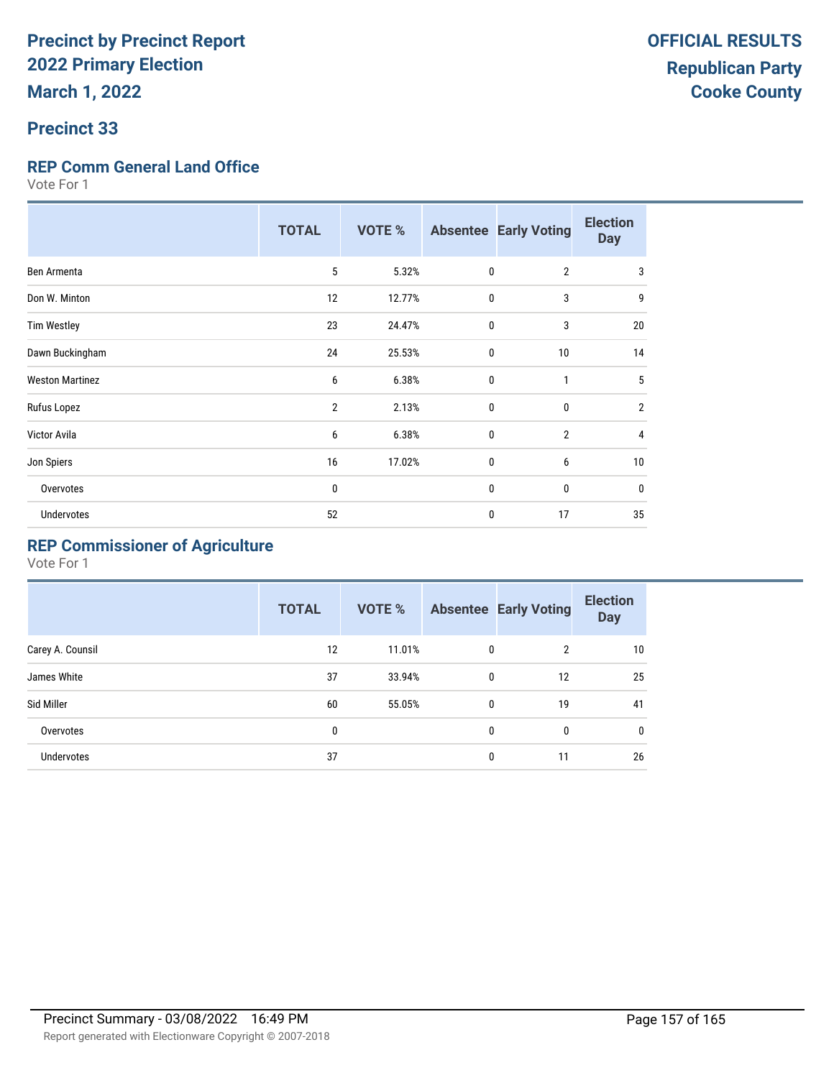## **Precinct 33**

#### **REP Comm General Land Office**

Vote For 1

|                        | <b>TOTAL</b>   | <b>VOTE %</b> |              | <b>Absentee Early Voting</b> | <b>Election</b><br><b>Day</b> |
|------------------------|----------------|---------------|--------------|------------------------------|-------------------------------|
| Ben Armenta            | 5              | 5.32%         | $\mathbf{0}$ | $\overline{2}$               | 3                             |
| Don W. Minton          | 12             | 12.77%        | $\mathbf 0$  | 3                            | 9                             |
| <b>Tim Westley</b>     | 23             | 24.47%        | $\mathbf 0$  | 3                            | 20                            |
| Dawn Buckingham        | 24             | 25.53%        | $\mathbf 0$  | 10                           | 14                            |
| <b>Weston Martinez</b> | 6              | 6.38%         | $\mathbf 0$  | $\mathbf{1}$                 | 5                             |
| Rufus Lopez            | $\overline{2}$ | 2.13%         | $\mathbf{0}$ | $\mathbf{0}$                 | $\overline{2}$                |
| Victor Avila           | 6              | 6.38%         | $\mathbf{0}$ | $\overline{2}$               | 4                             |
| Jon Spiers             | 16             | 17.02%        | $\mathbf 0$  | 6                            | 10                            |
| Overvotes              | 0              |               | $\mathbf 0$  | 0                            | $\mathbf{0}$                  |
| <b>Undervotes</b>      | 52             |               | $\mathbf 0$  | 17                           | 35                            |

# **REP Commissioner of Agriculture**

|                  | <b>TOTAL</b> | VOTE % |              | <b>Absentee Early Voting</b> | <b>Election</b><br><b>Day</b> |
|------------------|--------------|--------|--------------|------------------------------|-------------------------------|
| Carey A. Counsil | 12           | 11.01% | 0            | $\overline{2}$               | 10                            |
| James White      | 37           | 33.94% | $\mathbf{0}$ | 12                           | 25                            |
| Sid Miller       | 60           | 55.05% | 0            | 19                           | 41                            |
| Overvotes        | 0            |        | 0            | 0                            | 0                             |
| Undervotes       | 37           |        | 0            | 11                           | 26                            |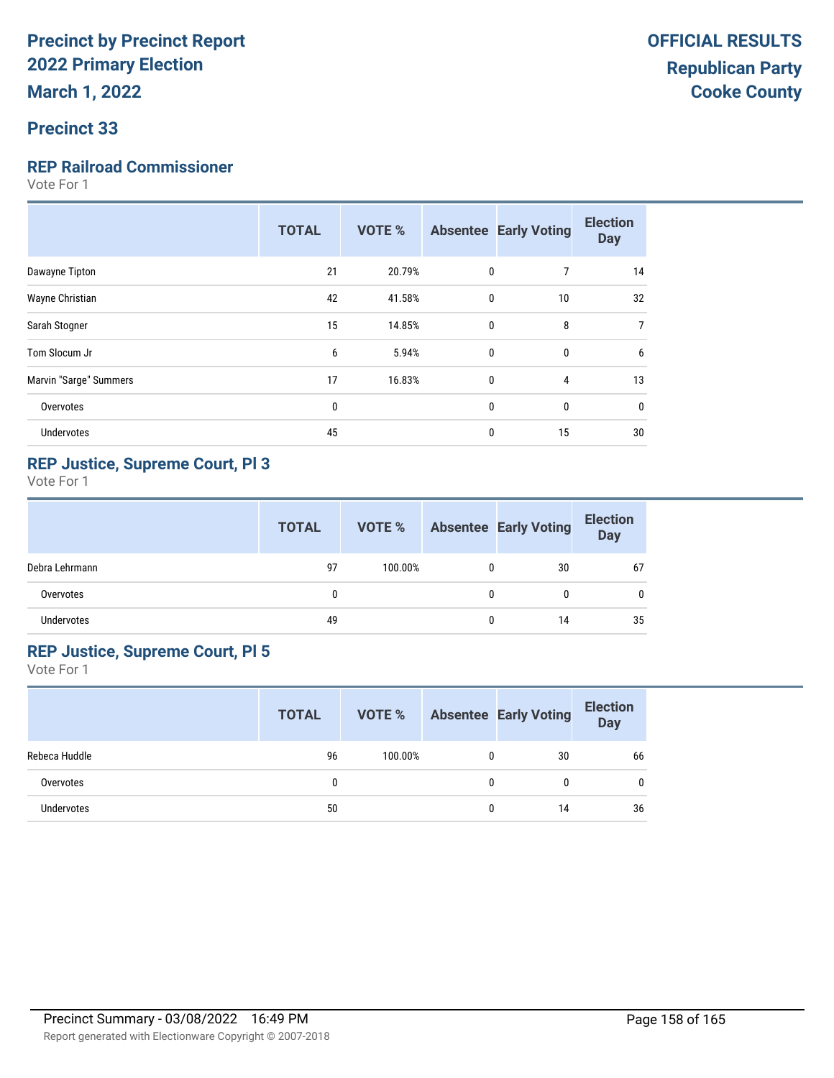#### **Precinct 33**

#### **REP Railroad Commissioner**

Vote For 1

| <b>TOTAL</b> | <b>VOTE %</b> |    | <b>Election</b><br><b>Day</b>                                                                               |
|--------------|---------------|----|-------------------------------------------------------------------------------------------------------------|
| 21           | 20.79%        | 7  | 14                                                                                                          |
| 42           | 41.58%        | 10 | 32                                                                                                          |
| 15           | 14.85%        | 8  | 7                                                                                                           |
| 6            | 5.94%         | 0  | 6                                                                                                           |
| 17           | 16.83%        | 4  | 13                                                                                                          |
| $\mathbf{0}$ |               | 0  | 0                                                                                                           |
| 45           |               | 15 | 30                                                                                                          |
|              |               |    | <b>Absentee Early Voting</b><br>0<br>$\mathbf{0}$<br>$\mathbf{0}$<br>$\mathbf{0}$<br>$\mathbf{0}$<br>0<br>0 |

## **REP Justice, Supreme Court, Pl 3**

Vote For 1

|                | <b>TOTAL</b> | VOTE %  |   | <b>Absentee Early Voting</b> | <b>Election</b><br><b>Day</b> |
|----------------|--------------|---------|---|------------------------------|-------------------------------|
| Debra Lehrmann | 97           | 100.00% | 0 | 30                           | 67                            |
| Overvotes      | 0            |         | 0 |                              |                               |
| Undervotes     | 49           |         | 0 | 14                           | 35                            |

#### **REP Justice, Supreme Court, Pl 5**

|               | <b>TOTAL</b> | VOTE %  |   | <b>Absentee Early Voting</b> | <b>Election</b><br><b>Day</b> |
|---------------|--------------|---------|---|------------------------------|-------------------------------|
| Rebeca Huddle | 96           | 100.00% |   | 30                           | 66                            |
| Overvotes     |              |         | 0 |                              | $\mathbf{0}$                  |
| Undervotes    | 50           |         | 0 | 14                           | 36                            |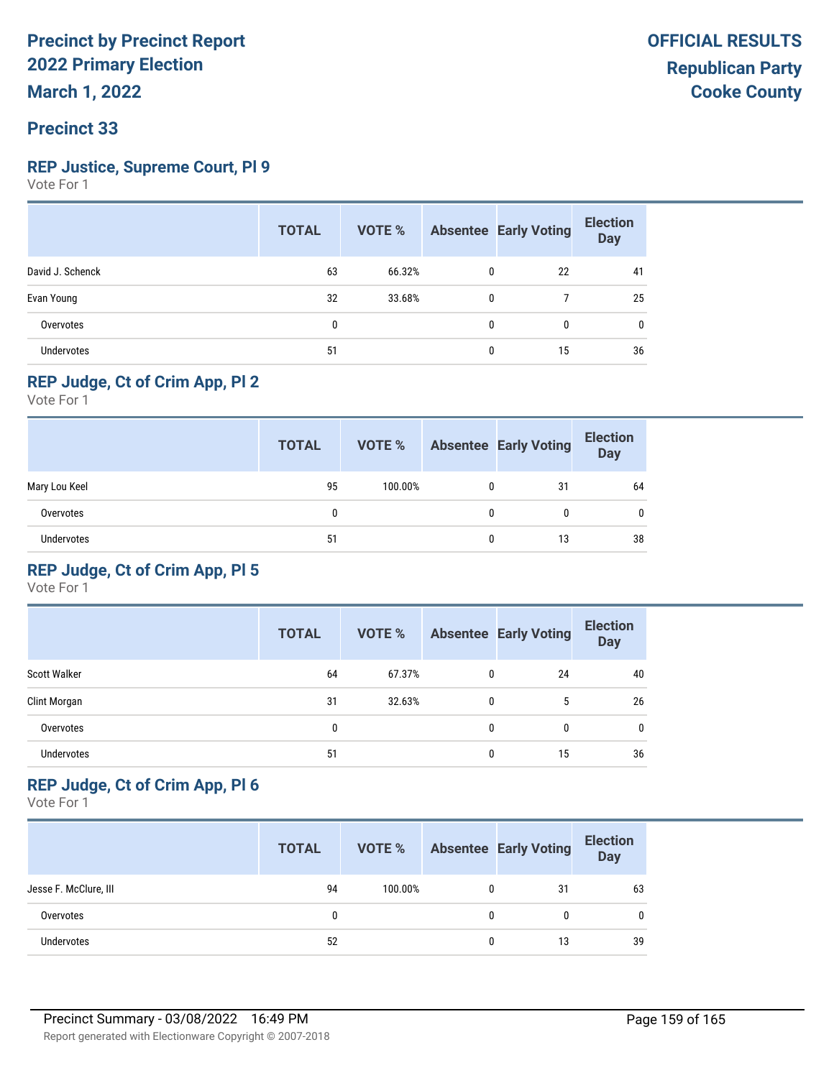## **Precinct 33**

#### **REP Justice, Supreme Court, Pl 9**

Vote For 1

|                   | <b>TOTAL</b> | VOTE % |              | <b>Absentee Early Voting</b> | <b>Election</b><br><b>Day</b> |
|-------------------|--------------|--------|--------------|------------------------------|-------------------------------|
| David J. Schenck  | 63           | 66.32% | $\mathbf{0}$ | 22                           | 41                            |
| Evan Young        | 32           | 33.68% | $\mathbf{0}$ |                              | 25                            |
| Overvotes         | 0            |        | 0            | 0                            | 0                             |
| <b>Undervotes</b> | 51           |        | 0            | 15                           | 36                            |

# **REP Judge, Ct of Crim App, Pl 2**

Vote For 1

|               | <b>TOTAL</b> | <b>VOTE %</b> |   | <b>Absentee Early Voting</b> | <b>Election</b><br><b>Day</b> |
|---------------|--------------|---------------|---|------------------------------|-------------------------------|
| Mary Lou Keel | 95           | 100.00%       | 0 | 31                           | 64                            |
| Overvotes     | 0            |               | 0 |                              | 0                             |
| Undervotes    | 51           |               | 0 | 13                           | 38                            |

## **REP Judge, Ct of Crim App, Pl 5**

Vote For 1

|                     | <b>TOTAL</b> | VOTE % |   | <b>Absentee Early Voting</b> | <b>Election</b><br><b>Day</b> |
|---------------------|--------------|--------|---|------------------------------|-------------------------------|
| <b>Scott Walker</b> | 64           | 67.37% | 0 | 24                           | 40                            |
| Clint Morgan        | 31           | 32.63% | 0 | 5                            | 26                            |
| Overvotes           | 0            |        | 0 | 0                            | 0                             |
| <b>Undervotes</b>   | 51           |        | 0 | 15                           | 36                            |

### **REP Judge, Ct of Crim App, Pl 6**

|                       | <b>TOTAL</b> | VOTE %  |   | <b>Absentee Early Voting</b> | <b>Election</b><br>Day |
|-----------------------|--------------|---------|---|------------------------------|------------------------|
| Jesse F. McClure, III | 94           | 100.00% |   | 31                           | 63                     |
| Overvotes             |              |         | 0 |                              | 0                      |
| Undervotes            | 52           |         | 0 | 13                           | 39                     |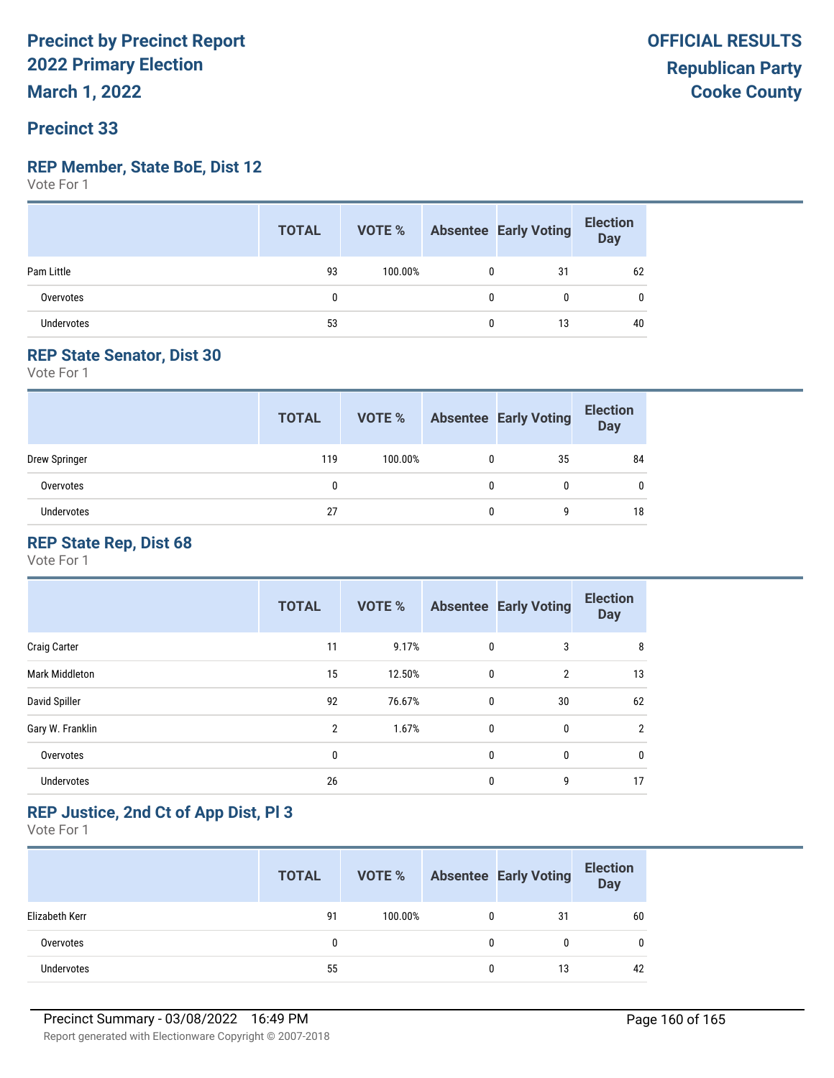# **Precinct 33**

#### **REP Member, State BoE, Dist 12**

Vote For 1

|                   | <b>TOTAL</b> |         |              | VOTE % Absentee Early Voting | <b>Election</b><br>Day |
|-------------------|--------------|---------|--------------|------------------------------|------------------------|
| Pam Little        | 93           | 100.00% |              | 31                           | 62                     |
| Overvotes         |              |         | 0            | 0                            | 0                      |
| <b>Undervotes</b> | 53           |         | $\mathbf{0}$ | 13                           | 40                     |

#### **REP State Senator, Dist 30**

Vote For 1

|               | <b>TOTAL</b> | VOTE %  |              | <b>Absentee Early Voting</b> | <b>Election</b><br><b>Day</b> |
|---------------|--------------|---------|--------------|------------------------------|-------------------------------|
| Drew Springer | 119          | 100.00% | $\mathbf{0}$ | 35                           | 84                            |
| Overvotes     | 0            |         | 0            | 0                            | 0                             |
| Undervotes    | 27           |         | 0            | 9                            | 18                            |

## **REP State Rep, Dist 68**

Vote For 1

|                       | <b>TOTAL</b>   | <b>VOTE %</b> |   | <b>Absentee Early Voting</b> | <b>Election</b><br><b>Day</b> |
|-----------------------|----------------|---------------|---|------------------------------|-------------------------------|
| <b>Craig Carter</b>   | 11             | 9.17%         | 0 | 3                            | 8                             |
| <b>Mark Middleton</b> | 15             | 12.50%        | 0 | $\overline{2}$               | 13                            |
| David Spiller         | 92             | 76.67%        | 0 | 30                           | 62                            |
| Gary W. Franklin      | $\overline{2}$ | 1.67%         | 0 | 0                            | $\overline{2}$                |
| Overvotes             | 0              |               | 0 | 0                            | $\mathbf{0}$                  |
| <b>Undervotes</b>     | 26             |               | 0 | 9                            | 17                            |

## **REP Justice, 2nd Ct of App Dist, Pl 3**

|                   | <b>TOTAL</b> | VOTE %  |   | <b>Absentee Early Voting</b> | <b>Election</b><br>Day |
|-------------------|--------------|---------|---|------------------------------|------------------------|
| Elizabeth Kerr    | 91           | 100.00% | 0 | 31                           | 60                     |
| Overvotes         | 0            |         | 0 |                              |                        |
| <b>Undervotes</b> | 55           |         | 0 | 13                           | 42                     |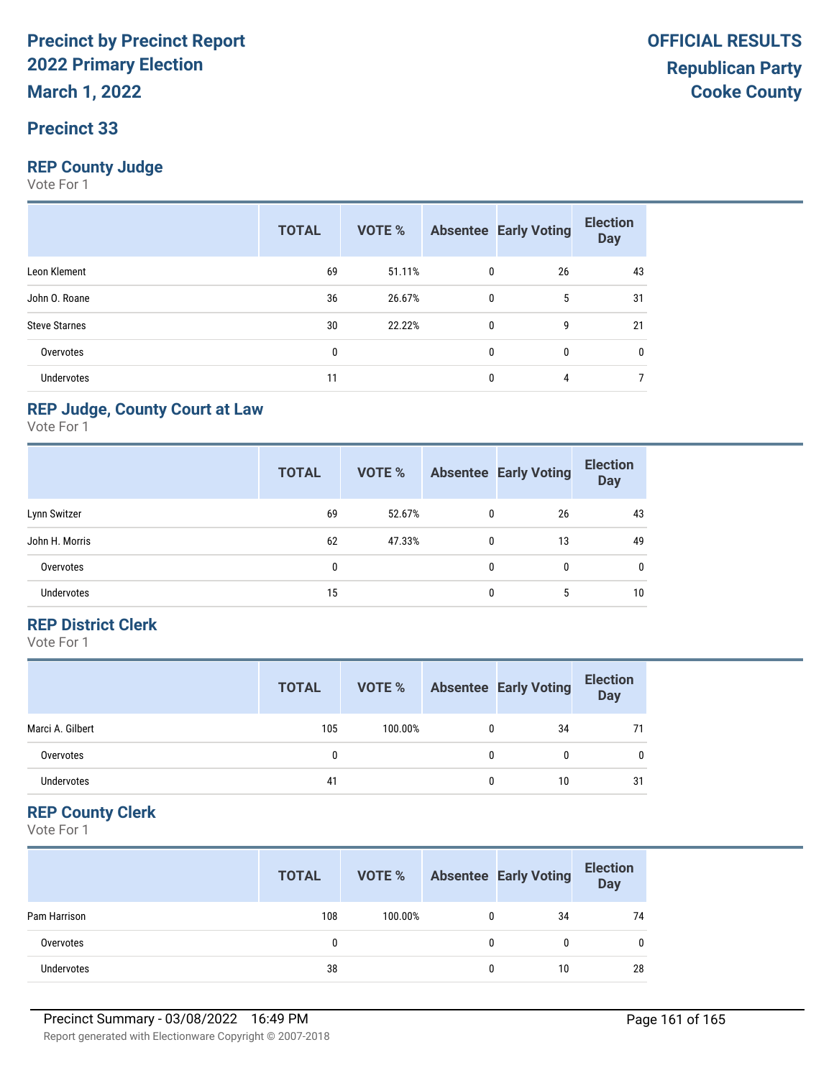# **Precinct 33**

#### **REP County Judge**

Vote For 1

|                      | <b>TOTAL</b> | VOTE % |   | <b>Absentee Early Voting</b> | <b>Election</b><br><b>Day</b> |
|----------------------|--------------|--------|---|------------------------------|-------------------------------|
| Leon Klement         | 69           | 51.11% | 0 | 26                           | 43                            |
| John O. Roane        | 36           | 26.67% | 0 | 5                            | 31                            |
| <b>Steve Starnes</b> | 30           | 22.22% | 0 | 9                            | 21                            |
| Overvotes            | 0            |        | 0 | 0                            | 0                             |
| <b>Undervotes</b>    | 11           |        | 0 | 4                            |                               |

#### **REP Judge, County Court at Law**

Vote For 1

|                   | <b>TOTAL</b> | <b>VOTE %</b> |   | <b>Absentee Early Voting</b> | <b>Election</b><br><b>Day</b> |
|-------------------|--------------|---------------|---|------------------------------|-------------------------------|
| Lynn Switzer      | 69           | 52.67%        | 0 | 26                           | 43                            |
| John H. Morris    | 62           | 47.33%        | 0 | 13                           | 49                            |
| Overvotes         | 0            |               | 0 | 0                            | 0                             |
| <b>Undervotes</b> | 15           |               | 0 | 5                            | 10                            |

#### **REP District Clerk**

Vote For 1

|                  | <b>TOTAL</b> | VOTE %  |   | <b>Absentee Early Voting</b> | <b>Election</b><br><b>Day</b> |
|------------------|--------------|---------|---|------------------------------|-------------------------------|
| Marci A. Gilbert | 105          | 100.00% |   | 34                           | 71                            |
| Overvotes        |              |         | 0 | 0                            | 0                             |
| Undervotes       | 41           |         | 0 | 10                           | 31                            |

## **REP County Clerk**

|              | <b>TOTAL</b> | VOTE %  |              | <b>Absentee Early Voting</b> | <b>Election</b><br>Day |
|--------------|--------------|---------|--------------|------------------------------|------------------------|
| Pam Harrison | 108          | 100.00% | $\mathbf{0}$ | 34                           | 74                     |
| Overvotes    |              |         | $\mathbf{0}$ | 0                            |                        |
| Undervotes   | 38           |         | 0            | 10                           | 28                     |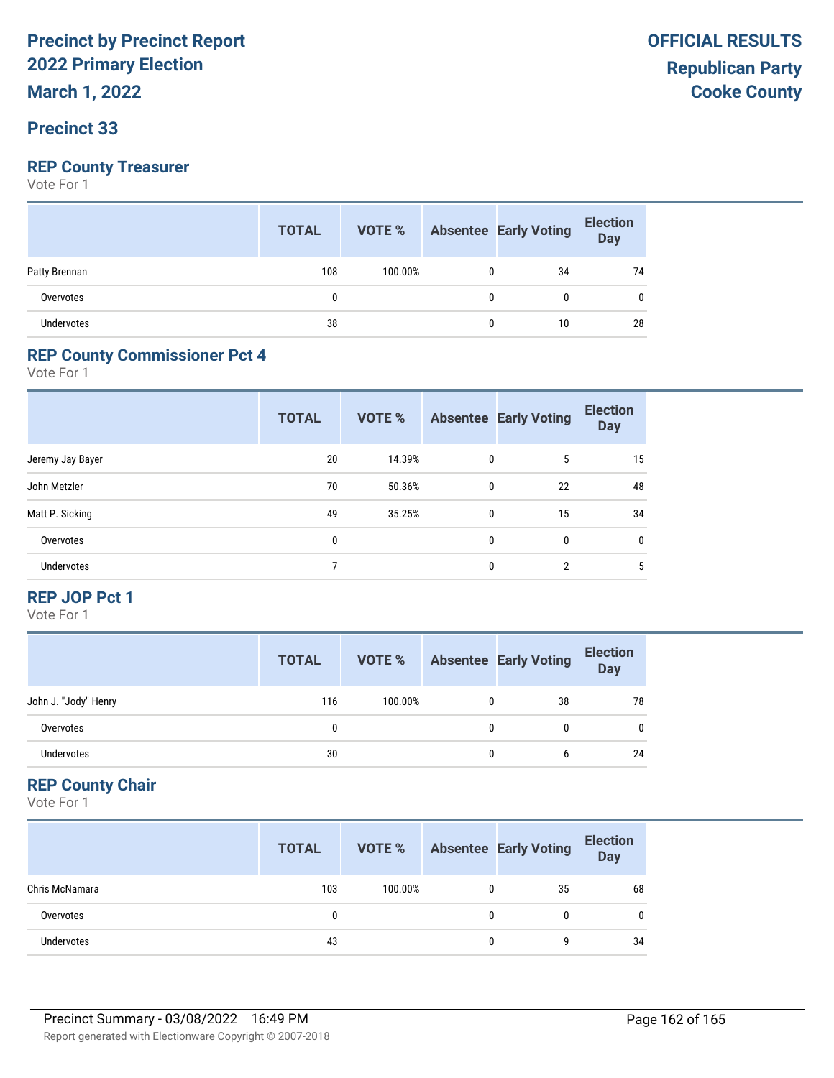**March 1, 2022**

## **Precinct 33**

# **REP County Treasurer**

Vote For 1

|                   | <b>TOTAL</b> | <b>VOTE %</b> Absentee Early Voting |   |    | <b>Election</b><br>Day |
|-------------------|--------------|-------------------------------------|---|----|------------------------|
| Patty Brennan     | 108          | 100.00%                             | 0 | 34 | 74                     |
| Overvotes         | 0            |                                     | 0 | 0  | 0                      |
| <b>Undervotes</b> | 38           |                                     | 0 | 10 | 28                     |

#### **REP County Commissioner Pct 4**

Vote For 1

|                   | <b>TOTAL</b> | <b>VOTE %</b> |              | <b>Absentee Early Voting</b> | <b>Election</b><br><b>Day</b> |
|-------------------|--------------|---------------|--------------|------------------------------|-------------------------------|
| Jeremy Jay Bayer  | 20           | 14.39%        | $\mathbf{0}$ | 5                            | 15                            |
| John Metzler      | 70           | 50.36%        | 0            | 22                           | 48                            |
| Matt P. Sicking   | 49           | 35.25%        | $\mathbf{0}$ | 15                           | 34                            |
| Overvotes         | 0            |               | 0            | $\mathbf{0}$                 | $\mathbf{0}$                  |
| <b>Undervotes</b> |              |               | 0            | $\overline{2}$               | 5                             |

#### **REP JOP Pct 1**

Vote For 1

|                      | <b>TOTAL</b> | VOTE %  | <b>Absentee Early Voting</b> | <b>Election</b><br>Day |
|----------------------|--------------|---------|------------------------------|------------------------|
| John J. "Jody" Henry | 116          | 100.00% | 38                           | 78                     |
| Overvotes            |              |         |                              | $\mathbf{0}$           |
| Undervotes           | 30           |         |                              | 24                     |

#### **REP County Chair**

|                | <b>TOTAL</b> | VOTE %  |   | <b>Absentee Early Voting</b> | <b>Election</b><br><b>Day</b> |
|----------------|--------------|---------|---|------------------------------|-------------------------------|
| Chris McNamara | 103          | 100.00% | 0 | 35                           | 68                            |
| Overvotes      |              |         | 0 | 0                            | $\mathbf{0}$                  |
| Undervotes     | 43           |         | 0 |                              | 34                            |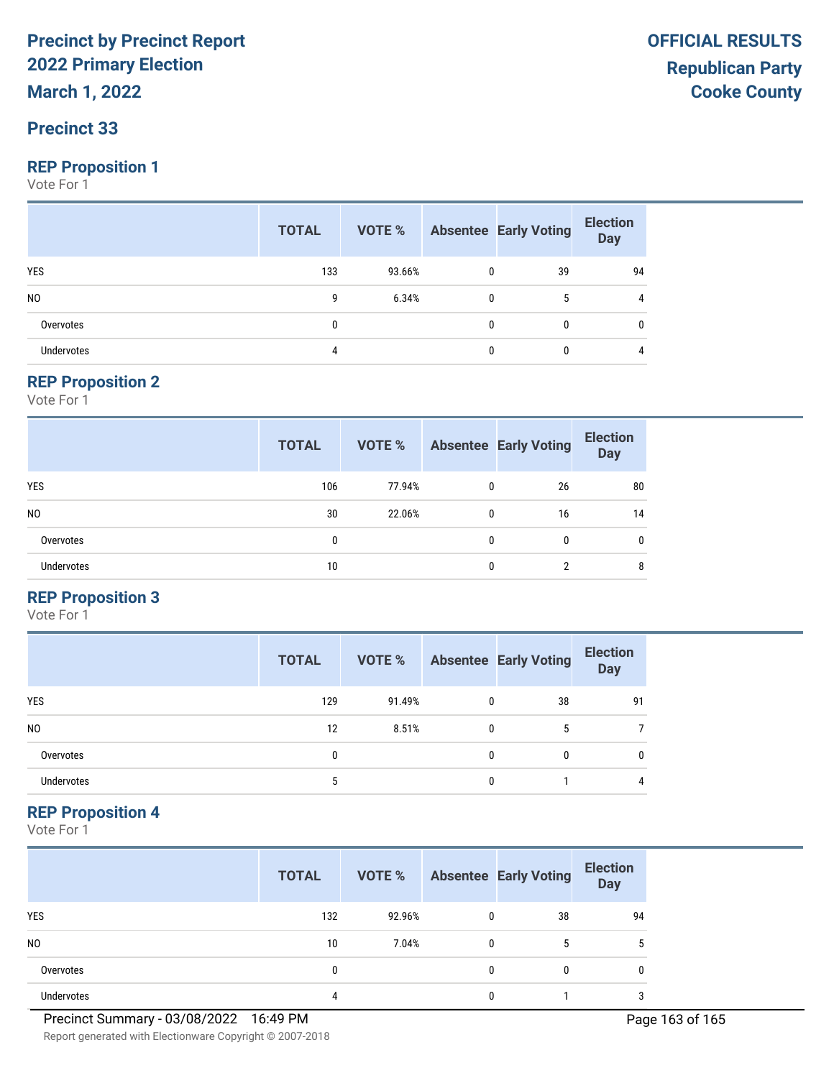**March 1, 2022**

# **Precinct 33**

#### **REP Proposition 1**

Vote For 1

|                   | <b>TOTAL</b> | <b>VOTE %</b> Absentee Early Voting |              |              | <b>Election</b><br><b>Day</b> |
|-------------------|--------------|-------------------------------------|--------------|--------------|-------------------------------|
| <b>YES</b>        | 133          | 93.66%                              | $\mathbf{0}$ | 39           | 94                            |
| N <sub>0</sub>    | 9            | 6.34%                               | $\mathbf{0}$ | 5            | 4                             |
| Overvotes         | 0            |                                     | $\Omega$     | $\mathbf{0}$ | 0                             |
| <b>Undervotes</b> | 4            |                                     | 0            | $\mathbf{0}$ | 4                             |

#### **REP Proposition 2**

Vote For 1

|                   | <b>TOTAL</b> | VOTE % |              | <b>Absentee Early Voting</b> | <b>Election</b><br><b>Day</b> |
|-------------------|--------------|--------|--------------|------------------------------|-------------------------------|
| <b>YES</b>        | 106          | 77.94% | 0            | 26                           | 80                            |
| N <sub>0</sub>    | 30           | 22.06% | $\mathbf{0}$ | 16                           | 14                            |
| Overvotes         | 0            |        | 0            | 0                            | $\mathbf{0}$                  |
| <b>Undervotes</b> | 10           |        | 0            | າ                            | 8                             |

#### **REP Proposition 3**

Vote For 1

|                | <b>TOTAL</b> | VOTE % |   | <b>Absentee Early Voting</b> | <b>Election</b><br><b>Day</b> |
|----------------|--------------|--------|---|------------------------------|-------------------------------|
| <b>YES</b>     | 129          | 91.49% | 0 | 38                           | 91                            |
| N <sub>0</sub> | 12           | 8.51%  | 0 | 5                            |                               |
| Overvotes      | 0            |        | 0 | 0                            | 0                             |
| Undervotes     |              |        | O |                              | 4                             |

#### **REP Proposition 4**

|                   | <b>TOTAL</b> | VOTE % |   | <b>Absentee Early Voting</b> | <b>Election</b><br><b>Day</b> |
|-------------------|--------------|--------|---|------------------------------|-------------------------------|
| <b>YES</b>        | 132          | 92.96% | 0 | 38                           | 94                            |
| N <sub>0</sub>    | 10           | 7.04%  |   | 5                            | 5                             |
| Overvotes         | 0            |        |   | 0                            | 0                             |
| <b>Undervotes</b> | 4            |        |   |                              | 3                             |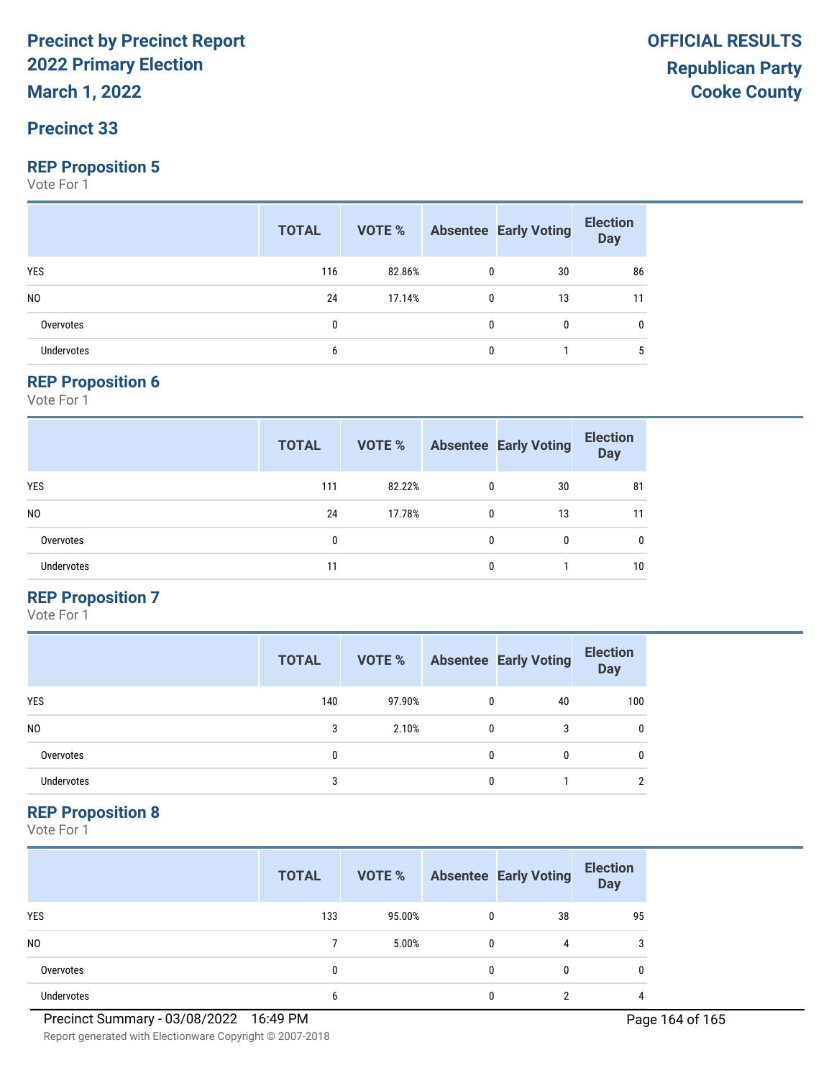**March 1, 2022**

## **Precinct 33**

#### **REP Proposition 5**

Vote For 1

|                   | <b>TOTAL</b> |        |              | <b>VOTE %</b> Absentee Early Voting | <b>Election</b><br>Day |
|-------------------|--------------|--------|--------------|-------------------------------------|------------------------|
| <b>YES</b>        | 116          | 82.86% | 0            | 30                                  | 86                     |
| N <sub>0</sub>    | 24           | 17.14% | $\mathbf{0}$ | 13                                  | 11                     |
| Overvotes         | 0            |        | $\mathbf{0}$ | 0                                   | 0                      |
| <b>Undervotes</b> | b            |        | 0            |                                     | 5                      |

#### **REP Proposition 6**

Vote For 1

|                   | <b>TOTAL</b> | VOTE % |   | <b>Absentee Early Voting</b> | <b>Election</b><br><b>Day</b> |
|-------------------|--------------|--------|---|------------------------------|-------------------------------|
| <b>YES</b>        | 111          | 82.22% | 0 | 30                           | 81                            |
| N <sub>0</sub>    | 24           | 17.78% | 0 | 13                           | 11                            |
| Overvotes         | 0            |        | 0 | 0                            | $\mathbf{0}$                  |
| <b>Undervotes</b> | 11           |        | 0 |                              | 10                            |

#### **REP Proposition 7**

Vote For 1

|                | <b>TOTAL</b> | VOTE % |   | <b>Absentee Early Voting</b> | <b>Election</b><br><b>Day</b> |
|----------------|--------------|--------|---|------------------------------|-------------------------------|
| <b>YES</b>     | 140          | 97.90% | 0 | 40                           | 100                           |
| N <sub>0</sub> | 3            | 2.10%  | 0 | 3                            | 0                             |
| Overvotes      | 0            |        | 0 | 0                            | 0                             |
| Undervotes     | 3            |        | O |                              | 2                             |

### **REP Proposition 8**

|                   | <b>TOTAL</b> | VOTE % |   | <b>Absentee Early Voting</b> | <b>Election</b><br><b>Day</b> |
|-------------------|--------------|--------|---|------------------------------|-------------------------------|
| <b>YES</b>        | 133          | 95.00% | 0 | 38                           | 95                            |
| N <sub>0</sub>    |              | 5.00%  |   | 4                            | 3                             |
| Overvotes         | 0            |        |   | 0                            | 0                             |
| <b>Undervotes</b> | 6            |        |   | ∩                            | 4                             |